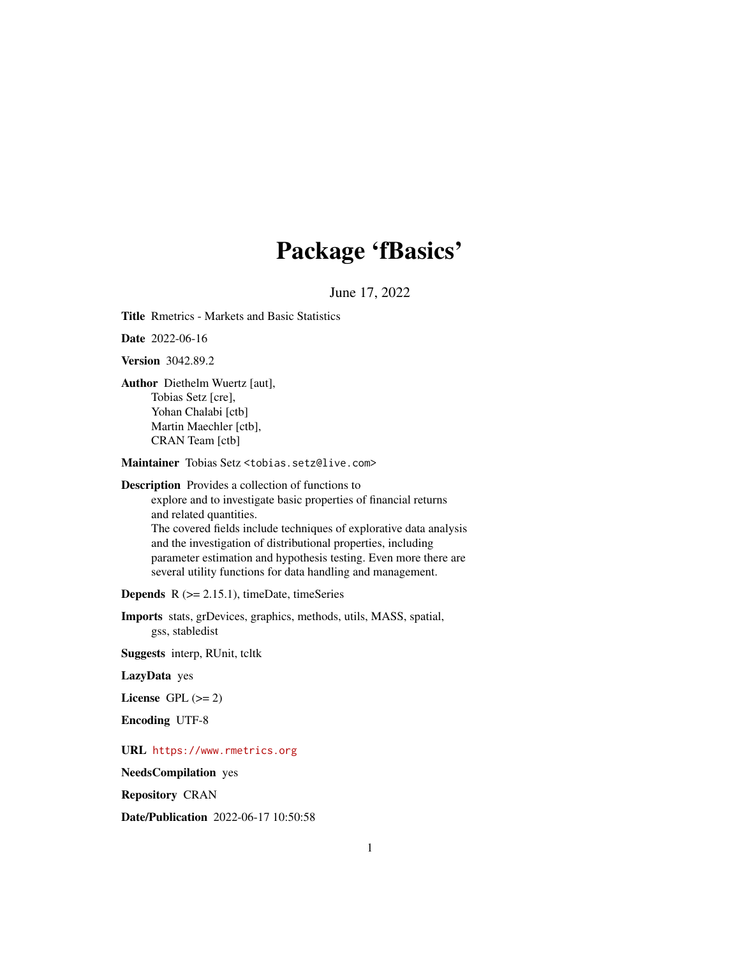# Package 'fBasics'

June 17, 2022

<span id="page-0-0"></span>Title Rmetrics - Markets and Basic Statistics

Date 2022-06-16

Version 3042.89.2

Author Diethelm Wuertz [aut], Tobias Setz [cre], Yohan Chalabi [ctb] Martin Maechler [ctb], CRAN Team [ctb]

Maintainer Tobias Setz <tobias.setz@live.com>

Description Provides a collection of functions to

explore and to investigate basic properties of financial returns and related quantities. The covered fields include techniques of explorative data analysis and the investigation of distributional properties, including parameter estimation and hypothesis testing. Even more there are several utility functions for data handling and management.

**Depends**  $R$  ( $>= 2.15.1$ ), timeDate, timeSeries

Imports stats, grDevices, graphics, methods, utils, MASS, spatial, gss, stabledist

Suggests interp, RUnit, tcltk

LazyData yes

License GPL  $(>= 2)$ 

Encoding UTF-8

URL <https://www.rmetrics.org>

NeedsCompilation yes

Repository CRAN

Date/Publication 2022-06-17 10:50:58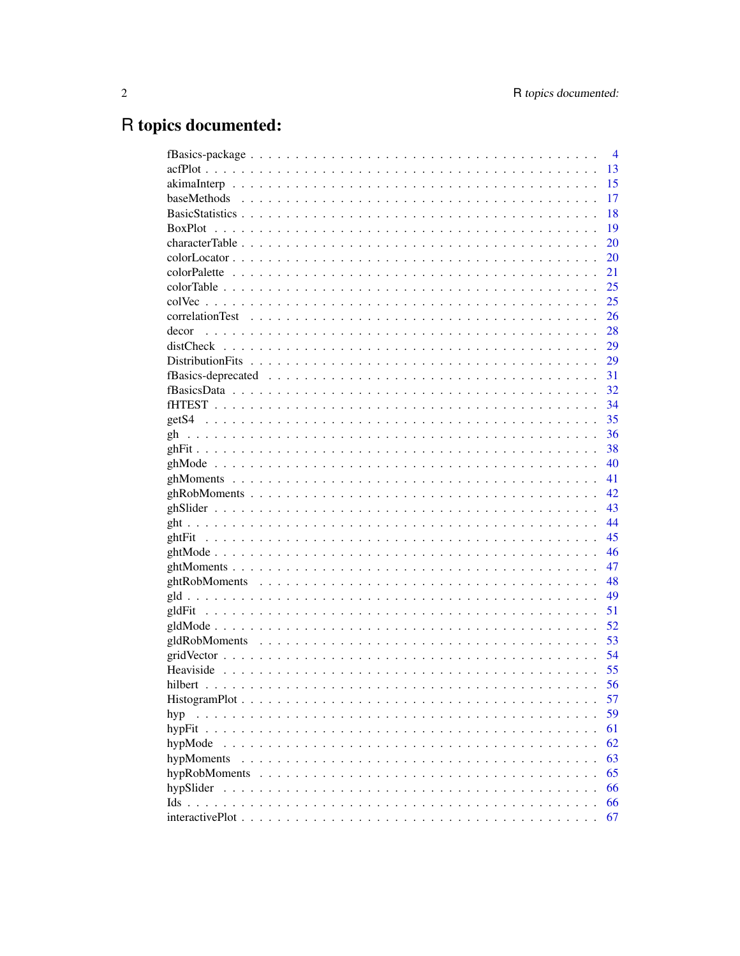# R topics documented:

|                                                                                                    |  |  |  |  |  |  |                                                                                                                                                                   |  |  |  |  |  | $\overline{4}$ |
|----------------------------------------------------------------------------------------------------|--|--|--|--|--|--|-------------------------------------------------------------------------------------------------------------------------------------------------------------------|--|--|--|--|--|----------------|
|                                                                                                    |  |  |  |  |  |  |                                                                                                                                                                   |  |  |  |  |  | 13             |
|                                                                                                    |  |  |  |  |  |  |                                                                                                                                                                   |  |  |  |  |  | 15             |
|                                                                                                    |  |  |  |  |  |  |                                                                                                                                                                   |  |  |  |  |  | 17             |
|                                                                                                    |  |  |  |  |  |  |                                                                                                                                                                   |  |  |  |  |  | 18             |
|                                                                                                    |  |  |  |  |  |  |                                                                                                                                                                   |  |  |  |  |  | 19             |
|                                                                                                    |  |  |  |  |  |  |                                                                                                                                                                   |  |  |  |  |  | 20             |
|                                                                                                    |  |  |  |  |  |  |                                                                                                                                                                   |  |  |  |  |  | 20             |
|                                                                                                    |  |  |  |  |  |  |                                                                                                                                                                   |  |  |  |  |  | 21             |
|                                                                                                    |  |  |  |  |  |  |                                                                                                                                                                   |  |  |  |  |  | 25             |
|                                                                                                    |  |  |  |  |  |  |                                                                                                                                                                   |  |  |  |  |  | 25             |
|                                                                                                    |  |  |  |  |  |  |                                                                                                                                                                   |  |  |  |  |  | 26             |
| decor                                                                                              |  |  |  |  |  |  |                                                                                                                                                                   |  |  |  |  |  | 28             |
|                                                                                                    |  |  |  |  |  |  |                                                                                                                                                                   |  |  |  |  |  | 29             |
|                                                                                                    |  |  |  |  |  |  |                                                                                                                                                                   |  |  |  |  |  | 29             |
|                                                                                                    |  |  |  |  |  |  |                                                                                                                                                                   |  |  |  |  |  | 31             |
|                                                                                                    |  |  |  |  |  |  |                                                                                                                                                                   |  |  |  |  |  | 32             |
|                                                                                                    |  |  |  |  |  |  |                                                                                                                                                                   |  |  |  |  |  | 34             |
|                                                                                                    |  |  |  |  |  |  |                                                                                                                                                                   |  |  |  |  |  | 35             |
| gh                                                                                                 |  |  |  |  |  |  |                                                                                                                                                                   |  |  |  |  |  | 36             |
|                                                                                                    |  |  |  |  |  |  |                                                                                                                                                                   |  |  |  |  |  | 38             |
|                                                                                                    |  |  |  |  |  |  |                                                                                                                                                                   |  |  |  |  |  | 40             |
|                                                                                                    |  |  |  |  |  |  |                                                                                                                                                                   |  |  |  |  |  | 41             |
|                                                                                                    |  |  |  |  |  |  |                                                                                                                                                                   |  |  |  |  |  | 42             |
|                                                                                                    |  |  |  |  |  |  |                                                                                                                                                                   |  |  |  |  |  | 43             |
|                                                                                                    |  |  |  |  |  |  |                                                                                                                                                                   |  |  |  |  |  | 44             |
|                                                                                                    |  |  |  |  |  |  |                                                                                                                                                                   |  |  |  |  |  | 45             |
|                                                                                                    |  |  |  |  |  |  |                                                                                                                                                                   |  |  |  |  |  | 46             |
|                                                                                                    |  |  |  |  |  |  |                                                                                                                                                                   |  |  |  |  |  | 47             |
|                                                                                                    |  |  |  |  |  |  |                                                                                                                                                                   |  |  |  |  |  | 48             |
|                                                                                                    |  |  |  |  |  |  |                                                                                                                                                                   |  |  |  |  |  | 49             |
|                                                                                                    |  |  |  |  |  |  |                                                                                                                                                                   |  |  |  |  |  | 51             |
|                                                                                                    |  |  |  |  |  |  |                                                                                                                                                                   |  |  |  |  |  | 52             |
|                                                                                                    |  |  |  |  |  |  |                                                                                                                                                                   |  |  |  |  |  | 53             |
|                                                                                                    |  |  |  |  |  |  |                                                                                                                                                                   |  |  |  |  |  | 54             |
|                                                                                                    |  |  |  |  |  |  |                                                                                                                                                                   |  |  |  |  |  | 55             |
|                                                                                                    |  |  |  |  |  |  |                                                                                                                                                                   |  |  |  |  |  | 56             |
| $HistogramPlot \n\ldots \n\ldots \n\ldots \ldots \ldots \ldots \ldots \ldots \ldots \ldots \ldots$ |  |  |  |  |  |  |                                                                                                                                                                   |  |  |  |  |  | 57             |
| hyp<br>.                                                                                           |  |  |  |  |  |  | $\begin{array}{cccccccccccccc} \bullet & \bullet & \bullet & \bullet & \bullet & \bullet & \bullet & \bullet & \bullet & \bullet & \bullet & \bullet \end{array}$ |  |  |  |  |  | 59             |
| hypFit                                                                                             |  |  |  |  |  |  |                                                                                                                                                                   |  |  |  |  |  | 61             |
| hypMode                                                                                            |  |  |  |  |  |  |                                                                                                                                                                   |  |  |  |  |  | 62             |
| hypMoments                                                                                         |  |  |  |  |  |  |                                                                                                                                                                   |  |  |  |  |  | 63             |
| hypRobMoments                                                                                      |  |  |  |  |  |  |                                                                                                                                                                   |  |  |  |  |  | 65             |
| hypSlider                                                                                          |  |  |  |  |  |  |                                                                                                                                                                   |  |  |  |  |  | 66             |
| Ids.                                                                                               |  |  |  |  |  |  |                                                                                                                                                                   |  |  |  |  |  | 66             |
|                                                                                                    |  |  |  |  |  |  |                                                                                                                                                                   |  |  |  |  |  | 67             |
|                                                                                                    |  |  |  |  |  |  |                                                                                                                                                                   |  |  |  |  |  |                |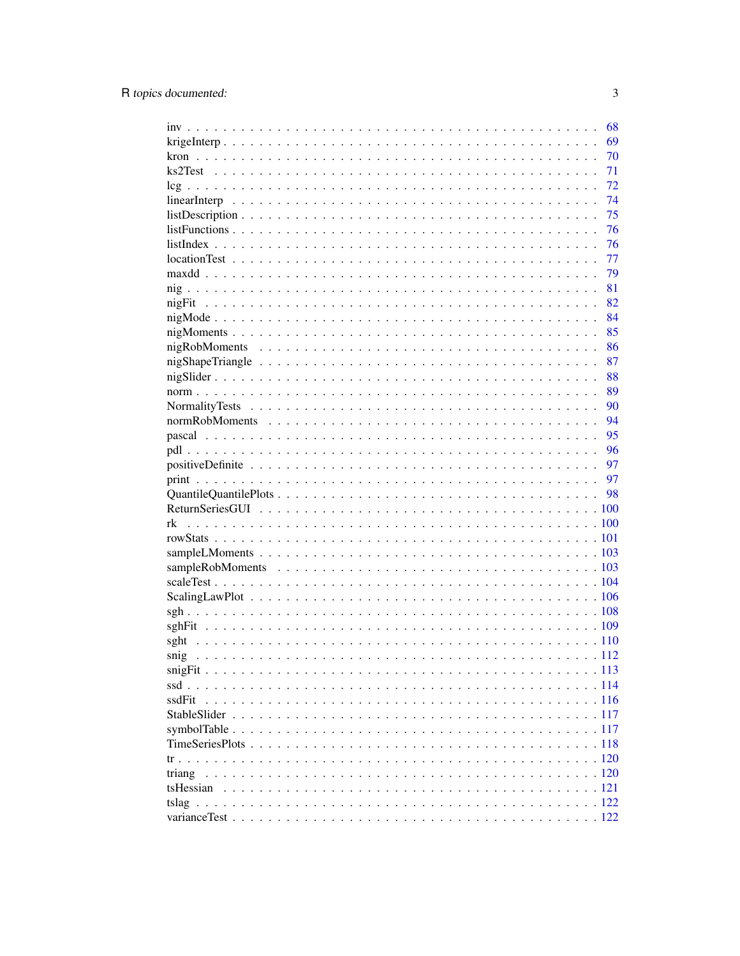|        | 68 |
|--------|----|
|        | 69 |
|        | 70 |
|        | 71 |
|        | 72 |
|        | 74 |
|        | 75 |
|        | 76 |
|        | 76 |
|        | 77 |
|        | 79 |
|        | 81 |
|        | 82 |
|        | 84 |
|        | 85 |
|        | 86 |
|        | 87 |
|        | 88 |
|        | 89 |
|        | 90 |
|        | 94 |
|        | 95 |
|        | 96 |
|        | 97 |
|        | 97 |
|        |    |
|        |    |
|        |    |
|        |    |
|        |    |
|        |    |
|        |    |
|        |    |
|        |    |
|        |    |
|        |    |
|        |    |
|        |    |
|        |    |
|        |    |
| ssdFit |    |
|        |    |
|        |    |
|        |    |
|        |    |
| triang |    |
|        |    |
|        |    |
|        |    |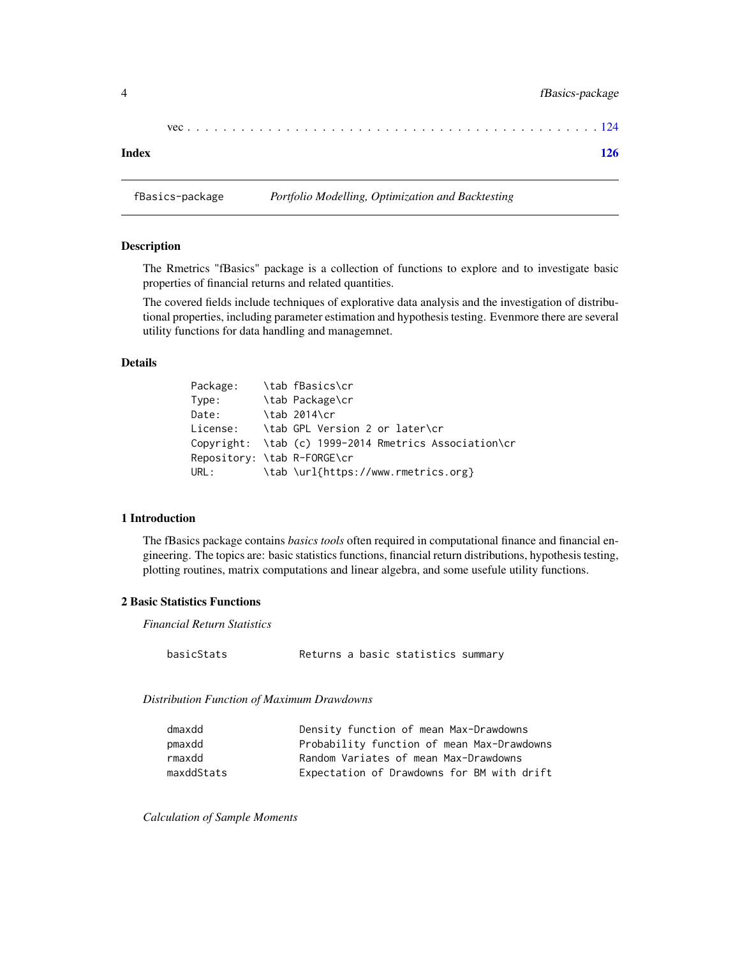| Index |  |  |  |  |  |  |  |  |  |  |  |  |  |  |  |  |  |  |  |  |  |
|-------|--|--|--|--|--|--|--|--|--|--|--|--|--|--|--|--|--|--|--|--|--|

fBasics-package *Portfolio Modelling, Optimization and Backtesting*

#### Description

The Rmetrics "fBasics" package is a collection of functions to explore and to investigate basic properties of financial returns and related quantities.

The covered fields include techniques of explorative data analysis and the investigation of distributional properties, including parameter estimation and hypothesis testing. Evenmore there are several utility functions for data handling and managemnet.

#### Details

| Package:                    | \tab fBasics\cr                                                    |
|-----------------------------|--------------------------------------------------------------------|
| Type:                       | \tab Package\cr                                                    |
| Date:                       | \tab 2014\cr                                                       |
|                             | $License:$ $\lambda$ $\lambda$ GPL Version 2 or later $\lambda$ cr |
|                             | Copyright: \tab (c) 1999-2014 Rmetrics Association\cr              |
| Repository: \tab R-FORGE\cr |                                                                    |
| URL:                        | \tab \url{https://www.rmetrics.org}                                |

#### 1 Introduction

The fBasics package contains *basics tools* often required in computational finance and financial engineering. The topics are: basic statistics functions, financial return distributions, hypothesis testing, plotting routines, matrix computations and linear algebra, and some usefule utility functions.

#### 2 Basic Statistics Functions

*Financial Return Statistics*

basicStats Returns a basic statistics summary

#### *Distribution Function of Maximum Drawdowns*

| dmaxdd     | Density function of mean Max-Drawdowns     |
|------------|--------------------------------------------|
| pmaxdd     | Probability function of mean Max-Drawdowns |
| rmaxdd     | Random Variates of mean Max-Drawdowns      |
| maxddStats | Expectation of Drawdowns for BM with drift |

*Calculation of Sample Moments*

<span id="page-3-0"></span>4 fBasics-package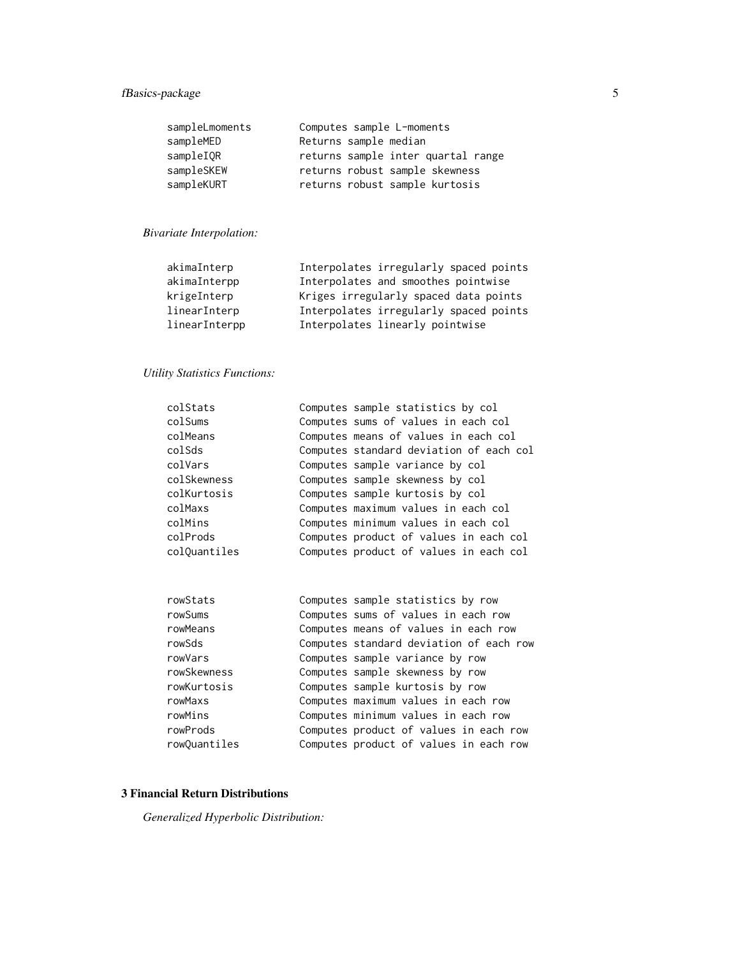### fBasics-package 5

| sampleLmoments | Computes sample L-moments          |
|----------------|------------------------------------|
| sampleMED      | Returns sample median              |
| sampleIOR      | returns sample inter quartal range |
| sampleSKEW     | returns robust sample skewness     |
| sampleKURT     | returns robust sample kurtosis     |

### *Bivariate Interpolation:*

| akimaInterp   | Interpolates irregularly spaced points |
|---------------|----------------------------------------|
| akimaInterpp  | Interpolates and smoothes pointwise    |
| krigeInterp   | Kriges irregularly spaced data points  |
| linearInterp  | Interpolates irregularly spaced points |
| linearInterpp | Interpolates linearly pointwise        |

### *Utility Statistics Functions:*

| colStats     | Computes sample statistics by col       |
|--------------|-----------------------------------------|
| colSums      | Computes sums of values in each col     |
| colMeans     | Computes means of values in each col    |
| colSds       | Computes standard deviation of each col |
| colVars      | Computes sample variance by col         |
| colSkewness  | Computes sample skewness by col         |
| colKurtosis  | Computes sample kurtosis by col         |
| colMaxs      | Computes maximum values in each col     |
| colMins      | Computes minimum values in each col     |
| colProds     | Computes product of values in each col  |
| colQuantiles | Computes product of values in each col  |
|              |                                         |

| Computes sample statistics by row       |
|-----------------------------------------|
| Computes sums of values in each row     |
| Computes means of values in each row    |
| Computes standard deviation of each row |
| Computes sample variance by row         |
| Computes sample skewness by row         |
| Computes sample kurtosis by row         |
| Computes maximum values in each row     |
| Computes minimum values in each row     |
| Computes product of values in each row  |
| Computes product of values in each row  |
|                                         |

### 3 Financial Return Distributions

*Generalized Hyperbolic Distribution:*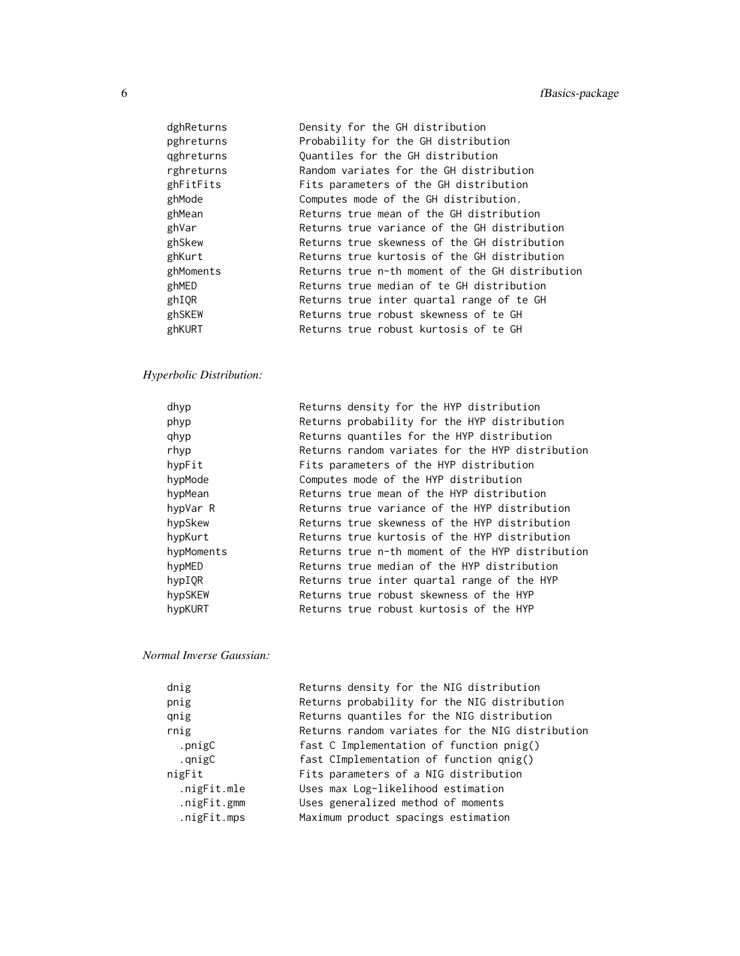| dghReturns | Density for the GH distribution                 |
|------------|-------------------------------------------------|
| pghreturns | Probability for the GH distribution             |
| gghreturns | Quantiles for the GH distribution               |
| rghreturns | Random variates for the GH distribution         |
| ghFitFits  | Fits parameters of the GH distribution          |
| ghMode     | Computes mode of the GH distribution.           |
| ghMean     | Returns true mean of the GH distribution        |
| ghVar      | Returns true variance of the GH distribution    |
| ghSkew     | Returns true skewness of the GH distribution    |
| ghKurt     | Returns true kurtosis of the GH distribution    |
| ghMoments  | Returns true n-th moment of the GH distribution |
| ghMED      | Returns true median of te GH distribution       |
| ghIOR      | Returns true inter quartal range of te GH       |
| ghSKEW     | Returns true robust skewness of te GH           |
| ghKURT     | Returns true robust kurtosis of te GH           |
|            |                                                 |

## *Hyperbolic Distribution:*

| dhyp       | Returns density for the HYP distribution         |
|------------|--------------------------------------------------|
| phyp       | Returns probability for the HYP distribution     |
| qhyp       | Returns quantiles for the HYP distribution       |
| rhyp       | Returns random variates for the HYP distribution |
| hypFit     | Fits parameters of the HYP distribution          |
| hypMode    | Computes mode of the HYP distribution            |
| hypMean    | Returns true mean of the HYP distribution        |
| hypVar R   | Returns true variance of the HYP distribution    |
| hypSkew    | Returns true skewness of the HYP distribution    |
| hypKurt    | Returns true kurtosis of the HYP distribution    |
| hypMoments | Returns true n-th moment of the HYP distribution |
| hypMED     | Returns true median of the HYP distribution      |
| hypIQR     | Returns true inter quartal range of the HYP      |
| hypSKEW    | Returns true robust skewness of the HYP          |
| hypKURT    | Returns true robust kurtosis of the HYP          |
|            |                                                  |

#### *Normal Inverse Gaussian:*

| dnig        | Returns density for the NIG distribution         |
|-------------|--------------------------------------------------|
| pnig        | Returns probability for the NIG distribution     |
| qnig        | Returns quantiles for the NIG distribution       |
| rnig        | Returns random variates for the NIG distribution |
| .pnigC      | fast C Implementation of function pnig()         |
| .qnigC      | fast CImplementation of function qnig()          |
| nigFit      | Fits parameters of a NIG distribution            |
| .nigFit.mle | Uses max Log-likelihood estimation               |
| .nigFit.gmm | Uses generalized method of moments               |
| .nigFit.mps | Maximum product spacings estimation              |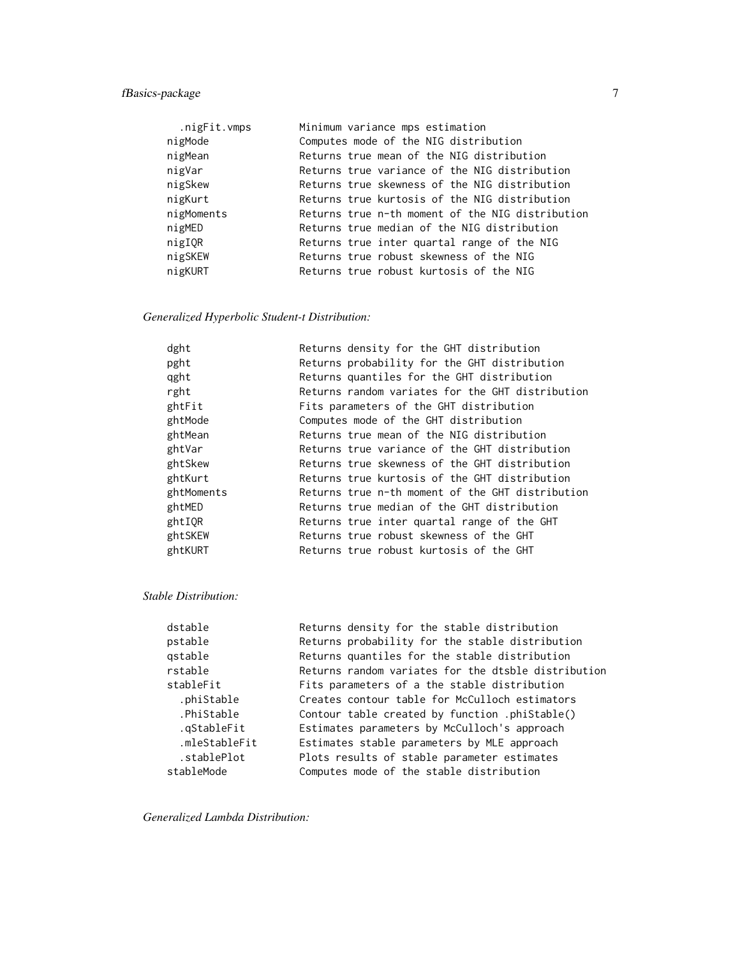### fBasics-package 7

| .nigFit.vmps | Minimum variance mps estimation                  |
|--------------|--------------------------------------------------|
| nigMode      | Computes mode of the NIG distribution            |
| nigMean      | Returns true mean of the NIG distribution        |
| nigVar       | Returns true variance of the NIG distribution    |
| nigSkew      | Returns true skewness of the NIG distribution    |
| nigKurt      | Returns true kurtosis of the NIG distribution    |
| nigMoments   | Returns true n-th moment of the NIG distribution |
| nigMED       | Returns true median of the NIG distribution      |
| nigIOR       | Returns true inter quartal range of the NIG      |
| nigSKEW      | Returns true robust skewness of the NIG          |
| nigKURT      | Returns true robust kurtosis of the NIG          |
|              |                                                  |

### *Generalized Hyperbolic Student-t Distribution:*

| dght       | Returns density for the GHT distribution         |
|------------|--------------------------------------------------|
| pght       | Returns probability for the GHT distribution     |
| qght       | Returns quantiles for the GHT distribution       |
| rght       | Returns random variates for the GHT distribution |
| ghtFit     | Fits parameters of the GHT distribution          |
| ghtMode    | Computes mode of the GHT distribution            |
| ghtMean    | Returns true mean of the NIG distribution        |
| ghtVar     | Returns true variance of the GHT distribution    |
| ghtSkew    | Returns true skewness of the GHT distribution    |
| ghtKurt    | Returns true kurtosis of the GHT distribution    |
| ghtMoments | Returns true n-th moment of the GHT distribution |
| ghtMED     | Returns true median of the GHT distribution      |
| ghtIOR     | Returns true inter quartal range of the GHT      |
| ghtSKEW    | Returns true robust skewness of the GHT          |
| ghtKURT    | Returns true robust kurtosis of the GHT          |
|            |                                                  |

#### *Stable Distribution:*

| dstable       | Returns density for the stable distribution         |
|---------------|-----------------------------------------------------|
| pstable       | Returns probability for the stable distribution     |
| gstable       | Returns quantiles for the stable distribution       |
| rstable       | Returns random variates for the dtsble distribution |
| stableFit     | Fits parameters of a the stable distribution        |
| .phiStable    | Creates contour table for McCulloch estimators      |
| .PhiStable    | Contour table created by function .phiStable()      |
| .gStableFit   | Estimates parameters by McCulloch's approach        |
| .mleStableFit | Estimates stable parameters by MLE approach         |
| .stablePlot   | Plots results of stable parameter estimates         |
| stableMode    | Computes mode of the stable distribution            |
|               |                                                     |

*Generalized Lambda Distribution:*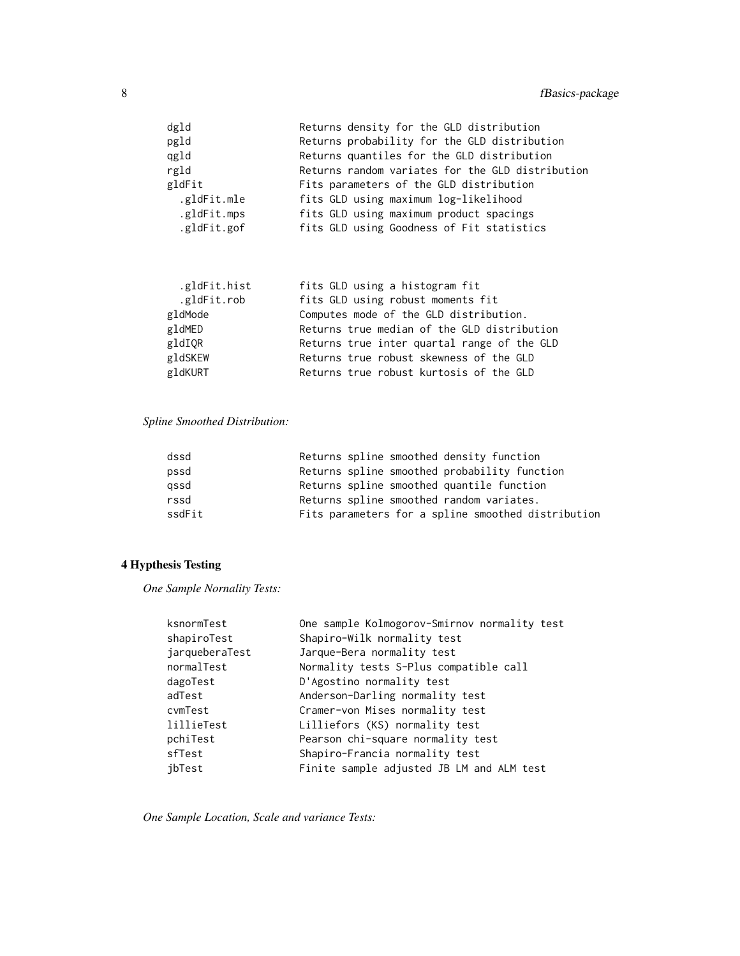| dgld        | Returns density for the GLD distribution         |
|-------------|--------------------------------------------------|
| pgld        | Returns probability for the GLD distribution     |
| qgld        | Returns quantiles for the GLD distribution       |
| rgld        | Returns random variates for the GLD distribution |
| gldFit      | Fits parameters of the GLD distribution          |
| .gldFit.mle | fits GLD using maximum log-likelihood            |
| .gldFit.mps | fits GLD using maximum product spacings          |
| .gldFit.gof | fits GLD using Goodness of Fit statistics        |
|             |                                                  |

| .gldFit.hist | fits GLD using a histogram fit              |
|--------------|---------------------------------------------|
| .gldFit.rob  | fits GLD using robust moments fit           |
| gldMode      | Computes mode of the GLD distribution.      |
| gldMED       | Returns true median of the GLD distribution |
| gldIQR       | Returns true inter quartal range of the GLD |
| gldSKEW      | Returns true robust skewness of the GLD     |
| gldKURT      | Returns true robust kurtosis of the GLD     |

### *Spline Smoothed Distribution:*

| dssd   | Returns spline smoothed density function           |
|--------|----------------------------------------------------|
| pssd   | Returns spline smoothed probability function       |
| gssd   | Returns spline smoothed quantile function          |
| rssd   | Returns spline smoothed random variates.           |
| ssdFit | Fits parameters for a spline smoothed distribution |

### 4 Hypthesis Testing

*One Sample Nornality Tests:*

| One sample Kolmogorov-Smirnov normality test |  |  |
|----------------------------------------------|--|--|
| Shapiro-Wilk normality test                  |  |  |
| Jarque-Bera normality test                   |  |  |
| Normality tests S-Plus compatible call       |  |  |
| D'Agostino normality test                    |  |  |
| Anderson-Darling normality test              |  |  |
| Cramer-von Mises normality test              |  |  |
| Lilliefors (KS) normality test               |  |  |
| Pearson chi-square normality test            |  |  |
| Shapiro-Francia normality test               |  |  |
| Finite sample adjusted JB LM and ALM test    |  |  |
|                                              |  |  |

*One Sample Location, Scale and variance Tests:*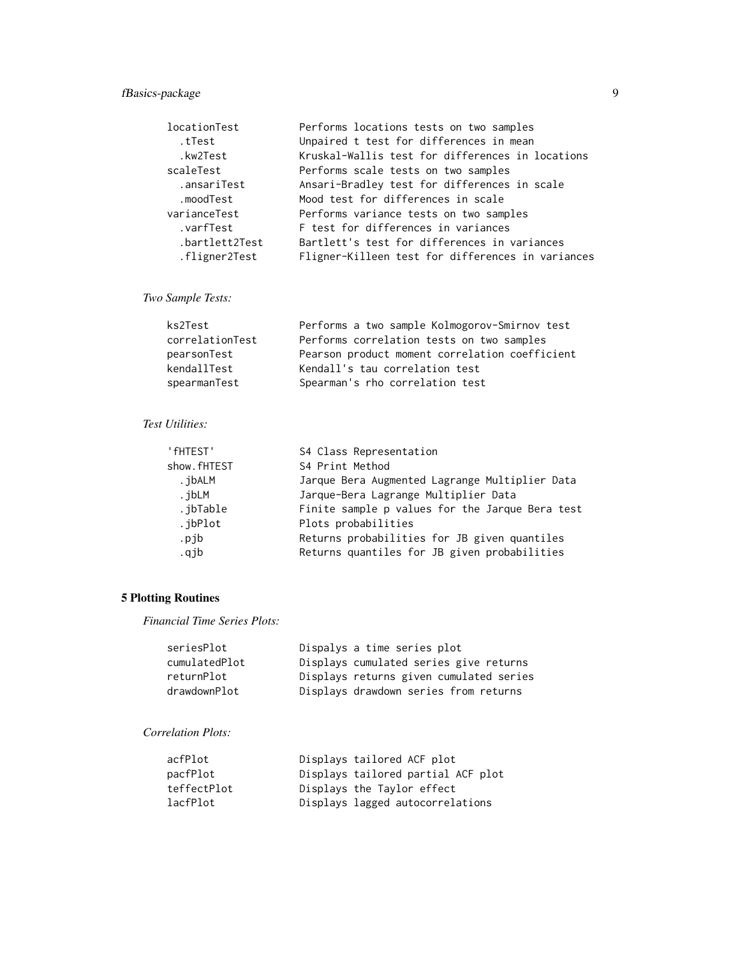### fBasics-package 9

| locationTest   | Performs locations tests on two samples           |
|----------------|---------------------------------------------------|
| tTest.         | Unpaired t test for differences in mean           |
| .kw2Test       | Kruskal-Wallis test for differences in locations  |
| scaleTest      | Performs scale tests on two samples               |
| .ansariTest    | Ansari-Bradley test for differences in scale      |
| .moodTest      | Mood test for differences in scale                |
| varianceTest   | Performs variance tests on two samples            |
| .varfTest      | F test for differences in variances               |
| .bartlett2Test | Bartlett's test for differences in variances      |
| .fligner2Test  | Fligner-Killeen test for differences in variances |
|                |                                                   |

### *Two Sample Tests:*

| ks2Test         | Performs a two sample Kolmogorov-Smirnov test  |
|-----------------|------------------------------------------------|
| correlationTest | Performs correlation tests on two samples      |
| pearsonTest     | Pearson product moment correlation coefficient |
| kendallTest     | Kendall's tau correlation test                 |
| spearmanTest    | Spearman's rho correlation test                |

#### *Test Utilities:*

| ' fHTEST'   | S4 Class Representation                         |  |  |  |
|-------------|-------------------------------------------------|--|--|--|
| show.fHTEST | S4 Print Method                                 |  |  |  |
| . ibALM     | Jarque Bera Augmented Lagrange Multiplier Data  |  |  |  |
| .jbLM       | Jarque-Bera Lagrange Multiplier Data            |  |  |  |
| .jbTable    | Finite sample p values for the Jarque Bera test |  |  |  |
| .jbPlot     | Plots probabilities                             |  |  |  |
| .pjb        | Returns probabilities for JB given quantiles    |  |  |  |
| .qjb        | Returns quantiles for JB given probabilities    |  |  |  |

### 5 Plotting Routines

*Financial Time Series Plots:*

| seriesPlot    | Dispalys a time series plot             |
|---------------|-----------------------------------------|
| cumulatedPlot | Displays cumulated series give returns  |
| returnPlot    | Displays returns given cumulated series |
| drawdownPlot  | Displays drawdown series from returns   |

### *Correlation Plots:*

| acfPlot     | Displays tailored ACF plot         |
|-------------|------------------------------------|
| pacfPlot    | Displays tailored partial ACF plot |
| teffectPlot | Displays the Taylor effect         |
| lacfPlot    | Displays lagged autocorrelations   |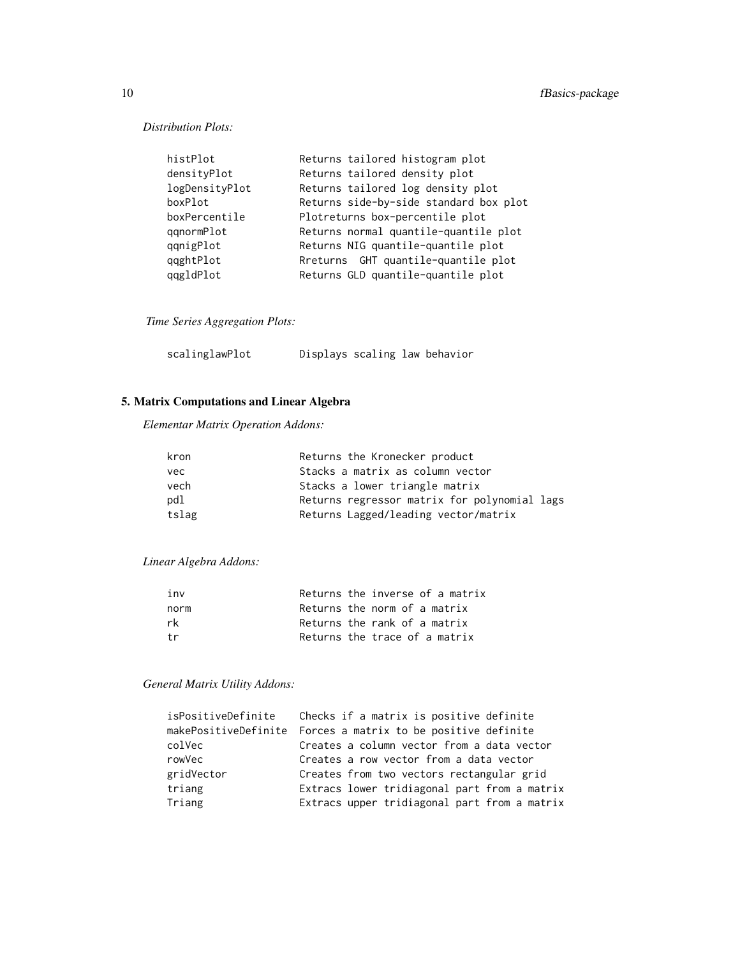*Distribution Plots:*

| Returns tailored histogram plot        |
|----------------------------------------|
| Returns tailored density plot          |
| Returns tailored log density plot      |
| Returns side-by-side standard box plot |
| Plotreturns box-percentile plot        |
| Returns normal quantile-quantile plot  |
| Returns NIG quantile-quantile plot     |
| Rreturns GHT quantile-quantile plot    |
| Returns GLD quantile-quantile plot     |
|                                        |

*Time Series Aggregation Plots:*

| scalinglawPlot | Displays scaling law behavior |  |  |  |
|----------------|-------------------------------|--|--|--|
|----------------|-------------------------------|--|--|--|

### 5. Matrix Computations and Linear Algebra

*Elementar Matrix Operation Addons:*

| kron  | Returns the Kronecker product                |
|-------|----------------------------------------------|
| vec   | Stacks a matrix as column vector             |
| vech  | Stacks a lower triangle matrix               |
| pdl   | Returns regressor matrix for polynomial lags |
| tslag | Returns Lagged/leading vector/matrix         |

*Linear Algebra Addons:*

| inv  |  | Returns the inverse of a matrix |
|------|--|---------------------------------|
| norm |  | Returns the norm of a matrix    |
| rk.  |  | Returns the rank of a matrix    |
| †r   |  | Returns the trace of a matrix   |

### *General Matrix Utility Addons:*

| Checks if a matrix is positive definite<br>isPositiveDefinite |
|---------------------------------------------------------------|
| makePositiveDefinite Forces a matrix to be positive definite  |
| Creates a column vector from a data vector                    |
| Creates a row vector from a data vector                       |
| Creates from two vectors rectangular grid                     |
| Extracs lower tridiagonal part from a matrix                  |
| Extracs upper tridiagonal part from a matrix                  |
|                                                               |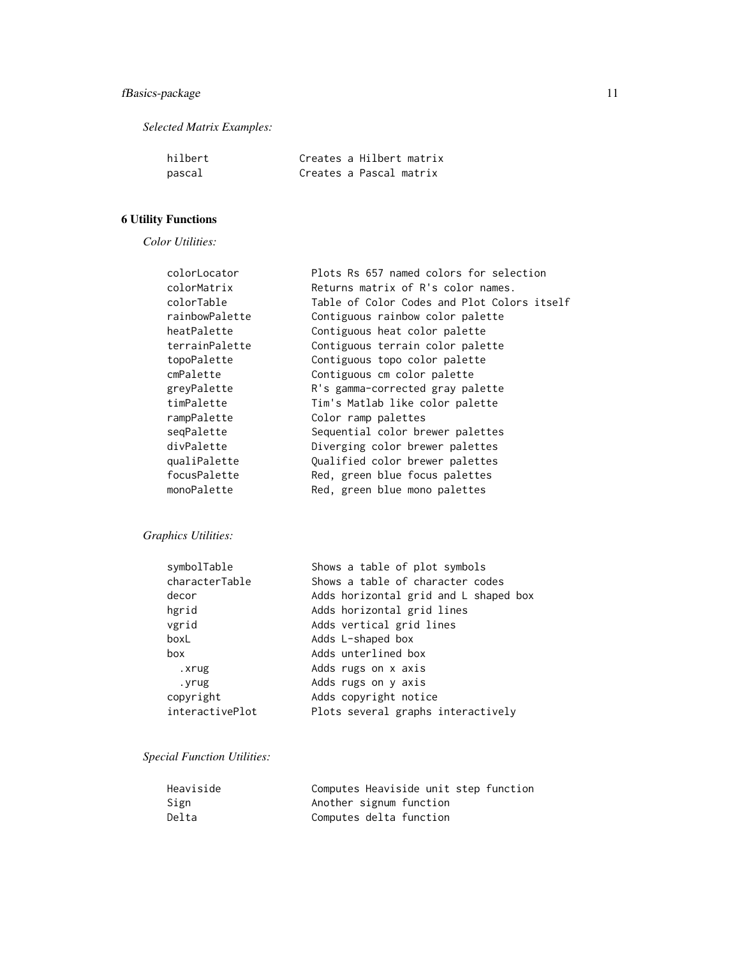*Selected Matrix Examples:*

| hilbert |  | Creates a Hilbert matrix |
|---------|--|--------------------------|
| pascal  |  | Creates a Pascal matrix  |

### 6 Utility Functions

*Color Utilities:*

| colorLocator   | Plots Rs 657 named colors for selection     |
|----------------|---------------------------------------------|
| colorMatrix    | Returns matrix of R's color names.          |
| colorTable     | Table of Color Codes and Plot Colors itself |
| rainbowPalette | Contiguous rainbow color palette            |
| heatPalette    | Contiguous heat color palette               |
| terrainPalette | Contiguous terrain color palette            |
| topoPalette    | Contiguous topo color palette               |
| cmPalette      | Contiguous cm color palette                 |
| greyPalette    | R's gamma-corrected gray palette            |
| timPalette     | Tim's Matlab like color palette             |
| rampPalette    | Color ramp palettes                         |
| seqPalette     | Sequential color brewer palettes            |
| divPalette     | Diverging color brewer palettes             |
| qualiPalette   | Qualified color brewer palettes             |
| focusPalette   | Red, green blue focus palettes              |
| monoPalette    | Red, green blue mono palettes               |

### *Graphics Utilities:*

| symbolTable     | Shows a table of plot symbols         |
|-----------------|---------------------------------------|
| characterTable  | Shows a table of character codes      |
| decor           | Adds horizontal grid and L shaped box |
| hgrid           | Adds horizontal grid lines            |
| vgrid           | Adds vertical grid lines              |
| boxL            | Adds L-shaped box                     |
| box             | Adds unterlined box                   |
| .xrug           | Adds rugs on x axis                   |
| .yrug           | Adds rugs on y axis                   |
| copyright       | Adds copyright notice                 |
| interactivePlot | Plots several graphs interactively    |

### *Special Function Utilities:*

| Heaviside | Computes Heaviside unit step function |
|-----------|---------------------------------------|
| Sign      | Another signum function               |
| Delta     | Computes delta function               |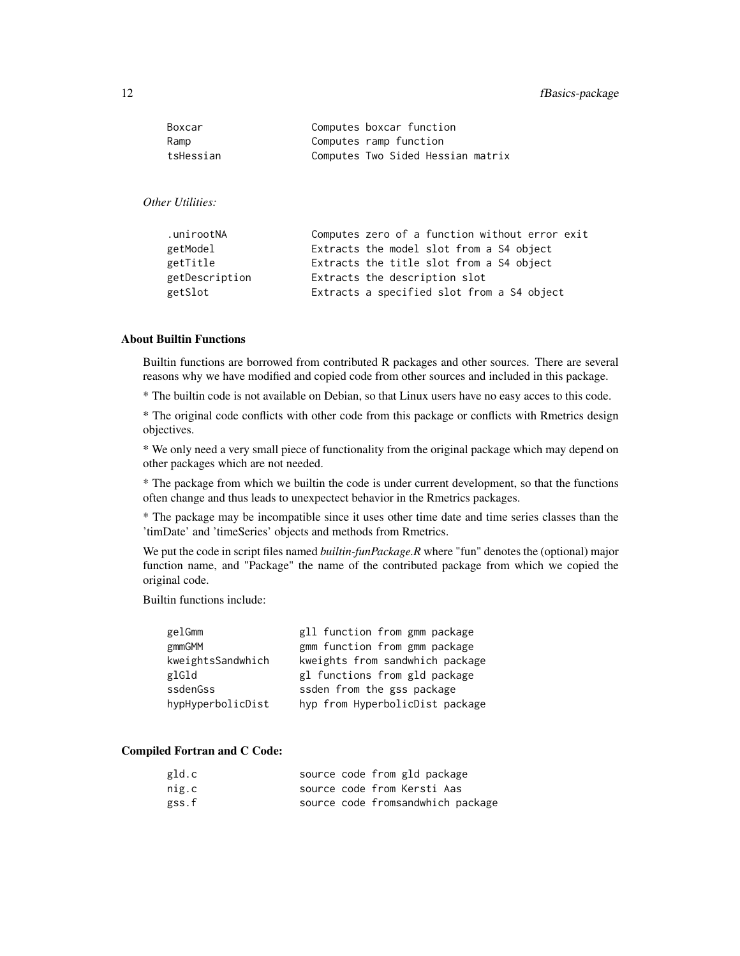#### 12 fBasics-package

| Boxcar    | Computes boxcar function          |
|-----------|-----------------------------------|
| Ramp      | Computes ramp function            |
| tsHessian | Computes Two Sided Hessian matrix |

#### *Other Utilities:*

| .unirootNA     | Computes zero of a function without error exit |
|----------------|------------------------------------------------|
| getModel       | Extracts the model slot from a S4 object       |
| getTitle       | Extracts the title slot from a S4 object       |
| getDescription | Extracts the description slot                  |
| getSlot        | Extracts a specified slot from a S4 object     |

### About Builtin Functions

Builtin functions are borrowed from contributed R packages and other sources. There are several reasons why we have modified and copied code from other sources and included in this package.

\* The builtin code is not available on Debian, so that Linux users have no easy acces to this code.

\* The original code conflicts with other code from this package or conflicts with Rmetrics design objectives.

\* We only need a very small piece of functionality from the original package which may depend on other packages which are not needed.

\* The package from which we builtin the code is under current development, so that the functions often change and thus leads to unexpectect behavior in the Rmetrics packages.

\* The package may be incompatible since it uses other time date and time series classes than the 'timDate' and 'timeSeries' objects and methods from Rmetrics.

We put the code in script files named *builtin-funPackage.R* where "fun" denotes the (optional) major function name, and "Package" the name of the contributed package from which we copied the original code.

Builtin functions include:

| gelGmm            | gll function from gmm package   |
|-------------------|---------------------------------|
| gmmGMM            | gmm function from gmm package   |
| kweightsSandwhich | kweights from sandwhich package |
| glGld             | gl functions from gld package   |
| ssdenGss          | ssden from the gss package      |
| hypHyperbolicDist | hyp from HyperbolicDist package |

#### Compiled Fortran and C Code:

| gld.c |  | source code from gld package      |
|-------|--|-----------------------------------|
| nig.c |  | source code from Kersti Aas       |
| gss.f |  | source code fromsandwhich package |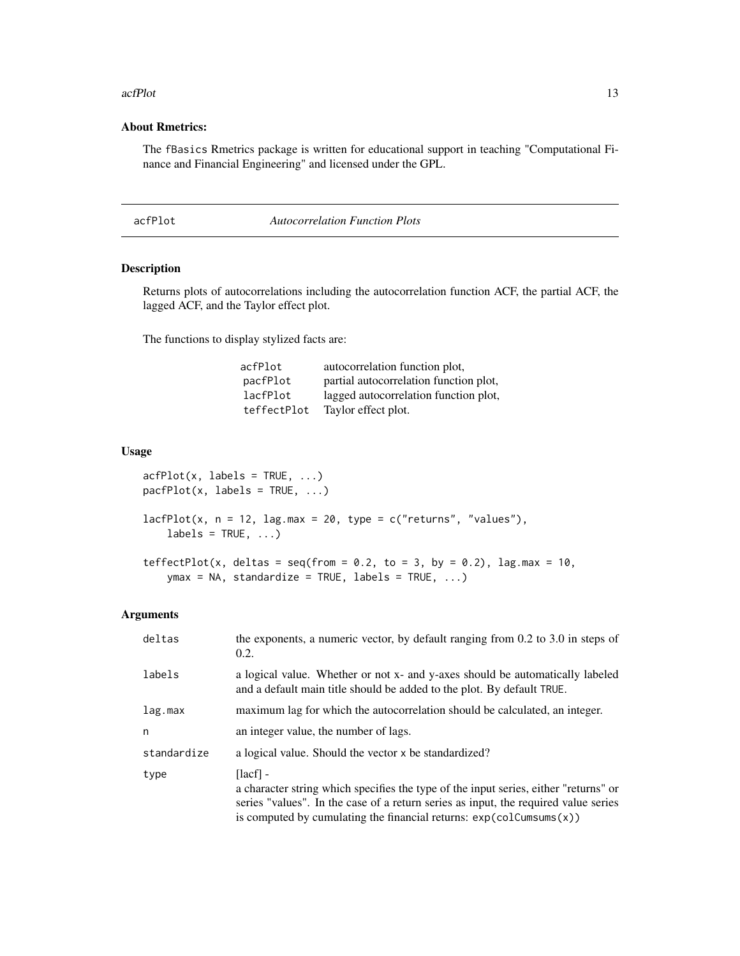#### <span id="page-12-0"></span>acfPlot 13

#### About Rmetrics:

The fBasics Rmetrics package is written for educational support in teaching "Computational Finance and Financial Engineering" and licensed under the GPL.

acfPlot *Autocorrelation Function Plots*

#### Description

Returns plots of autocorrelations including the autocorrelation function ACF, the partial ACF, the lagged ACF, and the Taylor effect plot.

The functions to display stylized facts are:

| acfPlot     | autocorrelation function plot,         |
|-------------|----------------------------------------|
| pacfPlot    | partial autocorrelation function plot, |
| lacfPlot    | lagged autocorrelation function plot,  |
| teffectPlot | Taylor effect plot.                    |

#### Usage

```
acfPlot(x, labels = TRUE, ...)\text{pacfPlot}(x, \text{ labels = TRUE}, \ldots)
```

```
lacfPlot(x, n = 12, lag.max = 20, type = c("returns", "values"),labels = TRUE, ...)
```

```
teffectPlot(x, deltas = seq(from = 0.2, to = 3, by = 0.2), lag.max = 10,
   ymax = NA, standardize = TRUE, labels = TRUE, ...)
```
#### Arguments

| deltas      | the exponents, a numeric vector, by default ranging from 0.2 to 3.0 in steps of<br>0.2.                                                                                                                                                                                                     |
|-------------|---------------------------------------------------------------------------------------------------------------------------------------------------------------------------------------------------------------------------------------------------------------------------------------------|
| labels      | a logical value. Whether or not x- and y-axes should be automatically labeled<br>and a default main title should be added to the plot. By default TRUE.                                                                                                                                     |
| lag.max     | maximum lag for which the autocorrelation should be calculated, an integer.                                                                                                                                                                                                                 |
| n           | an integer value, the number of lags.                                                                                                                                                                                                                                                       |
| standardize | a logical value. Should the vector x be standardized?                                                                                                                                                                                                                                       |
| type        | $\lceil \lceil \cdot \rceil \rceil$<br>a character string which specifies the type of the input series, either "returns" or<br>series "values". In the case of a return series as input, the required value series<br>is computed by cumulating the financial returns: $exp(colCumsums(x))$ |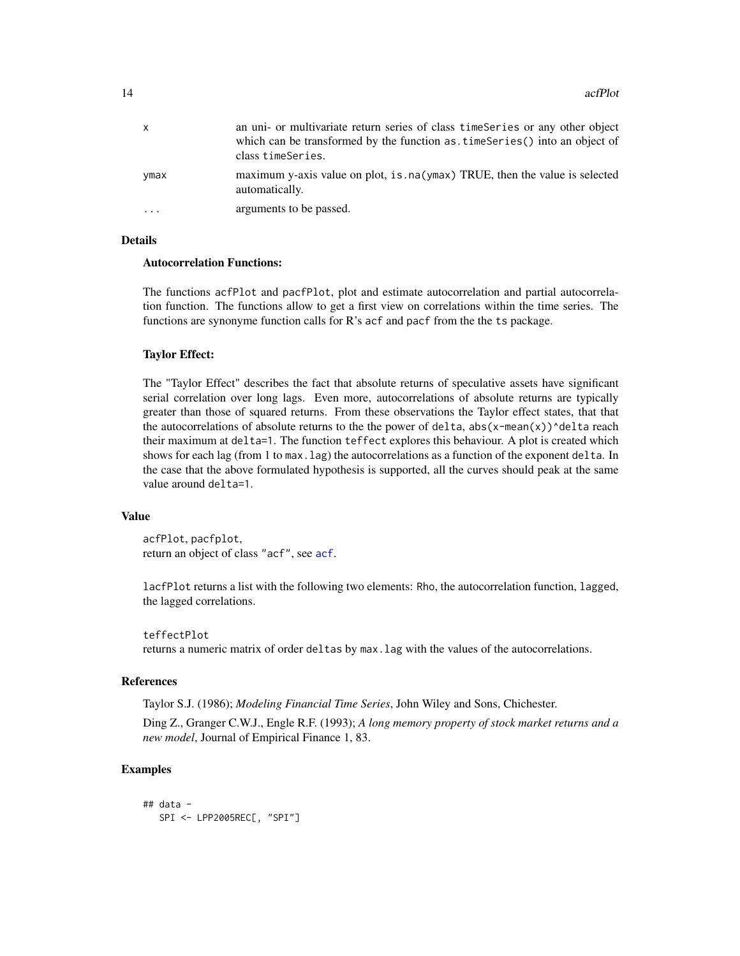| X                       | an uni- or multivariate return series of class time Series or any other object<br>which can be transformed by the function as timeseries () into an object of<br>class timeSeries. |
|-------------------------|------------------------------------------------------------------------------------------------------------------------------------------------------------------------------------|
| ymax                    | maximum y-axis value on plot, is . na (ymax) TRUE, then the value is selected<br>automatically.                                                                                    |
| $\cdot$ $\cdot$ $\cdot$ | arguments to be passed.                                                                                                                                                            |

#### Details

#### Autocorrelation Functions:

The functions acfPlot and pacfPlot, plot and estimate autocorrelation and partial autocorrelation function. The functions allow to get a first view on correlations within the time series. The functions are synonyme function calls for R's acf and pacf from the the ts package.

#### Taylor Effect:

The "Taylor Effect" describes the fact that absolute returns of speculative assets have significant serial correlation over long lags. Even more, autocorrelations of absolute returns are typically greater than those of squared returns. From these observations the Taylor effect states, that that the autocorrelations of absolute returns to the the power of delta,  $abs(x-mean(x))$ ^delta reach their maximum at delta=1. The function teffect explores this behaviour. A plot is created which shows for each lag (from 1 to max.lag) the autocorrelations as a function of the exponent delta. In the case that the above formulated hypothesis is supported, all the curves should peak at the same value around delta=1.

#### Value

acfPlot, pacfplot, return an object of class "acf", see [acf](#page-0-0).

lacfPlot returns a list with the following two elements: Rho, the autocorrelation function, lagged, the lagged correlations.

#### teffectPlot

returns a numeric matrix of order deltas by max.lag with the values of the autocorrelations.

#### References

Taylor S.J. (1986); *Modeling Financial Time Series*, John Wiley and Sons, Chichester.

Ding Z., Granger C.W.J., Engle R.F. (1993); *A long memory property of stock market returns and a new model*, Journal of Empirical Finance 1, 83.

#### Examples

```
## data -
  SPI <- LPP2005REC[, "SPI"]
```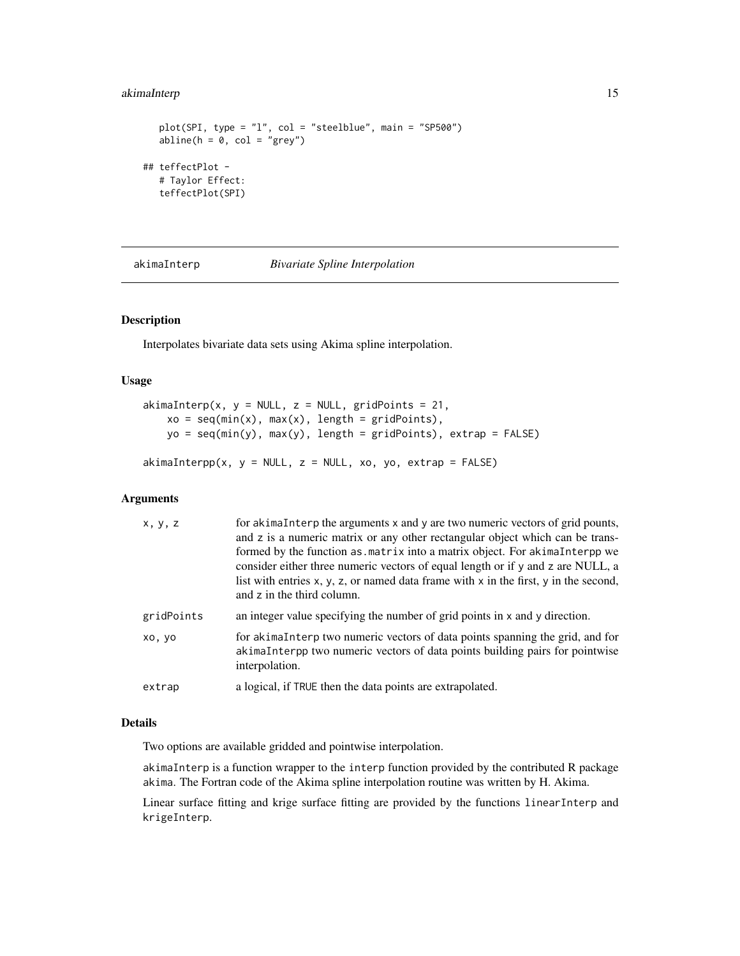#### <span id="page-14-0"></span>akimaInterp 15

```
plot(SPI, type = "l", col = "steelblue", main = "SP500")
  abline(h = 0, col = "grey")## teffectPlot -
  # Taylor Effect:
  teffectPlot(SPI)
```
akimaInterp *Bivariate Spline Interpolation*

#### Description

Interpolates bivariate data sets using Akima spline interpolation.

#### Usage

```
akimalnterp(x, y = NULL, z = NULL, gridPoints = 21,xo = seq(min(x), max(x), length = gridPoints),yo = seq(min(y), max(y), length = gridPoints), extrap = FALSE)
```
 $akimaInterpp(x, y = NULL, z = NULL, xo, yo, extrap = FALSE)$ 

#### Arguments

| x, y, z    | for akimaInterp the arguments x and y are two numeric vectors of grid pounts,<br>and z is a numeric matrix or any other rectangular object which can be trans-<br>formed by the function as matrix into a matrix object. For a kimal nterpp we<br>consider either three numeric vectors of equal length or if y and z are NULL, a<br>list with entries $x, y, z$ , or named data frame with $x$ in the first, $y$ in the second,<br>and z in the third column. |
|------------|----------------------------------------------------------------------------------------------------------------------------------------------------------------------------------------------------------------------------------------------------------------------------------------------------------------------------------------------------------------------------------------------------------------------------------------------------------------|
| gridPoints | an integer value specifying the number of grid points in x and y direction.                                                                                                                                                                                                                                                                                                                                                                                    |
| xo, yo     | for akimaInterp two numeric vectors of data points spanning the grid, and for<br>akimaInterpp two numeric vectors of data points building pairs for pointwise<br>interpolation.                                                                                                                                                                                                                                                                                |
| extrap     | a logical, if TRUE then the data points are extrapolated.                                                                                                                                                                                                                                                                                                                                                                                                      |

#### Details

Two options are available gridded and pointwise interpolation.

akimaInterp is a function wrapper to the interp function provided by the contributed R package akima. The Fortran code of the Akima spline interpolation routine was written by H. Akima.

Linear surface fitting and krige surface fitting are provided by the functions linearInterp and krigeInterp.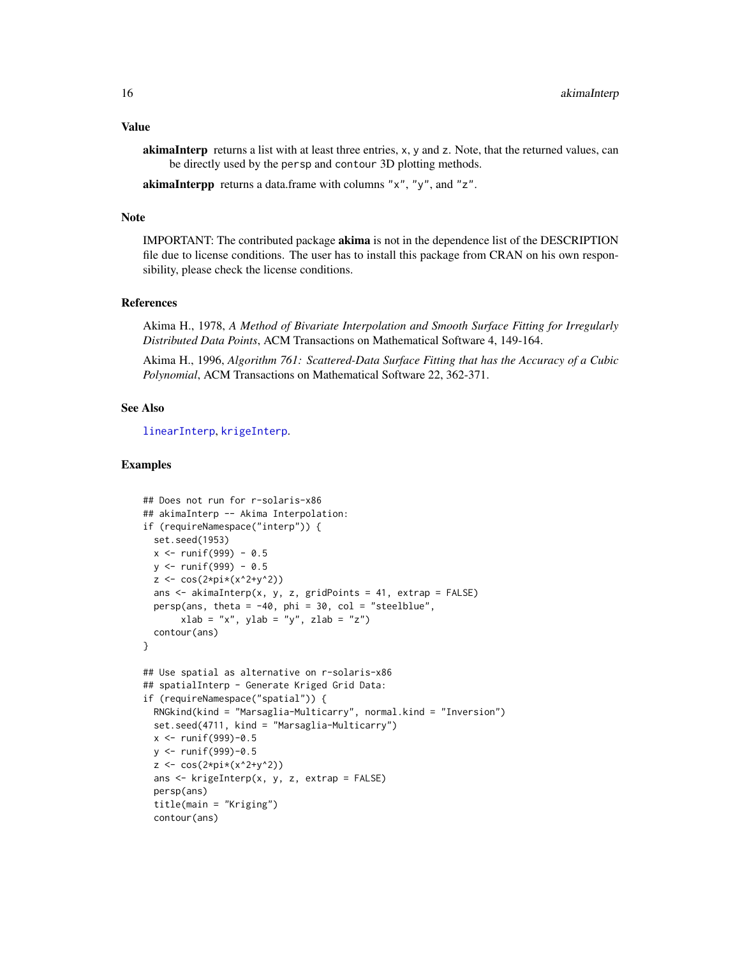#### Value

akimaInterp returns a list with at least three entries, x, y and z. Note, that the returned values, can be directly used by the persp and contour 3D plotting methods.

akimaInterpp returns a data.frame with columns "x", "y", and "z".

#### Note

IMPORTANT: The contributed package akima is not in the dependence list of the DESCRIPTION file due to license conditions. The user has to install this package from CRAN on his own responsibility, please check the license conditions.

#### References

Akima H., 1978, *A Method of Bivariate Interpolation and Smooth Surface Fitting for Irregularly Distributed Data Points*, ACM Transactions on Mathematical Software 4, 149-164.

Akima H., 1996, *Algorithm 761: Scattered-Data Surface Fitting that has the Accuracy of a Cubic Polynomial*, ACM Transactions on Mathematical Software 22, 362-371.

#### See Also

[linearInterp](#page-73-1), [krigeInterp](#page-68-1).

#### Examples

```
## Does not run for r-solaris-x86
## akimaInterp -- Akima Interpolation:
if (requireNamespace("interp")) {
 set.seed(1953)
 x \le runif(999) - 0.5
 y \le - runif(999) - 0.5
 z \le -\cos(2*pi*(x^2+y^2))ans <- akimaInterp(x, y, z, gridPoints = 41, extrap = FALSE)
 persp(ans, theta = -40, phi = 30, col = "steelblue",
       xlab = "x", ylab = "y", zlab = "z")contour(ans)
}
## Use spatial as alternative on r-solaris-x86
## spatialInterp - Generate Kriged Grid Data:
if (requireNamespace("spatial")) {
 RNGkind(kind = "Marsaglia-Multicarry", normal.kind = "Inversion")
 set.seed(4711, kind = "Marsaglia-Multicarry")
 x < - runif(999)-0.5
 y <- runif(999)-0.5
 z \leq \cos(2 \cdot \pi i)(x^2 + y^2)ans <- krigeInterp(x, y, z, extrap = FALSE)
 persp(ans)
 title(main = "Kriging")
 contour(ans)
```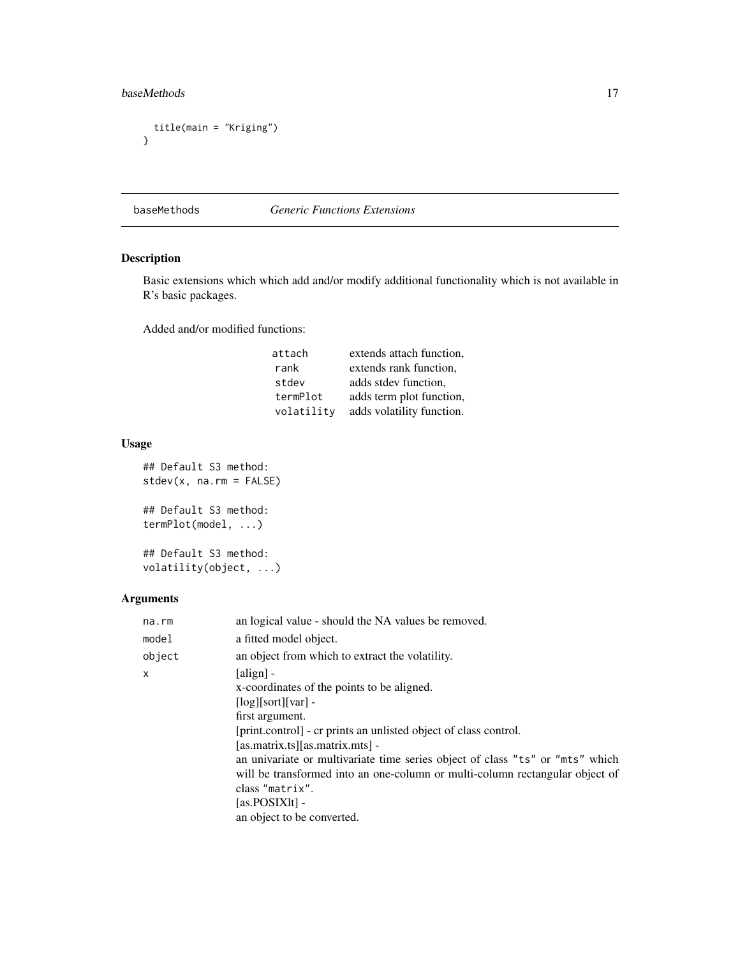### <span id="page-16-0"></span>baseMethods 17

```
title(main = "Kriging")
}
```
#### baseMethods *Generic Functions Extensions*

### Description

Basic extensions which which add and/or modify additional functionality which is not available in R's basic packages.

Added and/or modified functions:

| attach     | extends attach function,  |
|------------|---------------------------|
| rank       | extends rank function,    |
| stdev      | adds stdev function,      |
| termPlot   | adds term plot function,  |
| volatility | adds volatility function. |

### Usage

```
## Default S3 method:
stdev(x, na.rm = FALSE)
## Default S3 method:
termPlot(model, ...)
```
## Default S3 method: volatility(object, ...)

#### Arguments

| na.rm  | an logical value - should the NA values be removed.                                                                                                                                                                                                                                                                                                                                                                                                                                        |
|--------|--------------------------------------------------------------------------------------------------------------------------------------------------------------------------------------------------------------------------------------------------------------------------------------------------------------------------------------------------------------------------------------------------------------------------------------------------------------------------------------------|
| model  | a fitted model object.                                                                                                                                                                                                                                                                                                                                                                                                                                                                     |
| object | an object from which to extract the volatility.                                                                                                                                                                                                                                                                                                                                                                                                                                            |
| x      | $\lceil \text{align} \rceil$ -<br>x-coordinates of the points to be aligned.<br>$\lceil log \rceil$ sort $\lceil var \rceil$ -<br>first argument.<br>[print.control] - cr prints an unlisted object of class control.<br>[as.matrix.ts][as.matrix.mts]<br>an univariate or multivariate time series object of class "ts" or "mts" which<br>will be transformed into an one-column or multi-column rectangular object of<br>class "matrix".<br>$[as.POSIX]$ -<br>an object to be converted. |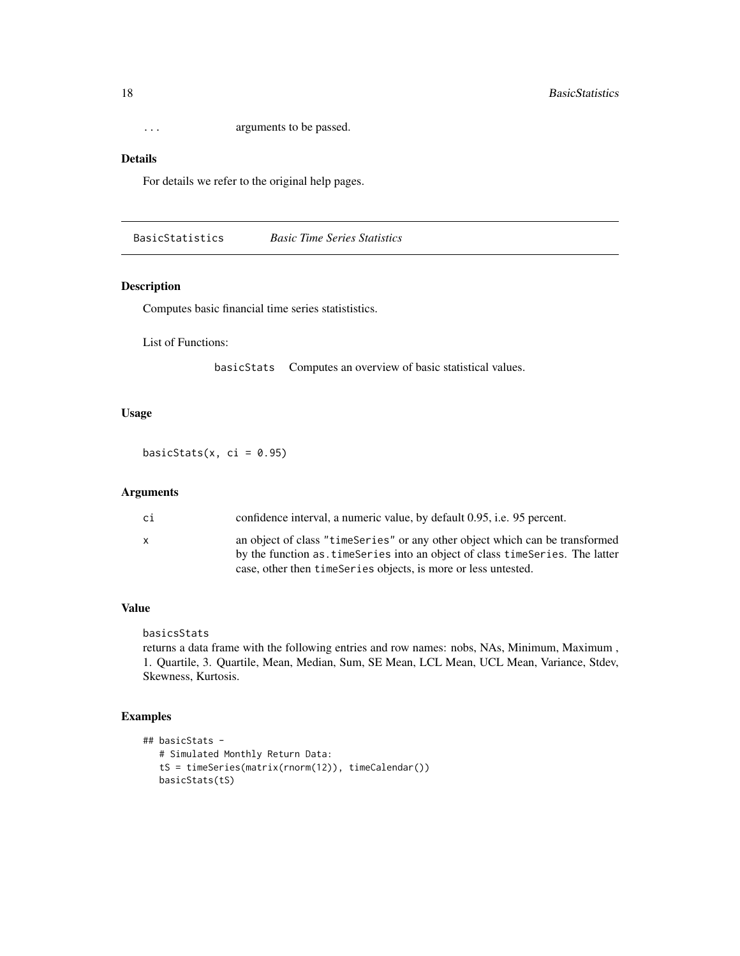<span id="page-17-0"></span>... arguments to be passed.

#### Details

For details we refer to the original help pages.

BasicStatistics *Basic Time Series Statistics*

#### Description

Computes basic financial time series statististics.

List of Functions:

basicStats Computes an overview of basic statistical values.

#### Usage

basicStats(x, ci =  $0.95$ )

#### Arguments

| сi | confidence interval, a numeric value, by default 0.95, i.e. 95 percent.                                                                                                                                                            |
|----|------------------------------------------------------------------------------------------------------------------------------------------------------------------------------------------------------------------------------------|
| x  | an object of class "time Series" or any other object which can be transformed<br>by the function as time Series into an object of class time Series. The latter<br>case, other then time Series objects, is more or less untested. |

#### Value

basicsStats

returns a data frame with the following entries and row names: nobs, NAs, Minimum, Maximum , 1. Quartile, 3. Quartile, Mean, Median, Sum, SE Mean, LCL Mean, UCL Mean, Variance, Stdev, Skewness, Kurtosis.

#### Examples

```
## basicStats -
  # Simulated Monthly Return Data:
  tS = timeSeries(matrix(rnorm(12)), timeCalendar())
  basicStats(tS)
```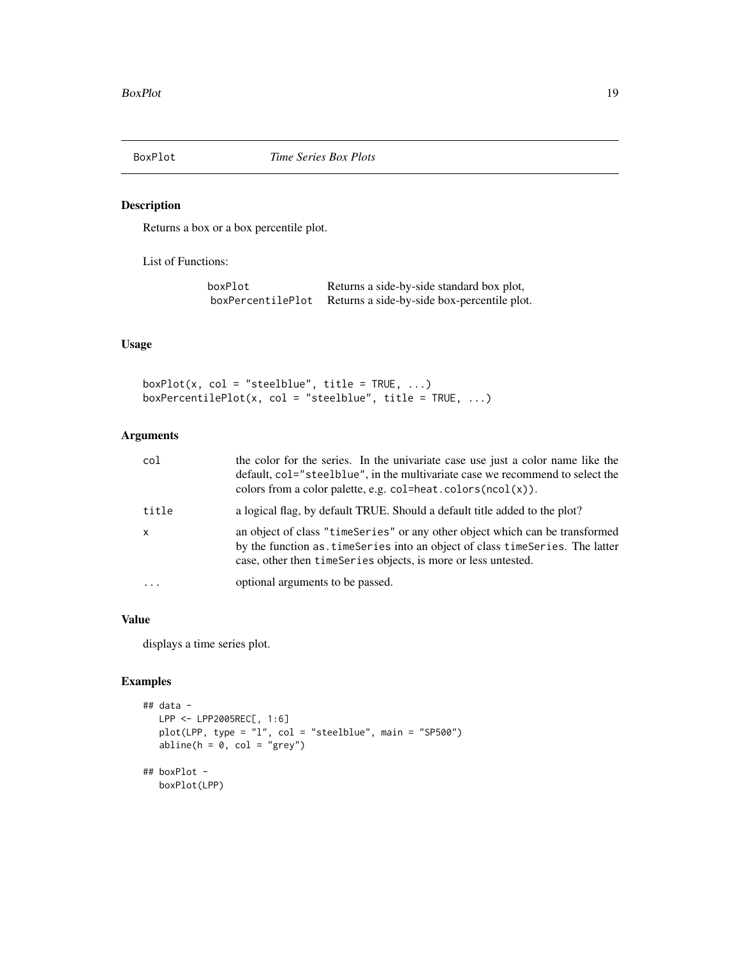<span id="page-18-0"></span>

#### Description

Returns a box or a box percentile plot.

List of Functions:

| boxPlot           | Returns a side-by-side standard box plot,   |
|-------------------|---------------------------------------------|
| boxPercentilePlot | Returns a side-by-side box-percentile plot. |

#### Usage

 $boxPlot(x, col = "steelblue", title = TRUE, ...)$ boxPercentilePlot(x, col = "steelblue", title = TRUE, ...)

#### Arguments

| col          | the color for the series. In the univariate case use just a color name like the<br>default, col="steelblue", in the multivariate case we recommend to select the<br>colors from a color palette, e.g. $col=heat.colors(ncol(x))$ . |
|--------------|------------------------------------------------------------------------------------------------------------------------------------------------------------------------------------------------------------------------------------|
| title        | a logical flag, by default TRUE. Should a default title added to the plot?                                                                                                                                                         |
| $\mathsf{x}$ | an object of class "timeSeries" or any other object which can be transformed<br>by the function as, time Series into an object of class time Series. The latter<br>case, other then time Series objects, is more or less untested. |
| $\cdot$      | optional arguments to be passed.                                                                                                                                                                                                   |

### Value

displays a time series plot.

#### Examples

```
## data -
  LPP <- LPP2005REC[, 1:6]
  plot(LPP, type = "l", col = "steelblue", main = "SP500")
  abline(h = 0, col = "grey")## boxPlot -
  boxPlot(LPP)
```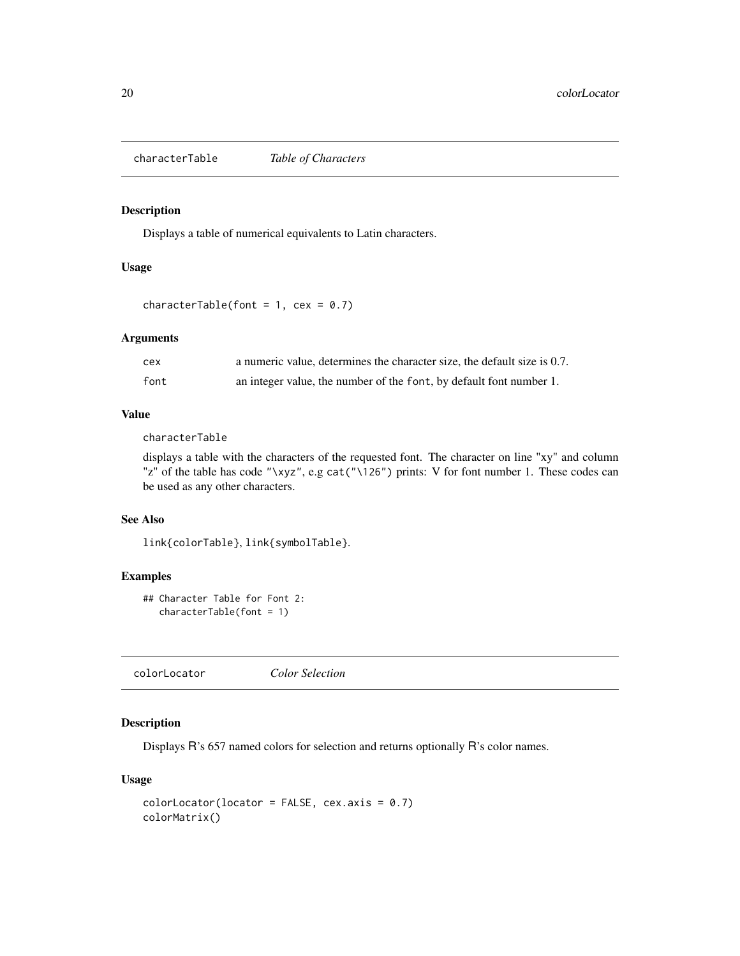<span id="page-19-0"></span>characterTable *Table of Characters*

#### Description

Displays a table of numerical equivalents to Latin characters.

#### Usage

characterTable(font =  $1$ , cex = 0.7)

#### Arguments

| cex  | a numeric value, determines the character size, the default size is 0.7. |
|------|--------------------------------------------------------------------------|
| font | an integer value, the number of the font, by default font number 1.      |

#### Value

characterTable

displays a table with the characters of the requested font. The character on line "xy" and column "z" of the table has code "\xyz", e.g cat("\126") prints: V for font number 1. These codes can be used as any other characters.

#### See Also

link{colorTable}, link{symbolTable}.

#### Examples

```
## Character Table for Font 2:
  characterTable(font = 1)
```
colorLocator *Color Selection*

### Description

Displays R's 657 named colors for selection and returns optionally R's color names.

#### Usage

```
colorLocation(location = FALSE, cex.axis = 0.7)colorMatrix()
```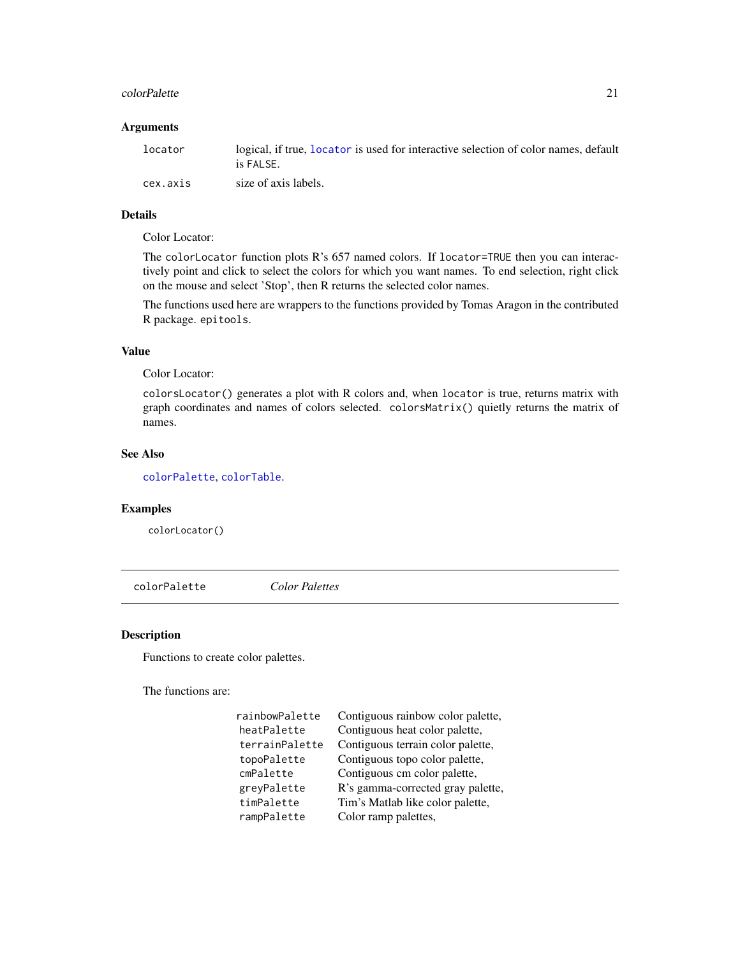#### <span id="page-20-0"></span>colorPalette 21

#### Arguments

| locator  | logical, if true, locator is used for interactive selection of color names, default<br>is FALSE. |
|----------|--------------------------------------------------------------------------------------------------|
| cex.axis | size of axis labels.                                                                             |

### Details

#### Color Locator:

The colorLocator function plots R's 657 named colors. If locator=TRUE then you can interactively point and click to select the colors for which you want names. To end selection, right click on the mouse and select 'Stop', then R returns the selected color names.

The functions used here are wrappers to the functions provided by Tomas Aragon in the contributed R package. epitools.

### Value

Color Locator:

colorsLocator() generates a plot with R colors and, when locator is true, returns matrix with graph coordinates and names of colors selected. colorsMatrix() quietly returns the matrix of names.

#### See Also

[colorPalette](#page-20-1), [colorTable](#page-24-1).

#### Examples

colorLocator()

<span id="page-20-1"></span>colorPalette *Color Palettes*

#### Description

Functions to create color palettes.

The functions are:

| rainbowPalette | Contiguous rainbow color palette, |
|----------------|-----------------------------------|
| heatPalette    | Contiguous heat color palette,    |
| terrainPalette | Contiguous terrain color palette, |
| topoPalette    | Contiguous topo color palette,    |
| cmPalette      | Contiguous cm color palette,      |
| greyPalette    | R's gamma-corrected gray palette, |
| timPalette     | Tim's Matlab like color palette,  |
| rampPalette    | Color ramp palettes,              |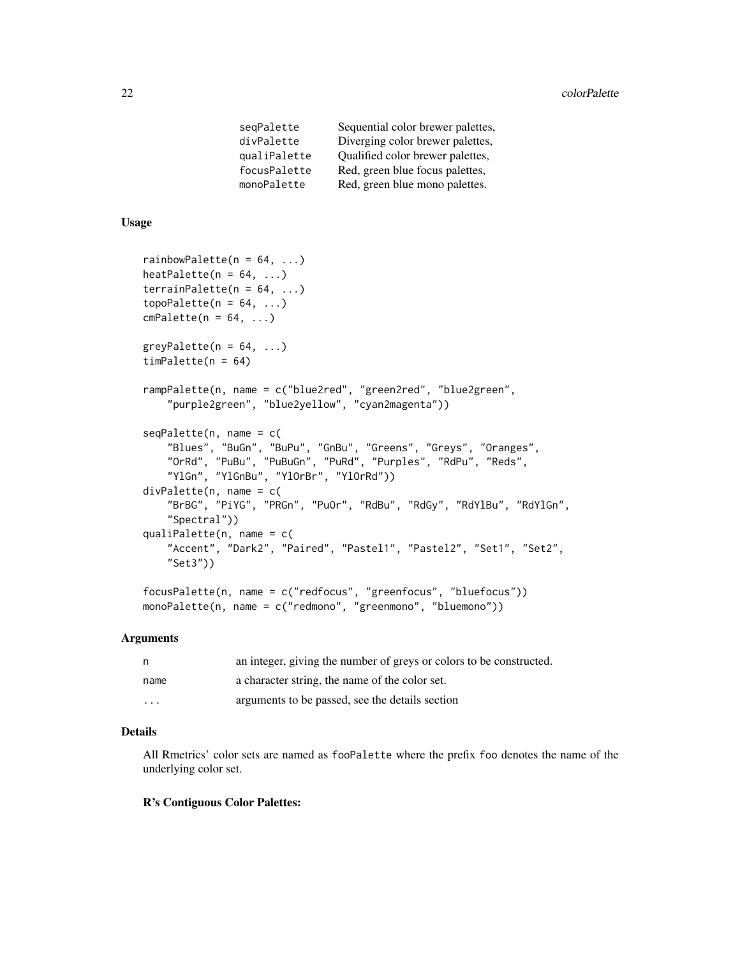| Diverging color brewer palettes, |
|----------------------------------|
| Qualified color brewer palettes, |
| Red, green blue focus palettes,  |
| Red, green blue mono palettes.   |
|                                  |

#### Usage

```
rainbowPalette(n = 64, ...)
heatPalette(n = 64, ...)
\text{terrainPalette}(n = 64, \ldots)topoPalette(n = 64, ...)cmPalette(n = 64, ...)greyPalette(n = 64, ...)timePatte(n = 64)rampPalette(n, name = c("blue2red", "green2red", "blue2green",
    "purple2green", "blue2yellow", "cyan2magenta"))
seqPalette(n, name = c(
    "Blues", "BuGn", "BuPu", "GnBu", "Greens", "Greys", "Oranges",
    "OrRd", "PuBu", "PuBuGn", "PuRd", "Purples", "RdPu", "Reds",
    "YlGn", "YlGnBu", "YlOrBr", "YlOrRd"))
divPalette(n, name = c(
    "BrBG", "PiYG", "PRGn", "PuOr", "RdBu", "RdGy", "RdYlBu", "RdYlGn",
    "Spectral"))
qualiPalette(n, name = c(
    "Accent", "Dark2", "Paired", "Pastel1", "Pastel2", "Set1", "Set2",
    "Set3"))
focusPalette(n, name = c("redfocus", "greenfocus", "bluefocus"))
```

```
monoPalette(n, name = c("redmono", "greenmono", "bluemono"))
```
#### Arguments

| n.                      | an integer, giving the number of greys or colors to be constructed. |
|-------------------------|---------------------------------------------------------------------|
| name                    | a character string, the name of the color set.                      |
| $\cdot$ $\cdot$ $\cdot$ | arguments to be passed, see the details section                     |

#### Details

All Rmetrics' color sets are named as fooPalette where the prefix foo denotes the name of the underlying color set.

#### R's Contiguous Color Palettes: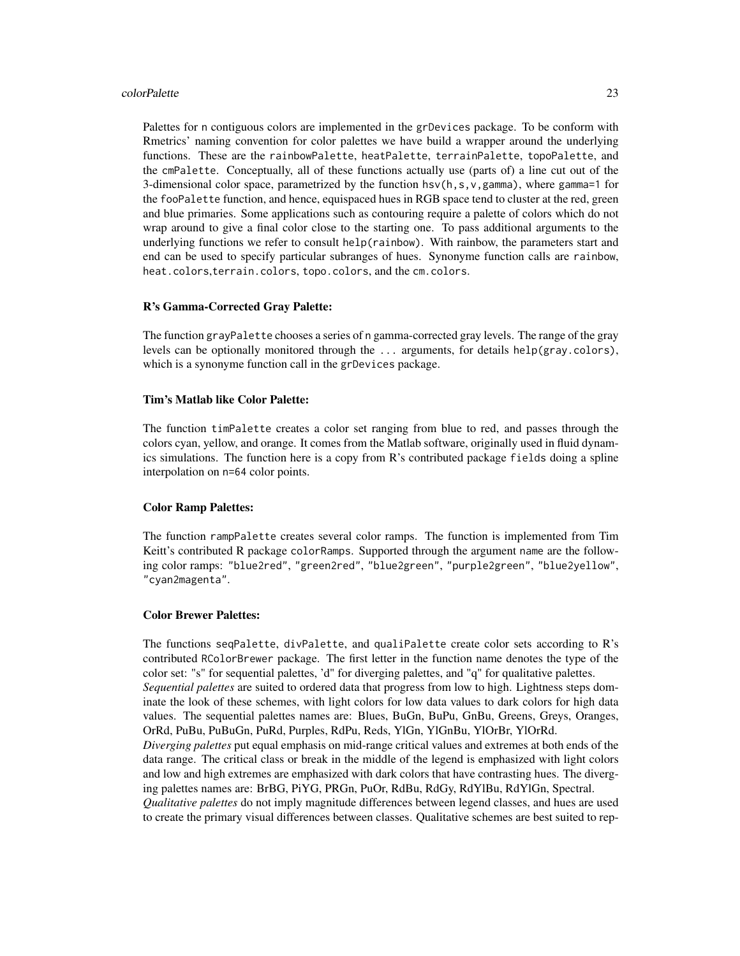#### colorPalette 23

Palettes for n contiguous colors are implemented in the grDevices package. To be conform with Rmetrics' naming convention for color palettes we have build a wrapper around the underlying functions. These are the rainbowPalette, heatPalette, terrainPalette, topoPalette, and the cmPalette. Conceptually, all of these functions actually use (parts of) a line cut out of the 3-dimensional color space, parametrized by the function  $hsv(h,s,v,gamma)$ , where gamma=1 for the fooPalette function, and hence, equispaced hues in RGB space tend to cluster at the red, green and blue primaries. Some applications such as contouring require a palette of colors which do not wrap around to give a final color close to the starting one. To pass additional arguments to the underlying functions we refer to consult help(rainbow). With rainbow, the parameters start and end can be used to specify particular subranges of hues. Synonyme function calls are rainbow, heat.colors,terrain.colors, topo.colors, and the cm.colors.

#### R's Gamma-Corrected Gray Palette:

The function grayPalette chooses a series of n gamma-corrected gray levels. The range of the gray levels can be optionally monitored through the ... arguments, for details help(gray.colors), which is a synonyme function call in the grDevices package.

#### Tim's Matlab like Color Palette:

The function timPalette creates a color set ranging from blue to red, and passes through the colors cyan, yellow, and orange. It comes from the Matlab software, originally used in fluid dynamics simulations. The function here is a copy from R's contributed package fields doing a spline interpolation on n=64 color points.

#### Color Ramp Palettes:

The function rampPalette creates several color ramps. The function is implemented from Tim Keitt's contributed R package colorRamps. Supported through the argument name are the following color ramps: "blue2red", "green2red", "blue2green", "purple2green", "blue2yellow", "cyan2magenta".

#### Color Brewer Palettes:

The functions seqPalette, divPalette, and qualiPalette create color sets according to R's contributed RColorBrewer package. The first letter in the function name denotes the type of the color set: "s" for sequential palettes, 'd" for diverging palettes, and "q" for qualitative palettes. *Sequential palettes* are suited to ordered data that progress from low to high. Lightness steps dominate the look of these schemes, with light colors for low data values to dark colors for high data values. The sequential palettes names are: Blues, BuGn, BuPu, GnBu, Greens, Greys, Oranges, OrRd, PuBu, PuBuGn, PuRd, Purples, RdPu, Reds, YlGn, YlGnBu, YlOrBr, YlOrRd. *Diverging palettes* put equal emphasis on mid-range critical values and extremes at both ends of the data range. The critical class or break in the middle of the legend is emphasized with light colors and low and high extremes are emphasized with dark colors that have contrasting hues. The diverging palettes names are: BrBG, PiYG, PRGn, PuOr, RdBu, RdGy, RdYlBu, RdYlGn, Spectral. *Qualitative palettes* do not imply magnitude differences between legend classes, and hues are used to create the primary visual differences between classes. Qualitative schemes are best suited to rep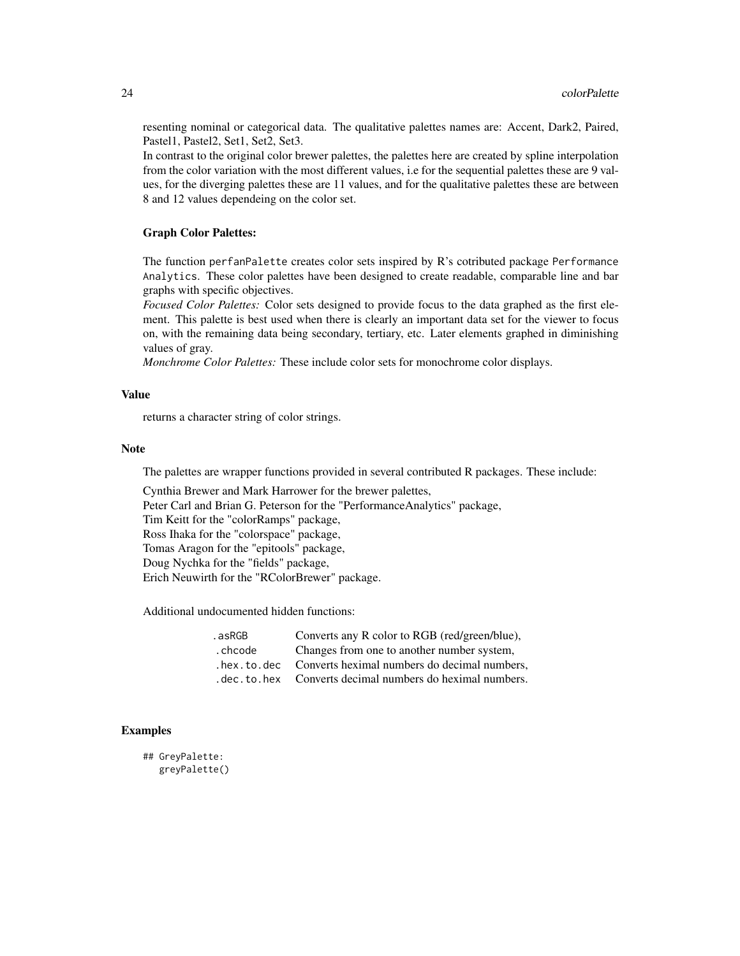resenting nominal or categorical data. The qualitative palettes names are: Accent, Dark2, Paired, Pastel1, Pastel2, Set1, Set2, Set3.

In contrast to the original color brewer palettes, the palettes here are created by spline interpolation from the color variation with the most different values, i.e for the sequential palettes these are 9 values, for the diverging palettes these are 11 values, and for the qualitative palettes these are between 8 and 12 values dependeing on the color set.

#### Graph Color Palettes:

The function perfanPalette creates color sets inspired by R's cotributed package Performance Analytics. These color palettes have been designed to create readable, comparable line and bar graphs with specific objectives.

*Focused Color Palettes:* Color sets designed to provide focus to the data graphed as the first element. This palette is best used when there is clearly an important data set for the viewer to focus on, with the remaining data being secondary, tertiary, etc. Later elements graphed in diminishing values of gray.

*Monchrome Color Palettes:* These include color sets for monochrome color displays.

#### Value

returns a character string of color strings.

#### Note

The palettes are wrapper functions provided in several contributed R packages. These include:

Cynthia Brewer and Mark Harrower for the brewer palettes,

Peter Carl and Brian G. Peterson for the "PerformanceAnalytics" package,

Tim Keitt for the "colorRamps" package,

Ross Ihaka for the "colorspace" package,

Tomas Aragon for the "epitools" package,

Doug Nychka for the "fields" package,

Erich Neuwirth for the "RColorBrewer" package.

Additional undocumented hidden functions:

| .asRGB   | Converts any R color to RGB (red/green/blue),                |
|----------|--------------------------------------------------------------|
| . chcode | Changes from one to another number system,                   |
|          | . hex. to. dec  Converts heximal numbers do decimal numbers, |
|          | . dec. to. hex Converts decimal numbers do heximal numbers.  |

#### Examples

```
## GreyPalette:
   greyPalette()
```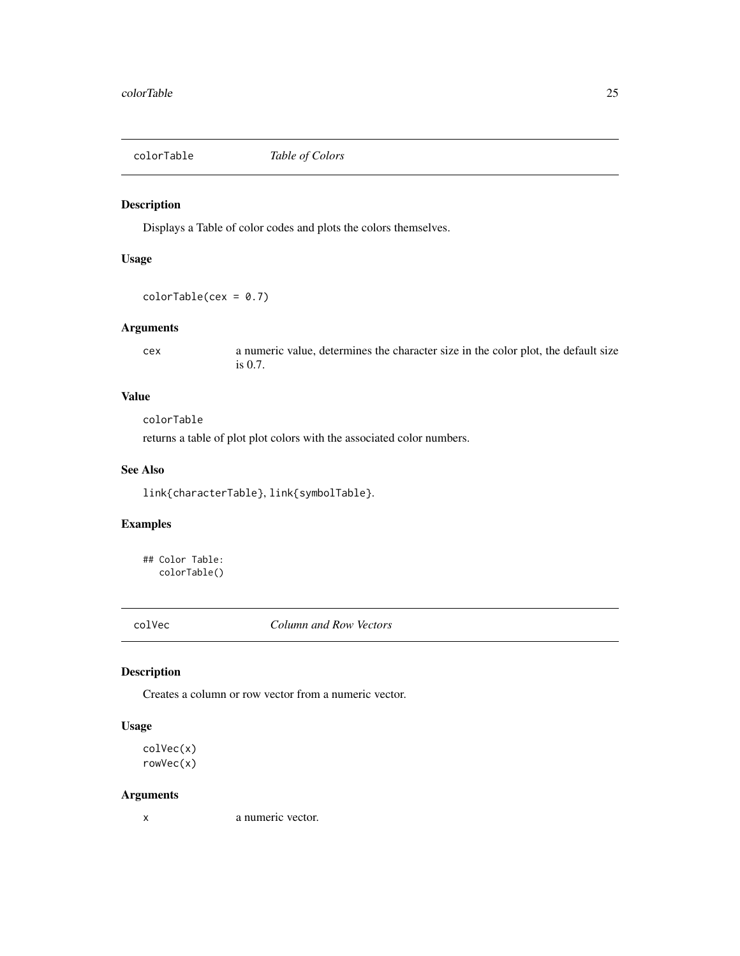<span id="page-24-1"></span><span id="page-24-0"></span>

#### Description

Displays a Table of color codes and plots the colors themselves.

#### Usage

 $colorTable(cex = 0.7)$ 

#### Arguments

cex a numeric value, determines the character size in the color plot, the default size is 0.7.

#### Value

colorTable

returns a table of plot plot colors with the associated color numbers.

#### See Also

link{characterTable}, link{symbolTable}.

### Examples

## Color Table: colorTable()

colVec *Column and Row Vectors*

#### Description

Creates a column or row vector from a numeric vector.

#### Usage

```
colVec(x)
rowVec(x)
```
#### Arguments

x a numeric vector.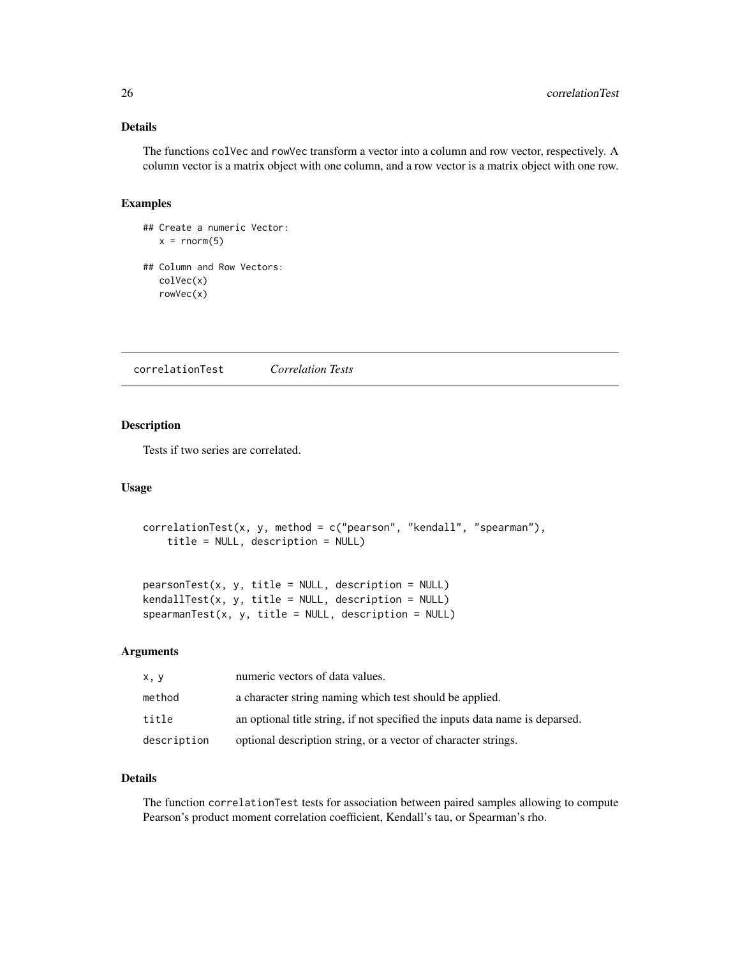### <span id="page-25-0"></span>Details

The functions colVec and rowVec transform a vector into a column and row vector, respectively. A column vector is a matrix object with one column, and a row vector is a matrix object with one row.

#### Examples

```
## Create a numeric Vector:
   x = rnorm(5)## Column and Row Vectors:
  colVec(x)
   rowVec(x)
```
correlationTest *Correlation Tests*

#### Description

Tests if two series are correlated.

#### Usage

```
correlationTest(x, y, method = c("pearson", "kendall", "spearman"),
   title = NULL, description = NULL)
```
 $pearsonTest(x, y, title = NULL, description = NULL)$  $kendallTest(x, y, title = NULL, description = NULL)$  $spearmanTest(x, y, title = NULL, description = NULL)$ 

#### Arguments

| x, y        | numeric vectors of data values.                                              |
|-------------|------------------------------------------------------------------------------|
| method      | a character string naming which test should be applied.                      |
| title       | an optional title string, if not specified the inputs data name is deparsed. |
| description | optional description string, or a vector of character strings.               |

#### Details

The function correlationTest tests for association between paired samples allowing to compute Pearson's product moment correlation coefficient, Kendall's tau, or Spearman's rho.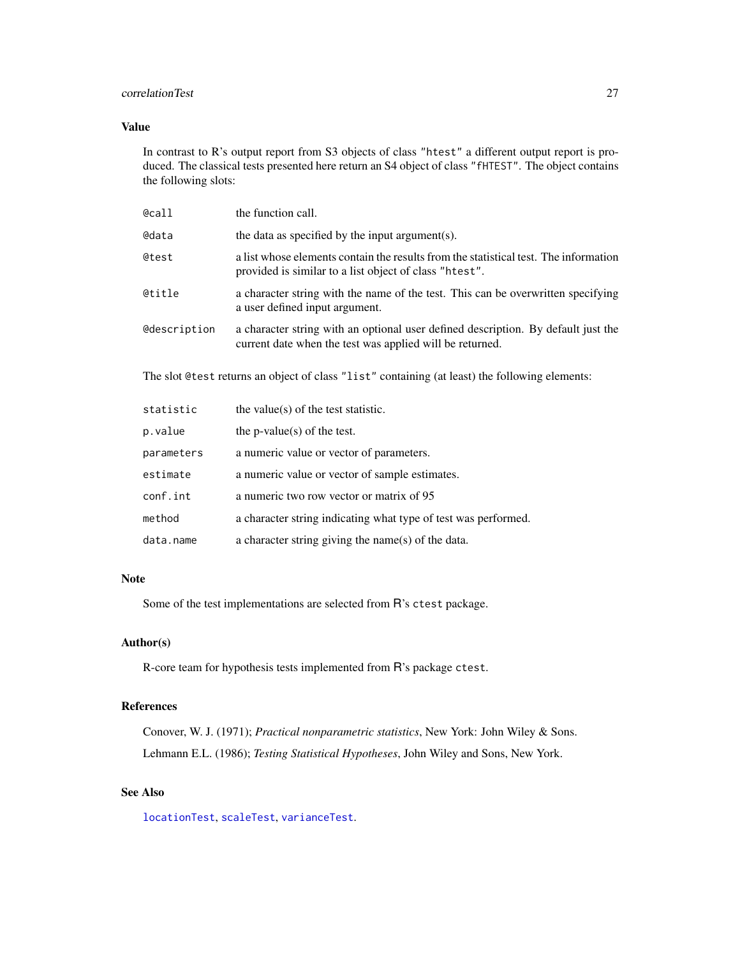#### correlationTest 27

#### Value

In contrast to R's output report from S3 objects of class "htest" a different output report is produced. The classical tests presented here return an S4 object of class "fHTEST". The object contains the following slots:

| @call                                                                                          | the function call.                                                                                                                             |  |
|------------------------------------------------------------------------------------------------|------------------------------------------------------------------------------------------------------------------------------------------------|--|
| <b>@data</b>                                                                                   | the data as specified by the input argument(s).                                                                                                |  |
| @test                                                                                          | a list whose elements contain the results from the statistical test. The information<br>provided is similar to a list object of class "htest". |  |
| @title                                                                                         | a character string with the name of the test. This can be overwritten specifying<br>a user defined input argument.                             |  |
| <b>@description</b>                                                                            | a character string with an optional user defined description. By default just the<br>current date when the test was applied will be returned.  |  |
| The slot @test returns an object of class "list" containing (at least) the following elements: |                                                                                                                                                |  |
| statistic                                                                                      | the value( $s$ ) of the test statistic.                                                                                                        |  |

|            | $1.10$ . We would get the source of $1.00$                     |
|------------|----------------------------------------------------------------|
| p.value    | the $p$ -value $(s)$ of the test.                              |
| parameters | a numeric value or vector of parameters.                       |
| estimate   | a numeric value or vector of sample estimates.                 |
| conf.int   | a numeric two row vector or matrix of 95                       |
| method     | a character string indicating what type of test was performed. |
| data.name  | a character string giving the name(s) of the data.             |

#### Note

Some of the test implementations are selected from R's ctest package.

#### Author(s)

R-core team for hypothesis tests implemented from R's package ctest.

#### References

Conover, W. J. (1971); *Practical nonparametric statistics*, New York: John Wiley & Sons. Lehmann E.L. (1986); *Testing Statistical Hypotheses*, John Wiley and Sons, New York.

### See Also

[locationTest](#page-76-1), [scaleTest](#page-103-1), [varianceTest](#page-121-1).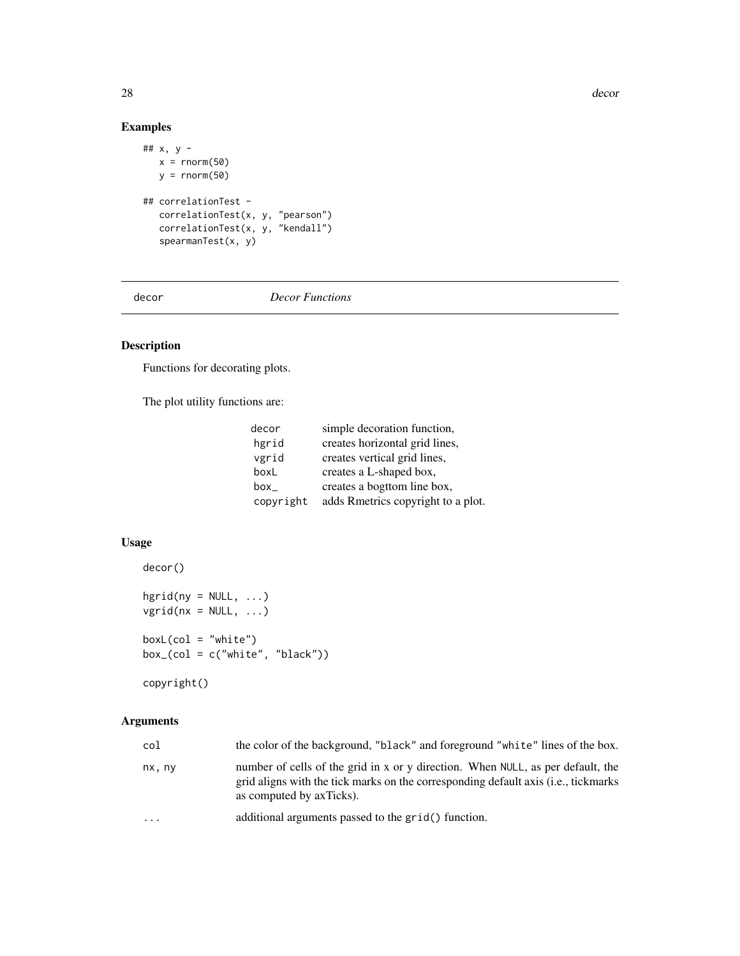28 decords and the set of the set of the set of the set of the set of the set of the set of the set of the set of the set of the set of the set of the set of the set of the set of the set of the set of the set of the set o

### Examples

```
## x, y -
  x = \text{norm}(50)y = rnorm(50)## correlationTest -
  correlationTest(x, y, "pearson")
  correlationTest(x, y, "kendall")
  spearmanTest(x, y)
```
decor *Decor Functions*

### Description

Functions for decorating plots.

The plot utility functions are:

| decor     | simple decoration function,        |
|-----------|------------------------------------|
| hgrid     | creates horizontal grid lines,     |
| vgrid     | creates vertical grid lines,       |
| boxL      | creates a L-shaped box,            |
| box       | creates a bogttom line box,        |
| copyright | adds Rmetrics copyright to a plot. |

### Usage

```
decor()
```

```
hgrid(ny = NULL, ...)vgrid(nx = NULL, ...)boxL(col = "white")box_(col = c("white", "black"))
copyright()
```
#### Arguments

| col      | the color of the background, "black" and foreground "white" lines of the box.                                                                                                                              |
|----------|------------------------------------------------------------------------------------------------------------------------------------------------------------------------------------------------------------|
| nx, ny   | number of cells of the grid in x or y direction. When NULL, as per default, the<br>grid aligns with the tick marks on the corresponding default axis ( <i>i.e.</i> , tickmarks<br>as computed by axTicks). |
| $\cdots$ | additional arguments passed to the grid() function.                                                                                                                                                        |

<span id="page-27-0"></span>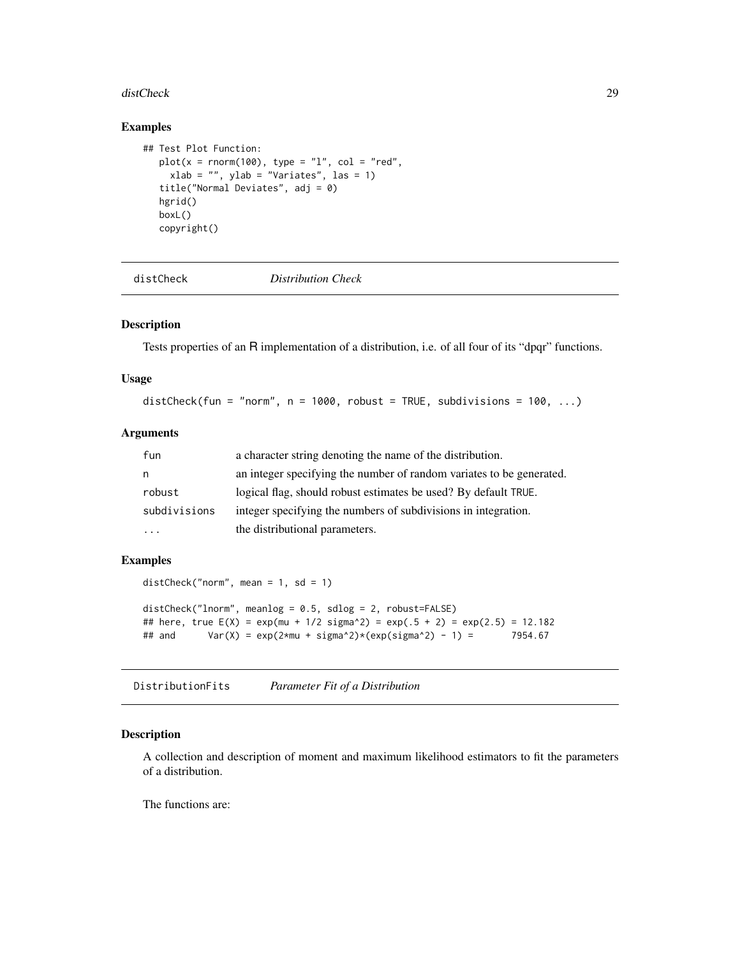#### <span id="page-28-0"></span>distCheck 29

#### Examples

```
## Test Plot Function:
  plot(x = rnorm(100), type = "1", col = "red",xlab = "", ylab = "Variables", las = 1)title("Normal Deviates", adj = 0)
  hgrid()
  boxL()
  copyright()
```
distCheck *Distribution Check*

### Description

Tests properties of an R implementation of a distribution, i.e. of all four of its "dpqr" functions.

#### Usage

distCheck(fun = "norm",  $n = 1000$ , robust = TRUE, subdivisions = 100, ...)

#### Arguments

| fun          | a character string denoting the name of the distribution.            |
|--------------|----------------------------------------------------------------------|
| n            | an integer specifying the number of random variates to be generated. |
| robust       | logical flag, should robust estimates be used? By default TRUE.      |
| subdivisions | integer specifying the numbers of subdivisions in integration.       |
| $\ddotsc$    | the distributional parameters.                                       |

#### Examples

```
distCheck("norm", mean = 1, sd = 1)
distCheck("lnorm", meanlog = 0.5, sdlog = 2, robust=FALSE)
## here, true E(X) = exp(mu + 1/2) sigma^2) = exp(.5 + 2) = exp(2.5) = 12.182
## and Var(X) = exp(2*mu + sigma^2)*(exp(sign^2) - 1) = 7954.67
```
DistributionFits *Parameter Fit of a Distribution*

#### Description

A collection and description of moment and maximum likelihood estimators to fit the parameters of a distribution.

The functions are: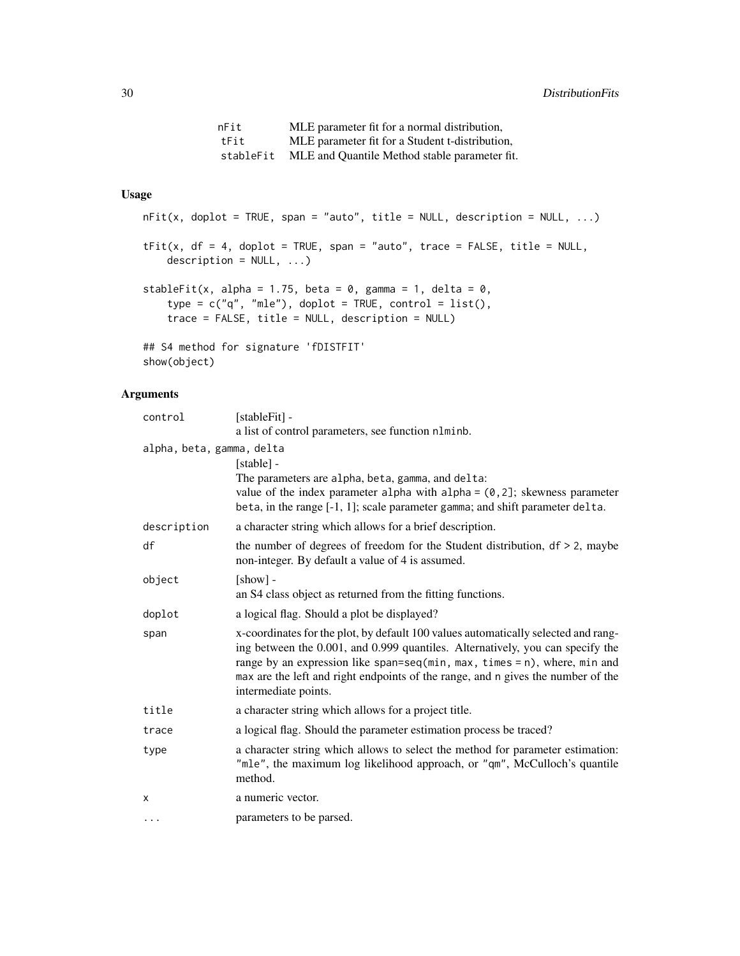nFit MLE parameter fit for a normal distribution, tFit MLE parameter fit for a Student t-distribution, stableFit MLE and Quantile Method stable parameter fit.

### Usage

```
nFit(x, doplot = TRUE, span = "auto", title = NULL, description = NULL, ...)tFit(x, df = 4, doplot = TRUE, span = "auto", trace = FALSE, title = NULL,description = NULL, ...)stableFit(x, alpha = 1.75, beta = 0, gamma = 1, delta = 0,
    type = c("q", "mle"), doplot = TRUE, control = list(),
    trace = FALSE, title = NULL, description = NULL)
## S4 method for signature 'fDISTFIT'
show(object)
```
#### Arguments

| control                   | [stableFit] -                                                                                                                                                                                                                                                                                                                                                    |
|---------------------------|------------------------------------------------------------------------------------------------------------------------------------------------------------------------------------------------------------------------------------------------------------------------------------------------------------------------------------------------------------------|
|                           | a list of control parameters, see function nlminb.                                                                                                                                                                                                                                                                                                               |
| alpha, beta, gamma, delta |                                                                                                                                                                                                                                                                                                                                                                  |
|                           | [stable] -                                                                                                                                                                                                                                                                                                                                                       |
|                           | The parameters are alpha, beta, gamma, and delta:                                                                                                                                                                                                                                                                                                                |
|                           | value of the index parameter alpha with alpha = $(0, 2]$ ; skewness parameter                                                                                                                                                                                                                                                                                    |
|                           | beta, in the range [-1, 1]; scale parameter gamma; and shift parameter delta.                                                                                                                                                                                                                                                                                    |
| description               | a character string which allows for a brief description.                                                                                                                                                                                                                                                                                                         |
| df                        | the number of degrees of freedom for the Student distribution, $df > 2$ , maybe<br>non-integer. By default a value of 4 is assumed.                                                                                                                                                                                                                              |
| object                    | $[show]$ -                                                                                                                                                                                                                                                                                                                                                       |
|                           | an S4 class object as returned from the fitting functions.                                                                                                                                                                                                                                                                                                       |
| doplot                    | a logical flag. Should a plot be displayed?                                                                                                                                                                                                                                                                                                                      |
| span                      | x-coordinates for the plot, by default 100 values automatically selected and rang-<br>ing between the 0.001, and 0.999 quantiles. Alternatively, you can specify the<br>range by an expression like span=seq(min, max, times = $n$ ), where, min and<br>max are the left and right endpoints of the range, and n gives the number of the<br>intermediate points. |
| title                     | a character string which allows for a project title.                                                                                                                                                                                                                                                                                                             |
| trace                     | a logical flag. Should the parameter estimation process be traced?                                                                                                                                                                                                                                                                                               |
| type                      | a character string which allows to select the method for parameter estimation:<br>"mle", the maximum log likelihood approach, or "qm", McCulloch's quantile<br>method.                                                                                                                                                                                           |
| X                         | a numeric vector.                                                                                                                                                                                                                                                                                                                                                |
| .                         | parameters to be parsed.                                                                                                                                                                                                                                                                                                                                         |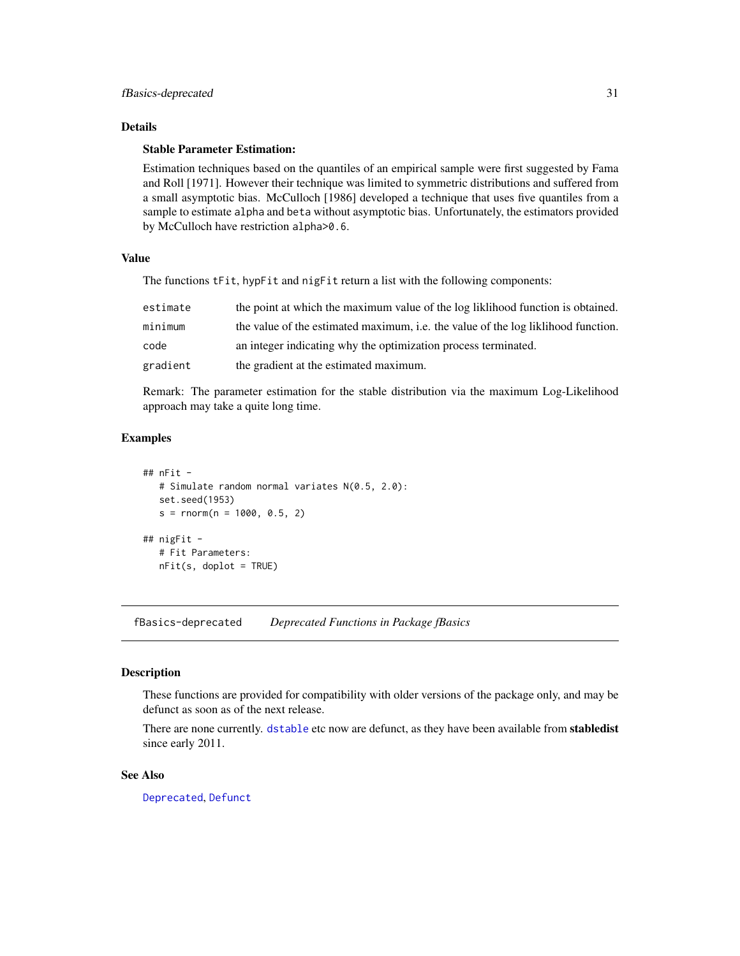#### <span id="page-30-0"></span>Details

#### Stable Parameter Estimation:

Estimation techniques based on the quantiles of an empirical sample were first suggested by Fama and Roll [1971]. However their technique was limited to symmetric distributions and suffered from a small asymptotic bias. McCulloch [1986] developed a technique that uses five quantiles from a sample to estimate alpha and beta without asymptotic bias. Unfortunately, the estimators provided by McCulloch have restriction alpha>0.6.

#### Value

The functions tFit, hypFit and nigFit return a list with the following components:

| estimate | the point at which the maximum value of the log liklihood function is obtained.   |
|----------|-----------------------------------------------------------------------------------|
| minimum  | the value of the estimated maximum, i.e. the value of the log liklihood function. |
| code     | an integer indicating why the optimization process terminated.                    |
| gradient | the gradient at the estimated maximum.                                            |

Remark: The parameter estimation for the stable distribution via the maximum Log-Likelihood approach may take a quite long time.

### Examples

```
## nFit -
  # Simulate random normal variates N(0.5, 2.0):
  set.seed(1953)
  s = rnorm(n = 1000, 0.5, 2)## nigFit -
  # Fit Parameters:
  nFit(s, doplot = TRUE)
```
fBasics-deprecated *Deprecated Functions in Package fBasics*

#### Description

These functions are provided for compatibility with older versions of the package only, and may be defunct as soon as of the next release.

There are none currently. [dstable](#page-0-0) etc now are defunct, as they have been available from **stabledist** since early 2011.

#### See Also

[Deprecated](#page-0-0), [Defunct](#page-0-0)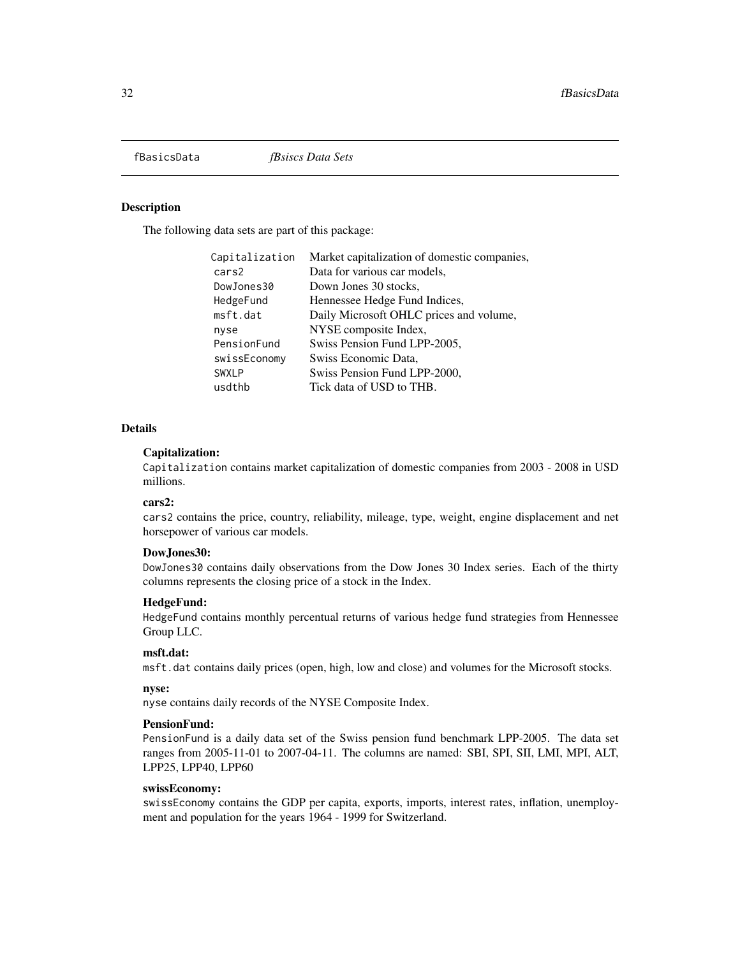<span id="page-31-0"></span>

#### Description

The following data sets are part of this package:

| Capitalization | Market capitalization of domestic companies, |
|----------------|----------------------------------------------|
| cars2          | Data for various car models,                 |
| DowJones30     | Down Jones 30 stocks,                        |
| HedgeFund      | Hennessee Hedge Fund Indices,                |
| msft.dat       | Daily Microsoft OHLC prices and volume,      |
| nyse           | NYSE composite Index,                        |
| PensionFund    | Swiss Pension Fund LPP-2005,                 |
| swissEconomy   | Swiss Economic Data,                         |
| <b>SWXLP</b>   | Swiss Pension Fund LPP-2000,                 |
| usdthb         | Tick data of USD to THB.                     |

#### **Details**

#### Capitalization:

Capitalization contains market capitalization of domestic companies from 2003 - 2008 in USD millions.

#### cars2:

cars2 contains the price, country, reliability, mileage, type, weight, engine displacement and net horsepower of various car models.

#### DowJones30:

DowJones30 contains daily observations from the Dow Jones 30 Index series. Each of the thirty columns represents the closing price of a stock in the Index.

#### HedgeFund:

HedgeFund contains monthly percentual returns of various hedge fund strategies from Hennessee Group LLC.

#### msft.dat:

msft.dat contains daily prices (open, high, low and close) and volumes for the Microsoft stocks.

#### nyse:

nyse contains daily records of the NYSE Composite Index.

#### PensionFund:

PensionFund is a daily data set of the Swiss pension fund benchmark LPP-2005. The data set ranges from 2005-11-01 to 2007-04-11. The columns are named: SBI, SPI, SII, LMI, MPI, ALT, LPP25, LPP40, LPP60

#### swissEconomy:

swissEconomy contains the GDP per capita, exports, imports, interest rates, inflation, unemployment and population for the years 1964 - 1999 for Switzerland.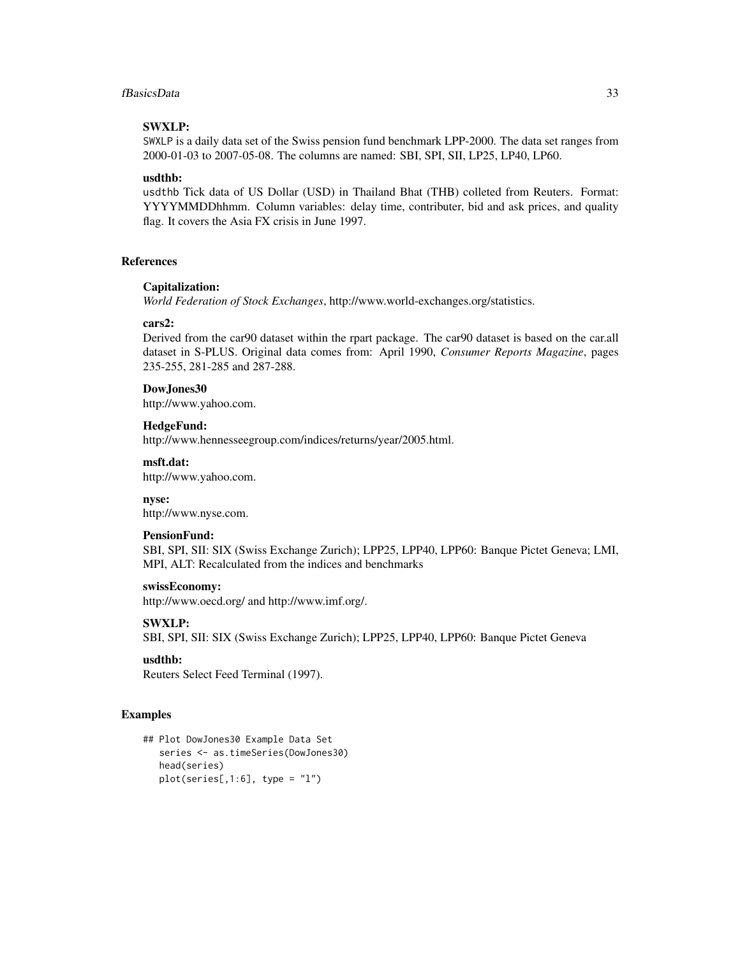#### fBasicsData 33

#### SWXLP:

SWXLP is a daily data set of the Swiss pension fund benchmark LPP-2000. The data set ranges from 2000-01-03 to 2007-05-08. The columns are named: SBI, SPI, SII, LP25, LP40, LP60.

#### usdthb:

usdthb Tick data of US Dollar (USD) in Thailand Bhat (THB) colleted from Reuters. Format: YYYYMMDDhhmm. Column variables: delay time, contributer, bid and ask prices, and quality flag. It covers the Asia FX crisis in June 1997.

#### References

#### Capitalization:

*World Federation of Stock Exchanges*, http://www.world-exchanges.org/statistics.

#### cars2:

Derived from the car90 dataset within the rpart package. The car90 dataset is based on the car.all dataset in S-PLUS. Original data comes from: April 1990, *Consumer Reports Magazine*, pages 235-255, 281-285 and 287-288.

#### DowJones30

http://www.yahoo.com.

#### HedgeFund:

http://www.hennesseegroup.com/indices/returns/year/2005.html.

#### msft.dat:

http://www.yahoo.com.

#### nyse:

http://www.nyse.com.

#### PensionFund:

SBI, SPI, SII: SIX (Swiss Exchange Zurich); LPP25, LPP40, LPP60: Banque Pictet Geneva; LMI, MPI, ALT: Recalculated from the indices and benchmarks

#### swissEconomy:

http://www.oecd.org/ and http://www.imf.org/.

#### SWXLP:

SBI, SPI, SII: SIX (Swiss Exchange Zurich); LPP25, LPP40, LPP60: Banque Pictet Geneva

#### usdthb:

Reuters Select Feed Terminal (1997).

#### Examples

```
## Plot DowJones30 Example Data Set
  series <- as.timeSeries(DowJones30)
  head(series)
  plot(series[, 1:6], type = "1")
```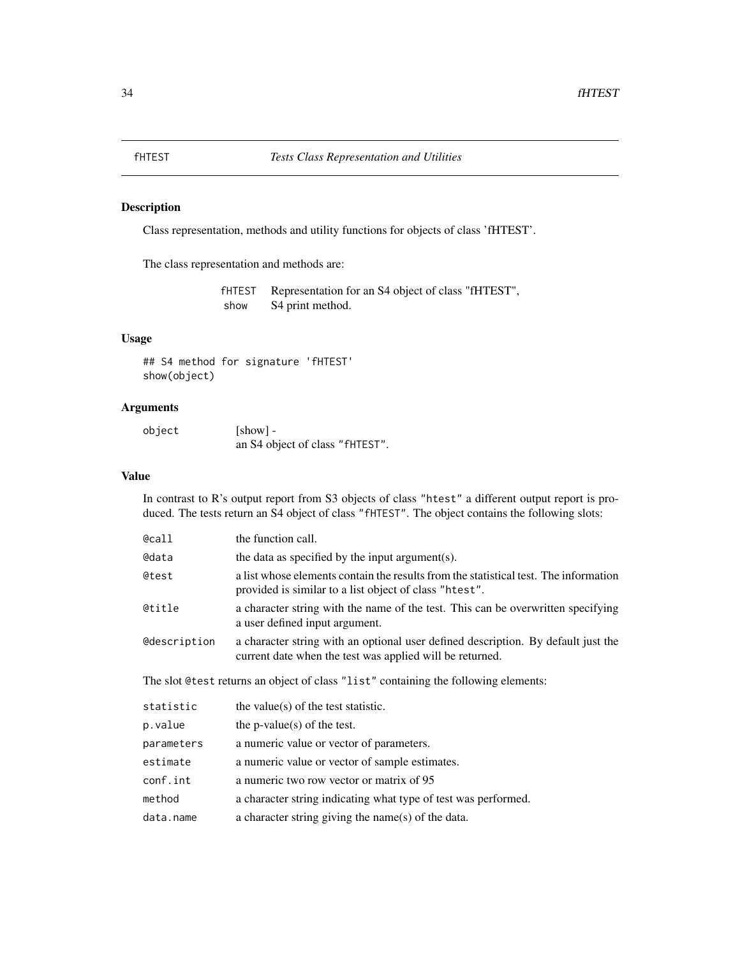#### <span id="page-33-0"></span>Description

Class representation, methods and utility functions for objects of class 'fHTEST'.

The class representation and methods are:

fHTEST Representation for an S4 object of class "fHTEST", show S4 print method.

### Usage

```
## S4 method for signature 'fHTEST'
show(object)
```
#### Arguments

| object | $[show] -$                      |
|--------|---------------------------------|
|        | an S4 object of class "fHTEST". |

#### Value

In contrast to R's output report from S3 objects of class "htest" a different output report is produced. The tests return an S4 object of class "fHTEST". The object contains the following slots:

| @call               | the function call.                                                                                                                             |
|---------------------|------------------------------------------------------------------------------------------------------------------------------------------------|
| <b>@data</b>        | the data as specified by the input argument(s).                                                                                                |
| @test               | a list whose elements contain the results from the statistical test. The information<br>provided is similar to a list object of class "htest". |
| @title              | a character string with the name of the test. This can be overwritten specifying<br>a user defined input argument.                             |
| <b>@description</b> | a character string with an optional user defined description. By default just the<br>current date when the test was applied will be returned.  |
|                     | The slot @test returns an object of class "list" containing the following elements:                                                            |
| statistic           | the value(s) of the test statistic.                                                                                                            |
| p.value             | the $p$ -value $(s)$ of the test.                                                                                                              |
| parameters          | a numeric value or vector of parameters.                                                                                                       |
| estimate            | a numeric value or vector of sample estimates.                                                                                                 |
| conf.int            | a numeric two row vector or matrix of 95                                                                                                       |
| method              | a character string indicating what type of test was performed.                                                                                 |
| data.name           | a character string giving the name(s) of the data.                                                                                             |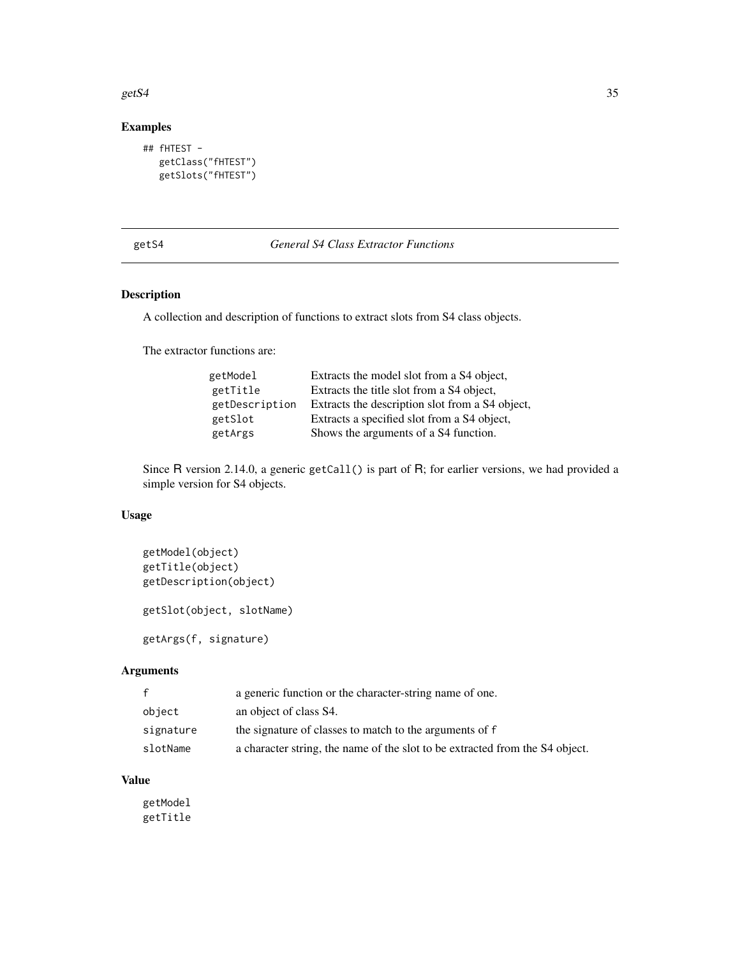#### <span id="page-34-0"></span> $gets4$  35

### Examples

```
## fHTEST -
  getClass("fHTEST")
  getSlots("fHTEST")
```
#### getS4 *General S4 Class Extractor Functions*

### Description

A collection and description of functions to extract slots from S4 class objects.

The extractor functions are:

| getModel       | Extracts the model slot from a S4 object,       |
|----------------|-------------------------------------------------|
| getTitle       | Extracts the title slot from a S4 object,       |
| getDescription | Extracts the description slot from a S4 object, |
| getSlot        | Extracts a specified slot from a S4 object,     |
| getArgs        | Shows the arguments of a S4 function.           |

Since R version 2.14.0, a generic getCall() is part of R; for earlier versions, we had provided a simple version for S4 objects.

#### Usage

```
getModel(object)
getTitle(object)
getDescription(object)
getSlot(object, slotName)
```
getArgs(f, signature)

### Arguments

|           | a generic function or the character-string name of one.                      |
|-----------|------------------------------------------------------------------------------|
| object    | an object of class S4.                                                       |
| signature | the signature of classes to match to the arguments of f                      |
| slotName  | a character string, the name of the slot to be extracted from the S4 object. |

#### Value

getModel getTitle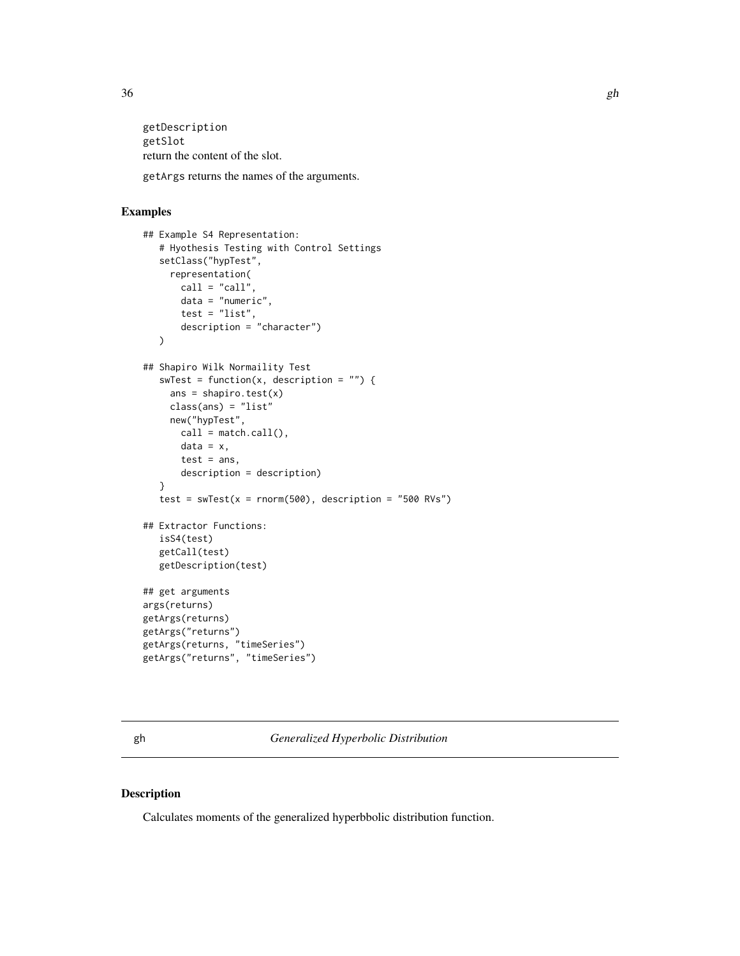<span id="page-35-0"></span>getDescription getSlot return the content of the slot. getArgs returns the names of the arguments.

#### Examples

```
## Example S4 Representation:
   # Hyothesis Testing with Control Settings
   setClass("hypTest",
     representation(
      call = "call"data = "numeric",
       test = "list",
       description = "character")
   )
## Shapiro Wilk Normaility Test
   swTest = function(x, description = "") {
    ans = shapiro.test(x)class(ans) = "list"
    new("hypTest",
      call = match.call(),data = x,
      test = ans,
      description = description)
   }
   test = swTest(x = norm(500), description = "500 RVs")## Extractor Functions:
  isS4(test)
   getCall(test)
  getDescription(test)
## get arguments
args(returns)
getArgs(returns)
getArgs("returns")
getArgs(returns, "timeSeries")
getArgs("returns", "timeSeries")
```
gh *Generalized Hyperbolic Distribution*

#### Description

Calculates moments of the generalized hyperbbolic distribution function.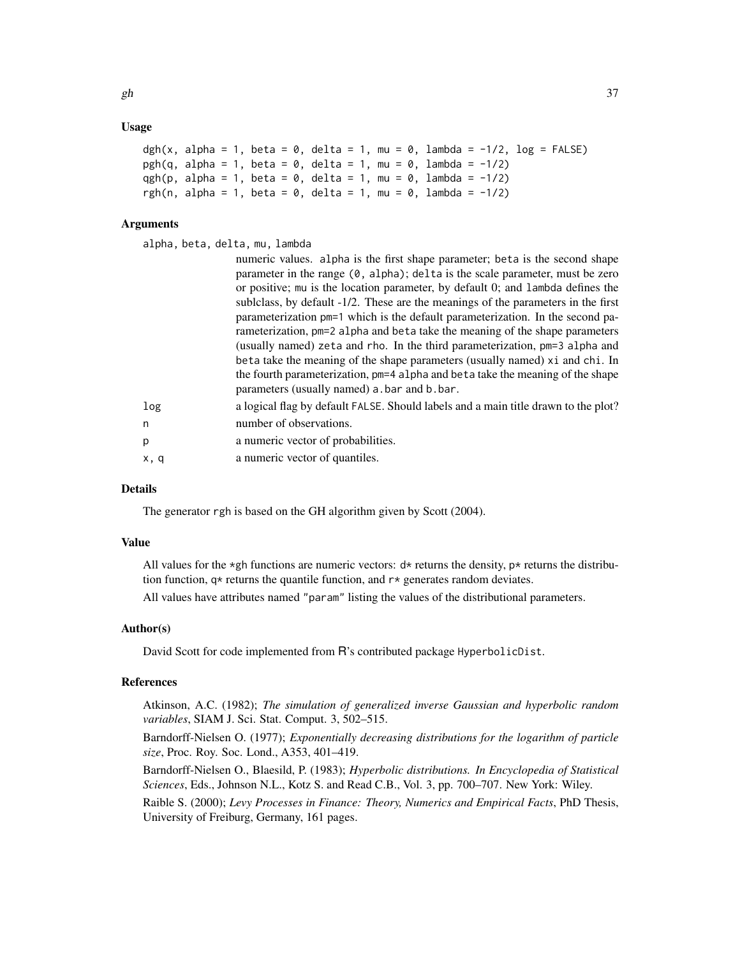# Usage

```
dgh(x, alpha = 1, beta = 0, delta = 1, mu = 0, lambda = -1/2, log = FALSE)
pgh(q, alpha = 1, beta = 0, delta = 1, mu = 0, lambda = -1/2)
qgh(p, alpha = 1, beta = 0, delta = 1, mu = 0, lambda = -1/2)
rgh(n, alpha = 1, beta = 0, delta = 1, mu = 0, lambda = -1/2)
```
# Arguments

alpha, beta, delta, mu, lambda

|      | numeric values. alpha is the first shape parameter; beta is the second shape                   |
|------|------------------------------------------------------------------------------------------------|
|      | parameter in the range $(0, \text{alpha})$ ; delta is the scale parameter, must be zero        |
|      | or positive; mu is the location parameter, by default 0; and lambda defines the                |
|      | subliculary sublished subsetsually -1/2. These are the meanings of the parameters in the first |
|      | parameterization pm=1 which is the default parameterization. In the second pa-                 |
|      | rameterization, pm=2 alpha and beta take the meaning of the shape parameters                   |
|      | (usually named) zeta and rho. In the third parameterization, pm=3 alpha and                    |
|      | beta take the meaning of the shape parameters (usually named) xi and chi. In                   |
|      | the fourth parameterization, pm=4 alpha and beta take the meaning of the shape                 |
|      | parameters (usually named) a bar and b bar.                                                    |
| log  | a logical flag by default FALSE. Should labels and a main title drawn to the plot?             |
| n    | number of observations.                                                                        |
| p    | a numeric vector of probabilities.                                                             |
| x, q | a numeric vector of quantiles.                                                                 |

## Details

The generator rgh is based on the GH algorithm given by Scott (2004).

# Value

All values for the  $\star$ gh functions are numeric vectors:  $d\star$  returns the density,  $p\star$  returns the distribution function,  $q*$  returns the quantile function, and  $r*$  generates random deviates.

All values have attributes named "param" listing the values of the distributional parameters.

# Author(s)

David Scott for code implemented from R's contributed package HyperbolicDist.

#### References

Atkinson, A.C. (1982); *The simulation of generalized inverse Gaussian and hyperbolic random variables*, SIAM J. Sci. Stat. Comput. 3, 502–515.

Barndorff-Nielsen O. (1977); *Exponentially decreasing distributions for the logarithm of particle size*, Proc. Roy. Soc. Lond., A353, 401–419.

Barndorff-Nielsen O., Blaesild, P. (1983); *Hyperbolic distributions. In Encyclopedia of Statistical Sciences*, Eds., Johnson N.L., Kotz S. and Read C.B., Vol. 3, pp. 700–707. New York: Wiley.

Raible S. (2000); *Levy Processes in Finance: Theory, Numerics and Empirical Facts*, PhD Thesis, University of Freiburg, Germany, 161 pages.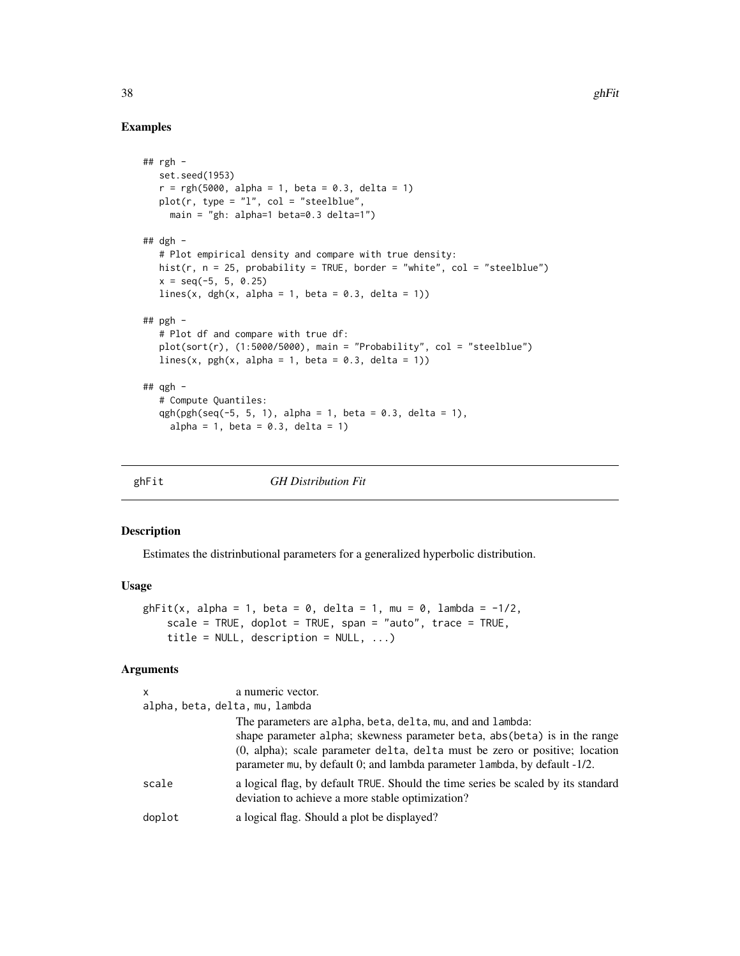# Examples

```
## rgh -
  set.seed(1953)
  r = rgh(5000, alpha = 1, beta = 0.3, delta = 1)plot(r, type = "l", col = "steelblue",main = "gh: alpha=1 beta=0.3 delta=1")
## dgh -
  # Plot empirical density and compare with true density:
  hist(r, n = 25, probability = TRUE, border = "white", col = "steelblue")
  x = seq(-5, 5, 0.25)lines(x, dgh(x, alpha = 1, beta = 0.3, delta = 1))
## pgh -# Plot df and compare with true df:
  plot(sort(r), (1:5000/5000), main = "Probability", col = "steelblue")lines(x, pgh(x, alpha = 1, beta = 0.3, delta = 1))
## qgh -
  # Compute Quantiles:
  qgh(pgh(seq(-5, 5, 1), alpha = 1, beta = 0.3, delta = 1),
     alpha = 1, beta = 0.3, delta = 1)
```
ghFit *GH Distribution Fit*

## Description

Estimates the distrinbutional parameters for a generalized hyperbolic distribution.

#### Usage

```
ghFit(x, alpha = 1, beta = 0, delta = 1, mu = 0, lambda = -1/2,scale = TRUE, doplot = TRUE, span = "auto", trace = TRUE,
    title = NULL, description = NULL, ...)
```

| $\mathsf{x}$                   | a numeric vector.                                                                                                                                        |  |
|--------------------------------|----------------------------------------------------------------------------------------------------------------------------------------------------------|--|
| alpha, beta, delta, mu, lambda |                                                                                                                                                          |  |
|                                | The parameters are alpha, beta, delta, mu, and and lambda:                                                                                               |  |
|                                | shape parameter alpha; skewness parameter beta, abs (beta) is in the range                                                                               |  |
|                                | (0, alpha); scale parameter delta, delta must be zero or positive; location<br>parameter mu, by default 0; and lambda parameter lambda, by default -1/2. |  |
| scale                          | a logical flag, by default TRUE. Should the time series be scaled by its standard<br>deviation to achieve a more stable optimization?                    |  |
| doplot                         | a logical flag. Should a plot be displayed?                                                                                                              |  |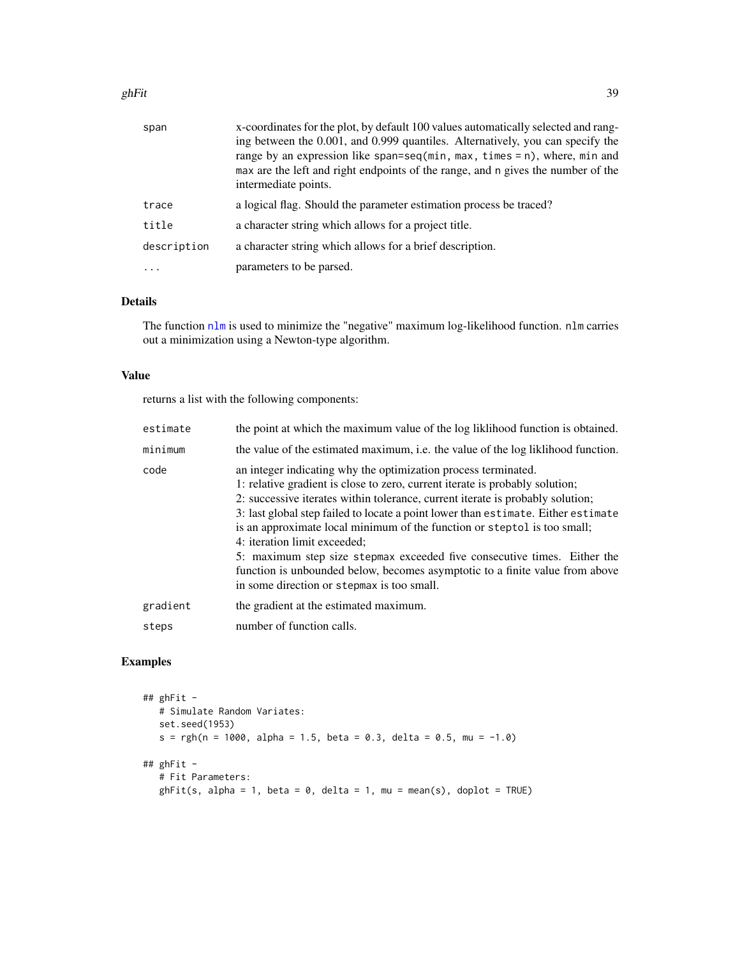#### ghFit  $\sim$  39

| span        | x-coordinates for the plot, by default 100 values automatically selected and rang-<br>ing between the 0.001, and 0.999 quantiles. Alternatively, you can specify the<br>range by an expression like span=seq(min, max, times = n), where, min and<br>max are the left and right endpoints of the range, and n gives the number of the<br>intermediate points. |
|-------------|---------------------------------------------------------------------------------------------------------------------------------------------------------------------------------------------------------------------------------------------------------------------------------------------------------------------------------------------------------------|
| trace       | a logical flag. Should the parameter estimation process be traced?                                                                                                                                                                                                                                                                                            |
| title       | a character string which allows for a project title.                                                                                                                                                                                                                                                                                                          |
| description | a character string which allows for a brief description.                                                                                                                                                                                                                                                                                                      |
| $\cdots$    | parameters to be parsed.                                                                                                                                                                                                                                                                                                                                      |

# Details

The function [nlm](#page-0-0) is used to minimize the "negative" maximum log-likelihood function. nlm carries out a minimization using a Newton-type algorithm.

## Value

returns a list with the following components:

| estimate | the point at which the maximum value of the log likelihood function is obtained.                                                                                                                                                                                                                                                                                                                                                                                                                                                                                                                                                            |
|----------|---------------------------------------------------------------------------------------------------------------------------------------------------------------------------------------------------------------------------------------------------------------------------------------------------------------------------------------------------------------------------------------------------------------------------------------------------------------------------------------------------------------------------------------------------------------------------------------------------------------------------------------------|
| minimum  | the value of the estimated maximum, i.e. the value of the log liklihood function.                                                                                                                                                                                                                                                                                                                                                                                                                                                                                                                                                           |
| code     | an integer indicating why the optimization process terminated.<br>1: relative gradient is close to zero, current iterate is probably solution;<br>2: successive iterates within tolerance, current iterate is probably solution;<br>3: last global step failed to locate a point lower than estimate. Either estimate<br>is an approximate local minimum of the function or steptol is too small;<br>4: iteration limit exceeded;<br>5: maximum step size stepmax exceeded five consecutive times. Either the<br>function is unbounded below, becomes asymptotic to a finite value from above<br>in some direction or stepmax is too small. |
| gradient | the gradient at the estimated maximum.                                                                                                                                                                                                                                                                                                                                                                                                                                                                                                                                                                                                      |
| steps    | number of function calls.                                                                                                                                                                                                                                                                                                                                                                                                                                                                                                                                                                                                                   |

```
## ghFit -
  # Simulate Random Variates:
  set.seed(1953)
  s = rgh(n = 1000, alpha = 1.5, beta = 0.3, delta = 0.5, mu = -1.0)## ghFit -
  # Fit Parameters:
  ghFit(s, alpha = 1, beta = 0, delta = 1, mu = mean(s), doplot = TRUE)
```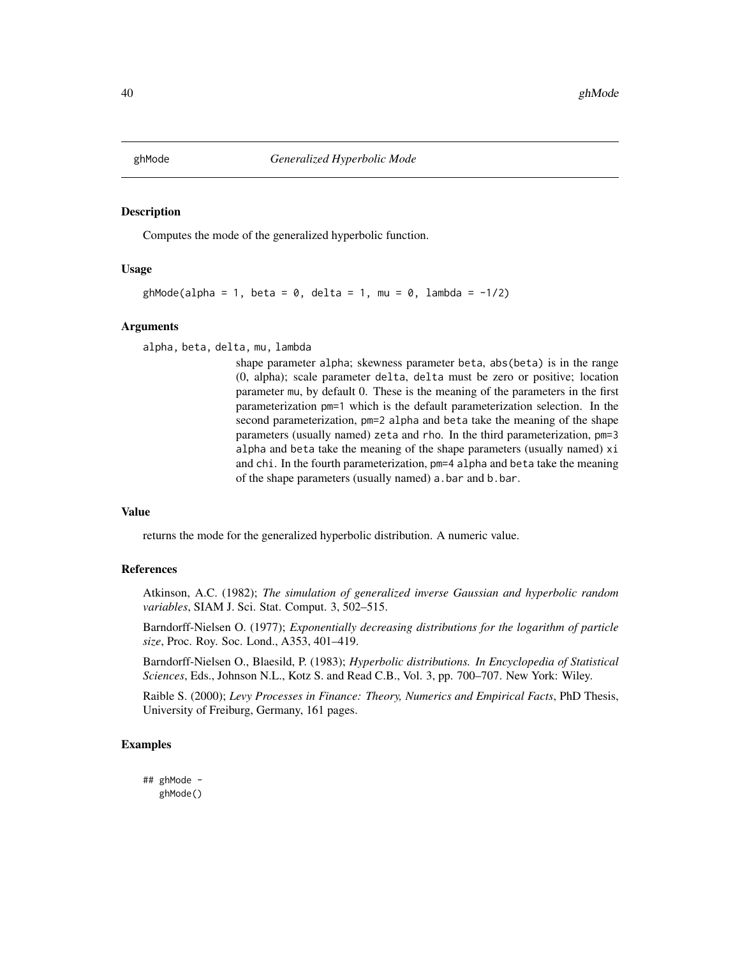Computes the mode of the generalized hyperbolic function.

## Usage

```
ghMode(alpha = 1, beta = 0, delta = 1, mu = 0, lambda = -1/2)
```
#### Arguments

alpha, beta, delta, mu, lambda

shape parameter alpha; skewness parameter beta, abs(beta) is in the range (0, alpha); scale parameter delta, delta must be zero or positive; location parameter mu, by default 0. These is the meaning of the parameters in the first parameterization pm=1 which is the default parameterization selection. In the second parameterization, pm=2 alpha and beta take the meaning of the shape parameters (usually named) zeta and rho. In the third parameterization, pm=3 alpha and beta take the meaning of the shape parameters (usually named) xi and chi. In the fourth parameterization, pm=4 alpha and beta take the meaning of the shape parameters (usually named) a.bar and b.bar.

# Value

returns the mode for the generalized hyperbolic distribution. A numeric value.

#### References

Atkinson, A.C. (1982); *The simulation of generalized inverse Gaussian and hyperbolic random variables*, SIAM J. Sci. Stat. Comput. 3, 502–515.

Barndorff-Nielsen O. (1977); *Exponentially decreasing distributions for the logarithm of particle size*, Proc. Roy. Soc. Lond., A353, 401–419.

Barndorff-Nielsen O., Blaesild, P. (1983); *Hyperbolic distributions. In Encyclopedia of Statistical Sciences*, Eds., Johnson N.L., Kotz S. and Read C.B., Vol. 3, pp. 700–707. New York: Wiley.

Raible S. (2000); *Levy Processes in Finance: Theory, Numerics and Empirical Facts*, PhD Thesis, University of Freiburg, Germany, 161 pages.

#### Examples

## ghMode ghMode()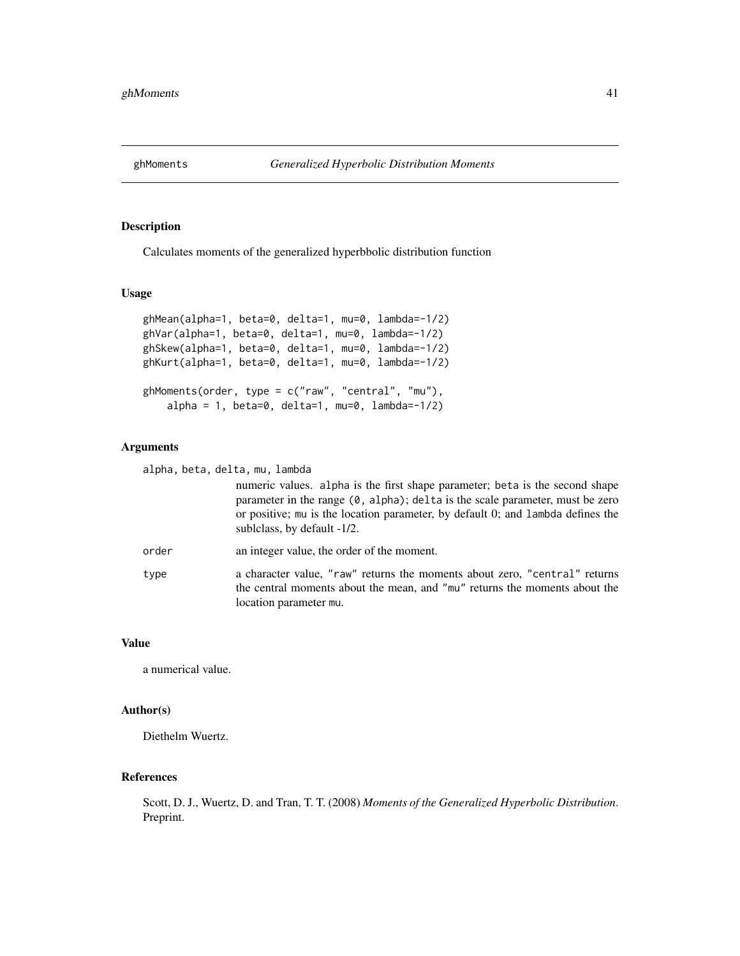Calculates moments of the generalized hyperbbolic distribution function

## Usage

```
ghMean(alpha=1, beta=0, delta=1, mu=0, lambda=-1/2)
ghVar(alpha=1, beta=0, delta=1, mu=0, lambda=-1/2)
ghSkew(alpha=1, beta=0, delta=1, mu=0, lambda=-1/2)
ghKurt(alpha=1, beta=0, delta=1, mu=0, lambda=-1/2)
gh</u>Moments(order, type = <math>c("raw", "central", "mu"),
    alpha = 1, beta = 0, delta = 1, mu = 0, lambda = -1/2
```
# Arguments

alpha, beta, delta, mu, lambda

numeric values. alpha is the first shape parameter; beta is the second shape parameter in the range (0, alpha); delta is the scale parameter, must be zero or positive; mu is the location parameter, by default 0; and lambda defines the sublclass, by default -1/2.

- order an integer value, the order of the moment.
- type a character value, "raw" returns the moments about zero, "central" returns the central moments about the mean, and "mu" returns the moments about the location parameter mu.

## Value

a numerical value.

## Author(s)

Diethelm Wuertz.

## References

Scott, D. J., Wuertz, D. and Tran, T. T. (2008) *Moments of the Generalized Hyperbolic Distribution*. Preprint.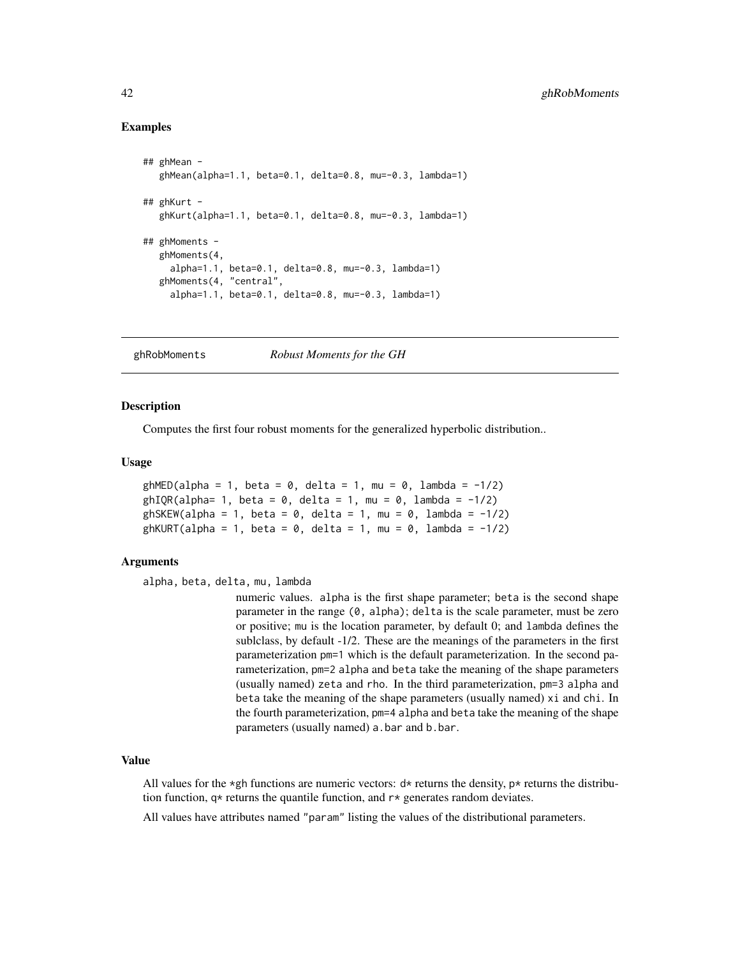# Examples

```
## ghMean -
  ghMean(alpha=1.1, beta=0.1, delta=0.8, mu=-0.3, lambda=1)
## ghKurt -
  ghKurt(alpha=1.1, beta=0.1, delta=0.8, mu=-0.3, lambda=1)
## ghMoments -
  ghMoments(4,
    alpha=1.1, beta=0.1, delta=0.8, mu=-0.3, lambda=1)
  ghMoments(4, "central",
    alpha=1.1, beta=0.1, delta=0.8, mu=-0.3, lambda=1)
```
ghRobMoments *Robust Moments for the GH*

## **Description**

Computes the first four robust moments for the generalized hyperbolic distribution..

#### Usage

```
ghMED(alpha = 1, beta = 0, delta = 1, mu = 0, lambda = -1/2)ghIQR(alpha= 1, beta = 0, delta = 1, mu = 0, lambda = -1/2)
ghSKEW(alpha = 1, beta = 0, delta = 1, mu = 0, lambda = -1/2)
ghKURT(alpha = 1, beta = 0, delta = 1, mu = 0, lambda = -1/2)
```
#### Arguments

alpha, beta, delta, mu, lambda

numeric values. alpha is the first shape parameter; beta is the second shape parameter in the range (0, alpha); delta is the scale parameter, must be zero or positive; mu is the location parameter, by default 0; and lambda defines the sublclass, by default -1/2. These are the meanings of the parameters in the first parameterization pm=1 which is the default parameterization. In the second parameterization, pm=2 alpha and beta take the meaning of the shape parameters (usually named) zeta and rho. In the third parameterization, pm=3 alpha and beta take the meaning of the shape parameters (usually named) xi and chi. In the fourth parameterization, pm=4 alpha and beta take the meaning of the shape parameters (usually named) a.bar and b.bar.

## Value

All values for the \*gh functions are numeric vectors:  $d*$  returns the density,  $p*$  returns the distribution function,  $q*$  returns the quantile function, and  $r*$  generates random deviates.

All values have attributes named "param" listing the values of the distributional parameters.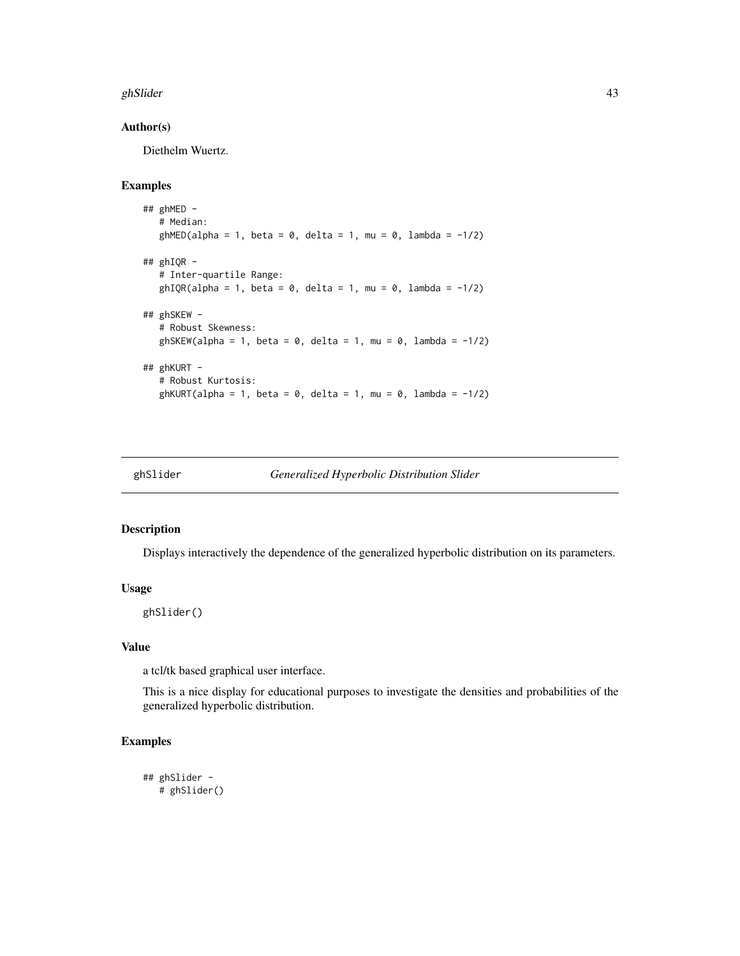#### ghSlider **43**

# Author(s)

Diethelm Wuertz.

# Examples

```
## ghMED -
  # Median:
  ghMED(alpha = 1, beta = 0, delta = 1, mu = 0, lambda = -1/2)
## ghIQR -
   # Inter-quartile Range:
  ghIQR(alpha = 1, beta = 0, delta = 1, mu = 0, lambda = -1/2)
## ghSKEW -
  # Robust Skewness:
  ghSKEW(alpha = 1, beta = 0, delta = 1, mu = 0, lambda = -1/2)
## ghKURT -
  # Robust Kurtosis:
  ghKURT(alpha = 1, beta = 0, delta = 1, mu = 0, lambda = -1/2)
```
ghSlider *Generalized Hyperbolic Distribution Slider*

#### Description

Displays interactively the dependence of the generalized hyperbolic distribution on its parameters.

## Usage

ghSlider()

# Value

a tcl/tk based graphical user interface.

This is a nice display for educational purposes to investigate the densities and probabilities of the generalized hyperbolic distribution.

```
## ghSlider -
  # ghSlider()
```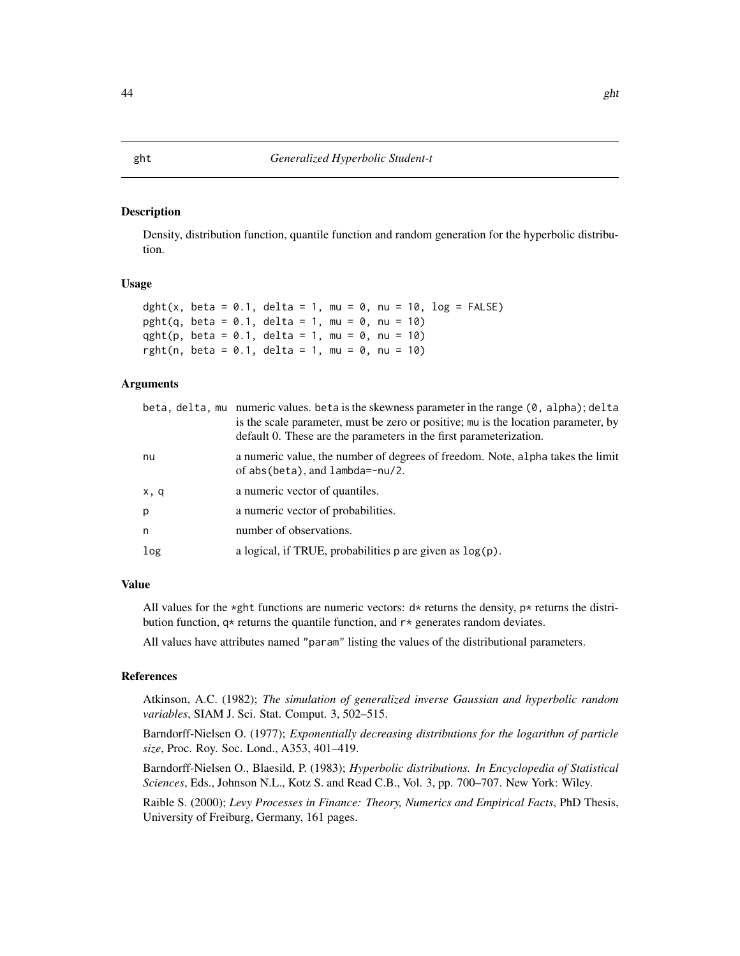Density, distribution function, quantile function and random generation for the hyperbolic distribution.

### Usage

```
dght(x, beta = 0.1, delta = 1, mu = 0, nu = 10, log = FALSE)
pght(q, beta = 0.1, delta = 1, mu = 0, nu = 10)
qght(p, beta = 0.1, delta = 1, mu = 0, nu = 10)
rght(n, beta = 0.1, delta = 1, mu = 0, nu = 10)
```
## Arguments

|      | beta, delta, mu numeric values. beta is the skewness parameter in the range $(0, \text{ alpha})$ ; delta<br>is the scale parameter, must be zero or positive; mu is the location parameter, by<br>default 0. These are the parameters in the first parameterization. |
|------|----------------------------------------------------------------------------------------------------------------------------------------------------------------------------------------------------------------------------------------------------------------------|
| nu   | a numeric value, the number of degrees of freedom. Note, alpha takes the limit<br>of $abs(beta)$ , and $lambda=-nu/2$ .                                                                                                                                              |
| x, q | a numeric vector of quantiles.                                                                                                                                                                                                                                       |
| p    | a numeric vector of probabilities.                                                                                                                                                                                                                                   |
| n    | number of observations.                                                                                                                                                                                                                                              |
| log  | a logical, if TRUE, probabilities $p$ are given as $log(p)$ .                                                                                                                                                                                                        |

# Value

All values for the \*ght functions are numeric vectors:  $d*$  returns the density,  $p*$  returns the distribution function,  $q*$  returns the quantile function, and  $r*$  generates random deviates.

All values have attributes named "param" listing the values of the distributional parameters.

# References

Atkinson, A.C. (1982); *The simulation of generalized inverse Gaussian and hyperbolic random variables*, SIAM J. Sci. Stat. Comput. 3, 502–515.

Barndorff-Nielsen O. (1977); *Exponentially decreasing distributions for the logarithm of particle size*, Proc. Roy. Soc. Lond., A353, 401–419.

Barndorff-Nielsen O., Blaesild, P. (1983); *Hyperbolic distributions. In Encyclopedia of Statistical Sciences*, Eds., Johnson N.L., Kotz S. and Read C.B., Vol. 3, pp. 700–707. New York: Wiley.

Raible S. (2000); *Levy Processes in Finance: Theory, Numerics and Empirical Facts*, PhD Thesis, University of Freiburg, Germany, 161 pages.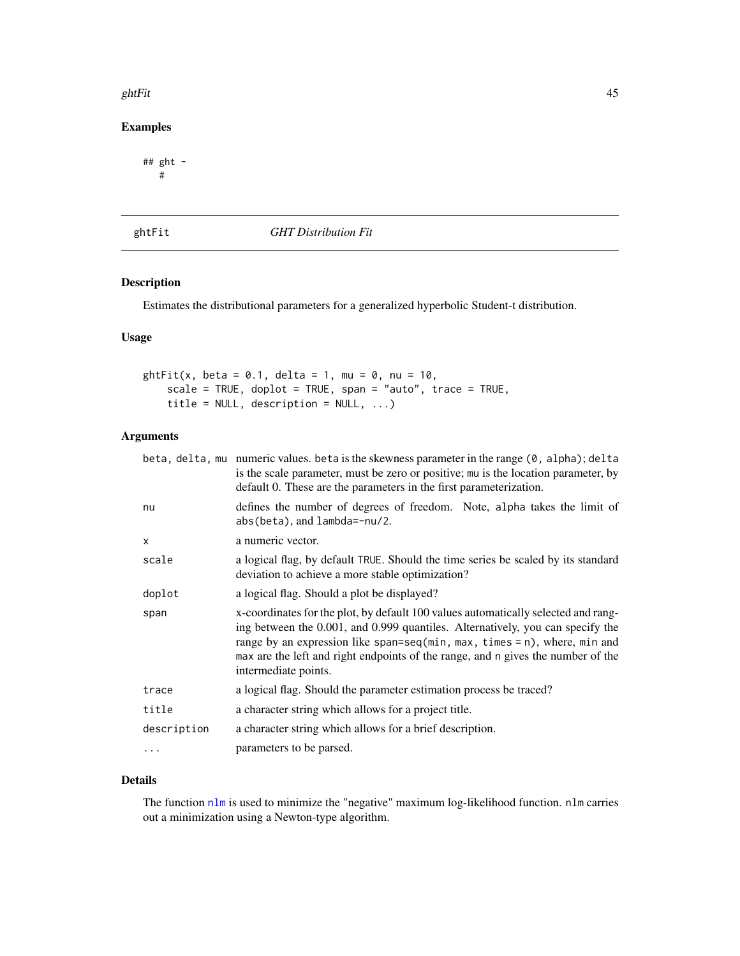#### ghtFit 45

# Examples

## ght - #

ghtFit *GHT Distribution Fit*

# Description

Estimates the distributional parameters for a generalized hyperbolic Student-t distribution.

# Usage

```
ghtFit(x, beta = 0.1, delta = 1, mu = 0, nu = 10,
   scale = TRUE, doplot = TRUE, span = "auto", trace = TRUE,
   title = NULL, description = NULL, ...)
```
# Arguments

|             | beta, delta, mu numeric values. beta is the skewness parameter in the range (0, alpha); delta<br>is the scale parameter, must be zero or positive; mu is the location parameter, by<br>default 0. These are the parameters in the first parameterization.                                                                                                     |
|-------------|---------------------------------------------------------------------------------------------------------------------------------------------------------------------------------------------------------------------------------------------------------------------------------------------------------------------------------------------------------------|
| nu          | defines the number of degrees of freedom. Note, alpha takes the limit of<br>$abs(beta), and lambda=nu/2.$                                                                                                                                                                                                                                                     |
| X           | a numeric vector.                                                                                                                                                                                                                                                                                                                                             |
| scale       | a logical flag, by default TRUE. Should the time series be scaled by its standard<br>deviation to achieve a more stable optimization?                                                                                                                                                                                                                         |
| doplot      | a logical flag. Should a plot be displayed?                                                                                                                                                                                                                                                                                                                   |
| span        | x-coordinates for the plot, by default 100 values automatically selected and rang-<br>ing between the 0.001, and 0.999 quantiles. Alternatively, you can specify the<br>range by an expression like span=seq(min, max, times = n), where, min and<br>max are the left and right endpoints of the range, and n gives the number of the<br>intermediate points. |
| trace       | a logical flag. Should the parameter estimation process be traced?                                                                                                                                                                                                                                                                                            |
| title       | a character string which allows for a project title.                                                                                                                                                                                                                                                                                                          |
| description | a character string which allows for a brief description.                                                                                                                                                                                                                                                                                                      |
| .           | parameters to be parsed.                                                                                                                                                                                                                                                                                                                                      |
|             |                                                                                                                                                                                                                                                                                                                                                               |

# Details

The function [nlm](#page-0-0) is used to minimize the "negative" maximum log-likelihood function. nlm carries out a minimization using a Newton-type algorithm.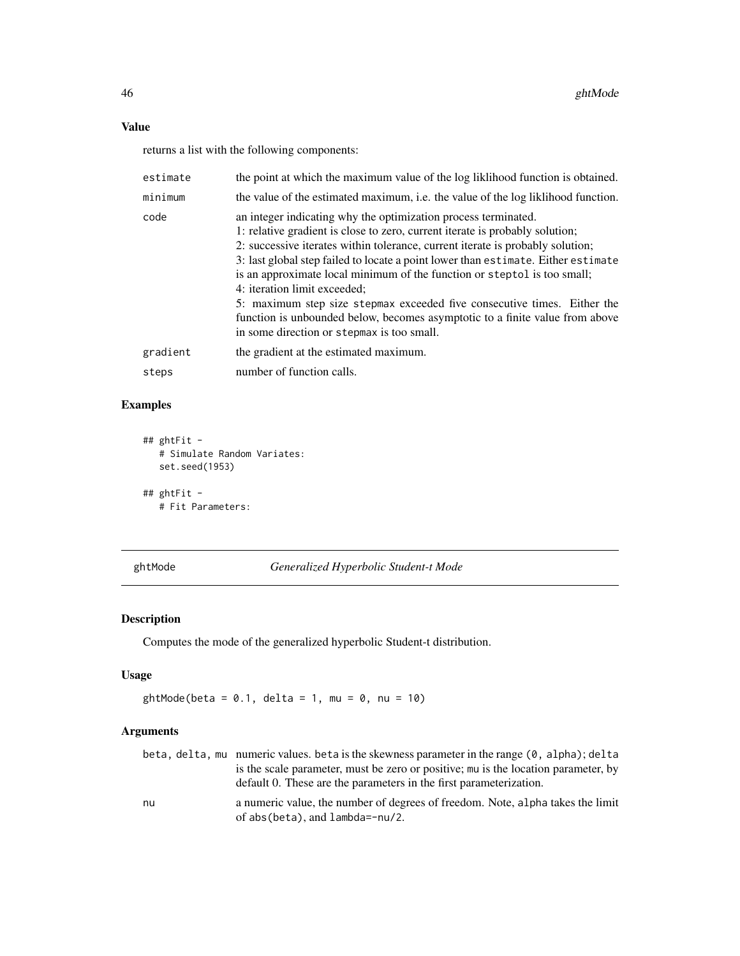# Value

returns a list with the following components:

| estimate | the point at which the maximum value of the log liklihood function is obtained.                                                                                                                                                                                                                                                                                                                                                                                                                                                                                                                                                             |
|----------|---------------------------------------------------------------------------------------------------------------------------------------------------------------------------------------------------------------------------------------------------------------------------------------------------------------------------------------------------------------------------------------------------------------------------------------------------------------------------------------------------------------------------------------------------------------------------------------------------------------------------------------------|
| minimum  | the value of the estimated maximum, i.e. the value of the log liklihood function.                                                                                                                                                                                                                                                                                                                                                                                                                                                                                                                                                           |
| code     | an integer indicating why the optimization process terminated.<br>1: relative gradient is close to zero, current iterate is probably solution;<br>2: successive iterates within tolerance, current iterate is probably solution;<br>3: last global step failed to locate a point lower than estimate. Either estimate<br>is an approximate local minimum of the function or steptol is too small;<br>4: iteration limit exceeded;<br>5: maximum step size stepmax exceeded five consecutive times. Either the<br>function is unbounded below, becomes asymptotic to a finite value from above<br>in some direction or stepmax is too small. |
| gradient | the gradient at the estimated maximum.                                                                                                                                                                                                                                                                                                                                                                                                                                                                                                                                                                                                      |
| steps    | number of function calls.                                                                                                                                                                                                                                                                                                                                                                                                                                                                                                                                                                                                                   |

# Examples

```
## ghtFit -
  # Simulate Random Variates:
  set.seed(1953)
## ghtFit -
  # Fit Parameters:
```
ghtMode *Generalized Hyperbolic Student-t Mode*

# Description

Computes the mode of the generalized hyperbolic Student-t distribution.

# Usage

ghtMode(beta =  $0.1$ , delta =  $1$ , mu =  $0$ , nu =  $10$ )

|    | beta, delta, mu numeric values. beta is the skewness parameter in the range (0, alpha); delta |
|----|-----------------------------------------------------------------------------------------------|
|    | is the scale parameter, must be zero or positive; mu is the location parameter, by            |
|    | default 0. These are the parameters in the first parameterization.                            |
| nu | a numeric value, the number of degrees of freedom. Note, alpha takes the limit                |
|    | of $abs(beta)$ , and $lambda=-nu/2$ .                                                         |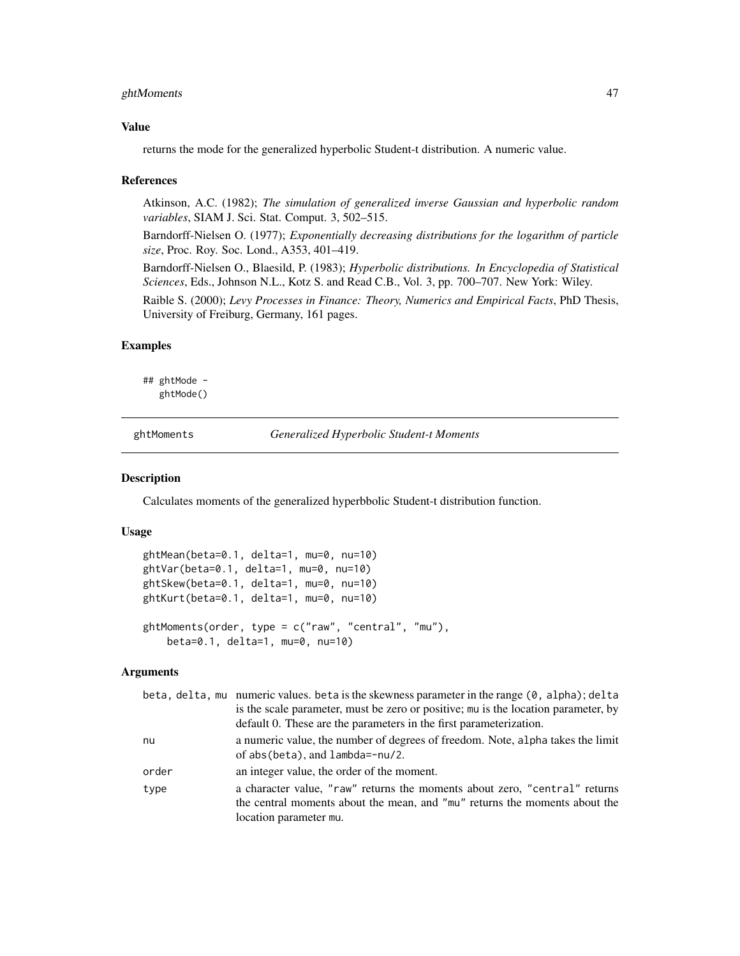# ghtMoments 47

## Value

returns the mode for the generalized hyperbolic Student-t distribution. A numeric value.

#### References

Atkinson, A.C. (1982); *The simulation of generalized inverse Gaussian and hyperbolic random variables*, SIAM J. Sci. Stat. Comput. 3, 502–515.

Barndorff-Nielsen O. (1977); *Exponentially decreasing distributions for the logarithm of particle size*, Proc. Roy. Soc. Lond., A353, 401–419.

Barndorff-Nielsen O., Blaesild, P. (1983); *Hyperbolic distributions. In Encyclopedia of Statistical Sciences*, Eds., Johnson N.L., Kotz S. and Read C.B., Vol. 3, pp. 700–707. New York: Wiley.

Raible S. (2000); *Levy Processes in Finance: Theory, Numerics and Empirical Facts*, PhD Thesis, University of Freiburg, Germany, 161 pages.

# Examples

## ghtMode ghtMode()

ghtMoments *Generalized Hyperbolic Student-t Moments*

# Description

Calculates moments of the generalized hyperbbolic Student-t distribution function.

## Usage

```
ghtMean(beta=0.1, delta=1, mu=0, nu=10)
ghtVar(beta=0.1, delta=1, mu=0, nu=10)
ghtSkew(beta=0.1, delta=1, mu=0, nu=10)
ghtKurt(beta=0.1, delta=1, mu=0, nu=10)
ghtMoments(order, type = c("raw", "central", "mu"),
   beta=0.1, delta=1, mu=0, nu=10)
```

|       | beta, delta, mu numeric values. beta is the skewness parameter in the range (0, alpha); delta |
|-------|-----------------------------------------------------------------------------------------------|
|       | is the scale parameter, must be zero or positive; mu is the location parameter, by            |
|       | default 0. These are the parameters in the first parameterization.                            |
| nu    | a numeric value, the number of degrees of freedom. Note, alpha takes the limit                |
|       | of abs(beta), and lambda=-nu/2.                                                               |
| order | an integer value, the order of the moment.                                                    |
| type  | a character value, "raw" returns the moments about zero, "central" returns                    |
|       | the central moments about the mean, and "mu" returns the moments about the                    |
|       | location parameter mu.                                                                        |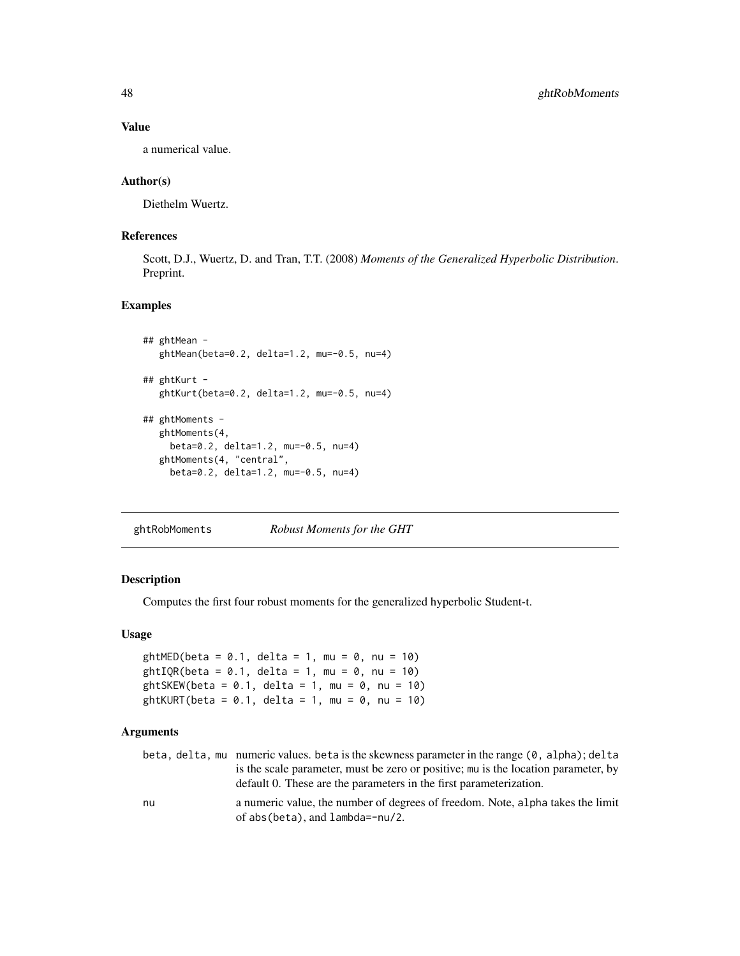# Value

a numerical value.

## Author(s)

Diethelm Wuertz.

# References

Scott, D.J., Wuertz, D. and Tran, T.T. (2008) *Moments of the Generalized Hyperbolic Distribution*. Preprint.

# Examples

```
## ghtMean -
  ghtMean(beta=0.2, delta=1.2, mu=-0.5, nu=4)
## ghtKurt -
  ghtKurt(beta=0.2, delta=1.2, mu=-0.5, nu=4)
## ghtMoments -
  ghtMoments(4,
    beta=0.2, delta=1.2, mu=-0.5, nu=4)
  ghtMoments(4, "central",
    beta=0.2, delta=1.2, mu=-0.5, nu=4)
```
ghtRobMoments *Robust Moments for the GHT*

## Description

Computes the first four robust moments for the generalized hyperbolic Student-t.

## Usage

```
ghtMED(beta = 0.1, delta = 1, mu = 0, nu = 10)
ghtIQR(beta = 0.1, delta = 1, mu = 0, nu = 10)ghtSKEW(beta = 0.1, delta = 1, mu = 0, nu = 10)
ghtKURT(beta = 0.1, delta = 1, mu = 0, nu = 10)
```

| beta, delta, mu numeric values. beta is the skewness parameter in the range (0, alpha); delta                           |
|-------------------------------------------------------------------------------------------------------------------------|
| is the scale parameter, must be zero or positive; mu is the location parameter, by                                      |
| default 0. These are the parameters in the first parameterization.                                                      |
| a numeric value, the number of degrees of freedom. Note, alpha takes the limit<br>of $abs(beta)$ , and $lambda=-nu/2$ . |
|                                                                                                                         |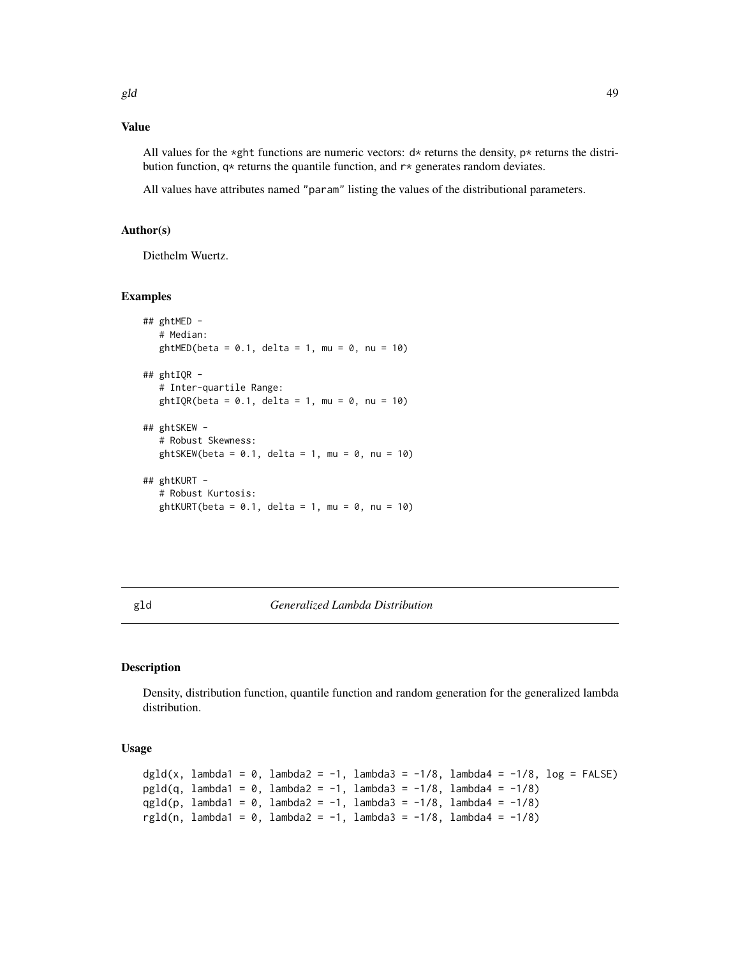# Value

All values for the \*ght functions are numeric vectors:  $d*$  returns the density,  $p*$  returns the distribution function,  $q*$  returns the quantile function, and  $r*$  generates random deviates.

All values have attributes named "param" listing the values of the distributional parameters.

## Author(s)

Diethelm Wuertz.

## Examples

```
## ghtMED -
  # Median:
  ghtMED(beta = 0.1, delta = 1, mu = 0, nu = 10)
## ghtIQR -
  # Inter-quartile Range:
  ghtIQR(beta = 0.1, delta = 1, mu = 0, nu = 10)## ghtSKEW -
   # Robust Skewness:
  ghtSKEW(beta = 0.1, delta = 1, mu = 0, nu = 10)
## ghtKURT -
   # Robust Kurtosis:
  ghtKURT(beta = 0.1, delta = 1, mu = 0, nu = 10)
```
# gld *Generalized Lambda Distribution*

#### Description

Density, distribution function, quantile function and random generation for the generalized lambda distribution.

## Usage

```
dgld(x, lambda1 = 0, lambda2 = -1, lambda3 = -1/8, lambda4 = -1/8, log = FALSE)
pgld(q, lambda1 = 0, lambda2 = -1, lambda3 = -1/8, lambda4 = -1/8)
qgld(p, lambda1 = 0, lambda2 = -1, lambda3 = -1/8, lambda4 = -1/8)
rgld(n, lambda1 = 0, lambda2 = -1, lambda3 = -1/8, lambda4 = -1/8)
```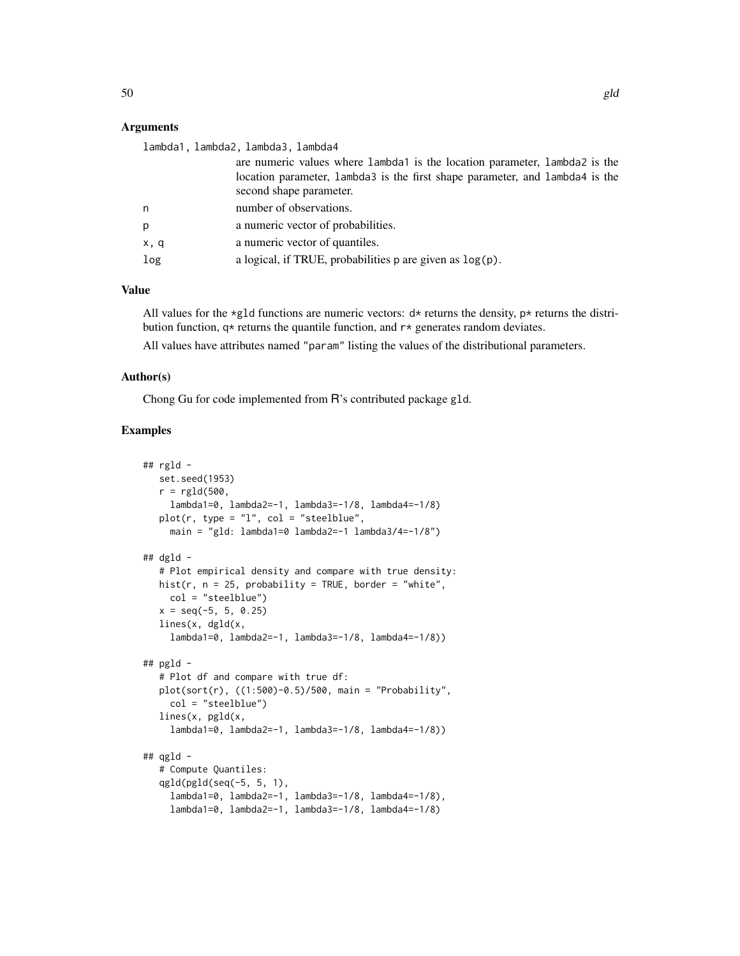# Arguments

| lambda1, lambda2, lambda3, lambda4 |                                                                              |
|------------------------------------|------------------------------------------------------------------------------|
|                                    | are numeric values where lambda1 is the location parameter, lambda2 is the   |
|                                    | location parameter, lambda3 is the first shape parameter, and lambda4 is the |
|                                    | second shape parameter.                                                      |
| n.                                 | number of observations.                                                      |
| p                                  | a numeric vector of probabilities.                                           |
| x, q                               | a numeric vector of quantiles.                                               |
| log                                | a logical, if TRUE, probabilities $p$ are given as $log(p)$ .                |

#### Value

All values for the \*g1d functions are numeric vectors:  $d*$  returns the density, p\* returns the distribution function,  $q*$  returns the quantile function, and  $r*$  generates random deviates.

All values have attributes named "param" listing the values of the distributional parameters.

## Author(s)

Chong Gu for code implemented from R's contributed package gld.

```
## rgld -
  set.seed(1953)
  r = \text{rgld}(500,lambda1=0, lambda2=-1, lambda3=-1/8, lambda4=-1/8)
  plot(r, type = "l", col = "steelblue",
    main = "gld: lambda1=0 lambda2=-1 lambda3/4=-1/8")
## dgld -
  # Plot empirical density and compare with true density:
  hist(r, n = 25, probability = TRUE, border = "white",
    col = "steelblue")
  x = seq(-5, 5, 0.25)lines(x, dgld(x,
     lambda1=0, lambda2=-1, lambda3=-1/8, lambda4=-1/8))
## pgld -
   # Plot df and compare with true df:
  plot(sort(r), ((1:500)-0.5)/500, main = "Probability",
     col = "steelblue")
   lines(x, pgld(x,
    lambda1=0, lambda2=-1, lambda3=-1/8, lambda4=-1/8))
## qgld -
   # Compute Quantiles:
  qgld(pgld(seq(-5, 5, 1),
     lambda1=0, lambda2=-1, lambda3=-1/8, lambda4=-1/8),
     lambda1=0, lambda2=-1, lambda3=-1/8, lambda4=-1/8)
```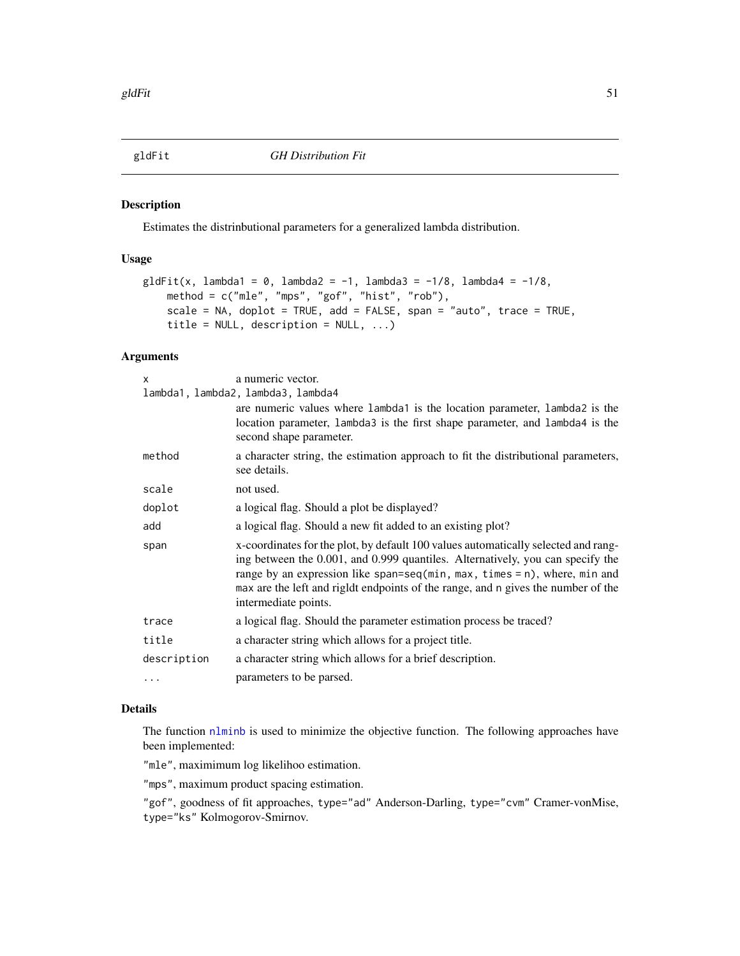Estimates the distrinbutional parameters for a generalized lambda distribution.

# Usage

```
g1dFit(x, lambda1 = 0, lambda2 = -1, lambda3 = -1/8, lambda4 = -1/8,method = c("mle", "mps", "gof", "hist", "rob"),
    scale = NA, doplot = TRUE, add = FALSE, span = "auto", trace = TRUE,
    title = NULL, description = NULL, ...)
```
## Arguments

| x           | a numeric vector.<br>lambda1, lambda2, lambda3, lambda4                                                                                                                                                                                                                                                                                                           |
|-------------|-------------------------------------------------------------------------------------------------------------------------------------------------------------------------------------------------------------------------------------------------------------------------------------------------------------------------------------------------------------------|
|             | are numeric values where lambda1 is the location parameter, lambda2 is the<br>location parameter, lambda3 is the first shape parameter, and lambda4 is the<br>second shape parameter.                                                                                                                                                                             |
| method      | a character string, the estimation approach to fit the distributional parameters,<br>see details.                                                                                                                                                                                                                                                                 |
| scale       | not used.                                                                                                                                                                                                                                                                                                                                                         |
| doplot      | a logical flag. Should a plot be displayed?                                                                                                                                                                                                                                                                                                                       |
| add         | a logical flag. Should a new fit added to an existing plot?                                                                                                                                                                                                                                                                                                       |
| span        | x-coordinates for the plot, by default 100 values automatically selected and rang-<br>ing between the 0.001, and 0.999 quantiles. Alternatively, you can specify the<br>range by an expression like span=seq(min, max, times = $n$ ), where, min and<br>max are the left and rigldt endpoints of the range, and n gives the number of the<br>intermediate points. |
| trace       | a logical flag. Should the parameter estimation process be traced?                                                                                                                                                                                                                                                                                                |
| title       | a character string which allows for a project title.                                                                                                                                                                                                                                                                                                              |
| description | a character string which allows for a brief description.                                                                                                                                                                                                                                                                                                          |
| $\cdots$    | parameters to be parsed.                                                                                                                                                                                                                                                                                                                                          |
|             |                                                                                                                                                                                                                                                                                                                                                                   |

# Details

The function [nlminb](#page-0-0) is used to minimize the objective function. The following approaches have been implemented:

"mle", maximimum log likelihoo estimation.

"mps", maximum product spacing estimation.

"gof", goodness of fit approaches, type="ad" Anderson-Darling, type="cvm" Cramer-vonMise, type="ks" Kolmogorov-Smirnov.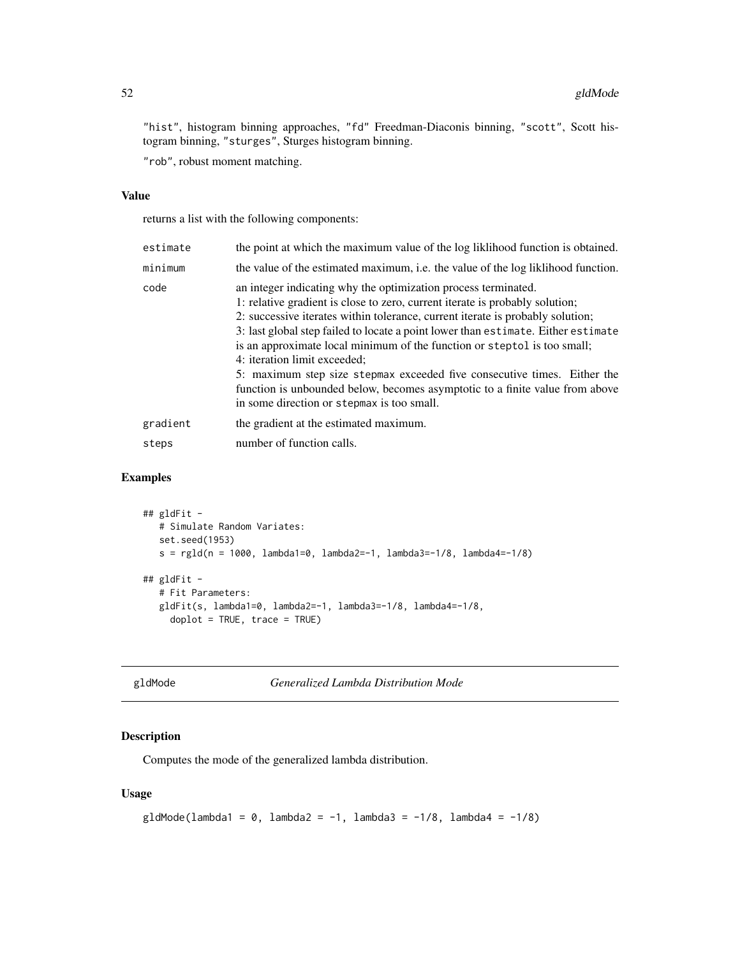"hist", histogram binning approaches, "fd" Freedman-Diaconis binning, "scott", Scott histogram binning, "sturges", Sturges histogram binning.

"rob", robust moment matching.

## Value

returns a list with the following components:

| estimate | the point at which the maximum value of the log likelihood function is obtained.                                                                                                                                                                                                                                                                                                                                                                                                                                                                                                                                                            |  |
|----------|---------------------------------------------------------------------------------------------------------------------------------------------------------------------------------------------------------------------------------------------------------------------------------------------------------------------------------------------------------------------------------------------------------------------------------------------------------------------------------------------------------------------------------------------------------------------------------------------------------------------------------------------|--|
| minimum  | the value of the estimated maximum, i.e. the value of the log liklihood function.                                                                                                                                                                                                                                                                                                                                                                                                                                                                                                                                                           |  |
| code     | an integer indicating why the optimization process terminated.<br>1: relative gradient is close to zero, current iterate is probably solution;<br>2: successive iterates within tolerance, current iterate is probably solution;<br>3: last global step failed to locate a point lower than estimate. Either estimate<br>is an approximate local minimum of the function or steptol is too small;<br>4: iteration limit exceeded;<br>5: maximum step size stepmax exceeded five consecutive times. Either the<br>function is unbounded below, becomes asymptotic to a finite value from above<br>in some direction or stepmax is too small. |  |
| gradient | the gradient at the estimated maximum.                                                                                                                                                                                                                                                                                                                                                                                                                                                                                                                                                                                                      |  |
| steps    | number of function calls.                                                                                                                                                                                                                                                                                                                                                                                                                                                                                                                                                                                                                   |  |

# Examples

```
## gldFit -
  # Simulate Random Variates:
  set.seed(1953)
  s = rgld(n = 1000, lambda1=0, lambda2=-1, lambda3=-1/8, lambda4=-1/8)## gldFit -
  # Fit Parameters:
  gldFit(s, lambda1=0, lambda2=-1, lambda3=-1/8, lambda4=-1/8,
    doplot = TRUE, trace = TRUE)
```

| gldMode |  |
|---------|--|
|---------|--|

Generalized Lambda Distribution Mode

# Description

Computes the mode of the generalized lambda distribution.

#### Usage

```
g1dMode(lambda1 = 0, lambda2 = -1, lambda3 = -1/8, lambda4 = -1/8)
```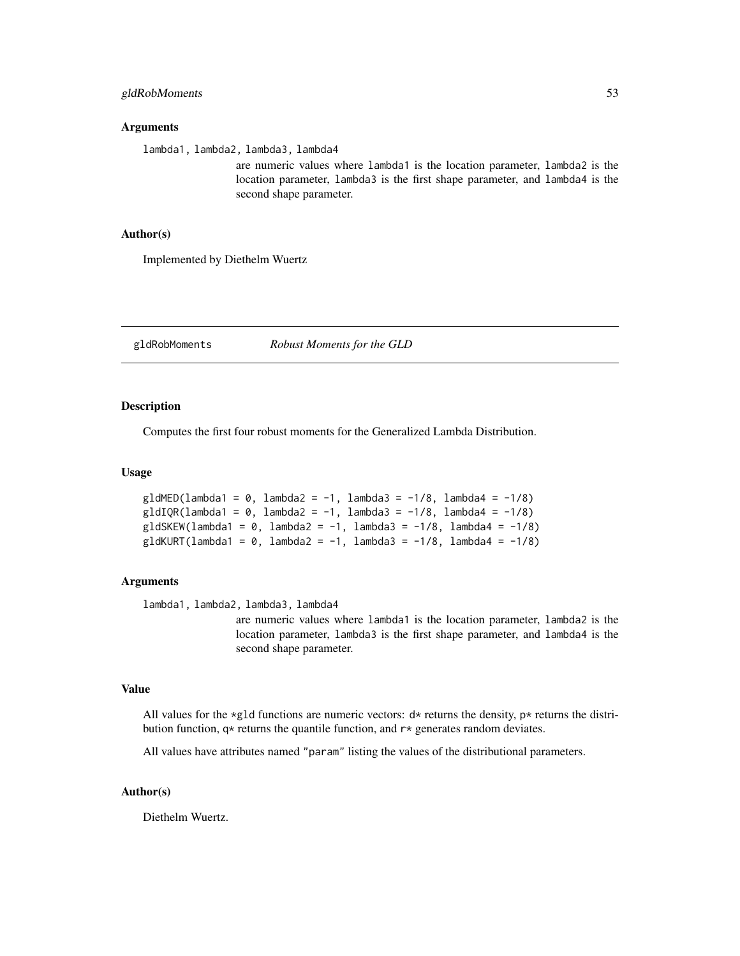#### Arguments

lambda1, lambda2, lambda3, lambda4

are numeric values where lambda1 is the location parameter, lambda2 is the location parameter, lambda3 is the first shape parameter, and lambda4 is the second shape parameter.

# Author(s)

Implemented by Diethelm Wuertz

gldRobMoments *Robust Moments for the GLD*

## Description

Computes the first four robust moments for the Generalized Lambda Distribution.

#### Usage

```
gldMED(lambda1 = 0, lambda2 = -1, lambda3 = -1/8, lambda4 = -1/8)
g1dIQR(lambda1 = 0, lambda2 = -1, lambda3 = -1/8, lambda4 = -1/8)gldSKEW(lambda1 = 0, lambda2 = -1, lambda3 = -1/8, lambda4 = -1/8)
gldKURT(lambda1 = 0, lambda2 = -1, lambda3 = -1/8, lambda4 = -1/8)
```
#### Arguments

lambda1, lambda2, lambda3, lambda4

are numeric values where lambda1 is the location parameter, lambda2 is the location parameter, lambda3 is the first shape parameter, and lambda4 is the second shape parameter.

# Value

All values for the \*g1d functions are numeric vectors:  $d*$  returns the density,  $p*$  returns the distribution function,  $q*$  returns the quantile function, and  $r*$  generates random deviates.

All values have attributes named "param" listing the values of the distributional parameters.

### Author(s)

Diethelm Wuertz.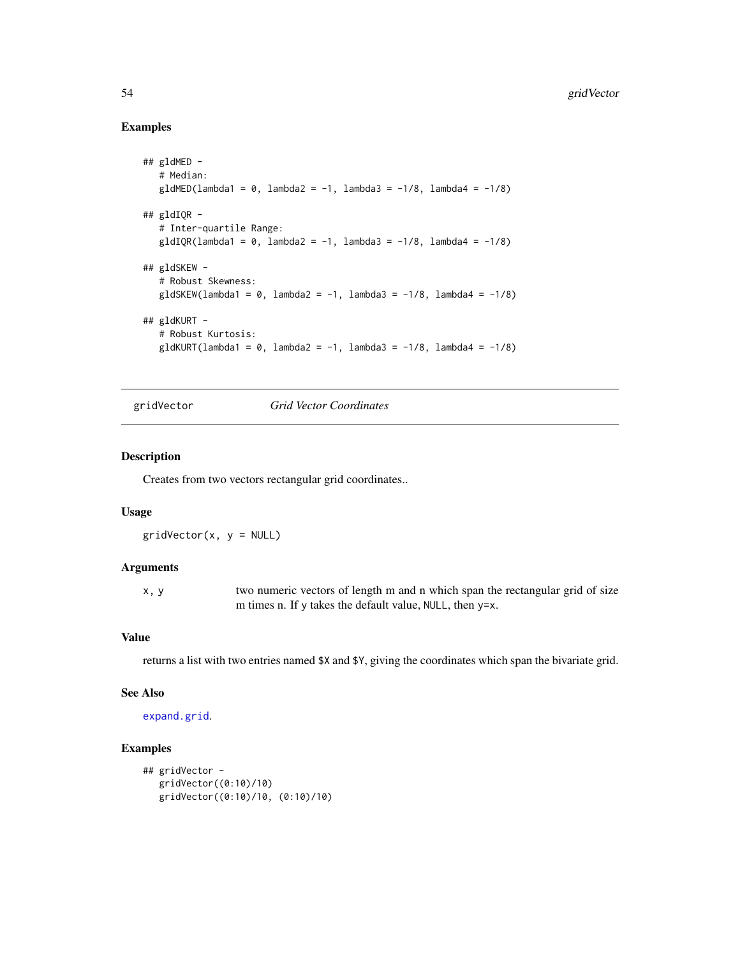# Examples

```
## gldMED -
  # Median:
  gldMED(lambda1 = 0, lambda2 = -1, lambda3 = -1/8, lambda4 = -1/8)
## gldIQR -
  # Inter-quartile Range:
  g1dIQR(lambda1 = 0, lambda2 = -1, lambda3 = -1/8, lambda4 = -1/8)## gldSKEW -
   # Robust Skewness:
  gldSKEW(lambda1 = 0, lambda2 = -1, lambda3 = -1/8, lambda4 = -1/8)
## gldKURT -
  # Robust Kurtosis:
  gldKURT(lambda1 = 0, lambda2 = -1, lambda3 = -1/8, lambda4 = -1/8)
```
gridVector *Grid Vector Coordinates*

# Description

Creates from two vectors rectangular grid coordinates..

## Usage

 $gridVector(x, y = NULL)$ 

# Arguments

x, y two numeric vectors of length m and n which span the rectangular grid of size m times n. If y takes the default value, NULL, then y=x.

# Value

returns a list with two entries named \$X and \$Y, giving the coordinates which span the bivariate grid.

# See Also

[expand.grid](#page-0-0).

```
## gridVector -
  gridVector((0:10)/10)
  gridVector((0:10)/10, (0:10)/10)
```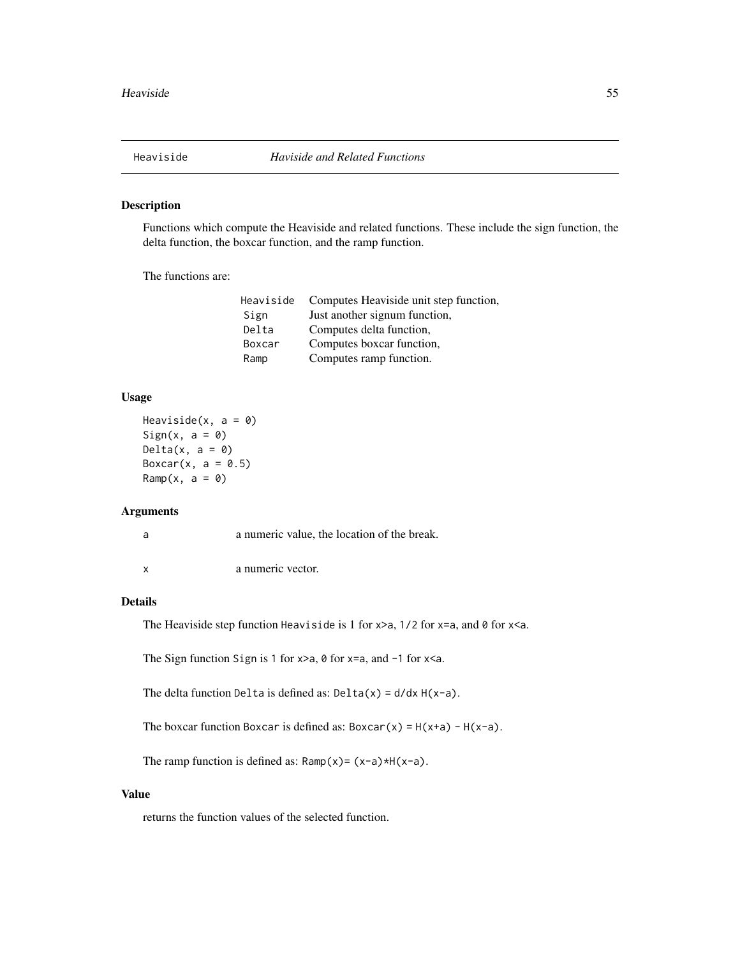Functions which compute the Heaviside and related functions. These include the sign function, the delta function, the boxcar function, and the ramp function.

The functions are:

| Heaviside | Computes Heaviside unit step function, |
|-----------|----------------------------------------|
| Sign      | Just another signum function,          |
| Delta     | Computes delta function,               |
| Boxcar    | Computes boxcar function,              |
| Ramp      | Computes ramp function.                |

# Usage

```
Heaviside(x, a = 0)
Sign(x, a = 0)Delta(x, a = 0)Boxcar(x, a = 0.5)
Ramp(x, a = 0)
```
# Arguments

| a | a numeric value, the location of the break. |
|---|---------------------------------------------|
|   | a numeric vector.                           |

## Details

The Heaviside step function Heaviside is 1 for  $x>a$ , 1/2 for  $x=a$ , and 0 for  $x.$ 

The Sign function Sign is 1 for  $x>a$ ,  $\theta$  for  $x=a$ , and  $-1$  for  $x.$ 

The delta function Delta is defined as:  $Delta(x) = d/dx H(x-a)$ .

The boxcar function Boxcar is defined as:  $Boxar(x) = H(x+a) - H(x-a)$ .

The ramp function is defined as:  $Ramp(x)= (x-a)*H(x-a)$ .

# Value

returns the function values of the selected function.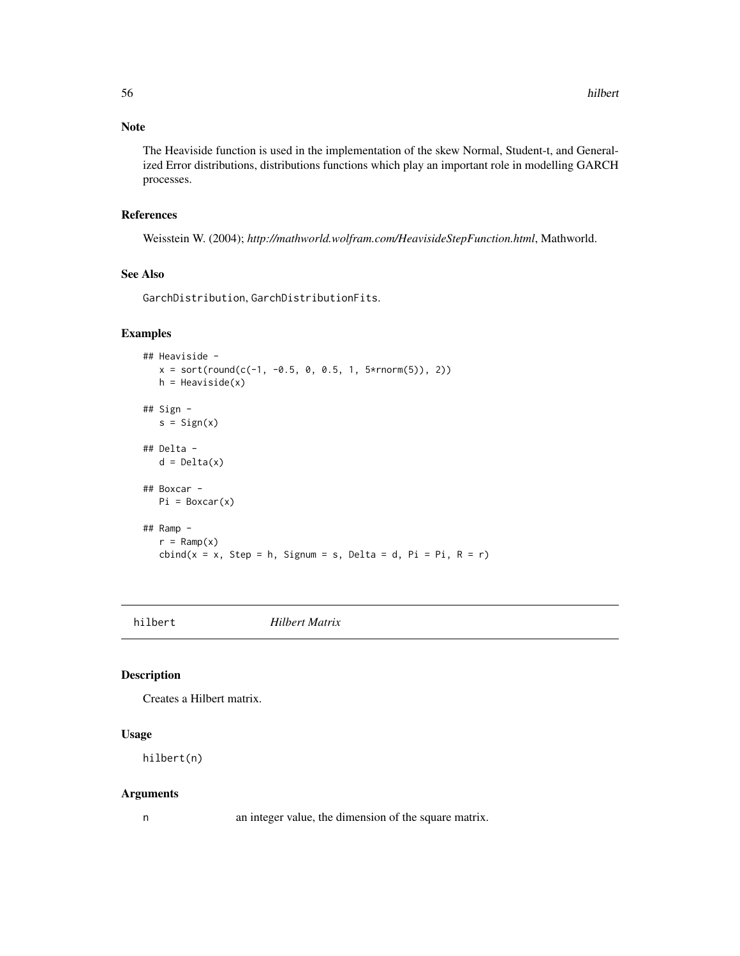## Note

The Heaviside function is used in the implementation of the skew Normal, Student-t, and Generalized Error distributions, distributions functions which play an important role in modelling GARCH processes.

# References

Weisstein W. (2004); *http://mathworld.wolfram.com/HeavisideStepFunction.html*, Mathworld.

## See Also

GarchDistribution, GarchDistributionFits.

#### Examples

```
## Heaviside -
  x = sort(round(c(-1, -0.5, 0, 0.5, 1, 5*rnorm(5)), 2))h = Heaviside(x)## Sign -
  s = Sign(x)## Delta -
  d = \Delta(x)## Boxcar -
  Pi = Boxcar(x)
## Ramp -
  r = \text{Ramp}(x)cbind(x = x, Step = h, Sigma = s, Delta = d, Pi = Pi, R = r)
```
hilbert *Hilbert Matrix*

## Description

Creates a Hilbert matrix.

## Usage

hilbert(n)

#### Arguments

n an integer value, the dimension of the square matrix.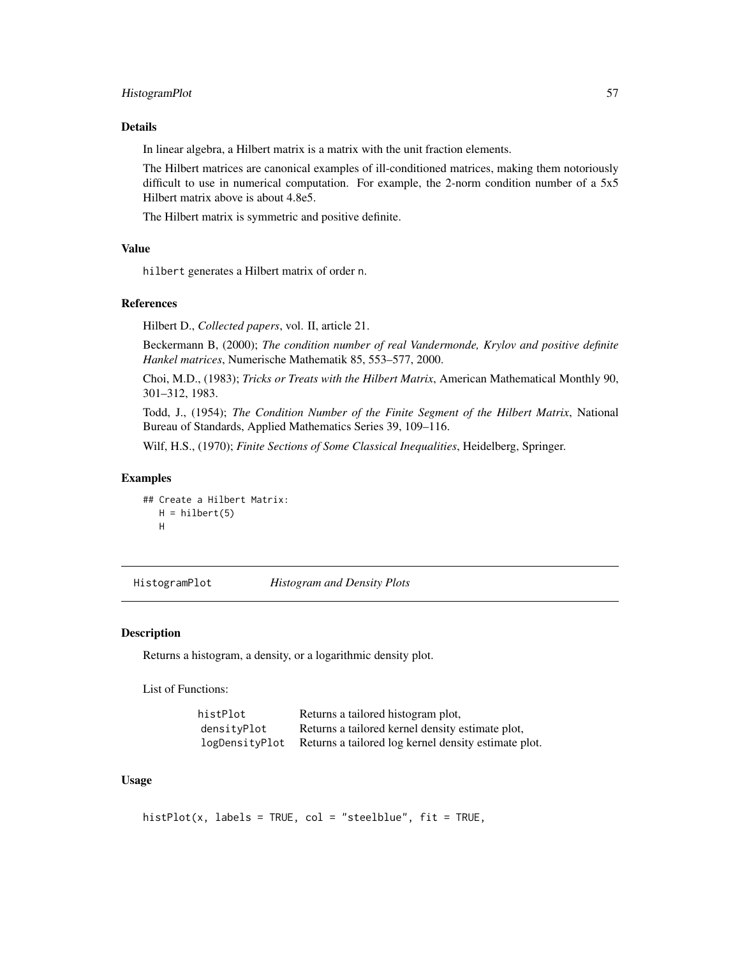# HistogramPlot 57

# Details

In linear algebra, a Hilbert matrix is a matrix with the unit fraction elements.

The Hilbert matrices are canonical examples of ill-conditioned matrices, making them notoriously difficult to use in numerical computation. For example, the 2-norm condition number of a 5x5 Hilbert matrix above is about 4.8e5.

The Hilbert matrix is symmetric and positive definite.

#### Value

hilbert generates a Hilbert matrix of order n.

#### References

Hilbert D., *Collected papers*, vol. II, article 21.

Beckermann B, (2000); *The condition number of real Vandermonde, Krylov and positive definite Hankel matrices*, Numerische Mathematik 85, 553–577, 2000.

Choi, M.D., (1983); *Tricks or Treats with the Hilbert Matrix*, American Mathematical Monthly 90, 301–312, 1983.

Todd, J., (1954); *The Condition Number of the Finite Segment of the Hilbert Matrix*, National Bureau of Standards, Applied Mathematics Series 39, 109–116.

Wilf, H.S., (1970); *Finite Sections of Some Classical Inequalities*, Heidelberg, Springer.

# Examples

```
## Create a Hilbert Matrix:
  H = hilbert(5)H
```
HistogramPlot *Histogram and Density Plots*

#### Description

Returns a histogram, a density, or a logarithmic density plot.

List of Functions:

| histPlot       | Returns a tailored histogram plot,                   |
|----------------|------------------------------------------------------|
| densitvPlot    | Returns a tailored kernel density estimate plot,     |
| logDensityPlot | Returns a tailored log kernel density estimate plot. |

#### Usage

```
histPlot(x, labels = TRUE, col = "steelblue", fit = TRUE,
```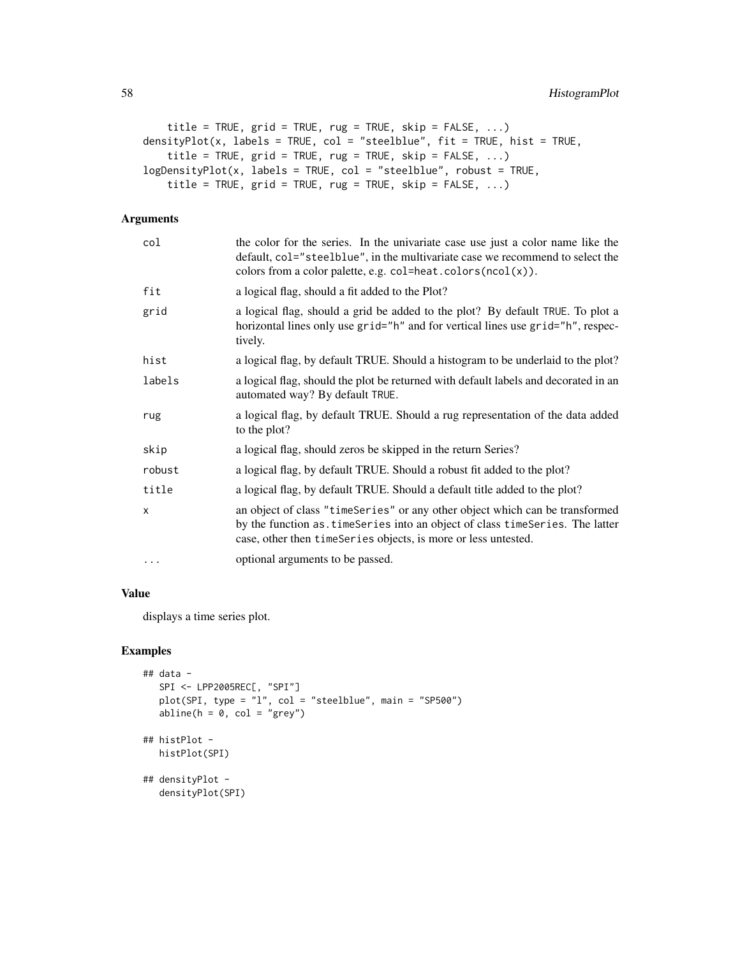```
title = TRUE, grid = TRUE, rug = TRUE, skip = FALSE, ...)
densityPlot(x, labels = TRUE, col = "steelblue", fit = TRUE, hist = TRUE,
   title = TRUE, grid = TRUE, rug = TRUE, skip = FALSE, ...)
logDensityPlot(x, labels = TRUE, col = "steelblue", robust = TRUE,
    title = TRUE, grid = TRUE, rug = TRUE, skip = FALSE, ...)
```
# Arguments

| col      | the color for the series. In the univariate case use just a color name like the<br>default, col="steelblue", in the multivariate case we recommend to select the<br>colors from a color palette, e.g. col=heat.colors(ncol(x)). |
|----------|---------------------------------------------------------------------------------------------------------------------------------------------------------------------------------------------------------------------------------|
| fit      | a logical flag, should a fit added to the Plot?                                                                                                                                                                                 |
| grid     | a logical flag, should a grid be added to the plot? By default TRUE. To plot a<br>horizontal lines only use grid="h" and for vertical lines use grid="h", respec-<br>tively.                                                    |
| hist     | a logical flag, by default TRUE. Should a histogram to be underlaid to the plot?                                                                                                                                                |
| labels   | a logical flag, should the plot be returned with default labels and decorated in an<br>automated way? By default TRUE.                                                                                                          |
| rug      | a logical flag, by default TRUE. Should a rug representation of the data added<br>to the plot?                                                                                                                                  |
| skip     | a logical flag, should zeros be skipped in the return Series?                                                                                                                                                                   |
| robust   | a logical flag, by default TRUE. Should a robust fit added to the plot?                                                                                                                                                         |
| title    | a logical flag, by default TRUE. Should a default title added to the plot?                                                                                                                                                      |
| x        | an object of class "timeSeries" or any other object which can be transformed<br>by the function as. timeSeries into an object of class timeSeries. The latter<br>case, other then timeSeries objects, is more or less untested. |
| $\cdots$ | optional arguments to be passed.                                                                                                                                                                                                |

# Value

displays a time series plot.

```
## data -
  SPI <- LPP2005REC[, "SPI"]
  plot(SPI, type = i'1", col = "steelblue", main = "SP500")
   abline(h = 0, col = "grey")## histPlot -
  histPlot(SPI)
## densityPlot -
  densityPlot(SPI)
```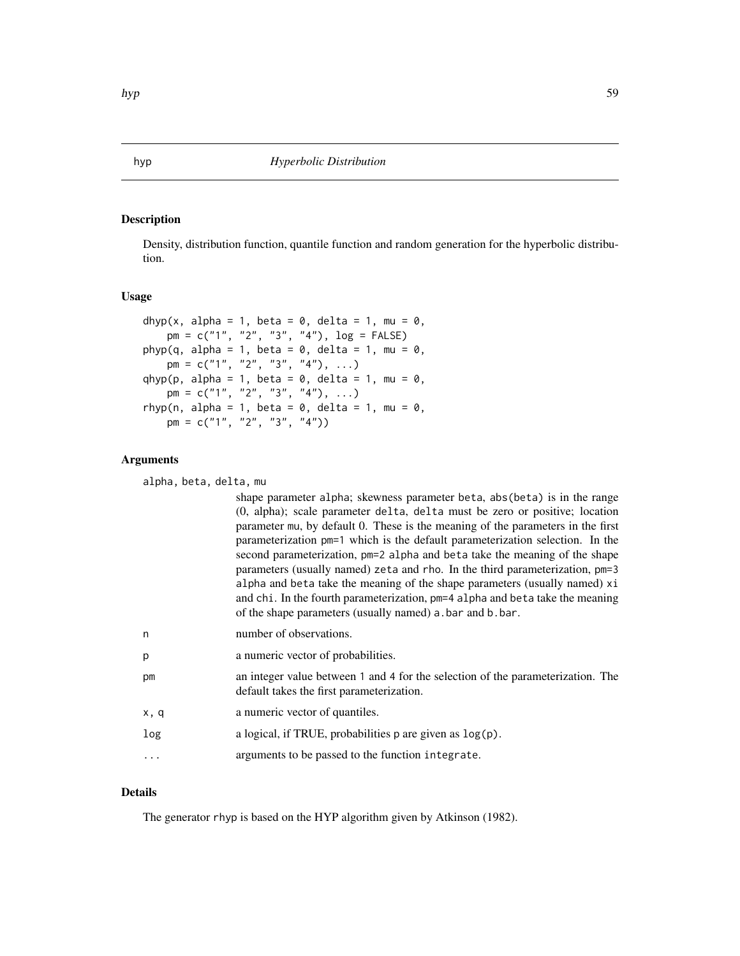Density, distribution function, quantile function and random generation for the hyperbolic distribution.

#### Usage

```
dhyp(x, alpha = 1, beta = 0, delta = 1, mu = 0,
   pm = c("1", "2", "3", "4"), log = FALSE)
phyp(q, alpha = 1, beta = 0, delta = 1, mu = 0,
   pm = c("1", "2", "3", "4"), ...qhyp(p, alpha = 1, beta = 0, delta = 1, mu = 0,
   pm = c("1", "2", "3", "4"), ...rhyp(n, alpha = 1, beta = 0, delta = 1, mu = 0,
   pm = c("1", "2", "3", "4")
```
# Arguments

alpha, beta, delta, mu

|      | shape parameter alpha; skewness parameter beta, abs (beta) is in the range<br>(0, alpha); scale parameter delta, delta must be zero or positive; location<br>parameter mu, by default 0. These is the meaning of the parameters in the first<br>parameterization pm=1 which is the default parameterization selection. In the<br>second parameterization, pm=2 alpha and beta take the meaning of the shape<br>parameters (usually named) zeta and rho. In the third parameterization, pm=3<br>alpha and beta take the meaning of the shape parameters (usually named) xi<br>and chi. In the fourth parameterization, pm=4 alpha and beta take the meaning<br>of the shape parameters (usually named) a bar and b bar. |
|------|------------------------------------------------------------------------------------------------------------------------------------------------------------------------------------------------------------------------------------------------------------------------------------------------------------------------------------------------------------------------------------------------------------------------------------------------------------------------------------------------------------------------------------------------------------------------------------------------------------------------------------------------------------------------------------------------------------------------|
| n    | number of observations.                                                                                                                                                                                                                                                                                                                                                                                                                                                                                                                                                                                                                                                                                                |
| p    | a numeric vector of probabilities.                                                                                                                                                                                                                                                                                                                                                                                                                                                                                                                                                                                                                                                                                     |
| рm   | an integer value between 1 and 4 for the selection of the parameterization. The<br>default takes the first parameterization.                                                                                                                                                                                                                                                                                                                                                                                                                                                                                                                                                                                           |
| x, q | a numeric vector of quantiles.                                                                                                                                                                                                                                                                                                                                                                                                                                                                                                                                                                                                                                                                                         |

- log a logical, if TRUE, probabilities p are given as  $log(p)$ .
- ... arguments to be passed to the function integrate.

## Details

The generator rhyp is based on the HYP algorithm given by Atkinson (1982).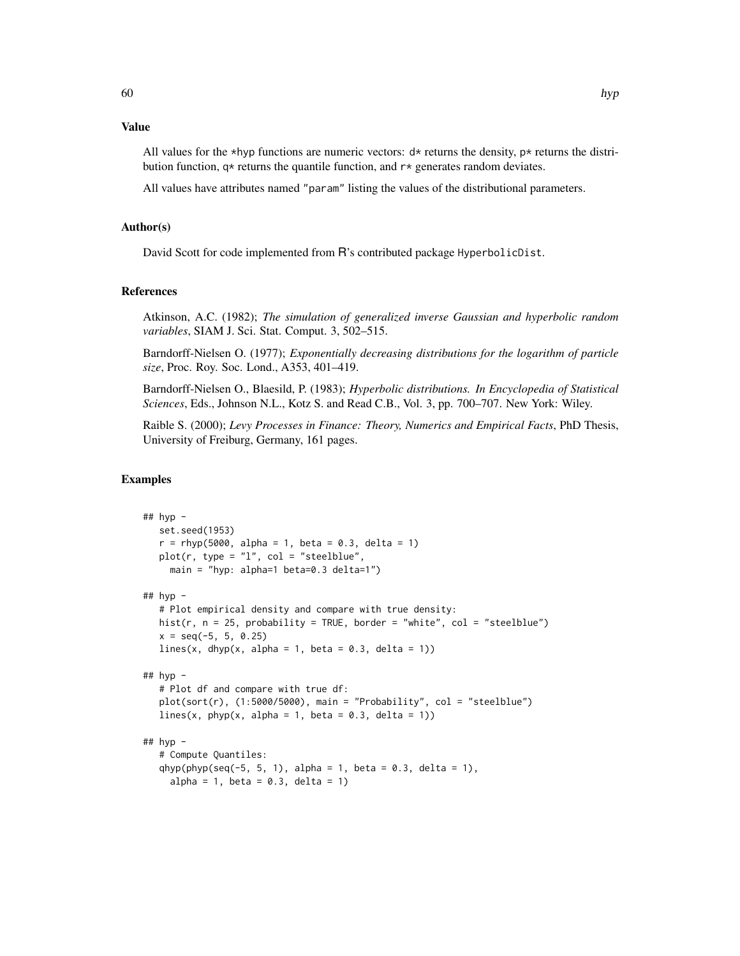# Value

All values for the \*hyp functions are numeric vectors:  $d*$  returns the density,  $p*$  returns the distribution function,  $q*$  returns the quantile function, and  $r*$  generates random deviates.

All values have attributes named "param" listing the values of the distributional parameters.

### Author(s)

David Scott for code implemented from R's contributed package HyperbolicDist.

# References

Atkinson, A.C. (1982); *The simulation of generalized inverse Gaussian and hyperbolic random variables*, SIAM J. Sci. Stat. Comput. 3, 502–515.

Barndorff-Nielsen O. (1977); *Exponentially decreasing distributions for the logarithm of particle size*, Proc. Roy. Soc. Lond., A353, 401–419.

Barndorff-Nielsen O., Blaesild, P. (1983); *Hyperbolic distributions. In Encyclopedia of Statistical Sciences*, Eds., Johnson N.L., Kotz S. and Read C.B., Vol. 3, pp. 700–707. New York: Wiley.

Raible S. (2000); *Levy Processes in Finance: Theory, Numerics and Empirical Facts*, PhD Thesis, University of Freiburg, Germany, 161 pages.

```
## hyp -
  set.seed(1953)
  r = rhyp(5000, alpha = 1, beta = 0.3, delta = 1)plot(r, type = "l", col = "steelblue",main = "hyp: alpha=1 beta=0.3 delta=1")
## hyp -# Plot empirical density and compare with true density:
  hist(r, n = 25, probability = TRUE, border = "white", col = "steelblue")
  x = seq(-5, 5, 0.25)lines(x, dhyp(x, alpha = 1, beta = 0.3, delta = 1))
## hyp -
   # Plot df and compare with true df:
  plot(sort(r), (1:5000/5000), main = "Probability", col = "steelblue")
  lines(x, phyp(x, alpha = 1, beta = 0.3, delta = 1))
## hyp -
   # Compute Quantiles:
  qhyp(phyp(seq(-5, 5, 1), alpha = 1, beta = 0.3, delta = 1),alpha = 1, beta = 0.3, delta = 1)
```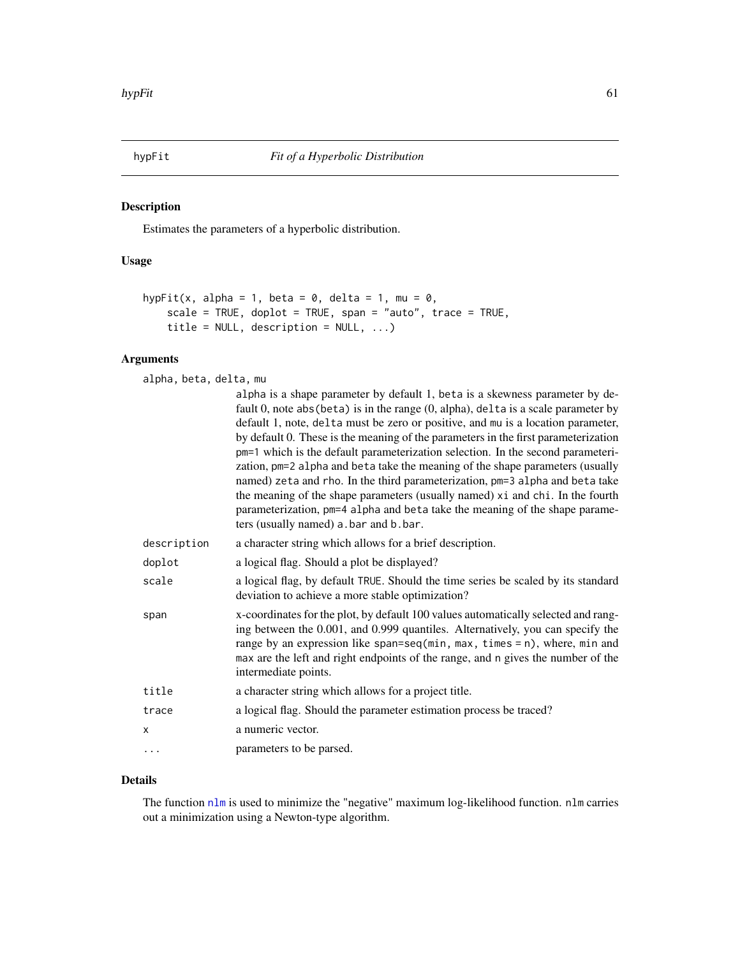Estimates the parameters of a hyperbolic distribution.

# Usage

```
hypFit(x, alpha = 1, beta = 0, delta = 1, mu = 0,
    scale = TRUE, doplot = TRUE, span = "auto", trace = TRUE,
    title = NULL, description = NULL, ...)
```
# Arguments

alpha, beta, delta, mu

|             | alpha is a shape parameter by default 1, beta is a skewness parameter by de-<br>fault 0, note abs (beta) is in the range $(0, \text{alpha})$ , delta is a scale parameter by<br>default 1, note, delta must be zero or positive, and mu is a location parameter,<br>by default 0. These is the meaning of the parameters in the first parameterization<br>pm=1 which is the default parameterization selection. In the second parameteri-<br>zation, pm=2 alpha and beta take the meaning of the shape parameters (usually<br>named) zeta and rho. In the third parameterization, pm=3 alpha and beta take<br>the meaning of the shape parameters (usually named) xi and chi. In the fourth<br>parameterization, pm=4 alpha and beta take the meaning of the shape parame-<br>ters (usually named) a bar and b bar. |  |
|-------------|---------------------------------------------------------------------------------------------------------------------------------------------------------------------------------------------------------------------------------------------------------------------------------------------------------------------------------------------------------------------------------------------------------------------------------------------------------------------------------------------------------------------------------------------------------------------------------------------------------------------------------------------------------------------------------------------------------------------------------------------------------------------------------------------------------------------|--|
| description | a character string which allows for a brief description.                                                                                                                                                                                                                                                                                                                                                                                                                                                                                                                                                                                                                                                                                                                                                            |  |
| doplot      | a logical flag. Should a plot be displayed?                                                                                                                                                                                                                                                                                                                                                                                                                                                                                                                                                                                                                                                                                                                                                                         |  |
| scale       | a logical flag, by default TRUE. Should the time series be scaled by its standard<br>deviation to achieve a more stable optimization?                                                                                                                                                                                                                                                                                                                                                                                                                                                                                                                                                                                                                                                                               |  |
| span        | x-coordinates for the plot, by default 100 values automatically selected and rang-<br>ing between the 0.001, and 0.999 quantiles. Alternatively, you can specify the<br>range by an expression like span=seq( $min$ , $max$ , $times$ = n), where, $min$ and<br>max are the left and right endpoints of the range, and n gives the number of the<br>intermediate points.                                                                                                                                                                                                                                                                                                                                                                                                                                            |  |
| title       | a character string which allows for a project title.                                                                                                                                                                                                                                                                                                                                                                                                                                                                                                                                                                                                                                                                                                                                                                |  |
| trace       | a logical flag. Should the parameter estimation process be traced?                                                                                                                                                                                                                                                                                                                                                                                                                                                                                                                                                                                                                                                                                                                                                  |  |
| X           | a numeric vector.                                                                                                                                                                                                                                                                                                                                                                                                                                                                                                                                                                                                                                                                                                                                                                                                   |  |
| .           | parameters to be parsed.                                                                                                                                                                                                                                                                                                                                                                                                                                                                                                                                                                                                                                                                                                                                                                                            |  |

# Details

The function [nlm](#page-0-0) is used to minimize the "negative" maximum log-likelihood function. nlm carries out a minimization using a Newton-type algorithm.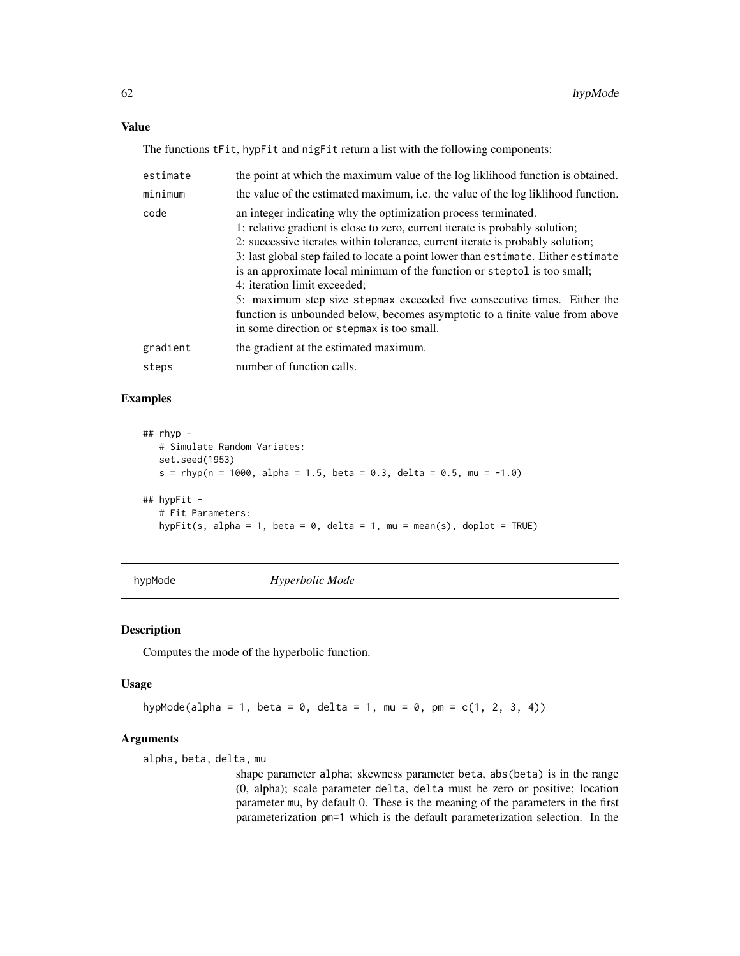## Value

The functions tFit, hypFit and nigFit return a list with the following components:

| estimate | the point at which the maximum value of the log liklihood function is obtained.                                                                                                                                                                                                                                                                                                                                                                                                                                                                                                                                                             |  |
|----------|---------------------------------------------------------------------------------------------------------------------------------------------------------------------------------------------------------------------------------------------------------------------------------------------------------------------------------------------------------------------------------------------------------------------------------------------------------------------------------------------------------------------------------------------------------------------------------------------------------------------------------------------|--|
| minimum  | the value of the estimated maximum, i.e. the value of the log liklihood function.                                                                                                                                                                                                                                                                                                                                                                                                                                                                                                                                                           |  |
| code     | an integer indicating why the optimization process terminated.<br>1: relative gradient is close to zero, current iterate is probably solution;<br>2: successive iterates within tolerance, current iterate is probably solution;<br>3: last global step failed to locate a point lower than estimate. Either estimate<br>is an approximate local minimum of the function or steptol is too small;<br>4: iteration limit exceeded;<br>5: maximum step size stepmax exceeded five consecutive times. Either the<br>function is unbounded below, becomes asymptotic to a finite value from above<br>in some direction or stepmax is too small. |  |
| gradient | the gradient at the estimated maximum.                                                                                                                                                                                                                                                                                                                                                                                                                                                                                                                                                                                                      |  |
| steps    | number of function calls.                                                                                                                                                                                                                                                                                                                                                                                                                                                                                                                                                                                                                   |  |

# Examples

```
## rhyp -
   # Simulate Random Variates:
   set.seed(1953)
   s = rhyp(n = 1000, alpha = 1.5, beta = 0.3, delta = 0.5, mu = -1.0)
## hypFit -
   # Fit Parameters:
   hypFit(s, alpha = 1, beta = 0, delta = 1, mu = mean(s), doplot = TRUE)
```
hypMode *Hyperbolic Mode*

# Description

Computes the mode of the hyperbolic function.

#### Usage

```
hypMode(alpha = 1, beta = 0, delta = 1, mu = 0, pm = c(1, 2, 3, 4))
```
# Arguments

alpha, beta, delta, mu

shape parameter alpha; skewness parameter beta, abs(beta) is in the range (0, alpha); scale parameter delta, delta must be zero or positive; location parameter mu, by default 0. These is the meaning of the parameters in the first parameterization pm=1 which is the default parameterization selection. In the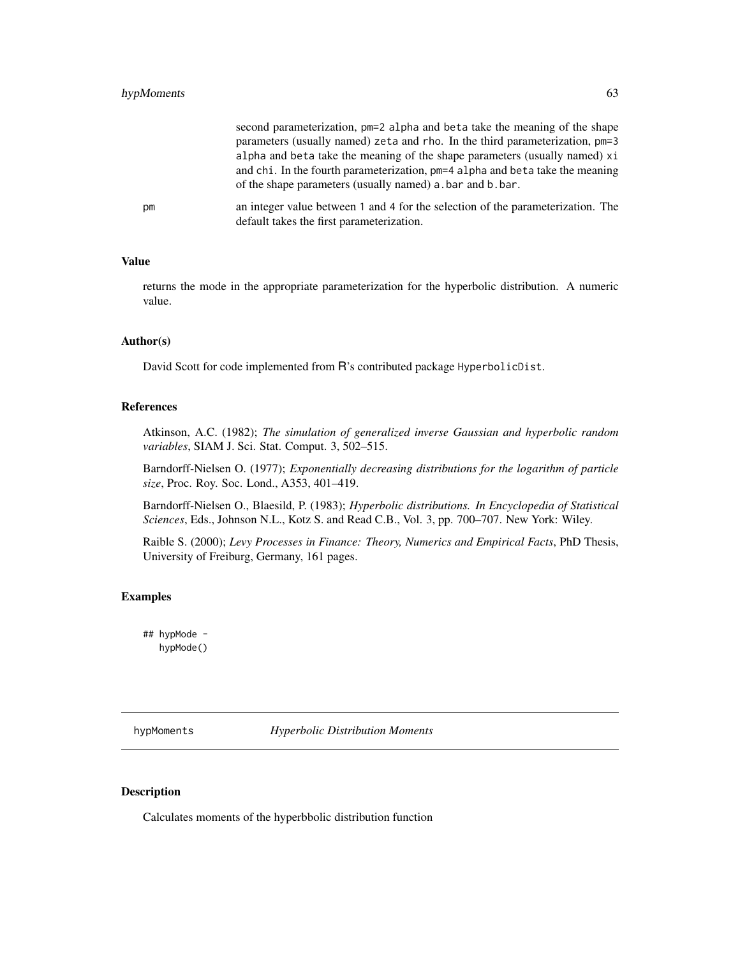# hypMoments 63

|    | second parameterization, pm=2 alpha and beta take the meaning of the shape<br>parameters (usually named) zeta and rho. In the third parameterization, pm=3<br>alpha and beta take the meaning of the shape parameters (usually named) xi |
|----|------------------------------------------------------------------------------------------------------------------------------------------------------------------------------------------------------------------------------------------|
|    | and chi. In the fourth parameterization, pm=4 alpha and beta take the meaning<br>of the shape parameters (usually named) a bar and b bar.                                                                                                |
| рm | an integer value between 1 and 4 for the selection of the parameterization. The<br>default takes the first parameterization.                                                                                                             |

#### Value

returns the mode in the appropriate parameterization for the hyperbolic distribution. A numeric value.

#### Author(s)

David Scott for code implemented from R's contributed package HyperbolicDist.

#### References

Atkinson, A.C. (1982); *The simulation of generalized inverse Gaussian and hyperbolic random variables*, SIAM J. Sci. Stat. Comput. 3, 502–515.

Barndorff-Nielsen O. (1977); *Exponentially decreasing distributions for the logarithm of particle size*, Proc. Roy. Soc. Lond., A353, 401–419.

Barndorff-Nielsen O., Blaesild, P. (1983); *Hyperbolic distributions. In Encyclopedia of Statistical Sciences*, Eds., Johnson N.L., Kotz S. and Read C.B., Vol. 3, pp. 700–707. New York: Wiley.

Raible S. (2000); *Levy Processes in Finance: Theory, Numerics and Empirical Facts*, PhD Thesis, University of Freiburg, Germany, 161 pages.

# Examples

## hypMode hypMode()

hypMoments *Hyperbolic Distribution Moments*

# Description

Calculates moments of the hyperbbolic distribution function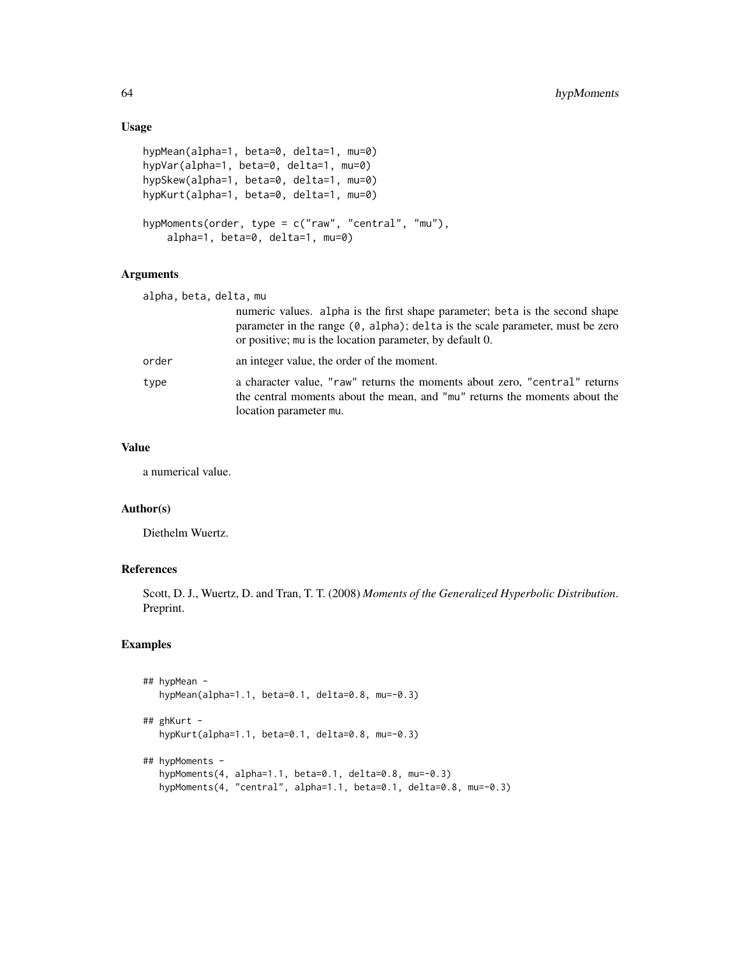# Usage

```
hypMean(alpha=1, beta=0, delta=1, mu=0)
hypVar(alpha=1, beta=0, delta=1, mu=0)
hypSkew(alpha=1, beta=0, delta=1, mu=0)
hypKurt(alpha=1, beta=0, delta=1, mu=0)
hypMoments(order, type = c("raw", "central", "mu"),
   alpha=1, beta=0, delta=1, mu=0)
```
## Arguments

| alpha, beta, delta, mu |                                                                                                                                                                                                                                     |  |
|------------------------|-------------------------------------------------------------------------------------------------------------------------------------------------------------------------------------------------------------------------------------|--|
|                        | numeric values. alpha is the first shape parameter; beta is the second shape<br>parameter in the range $(0, \text{alpha})$ ; delta is the scale parameter, must be zero<br>or positive; mu is the location parameter, by default 0. |  |
| order                  | an integer value, the order of the moment.                                                                                                                                                                                          |  |
| type                   | a character value, "raw" returns the moments about zero, "central" returns<br>the central moments about the mean, and "mu" returns the moments about the<br>location parameter mu.                                                  |  |

# Value

a numerical value.

# Author(s)

Diethelm Wuertz.

# References

Scott, D. J., Wuertz, D. and Tran, T. T. (2008) *Moments of the Generalized Hyperbolic Distribution*. Preprint.

```
## hypMean -
  hypMean(alpha=1.1, beta=0.1, delta=0.8, mu=-0.3)
## ghKurt -
  hypKurt(alpha=1.1, beta=0.1, delta=0.8, mu=-0.3)
## hypMoments -
  hypMoments(4, alpha=1.1, beta=0.1, delta=0.8, mu=-0.3)
  hypMoments(4, "central", alpha=1.1, beta=0.1, delta=0.8, mu=-0.3)
```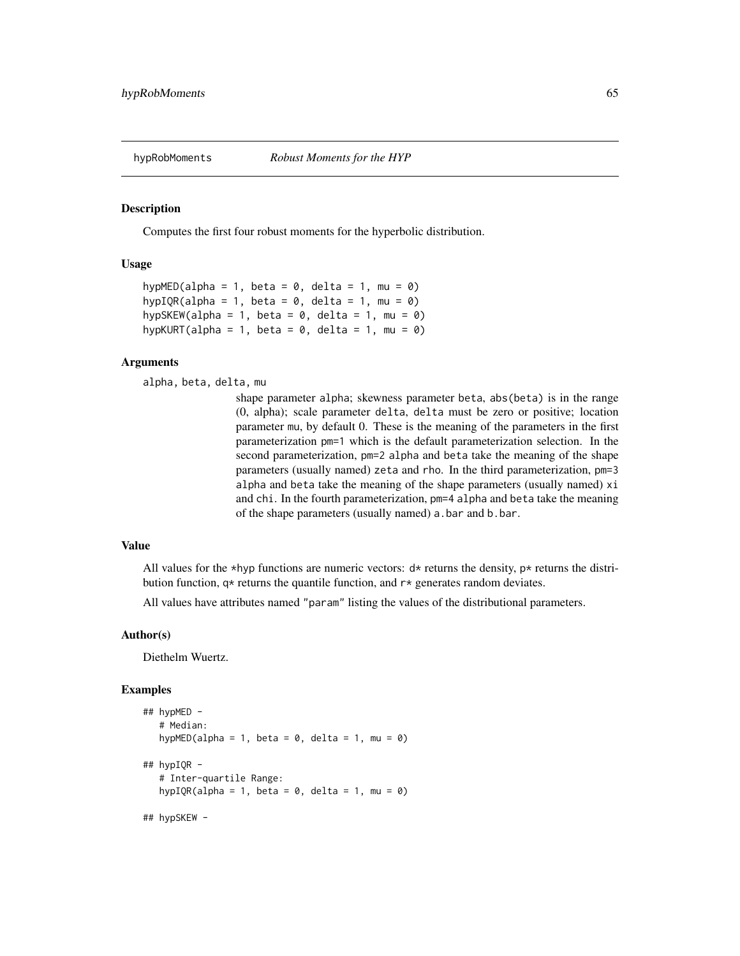Computes the first four robust moments for the hyperbolic distribution.

## Usage

```
hypMED(alpha = 1, beta = 0, delta = 1, mu = 0)
hypIQR(alpha = 1, beta = 0, delta = 1, mu = 0)
hypSKEW(alpha = 1, beta = 0, delta = 1, mu = 0)
hypKURT(alpha = 1, beta = 0, delta = 1, mu = 0)
```
#### Arguments

alpha, beta, delta, mu

shape parameter alpha; skewness parameter beta, abs(beta) is in the range (0, alpha); scale parameter delta, delta must be zero or positive; location parameter mu, by default 0. These is the meaning of the parameters in the first parameterization pm=1 which is the default parameterization selection. In the second parameterization, pm=2 alpha and beta take the meaning of the shape parameters (usually named) zeta and rho. In the third parameterization, pm=3 alpha and beta take the meaning of the shape parameters (usually named) xi and chi. In the fourth parameterization, pm=4 alpha and beta take the meaning of the shape parameters (usually named) a.bar and b.bar.

# Value

All values for the \*hyp functions are numeric vectors:  $d*$  returns the density,  $p*$  returns the distribution function,  $q*$  returns the quantile function, and  $r*$  generates random deviates.

All values have attributes named "param" listing the values of the distributional parameters.

## Author(s)

Diethelm Wuertz.

```
## hypMED -
  # Median:
  hypMED(alpha = 1, beta = 0, delta = 1, mu = 0)
## hypIQR -
  # Inter-quartile Range:
  hypIQR(alpha = 1, beta = 0, delta = 1, mu = 0)
## hypSKEW -
```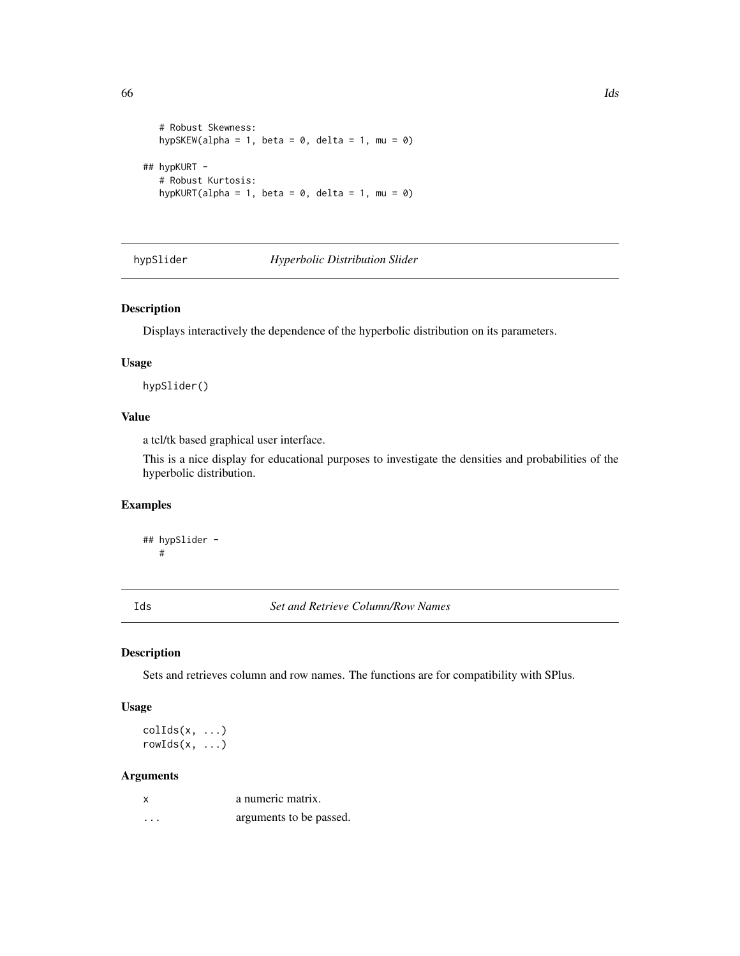```
# Robust Skewness:
  hypSKEW(alpha = 1, beta = 0, delta = 1, mu = 0)
## hypKURT -
  # Robust Kurtosis:
  hypKURT(alpha = 1, beta = 0, delta = 1, mu = 0)
```
hypSlider *Hyperbolic Distribution Slider*

## Description

Displays interactively the dependence of the hyperbolic distribution on its parameters.

#### Usage

hypSlider()

# Value

a tcl/tk based graphical user interface.

This is a nice display for educational purposes to investigate the densities and probabilities of the hyperbolic distribution.

# Examples

## hypSlider - #

Ids *Set and Retrieve Column/Row Names*

#### Description

Sets and retrieves column and row names. The functions are for compatibility with SPlus.

#### Usage

 $collids(x, \ldots)$  $rowIds(x, \ldots)$ 

|   | a numeric matrix.       |
|---|-------------------------|
| . | arguments to be passed. |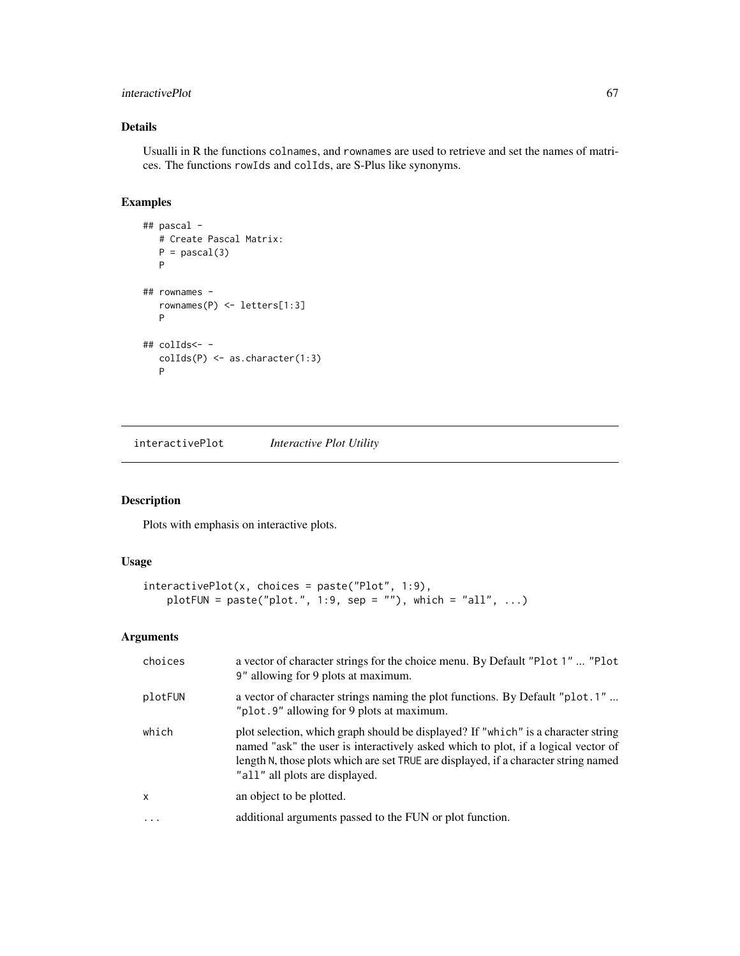# interactivePlot 67

# Details

Usualli in R the functions colnames, and rownames are used to retrieve and set the names of matrices. The functions rowIds and colIds, are S-Plus like synonyms.

# Examples

```
## pascal -
  # Create Pascal Matrix:
  P = pascal(3)P
## rownames -
  rownames(P) <- letters[1:3]
  P
## colIds<- -
  colIds(P) <- as.character(1:3)
  P
```
interactivePlot *Interactive Plot Utility*

# Description

Plots with emphasis on interactive plots.

# Usage

```
interactivePlot(x, choices = paste("Plot", 1:9),
   plotFUN = paste("plot.", 1:9, sep = ""), which = "all", ...)
```

| choices      | a vector of character strings for the choice menu. By Default "Plot 1"  "Plot<br>9" allowing for 9 plots at maximum.                                                                                                                                                                            |  |
|--------------|-------------------------------------------------------------------------------------------------------------------------------------------------------------------------------------------------------------------------------------------------------------------------------------------------|--|
| plotFUN      | a vector of character strings naming the plot functions. By Default "plot.1"<br>"plot.9" allowing for 9 plots at maximum.                                                                                                                                                                       |  |
| which        | plot selection, which graph should be displayed? If "which" is a character string<br>named "ask" the user is interactively asked which to plot, if a logical vector of<br>length N, those plots which are set TRUE are displayed, if a character string named<br>"all" all plots are displayed. |  |
| $\mathsf{x}$ | an object to be plotted.                                                                                                                                                                                                                                                                        |  |
| $\ddots$     | additional arguments passed to the FUN or plot function.                                                                                                                                                                                                                                        |  |
|              |                                                                                                                                                                                                                                                                                                 |  |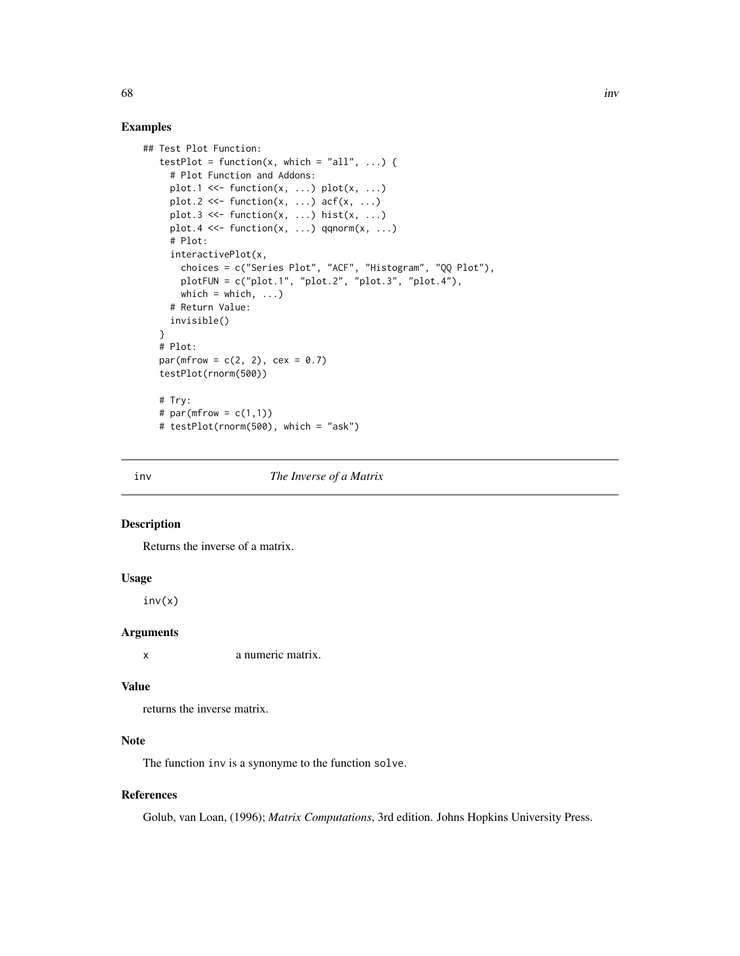## Examples

```
## Test Plot Function:
  testPlot = function(x, which = "all", ...) {
     # Plot Function and Addons:
    plot.1 <<- function(x, \ldots) plot(x, \ldots)plot.2 \ll- function(x, \ldots) acf(x, \ldots)plot.3 \ll- function(x, ...) hist(x, ...)
    plot.4 <<- function(x, ...) qqnorm(x, ...)
     # Plot:
     interactivePlot(x,
       choices = c("Series Plot", "ACF", "Histogram", "QQ Plot"),
       plotFUN = c("plot.1", "plot.2", "plot.3", "plot.4"),
      which = which, \ldots)
     # Return Value:
     invisible()
   }
  # Plot:
  par(mfrow = c(2, 2), cex = 0.7)testPlot(rnorm(500))
  # Try:
  # par(mfrow = c(1,1))# testPlot(rnorm(500), which = "ask")
```
#### inv *The Inverse of a Matrix*

# Description

Returns the inverse of a matrix.

## Usage

 $inv(x)$ 

## Arguments

x a numeric matrix.

#### Value

returns the inverse matrix.

# Note

The function inv is a synonyme to the function solve.

# References

Golub, van Loan, (1996); *Matrix Computations*, 3rd edition. Johns Hopkins University Press.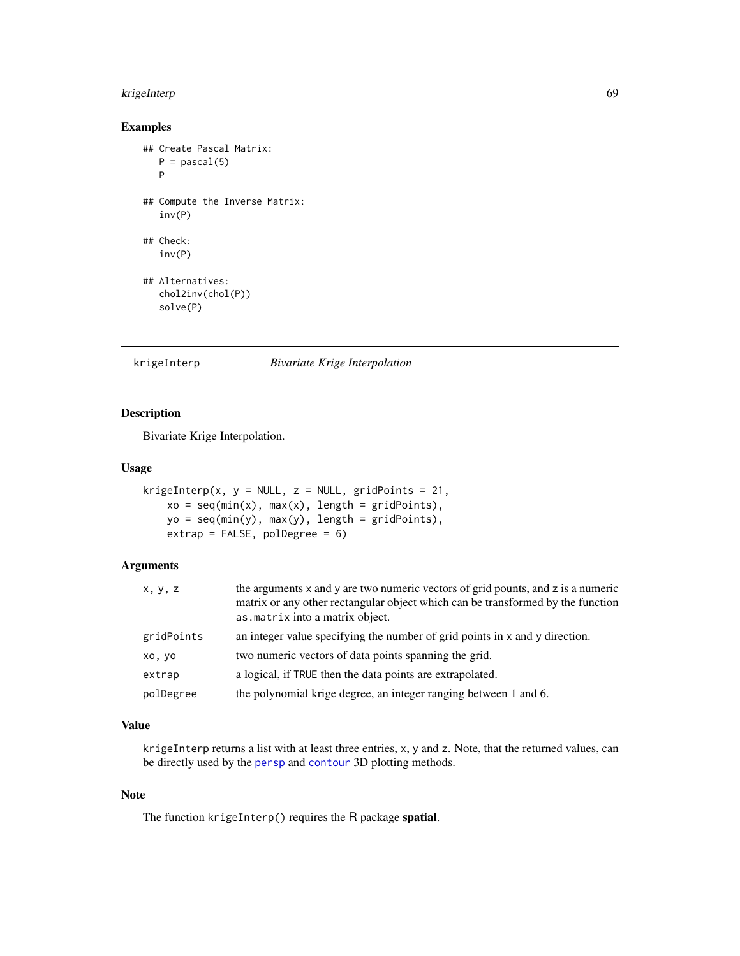# krigeInterp 69

# Examples

```
## Create Pascal Matrix:
  P = pascal(5)P
## Compute the Inverse Matrix:
  inv(P)
## Check:
  inv(P)
## Alternatives:
  chol2inv(chol(P))
  solve(P)
```
krigeInterp *Bivariate Krige Interpolation*

# Description

Bivariate Krige Interpolation.

# Usage

```
krigeInterp(x, y = NULL, z = NULL, gridPoints = 21,
   xo = seq(min(x), max(x), length = gridPoints),yo = seq(min(y), max(y), length = gridPoints),extrap = FALSE, polDegree = 6)
```
# Arguments

| x, y, z    | the arguments x and y are two numeric vectors of grid pounts, and z is a numeric<br>matrix or any other rectangular object which can be transformed by the function<br>as . matrix into a matrix object. |
|------------|----------------------------------------------------------------------------------------------------------------------------------------------------------------------------------------------------------|
| gridPoints | an integer value specifying the number of grid points in x and y direction.                                                                                                                              |
| xo, yo     | two numeric vectors of data points spanning the grid.                                                                                                                                                    |
| extrap     | a logical, if TRUE then the data points are extrapolated.                                                                                                                                                |
| polDegree  | the polynomial krige degree, an integer ranging between 1 and 6.                                                                                                                                         |

# Value

krigeInterp returns a list with at least three entries, x, y and z. Note, that the returned values, can be directly used by the [persp](#page-0-0) and [contour](#page-0-0) 3D plotting methods.

# Note

The function krigeInterp() requires the R package spatial.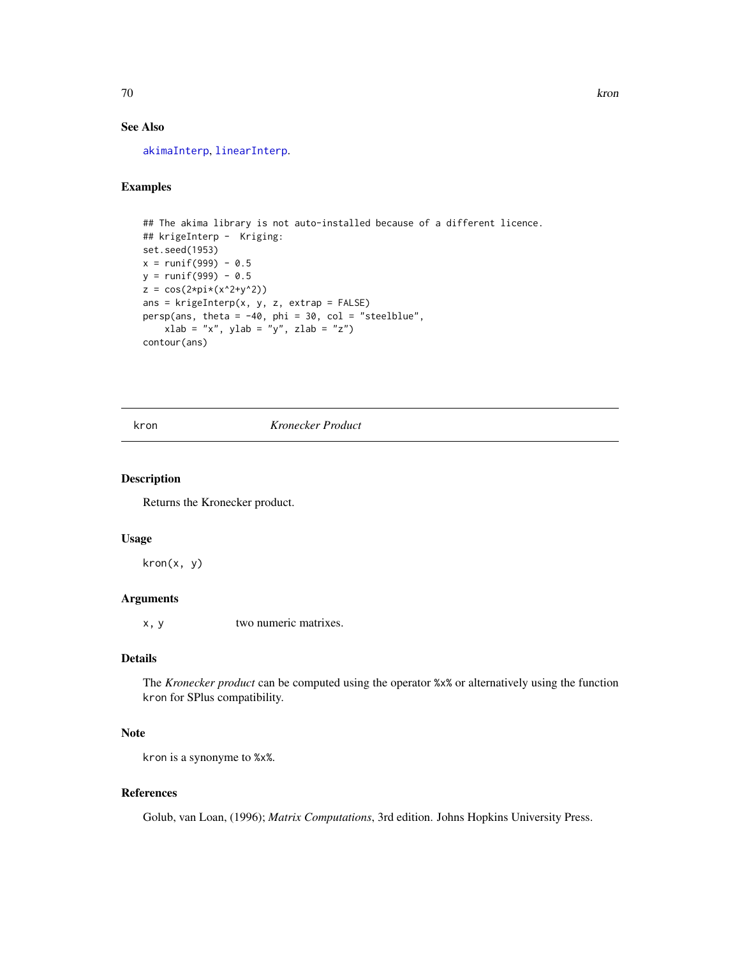# See Also

[akimaInterp](#page-14-0), [linearInterp](#page-73-0).

# Examples

```
## The akima library is not auto-installed because of a different licence.
## krigeInterp - Kriging:
set.seed(1953)
x = runif(999) - 0.5y = runif(999) - 0.5z = cos(2*pi*(x^2+y^2))ans = krigelnterp(x, y, z, extrap = FALSE)persp(ans, theta = -40, phi = 30, col = "steelblue",
   xlab = "x", ylab = "y", zlab = "z")contour(ans)
```
kron *Kronecker Product*

# Description

Returns the Kronecker product.

# Usage

kron(x, y)

## Arguments

x, y two numeric matrixes.

## Details

The *Kronecker product* can be computed using the operator %x% or alternatively using the function kron for SPlus compatibility.

## **Note**

kron is a synonyme to %x%.

## References

Golub, van Loan, (1996); *Matrix Computations*, 3rd edition. Johns Hopkins University Press.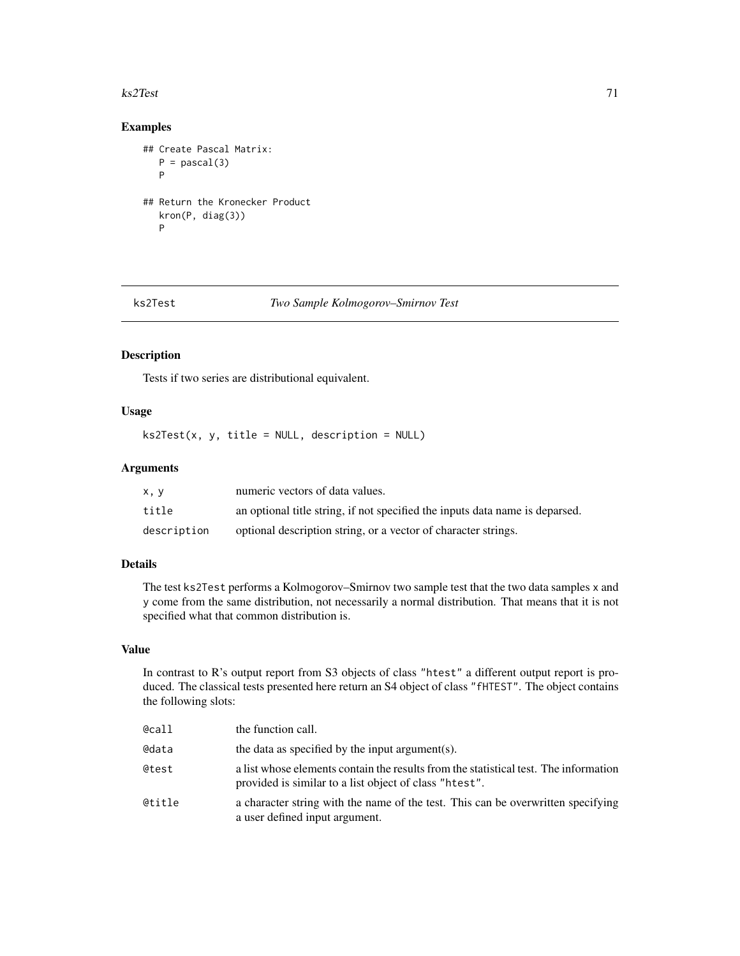#### $ks2Test$  71

# Examples

```
## Create Pascal Matrix:
  P = pascal(3)P
## Return the Kronecker Product
  kron(P, diag(3))
  P
```
# ks2Test *Two Sample Kolmogorov–Smirnov Test*

# Description

Tests if two series are distributional equivalent.

# Usage

ks2Test(x, y, title = NULL, description = NULL)

## Arguments

| x.v         | numeric vectors of data values.                                              |
|-------------|------------------------------------------------------------------------------|
| title       | an optional title string, if not specified the inputs data name is deparsed. |
| description | optional description string, or a vector of character strings.               |

# Details

The test ks2Test performs a Kolmogorov–Smirnov two sample test that the two data samples x and y come from the same distribution, not necessarily a normal distribution. That means that it is not specified what that common distribution is.

# Value

In contrast to R's output report from S3 objects of class "htest" a different output report is produced. The classical tests presented here return an S4 object of class "fHTEST". The object contains the following slots:

| @call  | the function call.                                                                                                                             |
|--------|------------------------------------------------------------------------------------------------------------------------------------------------|
| @data  | the data as specified by the input argument(s).                                                                                                |
| @test  | a list whose elements contain the results from the statistical test. The information<br>provided is similar to a list object of class "htest". |
| @title | a character string with the name of the test. This can be overwritten specifying<br>a user defined input argument.                             |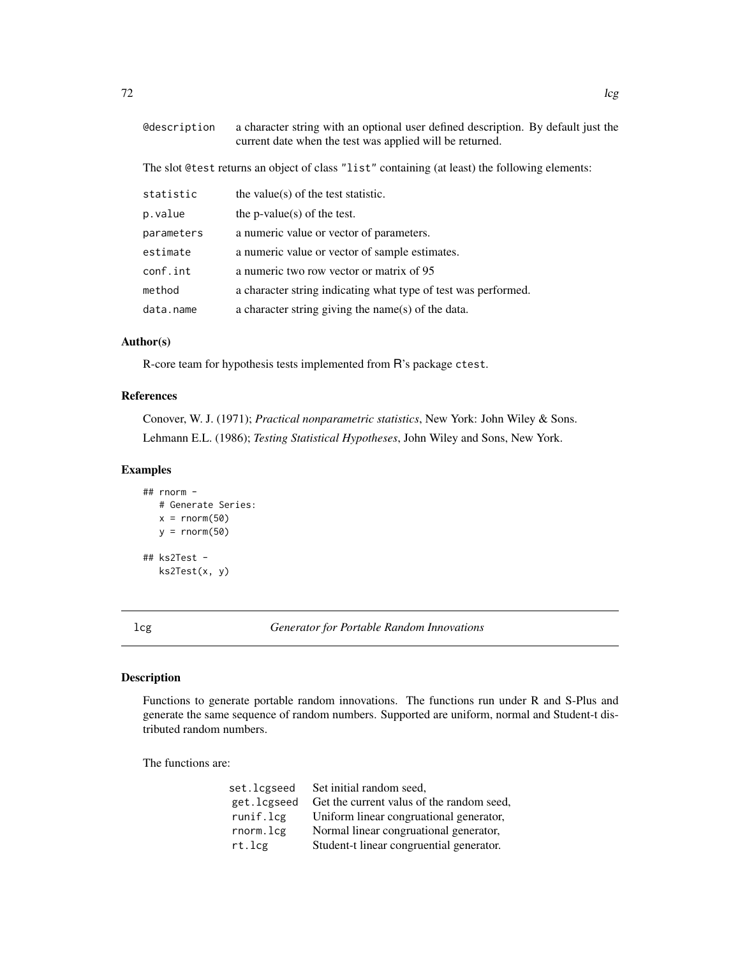| <b>@description</b>                                                                            | a character string with an optional user defined description. By default just the<br>current date when the test was applied will be returned. |  |
|------------------------------------------------------------------------------------------------|-----------------------------------------------------------------------------------------------------------------------------------------------|--|
| The slot @test returns an object of class "list" containing (at least) the following elements: |                                                                                                                                               |  |
| statistic                                                                                      | the value $(s)$ of the test statistic.                                                                                                        |  |
| p.value                                                                                        | the p-value(s) of the test.                                                                                                                   |  |
| parameters                                                                                     | a numeric value or vector of parameters.                                                                                                      |  |
| estimate                                                                                       | a numeric value or vector of sample estimates.                                                                                                |  |
| conf.int                                                                                       | a numeric two row vector or matrix of 95                                                                                                      |  |
| method                                                                                         | a character string indicating what type of test was performed.                                                                                |  |
| data.name                                                                                      | a character string giving the name(s) of the data.                                                                                            |  |

# Author(s)

R-core team for hypothesis tests implemented from R's package ctest.

# References

Conover, W. J. (1971); *Practical nonparametric statistics*, New York: John Wiley & Sons. Lehmann E.L. (1986); *Testing Statistical Hypotheses*, John Wiley and Sons, New York.

## Examples

```
## rnorm -
  # Generate Series:
  x = \text{norm}(50)y = rnorm(50)## ks2Test -
   ks2Test(x, y)
```
lcg *Generator for Portable Random Innovations*

# Description

Functions to generate portable random innovations. The functions run under R and S-Plus and generate the same sequence of random numbers. Supported are uniform, normal and Student-t distributed random numbers.

The functions are:

| set.lcgseed | Set initial random seed,                  |
|-------------|-------------------------------------------|
| get.lcgseed | Get the current valus of the random seed, |
| runif.lcg   | Uniform linear congruational generator,   |
| rnorm.lcg   | Normal linear congruational generator,    |
| rt.lcg      | Student-t linear congruential generator.  |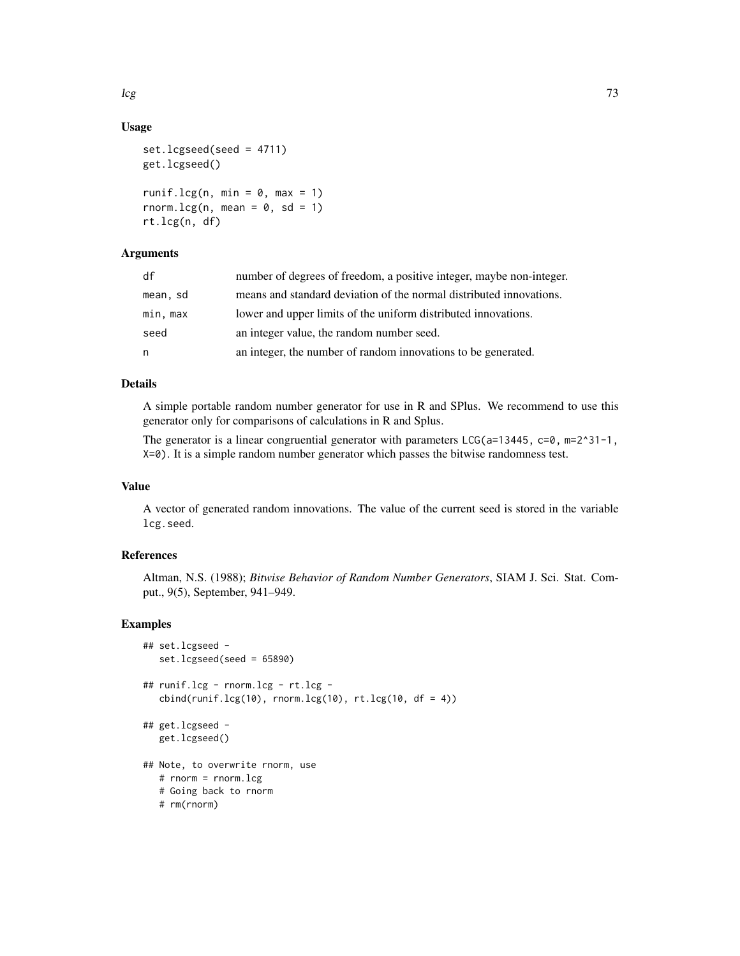## Usage

```
set.lcgseed(seed = 4711)
get.lcgseed()
runif.lcg(n, min = 0, max = 1)
rnorm.lcg(n, mean = 0, sd = 1)
rt.lcg(n, df)
```
# Arguments

| df       | number of degrees of freedom, a positive integer, maybe non-integer. |
|----------|----------------------------------------------------------------------|
| mean, sd | means and standard deviation of the normal distributed innovations.  |
| min, max | lower and upper limits of the uniform distributed innovations.       |
| seed     | an integer value, the random number seed.                            |
| n.       | an integer, the number of random innovations to be generated.        |

## Details

A simple portable random number generator for use in R and SPlus. We recommend to use this generator only for comparisons of calculations in R and Splus.

The generator is a linear congruential generator with parameters  $LCG(a=13445, c=0, m=2^31-1,$ X=0). It is a simple random number generator which passes the bitwise randomness test.

# Value

A vector of generated random innovations. The value of the current seed is stored in the variable lcg.seed.

## References

Altman, N.S. (1988); *Bitwise Behavior of Random Number Generators*, SIAM J. Sci. Stat. Comput., 9(5), September, 941–949.

# Examples

```
## set.lcgseed -
  set.lcgseed(seed = 65890)
## runif.lcg - rnorm.lcg - rt.lcg -
  cbind(runif.lcg(10), rnorm.lcg(10), rt.lcg(10, df = 4))## get.lcgseed -
  get.lcgseed()
## Note, to overwrite rnorm, use
  # rnorm = rnorm.lcg
  # Going back to rnorm
  # rm(rnorm)
```
 $\log$  73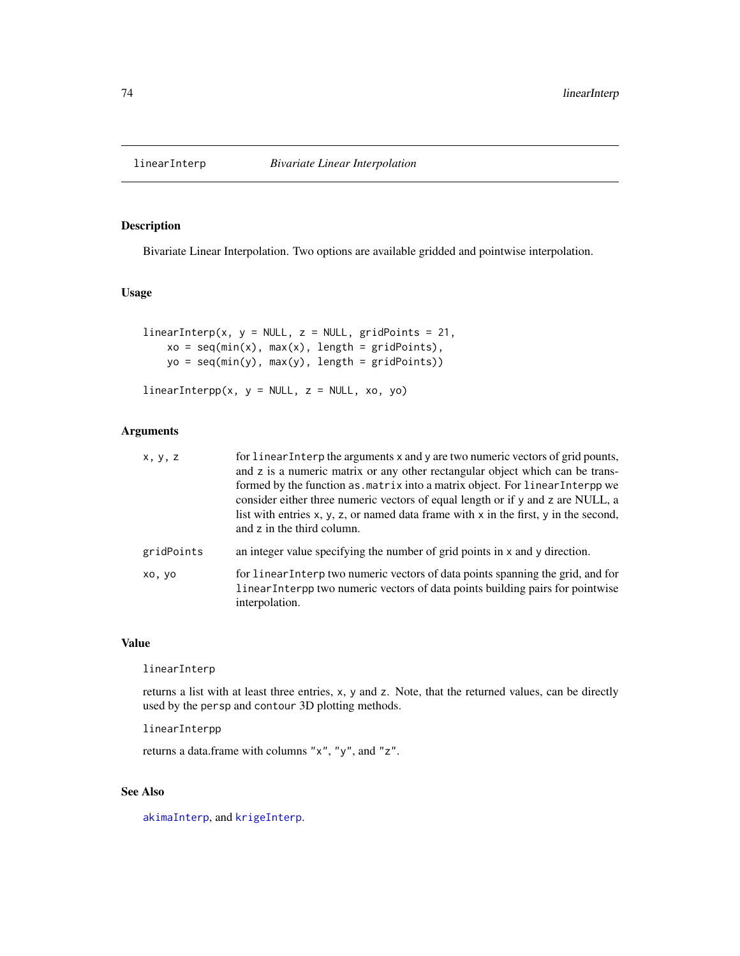# Description

Bivariate Linear Interpolation. Two options are available gridded and pointwise interpolation.

# Usage

```
linearInterp(x, y = NULL, z = NULL, gridPoints = 21,xo = seq(min(x), max(x), length = gridPoints),yo = seq(min(y), max(y), length = gridPoints))
```

```
linearInterpp(x, y = NULL, z = NULL, xo, yo)
```
# Arguments

| x, y, z    | for linear Interp the arguments x and y are two numeric vectors of grid pounts,<br>and z is a numeric matrix or any other rectangular object which can be trans-<br>formed by the function as . matrix into a matrix object. For linear Interpp we<br>consider either three numeric vectors of equal length or if y and z are NULL, a<br>list with entries $x, y, z$ , or named data frame with $x$ in the first, $y$ in the second,<br>and z in the third column. |
|------------|--------------------------------------------------------------------------------------------------------------------------------------------------------------------------------------------------------------------------------------------------------------------------------------------------------------------------------------------------------------------------------------------------------------------------------------------------------------------|
| gridPoints | an integer value specifying the number of grid points in x and y direction.                                                                                                                                                                                                                                                                                                                                                                                        |
| xo, vo     | for linear Interp two numeric vectors of data points spanning the grid, and for<br>linear Interpp two numeric vectors of data points building pairs for pointwise<br>interpolation.                                                                                                                                                                                                                                                                                |

## Value

linearInterp

returns a list with at least three entries, x, y and z. Note, that the returned values, can be directly used by the persp and contour 3D plotting methods.

linearInterpp

returns a data.frame with columns "x", "y", and "z".

# See Also

[akimaInterp](#page-14-0), and [krigeInterp](#page-68-0).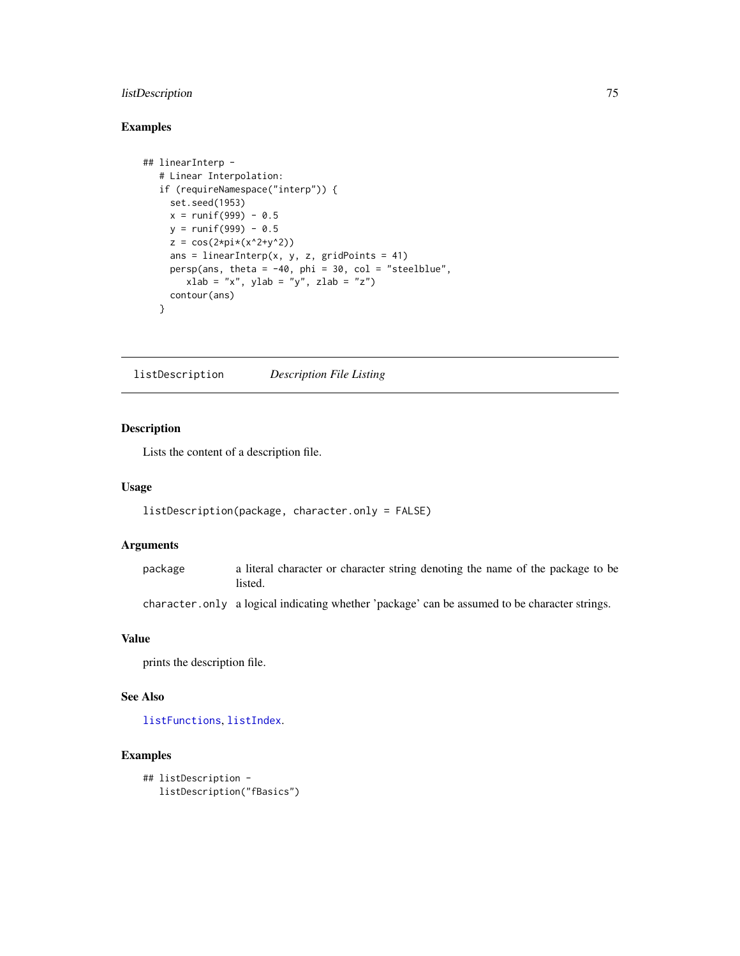# listDescription 75

# Examples

```
## linearInterp -
  # Linear Interpolation:
  if (requireNamespace("interp")) {
    set.seed(1953)
    x = runif(999) - 0.5y = runif(999) - 0.5z = cos(2*pi*(x^2+y^2))ans = linearInterp(x, y, z, gridPoints = 41)
    persp(ans, theta = -40, phi = 30, col = "steelblue",
       xlab = "x", ylab = "y", zlab = "z")contour(ans)
  }
```
<span id="page-74-0"></span>listDescription *Description File Listing*

# Description

Lists the content of a description file.

#### Usage

```
listDescription(package, character.only = FALSE)
```
## Arguments

package a literal character or character string denoting the name of the package to be listed.

character.only a logical indicating whether 'package' can be assumed to be character strings.

# Value

prints the description file.

# See Also

[listFunctions](#page-75-0), [listIndex](#page-75-1).

# Examples

```
## listDescription -
  listDescription("fBasics")
```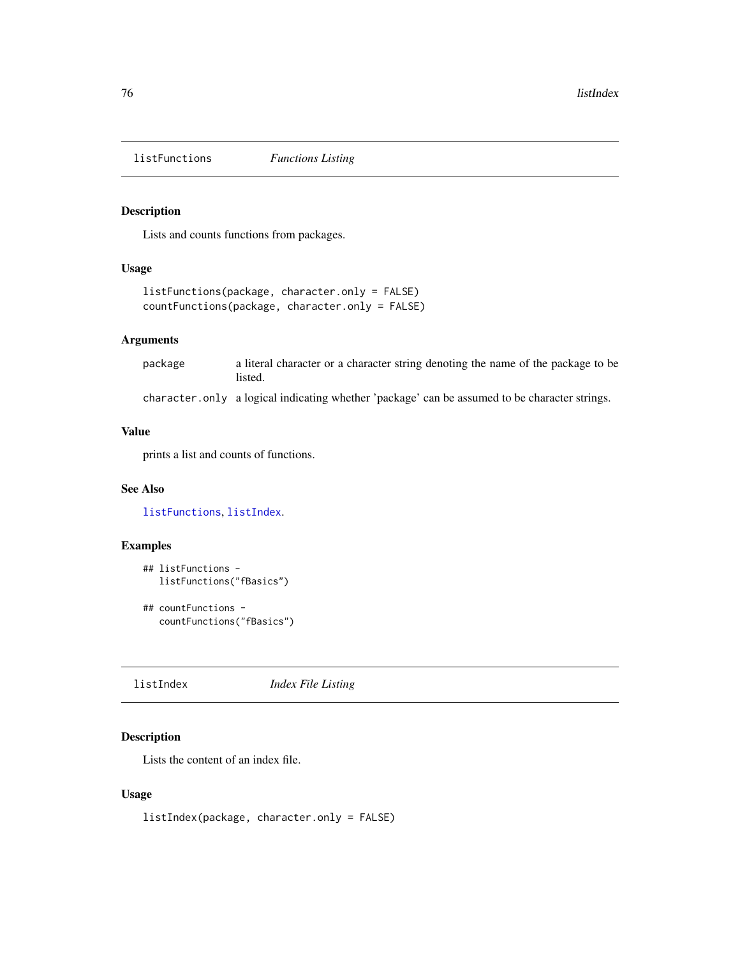<span id="page-75-0"></span>listFunctions *Functions Listing*

# Description

Lists and counts functions from packages.

## Usage

```
listFunctions(package, character.only = FALSE)
countFunctions(package, character.only = FALSE)
```
## Arguments

package a literal character or a character string denoting the name of the package to be listed.

character.only a logical indicating whether 'package' can be assumed to be character strings.

# Value

prints a list and counts of functions.

# See Also

[listFunctions](#page-75-0), [listIndex](#page-75-1).

# Examples

```
## listFunctions -
  listFunctions("fBasics")
```

```
## countFunctions -
  countFunctions("fBasics")
```
<span id="page-75-1"></span>listIndex *Index File Listing*

# Description

Lists the content of an index file.

## Usage

listIndex(package, character.only = FALSE)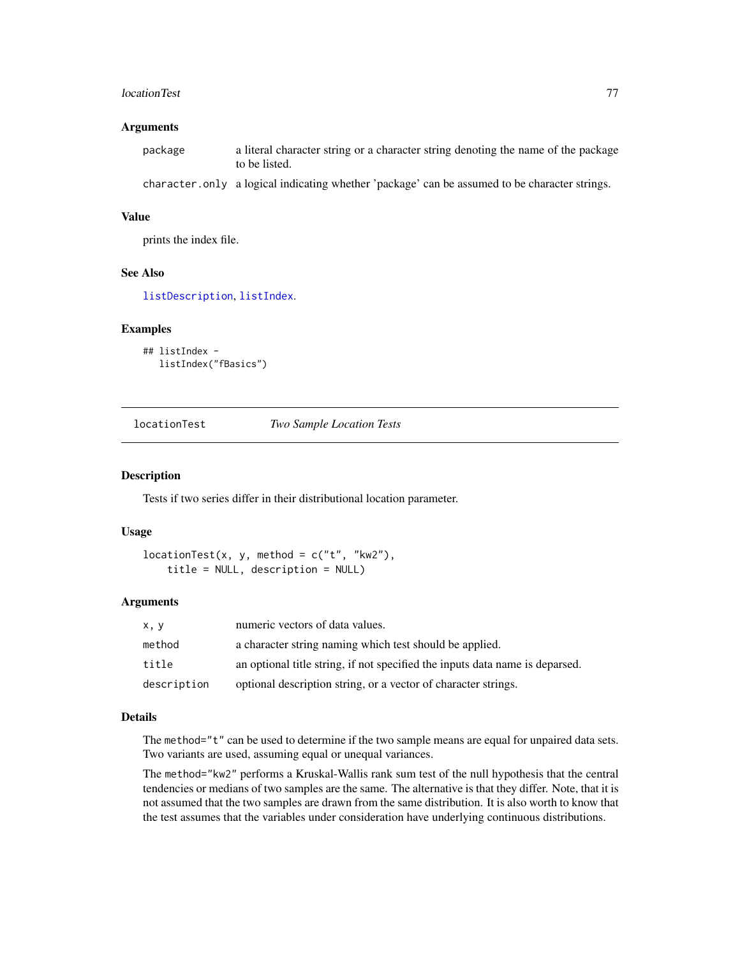#### locationTest 77

## Arguments

| package | a literal character string or a character string denoting the name of the package<br>to be listed. |
|---------|----------------------------------------------------------------------------------------------------|
|         | character only a logical indicating whether 'package' can be assumed to be character strings.      |

#### Value

prints the index file.

# See Also

[listDescription](#page-74-0), [listIndex](#page-75-1).

#### Examples

```
## listIndex -
  listIndex("fBasics")
```
locationTest *Two Sample Location Tests*

#### Description

Tests if two series differ in their distributional location parameter.

## Usage

```
locationTest(x, y, method = c("t", "kw2"),title = NULL, description = NULL)
```
## Arguments

| x, y        | numeric vectors of data values.                                              |
|-------------|------------------------------------------------------------------------------|
| method      | a character string naming which test should be applied.                      |
| title       | an optional title string, if not specified the inputs data name is deparsed. |
| description | optional description string, or a vector of character strings.               |

# Details

The method="t" can be used to determine if the two sample means are equal for unpaired data sets. Two variants are used, assuming equal or unequal variances.

The method="kw2" performs a Kruskal-Wallis rank sum test of the null hypothesis that the central tendencies or medians of two samples are the same. The alternative is that they differ. Note, that it is not assumed that the two samples are drawn from the same distribution. It is also worth to know that the test assumes that the variables under consideration have underlying continuous distributions.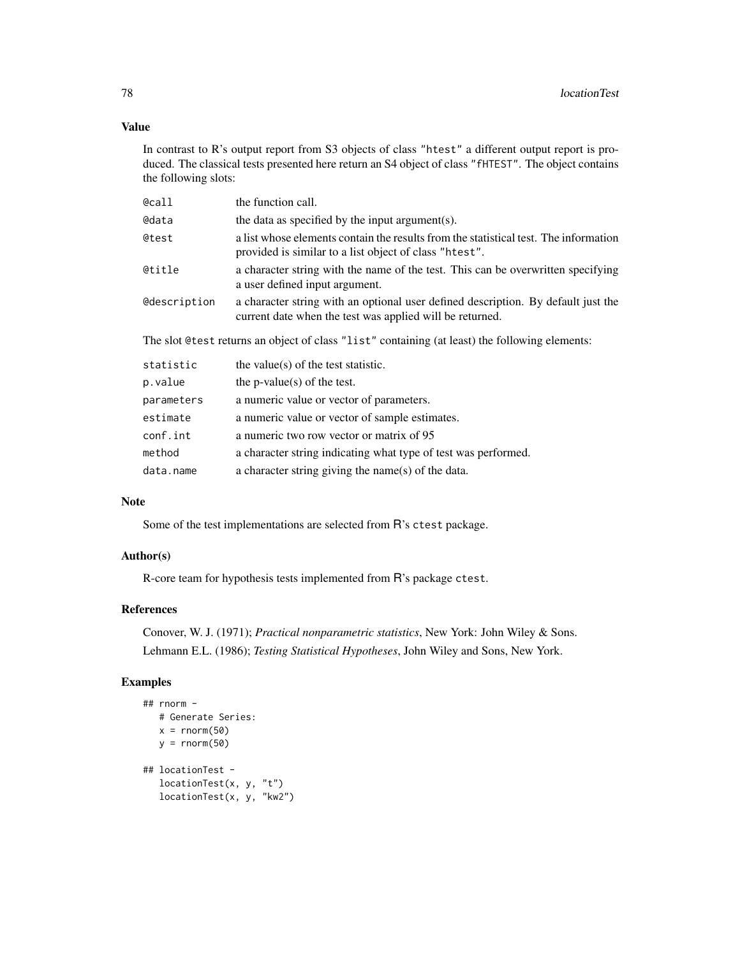## Value

In contrast to R's output report from S3 objects of class "htest" a different output report is produced. The classical tests presented here return an S4 object of class "fHTEST". The object contains the following slots:

| @call               | the function call.                                                                                                                             |
|---------------------|------------------------------------------------------------------------------------------------------------------------------------------------|
| @data               | the data as specified by the input argument(s).                                                                                                |
| @test               | a list whose elements contain the results from the statistical test. The information<br>provided is similar to a list object of class "htest". |
| @title              | a character string with the name of the test. This can be overwritten specifying<br>a user defined input argument.                             |
| <b>@description</b> | a character string with an optional user defined description. By default just the<br>current date when the test was applied will be returned.  |
|                     | The slot @test returns an object of class "list" containing (at least) the following elements:                                                 |
| statistic           | the value(s) of the test statistic.                                                                                                            |
| p.value             | the p-value(s) of the test.                                                                                                                    |
| parameters          | a numeric value or vector of parameters.                                                                                                       |
| estimate            | a numeric value or vector of sample estimates.                                                                                                 |
| conf.int            | a numeric two row vector or matrix of 95                                                                                                       |
| method              | a character string indicating what type of test was performed.                                                                                 |

#### Note

Some of the test implementations are selected from R's ctest package.

data.name a character string giving the name(s) of the data.

## Author(s)

R-core team for hypothesis tests implemented from R's package ctest.

# References

Conover, W. J. (1971); *Practical nonparametric statistics*, New York: John Wiley & Sons. Lehmann E.L. (1986); *Testing Statistical Hypotheses*, John Wiley and Sons, New York.

## Examples

```
## rnorm -
   # Generate Series:
   x = \text{rnorm}(50)y = rnorm(50)## locationTest -
   locationTest(x, y, "t")
   locationTest(x, y, "kw2")
```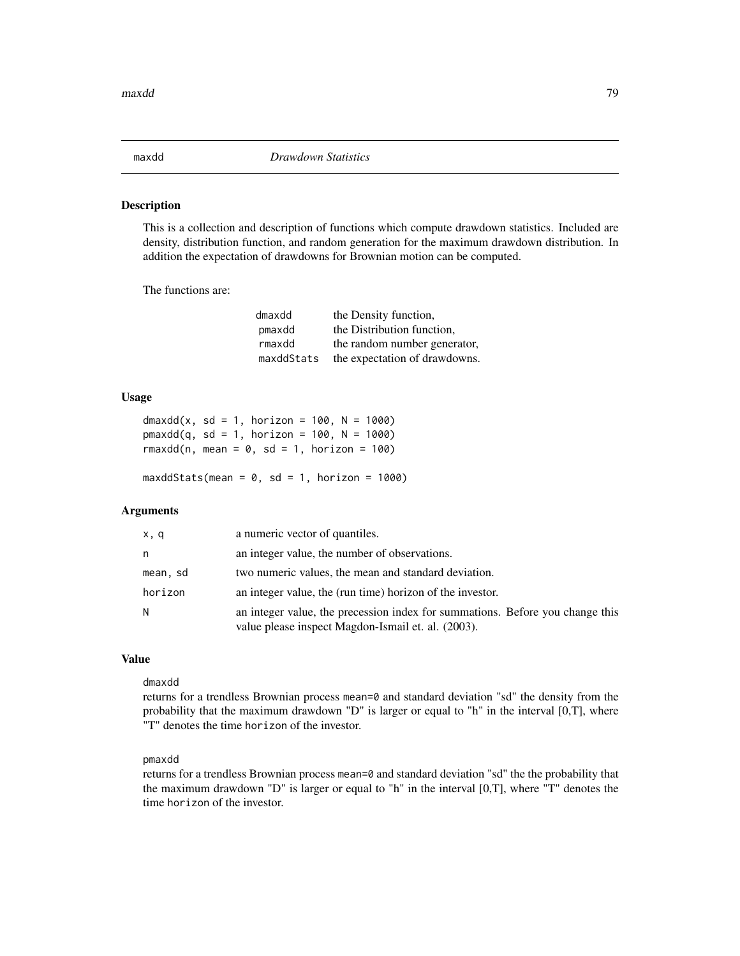# Description

This is a collection and description of functions which compute drawdown statistics. Included are density, distribution function, and random generation for the maximum drawdown distribution. In addition the expectation of drawdowns for Brownian motion can be computed.

The functions are:

| dmaxdd     | the Density function,         |
|------------|-------------------------------|
| pmaxdd     | the Distribution function,    |
| rmaxdd     | the random number generator,  |
| maxddStats | the expectation of drawdowns. |

### Usage

```
dmaxdd(x, sd = 1, horizon = 100, N = 1000)
pmaxdd(q, sd = 1, horizon = 100, N = 1000)rmaxdd(n, mean = 0, sd = 1, horizon = 100)
```
 $maxddStats(mean = 0, sd = 1, horizon = 1000)$ 

## Arguments

| x, q     | a numeric vector of quantiles.                                                                                                      |
|----------|-------------------------------------------------------------------------------------------------------------------------------------|
| n        | an integer value, the number of observations.                                                                                       |
| mean, sd | two numeric values, the mean and standard deviation.                                                                                |
| horizon  | an integer value, the (run time) horizon of the investor.                                                                           |
| N        | an integer value, the precession index for summations. Before you change this<br>value please inspect Magdon-Ismail et. al. (2003). |

#### Value

#### dmaxdd

returns for a trendless Brownian process mean=0 and standard deviation "sd" the density from the probability that the maximum drawdown "D" is larger or equal to "h" in the interval [0,T], where "T" denotes the time horizon of the investor.

# pmaxdd

returns for a trendless Brownian process mean=0 and standard deviation "sd" the the probability that the maximum drawdown "D" is larger or equal to "h" in the interval [0,T], where "T" denotes the time horizon of the investor.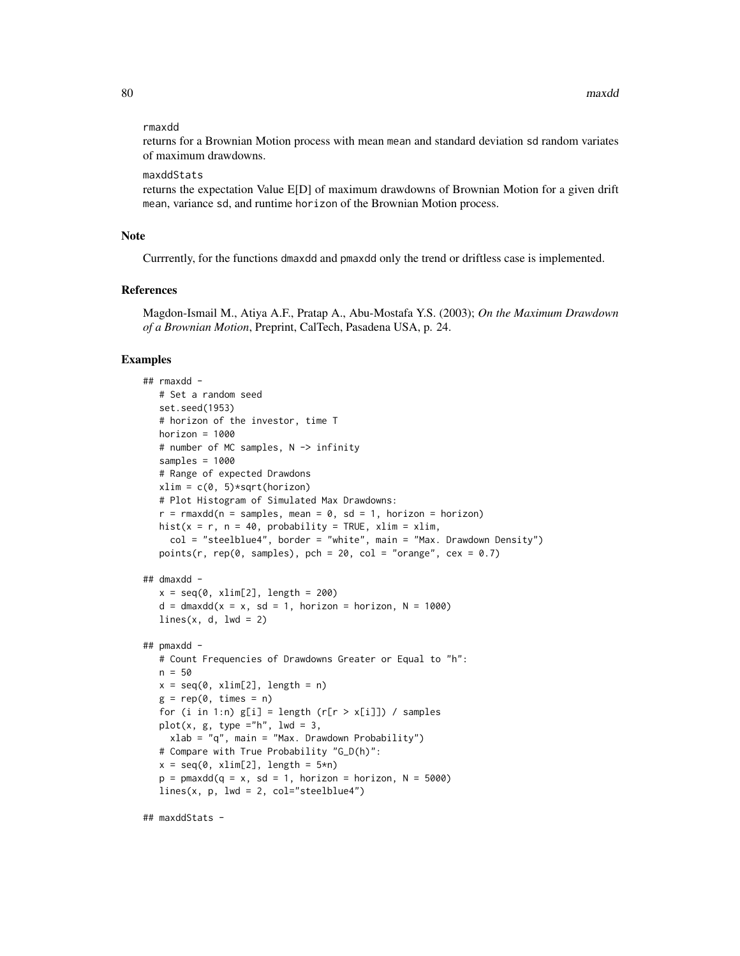#### rmaxdd

returns for a Brownian Motion process with mean mean and standard deviation sd random variates of maximum drawdowns.

#### maxddStats

returns the expectation Value E[D] of maximum drawdowns of Brownian Motion for a given drift mean, variance sd, and runtime horizon of the Brownian Motion process.

## **Note**

Currrently, for the functions dmaxdd and pmaxdd only the trend or driftless case is implemented.

#### References

Magdon-Ismail M., Atiya A.F., Pratap A., Abu-Mostafa Y.S. (2003); *On the Maximum Drawdown of a Brownian Motion*, Preprint, CalTech, Pasadena USA, p. 24.

## Examples

```
## rmaxdd -
  # Set a random seed
  set.seed(1953)
  # horizon of the investor, time T
  horizon = 1000# number of MC samples, N -> infinity
  samples = 1000
  # Range of expected Drawdons
  xlim = c(0, 5) * sqrt(horizon)# Plot Histogram of Simulated Max Drawdowns:
  r = r maxdd(n = samples, mean = 0, sd = 1, horizon = horizon)
  hist(x = r, n = 40, probability = TRUE, xlim = xlim,
     col = "steelblue4", border = "white", main = "Max. Drawdown Density")
  points(r, rep(0, samples), pch = 20, col = "orange", cex = 0.7)
## dmaxdd -
  x = \text{seq}(0, \text{ xlim}[2], \text{ length} = 200)d = dmaxdd(x = x, sd = 1, horizon = horizon, N = 1000)
  lines(x, d, lwd = 2)## pmaxdd -
  # Count Frequencies of Drawdowns Greater or Equal to "h":
  n = 50x = \text{seq}(0, \text{ xlim}[2], \text{ length} = n)g = rep(0, times = n)for (i in 1:n) g[i] = length (r[r > x[i]]) / samplesplot(x, g, type ="h", lwd = 3,
     xlab = "q", main = "Max. Drawdown Probability")
   # Compare with True Probability "G_D(h)":
  x = seq(0, xlim[2], length = 5*n)p = pmaxdd(q = x, sd = 1, horizon = horizon, N = 5000)
  lines(x, p, lwd = 2, col="steelblue4")
```

```
## maxddStats -
```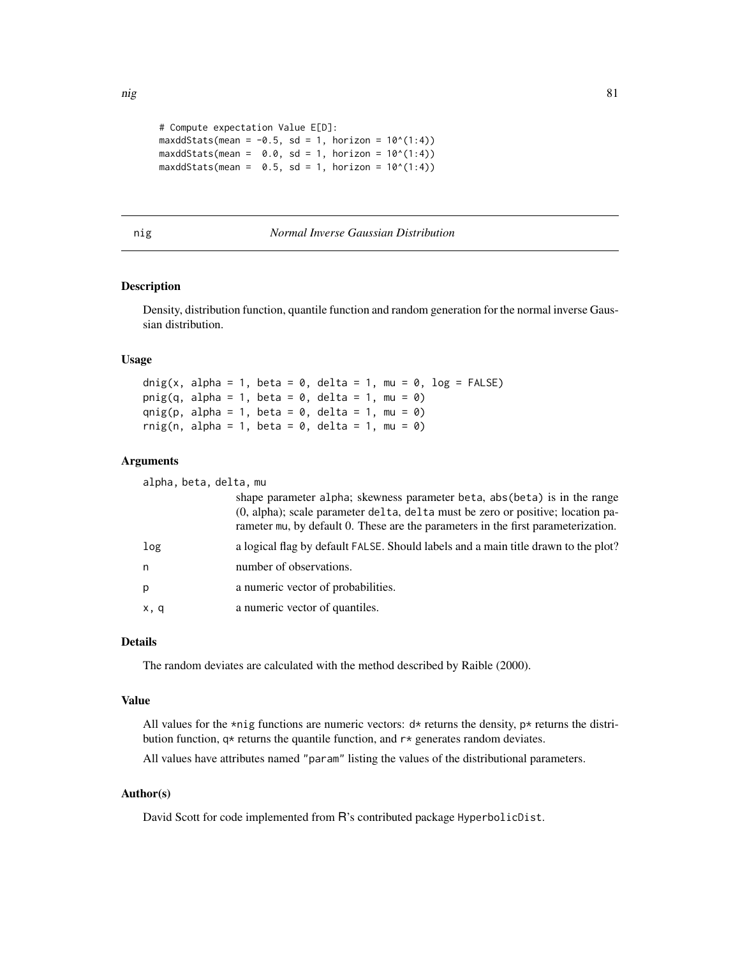```
# Compute expectation Value E[D]:
maxddStats(mean = -0.5, sd = 1, horizon = 10^(1:4))
maxddStats(mean = 0.0, sd = 1, horizon = 10^(1:4))
maxddStats(mean = 0.5, sd = 1, horizon = 10^(1:4))
```
## nig *Normal Inverse Gaussian Distribution*

## Description

Density, distribution function, quantile function and random generation for the normal inverse Gaussian distribution.

#### Usage

```
dnig(x, alpha = 1, beta = 0, delta = 1, mu = 0, log = FALSE)
pnig(q, alpha = 1, beta = 0, delta = 1, mu = 0)
qnig(p, alpha = 1, beta = 0, delta = 1, mu = 0)
rnig(n, alpha = 1, beta = 0, delta = 1, mu = 0)
```
## Arguments

alpha, beta, delta, mu

|      | shape parameter alpha; skewness parameter beta, abs (beta) is in the range<br>(0, alpha); scale parameter delta, delta must be zero or positive; location pa-<br>rameter mu, by default 0. These are the parameters in the first parameterization. |
|------|----------------------------------------------------------------------------------------------------------------------------------------------------------------------------------------------------------------------------------------------------|
| log  | a logical flag by default FALSE. Should labels and a main title drawn to the plot?                                                                                                                                                                 |
| n    | number of observations.                                                                                                                                                                                                                            |
| p    | a numeric vector of probabilities.                                                                                                                                                                                                                 |
| x, q | a numeric vector of quantiles.                                                                                                                                                                                                                     |

#### Details

The random deviates are calculated with the method described by Raible (2000).

#### Value

All values for the \*nig functions are numeric vectors:  $d*$  returns the density,  $p*$  returns the distribution function,  $q*$  returns the quantile function, and  $r*$  generates random deviates.

All values have attributes named "param" listing the values of the distributional parameters.

## Author(s)

David Scott for code implemented from R's contributed package HyperbolicDist.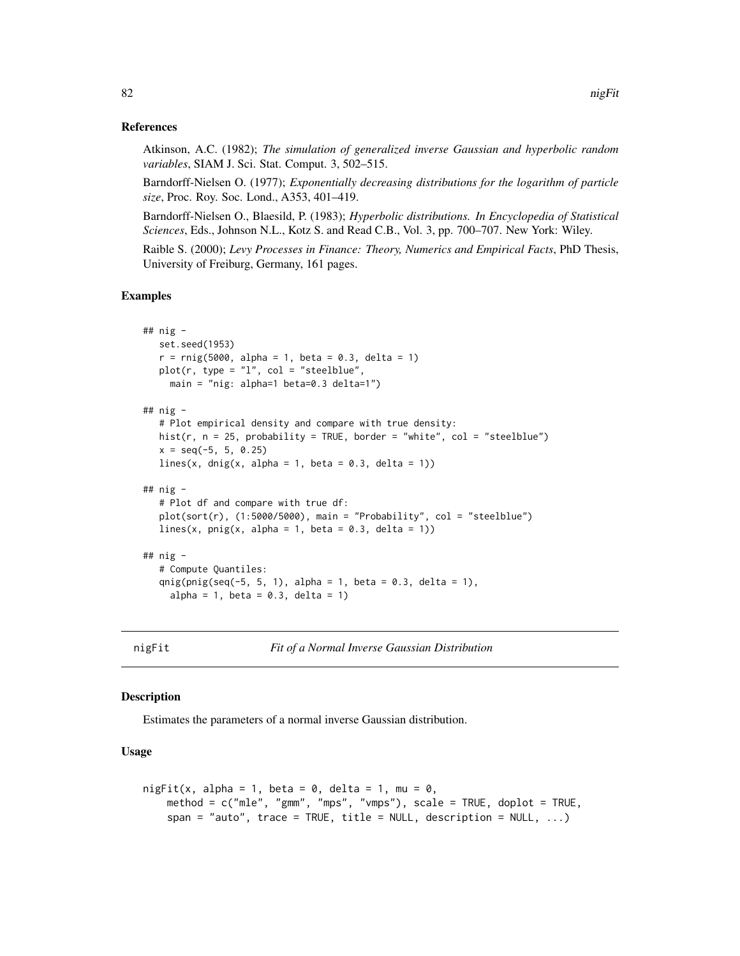## References

Atkinson, A.C. (1982); *The simulation of generalized inverse Gaussian and hyperbolic random variables*, SIAM J. Sci. Stat. Comput. 3, 502–515.

Barndorff-Nielsen O. (1977); *Exponentially decreasing distributions for the logarithm of particle size*, Proc. Roy. Soc. Lond., A353, 401–419.

Barndorff-Nielsen O., Blaesild, P. (1983); *Hyperbolic distributions. In Encyclopedia of Statistical Sciences*, Eds., Johnson N.L., Kotz S. and Read C.B., Vol. 3, pp. 700–707. New York: Wiley.

Raible S. (2000); *Levy Processes in Finance: Theory, Numerics and Empirical Facts*, PhD Thesis, University of Freiburg, Germany, 161 pages.

#### Examples

```
## nig -
  set.seed(1953)
   r = ring(5000, alpha = 1, beta = 0.3, delta = 1)plot(r, type = "l", col = "steelblue",
    main = "nig: alpha=1 beta=0.3 delta=1")
## nig -
  # Plot empirical density and compare with true density:
  hist(r, n = 25, probability = TRUE, border = "white", col = "steelblue")
  x = \text{seq}(-5, 5, 0.25)lines(x, dnig(x, alpha = 1, beta = 0.3, delta = 1))
## nig -
  # Plot df and compare with true df:
  plot(sort(r), (1:5000/5000), main = "Probability", col = "steelblue")
  lines(x, pnig(x, alpha = 1, beta = 0.3, delta = 1))
## nig -
  # Compute Quantiles:
  qnig(pnig(seq(-5, 5, 1), alpha = 1, beta = 0.3, delta = 1),
     alpha = 1, beta = 0.3, delta = 1)
```
nigFit *Fit of a Normal Inverse Gaussian Distribution*

## Description

Estimates the parameters of a normal inverse Gaussian distribution.

#### Usage

```
nigFit(x, alpha = 1, beta = 0, delta = 1, mu = 0,
    method = c("mle", "gmm", "mps", "vmps"), scale = TRUE, doplot = TRUE,
    span = "auto", trace = TRUE, title = NULL, description = NULL, \ldots)
```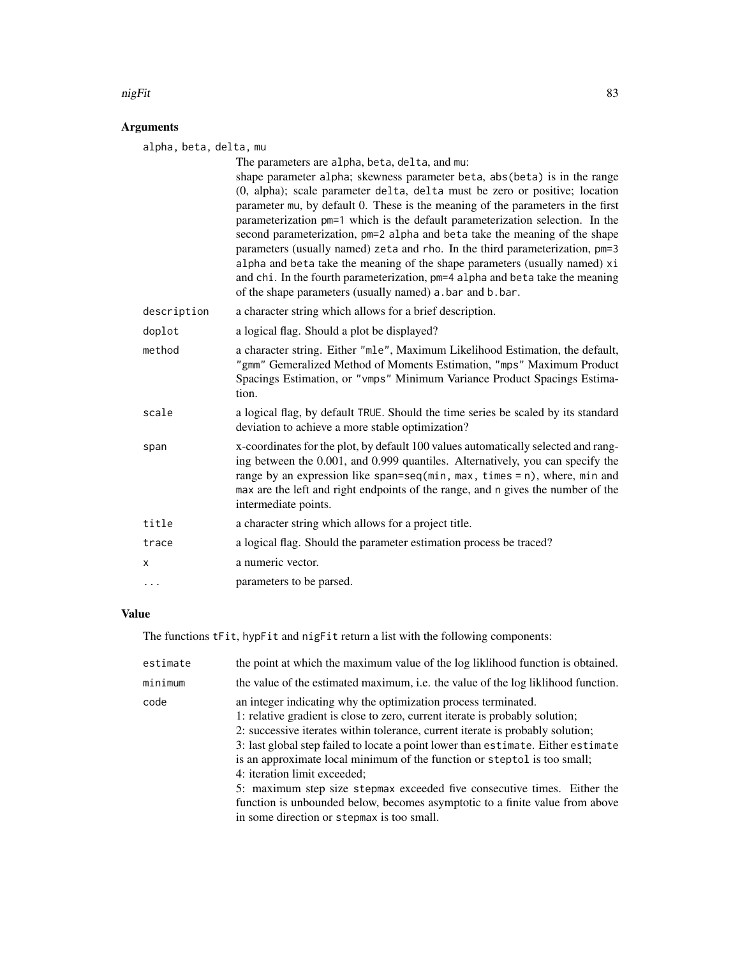#### nigFit 83

# Arguments

alpha, beta, delta, mu

| aipha, beta, ueita, mu |                                                                                                                                                                                                                                                                                                                                                                                                                                                                                                                                                                                                                                                                                                                                                                          |  |
|------------------------|--------------------------------------------------------------------------------------------------------------------------------------------------------------------------------------------------------------------------------------------------------------------------------------------------------------------------------------------------------------------------------------------------------------------------------------------------------------------------------------------------------------------------------------------------------------------------------------------------------------------------------------------------------------------------------------------------------------------------------------------------------------------------|--|
|                        | The parameters are alpha, beta, delta, and mu:<br>shape parameter alpha; skewness parameter beta, abs (beta) is in the range<br>(0, alpha); scale parameter delta, delta must be zero or positive; location<br>parameter mu, by default 0. These is the meaning of the parameters in the first<br>parameterization pm=1 which is the default parameterization selection. In the<br>second parameterization, pm=2 alpha and beta take the meaning of the shape<br>parameters (usually named) zeta and rho. In the third parameterization, pm=3<br>alpha and beta take the meaning of the shape parameters (usually named) xi<br>and chi. In the fourth parameterization, pm=4 alpha and beta take the meaning<br>of the shape parameters (usually named) a bar and b bar. |  |
| description            | a character string which allows for a brief description.                                                                                                                                                                                                                                                                                                                                                                                                                                                                                                                                                                                                                                                                                                                 |  |
| doplot                 | a logical flag. Should a plot be displayed?                                                                                                                                                                                                                                                                                                                                                                                                                                                                                                                                                                                                                                                                                                                              |  |
| method                 | a character string. Either "mle", Maximum Likelihood Estimation, the default,<br>"gmm" Gemeralized Method of Moments Estimation, "mps" Maximum Product<br>Spacings Estimation, or "vmps" Minimum Variance Product Spacings Estima-<br>tion.                                                                                                                                                                                                                                                                                                                                                                                                                                                                                                                              |  |
| scale                  | a logical flag, by default TRUE. Should the time series be scaled by its standard<br>deviation to achieve a more stable optimization?                                                                                                                                                                                                                                                                                                                                                                                                                                                                                                                                                                                                                                    |  |
| span                   | x-coordinates for the plot, by default 100 values automatically selected and rang-<br>ing between the 0.001, and 0.999 quantiles. Alternatively, you can specify the<br>range by an expression like span=seq(min, max, times = $n$ ), where, min and<br>max are the left and right endpoints of the range, and n gives the number of the<br>intermediate points.                                                                                                                                                                                                                                                                                                                                                                                                         |  |
| title                  | a character string which allows for a project title.                                                                                                                                                                                                                                                                                                                                                                                                                                                                                                                                                                                                                                                                                                                     |  |
| trace                  | a logical flag. Should the parameter estimation process be traced?                                                                                                                                                                                                                                                                                                                                                                                                                                                                                                                                                                                                                                                                                                       |  |
| x                      | a numeric vector.                                                                                                                                                                                                                                                                                                                                                                                                                                                                                                                                                                                                                                                                                                                                                        |  |
| $\ddots$               | parameters to be parsed.                                                                                                                                                                                                                                                                                                                                                                                                                                                                                                                                                                                                                                                                                                                                                 |  |

# Value

The functions tFit, hypFit and nigFit return a list with the following components:

| estimate | the point at which the maximum value of the log liklihood function is obtained.                                                                                                                                                                                                                                                                                                                                                                                                                                                                                                                                                             |
|----------|---------------------------------------------------------------------------------------------------------------------------------------------------------------------------------------------------------------------------------------------------------------------------------------------------------------------------------------------------------------------------------------------------------------------------------------------------------------------------------------------------------------------------------------------------------------------------------------------------------------------------------------------|
| minimum  | the value of the estimated maximum, i.e. the value of the log liklihood function.                                                                                                                                                                                                                                                                                                                                                                                                                                                                                                                                                           |
| code     | an integer indicating why the optimization process terminated.<br>1: relative gradient is close to zero, current iterate is probably solution;<br>2: successive iterates within tolerance, current iterate is probably solution;<br>3: last global step failed to locate a point lower than estimate. Either estimate<br>is an approximate local minimum of the function or steptol is too small;<br>4: iteration limit exceeded;<br>5: maximum step size stepmax exceeded five consecutive times. Either the<br>function is unbounded below, becomes asymptotic to a finite value from above<br>in some direction or stepmax is too small. |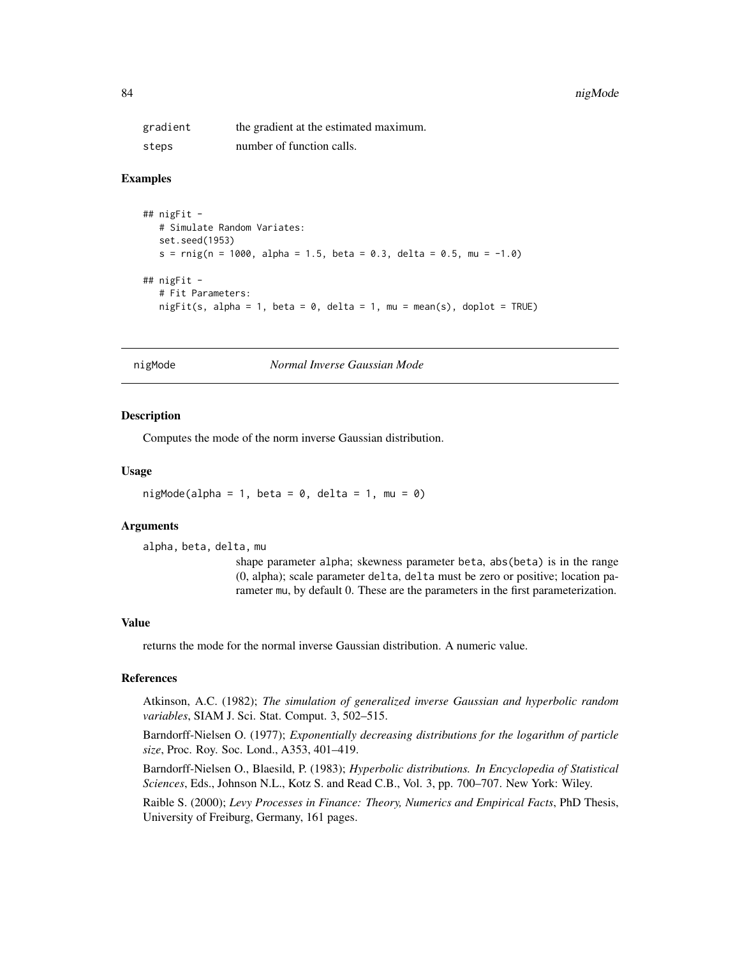#### 84 nigMode and the state of the state of the state of the state of the state of the state of the state of the state of the state of the state of the state of the state of the state of the state of the state of the state of

| gradient | the gradient at the estimated maximum. |
|----------|----------------------------------------|
| steps    | number of function calls.              |

## Examples

```
## nigFit -
   # Simulate Random Variates:
   set.seed(1953)
   s = r\text{mig}(n = 1000, \text{ alpha} = 1.5, \text{ beta} = 0.3, \text{ delta} = 0.5, \text{ mu} = -1.0)## nigFit -
   # Fit Parameters:
   night(s, alpha = 1, beta = 0, delta = 1, mu = mean(s), doplot = TRUE)
```
nigMode *Normal Inverse Gaussian Mode*

#### Description

Computes the mode of the norm inverse Gaussian distribution.

#### Usage

 $nightode(alpha = 1, beta = 0, delta = 1, mu = 0)$ 

#### Arguments

alpha, beta, delta, mu

shape parameter alpha; skewness parameter beta, abs(beta) is in the range (0, alpha); scale parameter delta, delta must be zero or positive; location parameter mu, by default 0. These are the parameters in the first parameterization.

#### Value

returns the mode for the normal inverse Gaussian distribution. A numeric value.

#### References

Atkinson, A.C. (1982); *The simulation of generalized inverse Gaussian and hyperbolic random variables*, SIAM J. Sci. Stat. Comput. 3, 502–515.

Barndorff-Nielsen O. (1977); *Exponentially decreasing distributions for the logarithm of particle size*, Proc. Roy. Soc. Lond., A353, 401–419.

Barndorff-Nielsen O., Blaesild, P. (1983); *Hyperbolic distributions. In Encyclopedia of Statistical Sciences*, Eds., Johnson N.L., Kotz S. and Read C.B., Vol. 3, pp. 700–707. New York: Wiley.

Raible S. (2000); *Levy Processes in Finance: Theory, Numerics and Empirical Facts*, PhD Thesis, University of Freiburg, Germany, 161 pages.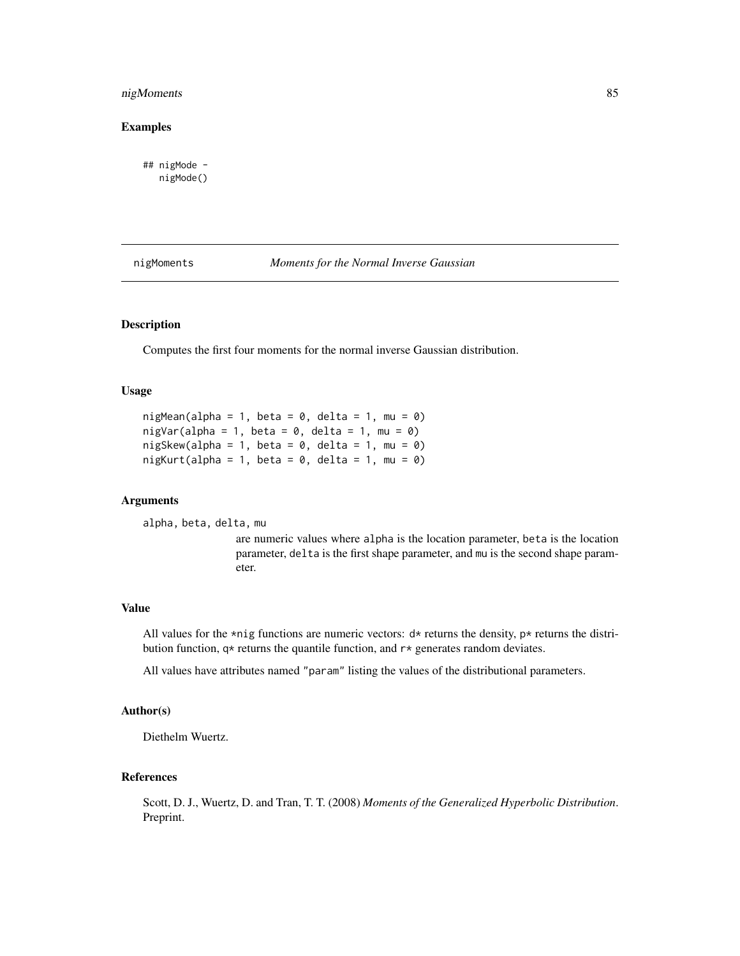# nigMoments 85

## Examples

## nigMode nigMode()

nigMoments *Moments for the Normal Inverse Gaussian*

# Description

Computes the first four moments for the normal inverse Gaussian distribution.

## Usage

```
nigMean(alpha = 1, beta = 0, delta = 1, mu = 0)
nigVar(alpha = 1, beta = 0, delta = 1, mu = 0)nigSkew(alpha = 1, beta = 0, delta = 1, mu = 0)
nigKurt(alpha = 1, beta = 0, delta = 1, mu = 0)
```
## Arguments

alpha, beta, delta, mu

are numeric values where alpha is the location parameter, beta is the location parameter, delta is the first shape parameter, and mu is the second shape parameter.

#### Value

All values for the \*nig functions are numeric vectors:  $d*$  returns the density, p\* returns the distribution function,  $q*$  returns the quantile function, and  $r*$  generates random deviates.

All values have attributes named "param" listing the values of the distributional parameters.

# Author(s)

Diethelm Wuertz.

### References

Scott, D. J., Wuertz, D. and Tran, T. T. (2008) *Moments of the Generalized Hyperbolic Distribution*. Preprint.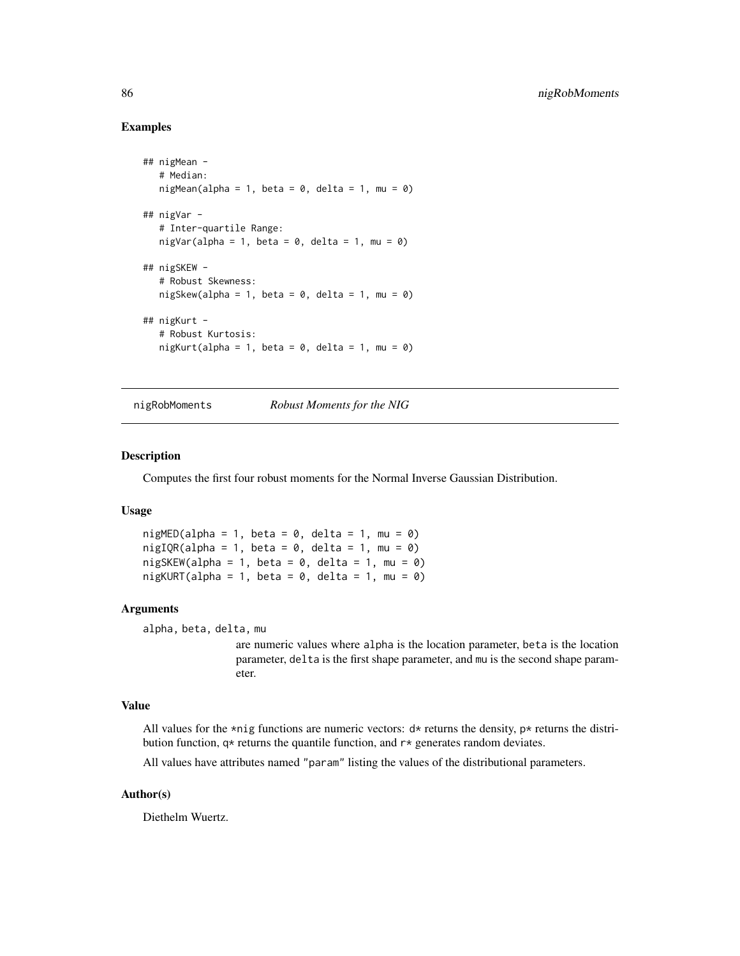## Examples

```
## nigMean -
  # Median:
  nigMean(alpha = 1, beta = 0, delta = 1, mu = 0)
## nigVar -
  # Inter-quartile Range:
  nigVar(alpha = 1, beta = 0, delta = 1, mu = 0)
## nigSKEW -
   # Robust Skewness:
  nigSkew(alpha = 1, beta = 0, delta = 1, mu = 0)
## nigKurt -
  # Robust Kurtosis:
  nigKurt(alpha = 1, beta = 0, delta = 1, mu = 0)
```
nigRobMoments *Robust Moments for the NIG*

#### Description

Computes the first four robust moments for the Normal Inverse Gaussian Distribution.

#### Usage

 $nightED(alpha = 1, beta = 0, delta = 1, mu = 0)$  $nightQR(alpha = 1, beta = 0, delta = 1, mu = 0)$  $nigSKEW(alpha = 1, beta = 0, delta = 1, mu = 0)$  $nightURT(alpha = 1, beta = 0, delta = 1, mu = 0)$ 

#### Arguments

```
alpha, beta, delta, mu
```
are numeric values where alpha is the location parameter, beta is the location parameter, delta is the first shape parameter, and mu is the second shape parameter.

#### Value

All values for the \*nig functions are numeric vectors:  $d*$  returns the density,  $p*$  returns the distribution function,  $q*$  returns the quantile function, and  $r*$  generates random deviates.

All values have attributes named "param" listing the values of the distributional parameters.

## Author(s)

Diethelm Wuertz.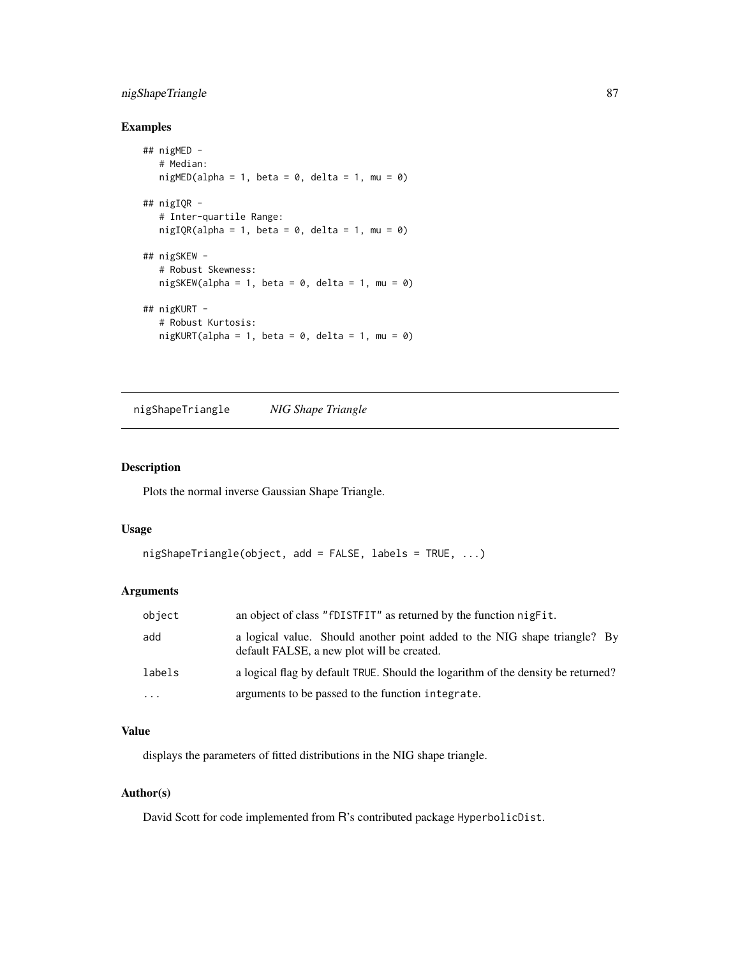# nigShapeTriangle 87

# Examples

```
## nigMED -
  # Median:
  nightED(alpha = 1, beta = 0, delta = 1, mu = 0)## nigIQR -
  # Inter-quartile Range:
  nightQR(alpha = 1, beta = 0, delta = 1, mu = 0)## nigSKEW -
  # Robust Skewness:
  nigSKEW(alpha = 1, beta = 0, delta = 1, mu = 0)## nigKURT -
  # Robust Kurtosis:
  nightURT(alpha = 1, beta = 0, delta = 1, mu = 0)
```
nigShapeTriangle *NIG Shape Triangle*

# Description

Plots the normal inverse Gaussian Shape Triangle.

#### Usage

```
nigShapeTriangle(object, add = FALSE, labels = TRUE, ...)
```
# Arguments

| object   | an object of class "fDISTFIT" as returned by the function nigfit.                                                       |
|----------|-------------------------------------------------------------------------------------------------------------------------|
| add      | a logical value. Should another point added to the NIG shape triangle? By<br>default FALSE, a new plot will be created. |
| labels   | a logical flag by default TRUE. Should the logarithm of the density be returned?                                        |
| $\cdots$ | arguments to be passed to the function integrate.                                                                       |

# Value

displays the parameters of fitted distributions in the NIG shape triangle.

### Author(s)

David Scott for code implemented from R's contributed package HyperbolicDist.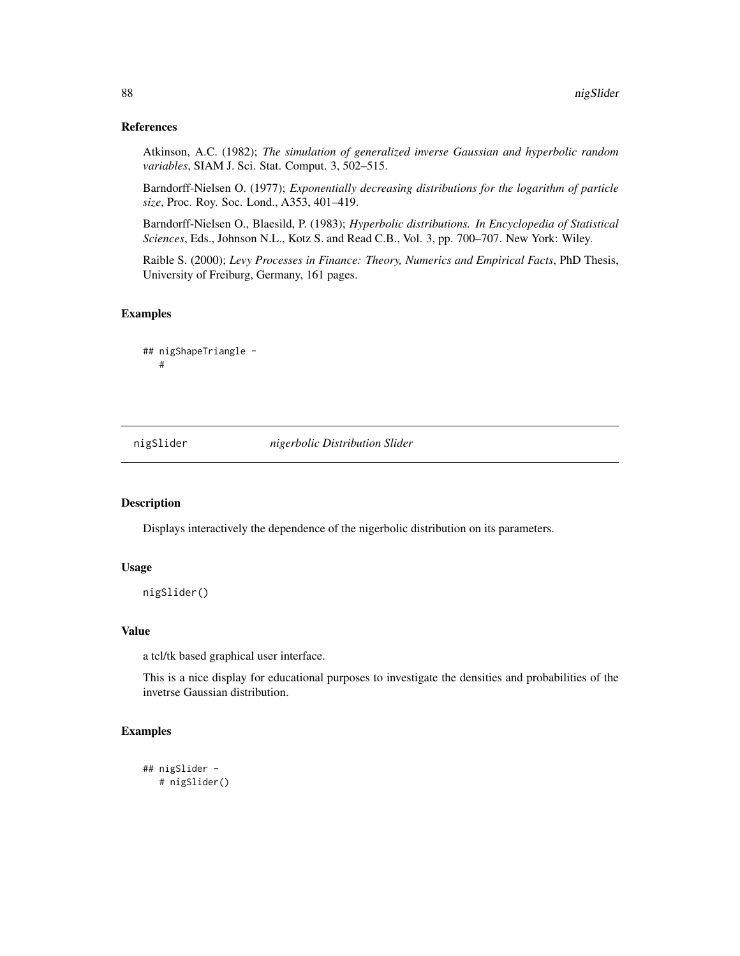## References

Atkinson, A.C. (1982); *The simulation of generalized inverse Gaussian and hyperbolic random variables*, SIAM J. Sci. Stat. Comput. 3, 502–515.

Barndorff-Nielsen O. (1977); *Exponentially decreasing distributions for the logarithm of particle size*, Proc. Roy. Soc. Lond., A353, 401–419.

Barndorff-Nielsen O., Blaesild, P. (1983); *Hyperbolic distributions. In Encyclopedia of Statistical Sciences*, Eds., Johnson N.L., Kotz S. and Read C.B., Vol. 3, pp. 700–707. New York: Wiley.

Raible S. (2000); *Levy Processes in Finance: Theory, Numerics and Empirical Facts*, PhD Thesis, University of Freiburg, Germany, 161 pages.

## Examples

## nigShapeTriangle - #

nigSlider *nigerbolic Distribution Slider*

#### Description

Displays interactively the dependence of the nigerbolic distribution on its parameters.

#### Usage

nigSlider()

# Value

a tcl/tk based graphical user interface.

This is a nice display for educational purposes to investigate the densities and probabilities of the invetrse Gaussian distribution.

# Examples

```
## nigSlider -
  # nigSlider()
```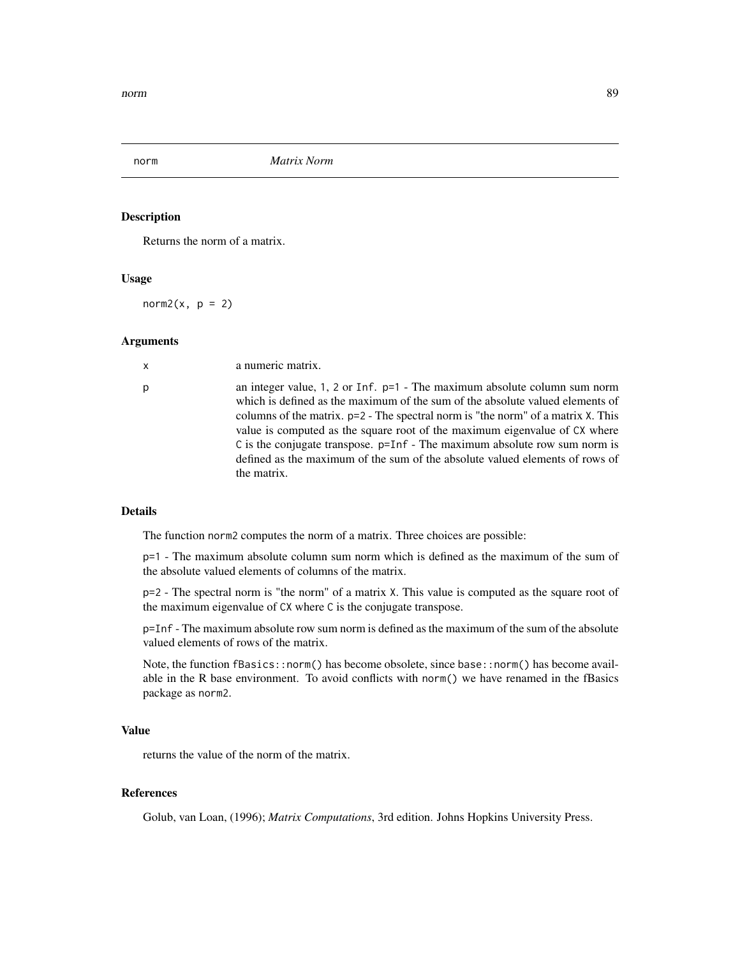#### Description

Returns the norm of a matrix.

# Usage

norm2( $x, p = 2$ )

#### Arguments

| $\mathsf{x}$ | a numeric matrix.                                                                                                                                                                                                                                                                                                                                                                                                                                                                                                         |
|--------------|---------------------------------------------------------------------------------------------------------------------------------------------------------------------------------------------------------------------------------------------------------------------------------------------------------------------------------------------------------------------------------------------------------------------------------------------------------------------------------------------------------------------------|
| р            | an integer value, 1, 2 or Inf. $p=1$ - The maximum absolute column sum norm<br>which is defined as the maximum of the sum of the absolute valued elements of<br>columns of the matrix. $p=2$ - The spectral norm is "the norm" of a matrix X. This<br>value is computed as the square root of the maximum eigenvalue of CX where<br>$\tilde{C}$ is the conjugate transpose. $p=Inf - The maximum absolute row sum norm is$<br>defined as the maximum of the sum of the absolute valued elements of rows of<br>the matrix. |
|              |                                                                                                                                                                                                                                                                                                                                                                                                                                                                                                                           |

# Details

The function norm2 computes the norm of a matrix. Three choices are possible:

p=1 - The maximum absolute column sum norm which is defined as the maximum of the sum of the absolute valued elements of columns of the matrix.

p=2 - The spectral norm is "the norm" of a matrix X. This value is computed as the square root of the maximum eigenvalue of CX where C is the conjugate transpose.

p=Inf - The maximum absolute row sum norm is defined as the maximum of the sum of the absolute valued elements of rows of the matrix.

Note, the function fBasics::norm() has become obsolete, since base::norm() has become available in the R base environment. To avoid conflicts with norm() we have renamed in the fBasics package as norm2.

# Value

returns the value of the norm of the matrix.

#### References

Golub, van Loan, (1996); *Matrix Computations*, 3rd edition. Johns Hopkins University Press.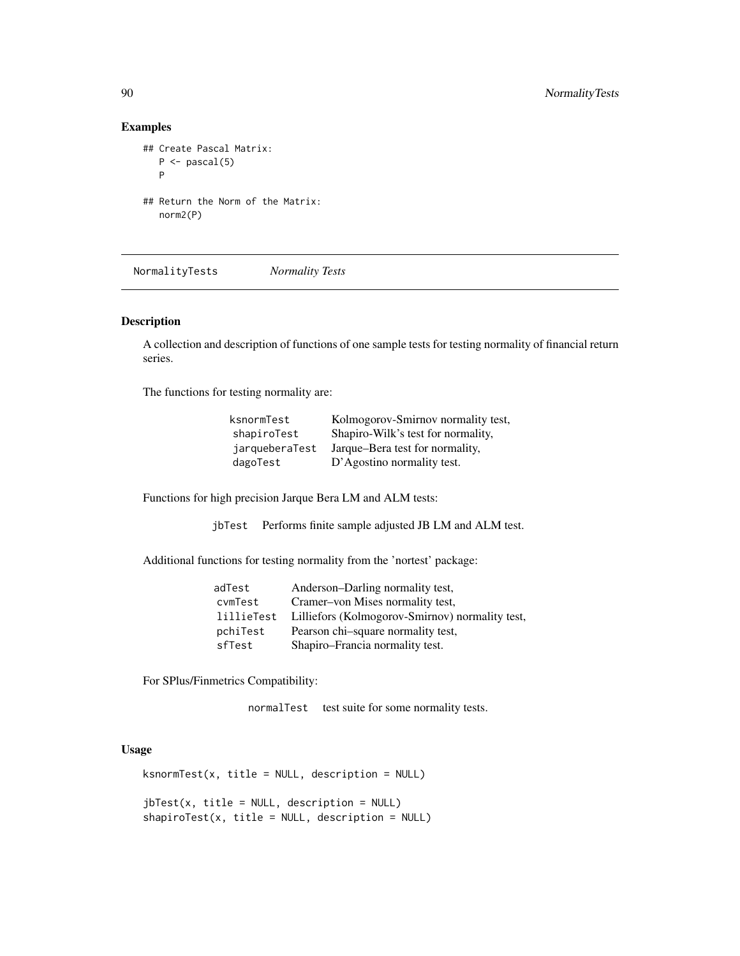# Examples

```
## Create Pascal Matrix:
   P \leftarrow pascal(5)P
## Return the Norm of the Matrix:
  norm2(P)
```
NormalityTests *Normality Tests*

## Description

A collection and description of functions of one sample tests for testing normality of financial return series.

The functions for testing normality are:

| ksnormTest     | Kolmogorov-Smirnov normality test, |
|----------------|------------------------------------|
| shapiroTest    | Shapiro-Wilk's test for normality, |
| jarqueberaTest | Jarque–Bera test for normality,    |
| dagoTest       | D'Agostino normality test.         |

Functions for high precision Jarque Bera LM and ALM tests:

jbTest Performs finite sample adjusted JB LM and ALM test.

Additional functions for testing normality from the 'nortest' package:

| adTest     | Anderson-Darling normality test,                |
|------------|-------------------------------------------------|
| cvmTest    | Cramer–von Mises normality test,                |
| lillieTest | Lilliefors (Kolmogorov-Smirnov) normality test, |
| pchiTest   | Pearson chi-square normality test,              |
| sfTest     | Shapiro-Francia normality test.                 |

For SPlus/Finmetrics Compatibility:

normalTest test suite for some normality tests.

## Usage

 $ksnormTest(x, title = NULL, description = NULL)$ 

jbTest(x, title = NULL, description = NULL)  $shapiroTest(x, title = NULL, description = NULL)$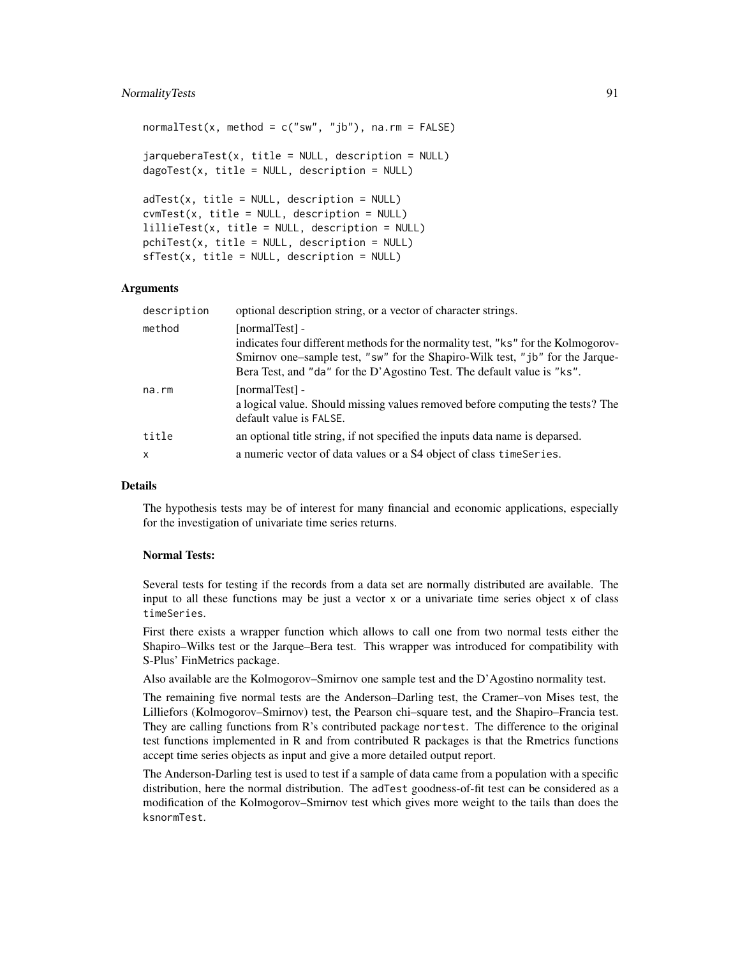# NormalityTests 91

```
normalTest(x, method = c("sw", "jb"), na.rm = FALSE)jarqueberaTest(x, title = NULL, description = NULL)
dagofest(x, title = NULL, description = NULL)adTest(x, title = NULL, description = NULL)cvmTest(x, title = NULL, description = NULL)lillieTest(x, title = NULL, description = NULL)
pchiTest(x, title = NULL, description = NULL)
sffest(x, title = NULL, description = NULL)
```
#### Arguments

| description  | optional description string, or a vector of character strings.                                                                                                                                                                                                  |
|--------------|-----------------------------------------------------------------------------------------------------------------------------------------------------------------------------------------------------------------------------------------------------------------|
| method       | [normalTest] -<br>indicates four different methods for the normality test, "ks" for the Kolmogorov-<br>Smirnov one–sample test, "sw" for the Shapiro-Wilk test, "jb" for the Jarque-<br>Bera Test, and "da" for the D'Agostino Test. The default value is "ks". |
| na.rm        | [normalTest] -<br>a logical value. Should missing values removed before computing the tests? The<br>default value is FALSE.                                                                                                                                     |
| title        | an optional title string, if not specified the inputs data name is deparsed.                                                                                                                                                                                    |
| $\mathsf{x}$ | a numeric vector of data values or a S4 object of class timeSeries.                                                                                                                                                                                             |

# Details

The hypothesis tests may be of interest for many financial and economic applications, especially for the investigation of univariate time series returns.

#### Normal Tests:

Several tests for testing if the records from a data set are normally distributed are available. The input to all these functions may be just a vector  $x$  or a univariate time series object  $x$  of class timeSeries.

First there exists a wrapper function which allows to call one from two normal tests either the Shapiro–Wilks test or the Jarque–Bera test. This wrapper was introduced for compatibility with S-Plus' FinMetrics package.

Also available are the Kolmogorov–Smirnov one sample test and the D'Agostino normality test.

The remaining five normal tests are the Anderson–Darling test, the Cramer–von Mises test, the Lilliefors (Kolmogorov–Smirnov) test, the Pearson chi–square test, and the Shapiro–Francia test. They are calling functions from R's contributed package nortest. The difference to the original test functions implemented in R and from contributed R packages is that the Rmetrics functions accept time series objects as input and give a more detailed output report.

The Anderson-Darling test is used to test if a sample of data came from a population with a specific distribution, here the normal distribution. The adTest goodness-of-fit test can be considered as a modification of the Kolmogorov–Smirnov test which gives more weight to the tails than does the ksnormTest.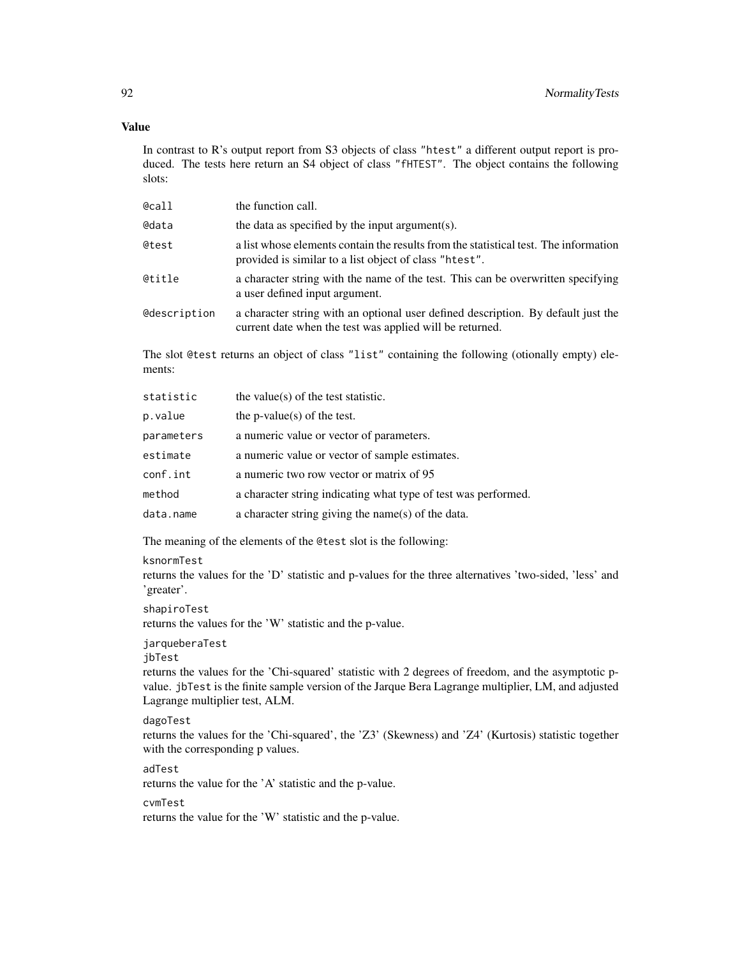## Value

In contrast to R's output report from S3 objects of class "htest" a different output report is produced. The tests here return an S4 object of class "fHTEST". The object contains the following slots:

| @call        | the function call.                                                                                                                             |
|--------------|------------------------------------------------------------------------------------------------------------------------------------------------|
| @data        | the data as specified by the input argument(s).                                                                                                |
| @test        | a list whose elements contain the results from the statistical test. The information<br>provided is similar to a list object of class "htest". |
| @title       | a character string with the name of the test. This can be overwritten specifying<br>a user defined input argument.                             |
| @description | a character string with an optional user defined description. By default just the<br>current date when the test was applied will be returned.  |

The slot @test returns an object of class "list" containing the following (otionally empty) elements:

| statistic  | the value( $s$ ) of the test statistic.                        |
|------------|----------------------------------------------------------------|
| p.value    | the $p$ -value $(s)$ of the test.                              |
| parameters | a numeric value or vector of parameters.                       |
| estimate   | a numeric value or vector of sample estimates.                 |
| conf.int   | a numeric two row vector or matrix of 95                       |
| method     | a character string indicating what type of test was performed. |
| data.name  | a character string giving the name(s) of the data.             |

The meaning of the elements of the @test slot is the following:

#### ksnormTest

returns the values for the 'D' statistic and p-values for the three alternatives 'two-sided, 'less' and 'greater'.

shapiroTest

returns the values for the 'W' statistic and the p-value.

jarqueberaTest

jbTest

returns the values for the 'Chi-squared' statistic with 2 degrees of freedom, and the asymptotic pvalue. jbTest is the finite sample version of the Jarque Bera Lagrange multiplier, LM, and adjusted Lagrange multiplier test, ALM.

## dagoTest

returns the values for the 'Chi-squared', the 'Z3' (Skewness) and 'Z4' (Kurtosis) statistic together with the corresponding p values.

adTest

returns the value for the 'A' statistic and the p-value.

#### cvmTest

returns the value for the 'W' statistic and the p-value.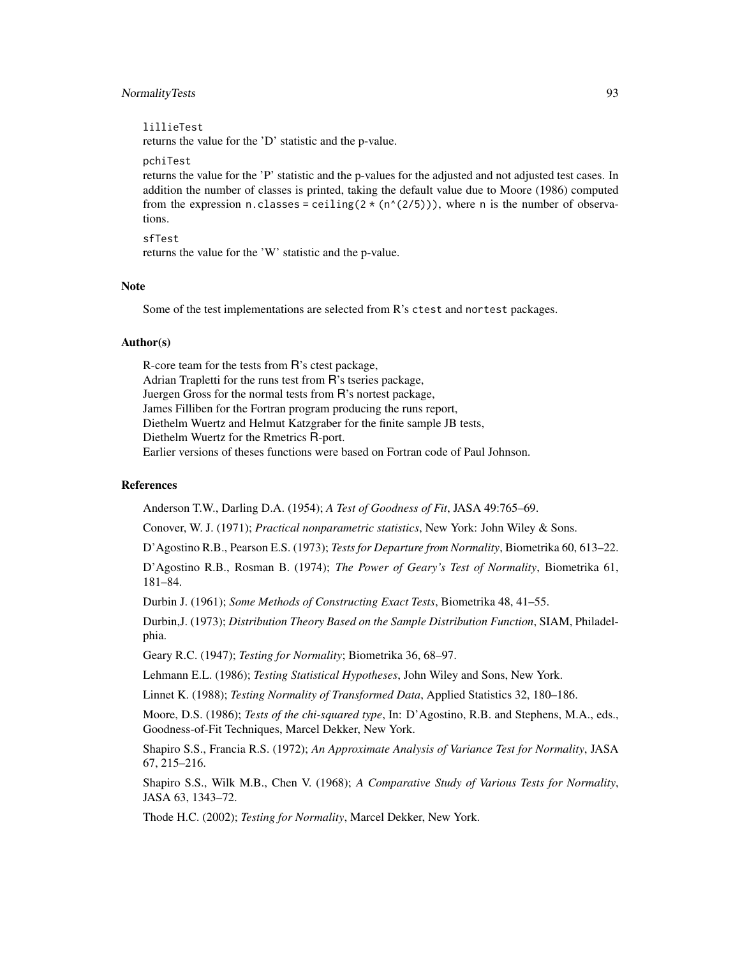## NormalityTests 93

#### lillieTest

returns the value for the 'D' statistic and the p-value.

#### pchiTest

returns the value for the 'P' statistic and the p-values for the adjusted and not adjusted test cases. In addition the number of classes is printed, taking the default value due to Moore (1986) computed from the expression n.classes = ceiling( $2 \times (n^{\wedge}(2/5))$ ), where n is the number of observations.

sfTest returns the value for the 'W' statistic and the p-value.

## **Note**

Some of the test implementations are selected from R's ctest and nortest packages.

#### Author(s)

R-core team for the tests from R's ctest package, Adrian Trapletti for the runs test from R's tseries package, Juergen Gross for the normal tests from R's nortest package, James Filliben for the Fortran program producing the runs report, Diethelm Wuertz and Helmut Katzgraber for the finite sample JB tests, Diethelm Wuertz for the Rmetrics R-port. Earlier versions of theses functions were based on Fortran code of Paul Johnson.

# References

Anderson T.W., Darling D.A. (1954); *A Test of Goodness of Fit*, JASA 49:765–69.

Conover, W. J. (1971); *Practical nonparametric statistics*, New York: John Wiley & Sons.

D'Agostino R.B., Pearson E.S. (1973); *Tests for Departure from Normality*, Biometrika 60, 613–22.

D'Agostino R.B., Rosman B. (1974); *The Power of Geary's Test of Normality*, Biometrika 61, 181–84.

Durbin J. (1961); *Some Methods of Constructing Exact Tests*, Biometrika 48, 41–55.

Durbin,J. (1973); *Distribution Theory Based on the Sample Distribution Function*, SIAM, Philadelphia.

Geary R.C. (1947); *Testing for Normality*; Biometrika 36, 68–97.

Lehmann E.L. (1986); *Testing Statistical Hypotheses*, John Wiley and Sons, New York.

Linnet K. (1988); *Testing Normality of Transformed Data*, Applied Statistics 32, 180–186.

Moore, D.S. (1986); *Tests of the chi-squared type*, In: D'Agostino, R.B. and Stephens, M.A., eds., Goodness-of-Fit Techniques, Marcel Dekker, New York.

Shapiro S.S., Francia R.S. (1972); *An Approximate Analysis of Variance Test for Normality*, JASA 67, 215–216.

Shapiro S.S., Wilk M.B., Chen V. (1968); *A Comparative Study of Various Tests for Normality*, JASA 63, 1343–72.

Thode H.C. (2002); *Testing for Normality*, Marcel Dekker, New York.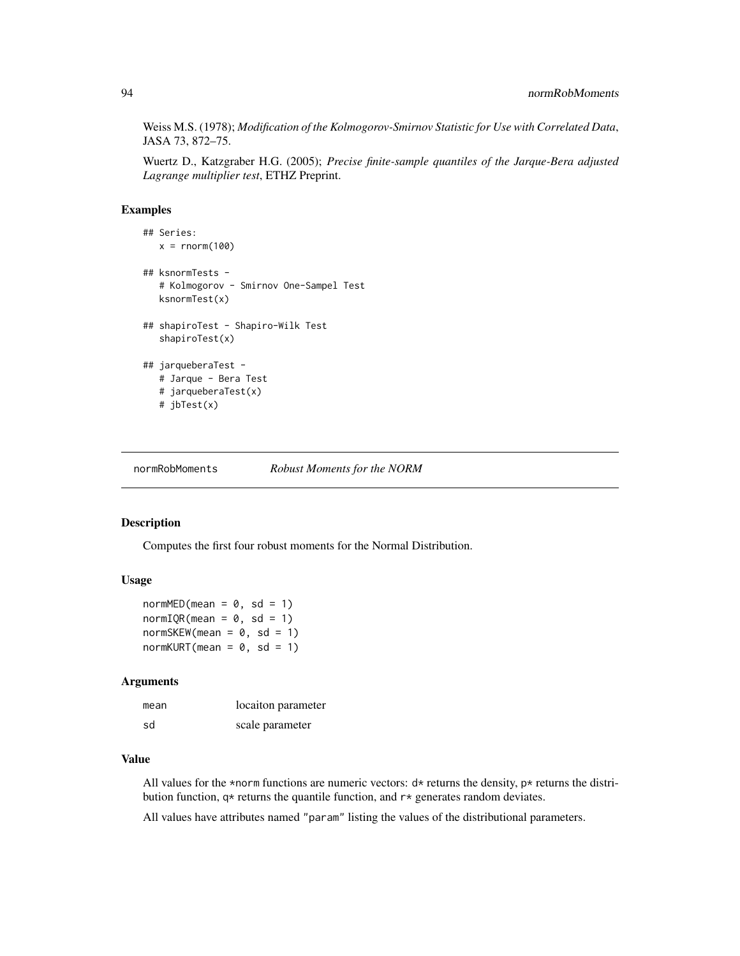Weiss M.S. (1978); *Modification of the Kolmogorov-Smirnov Statistic for Use with Correlated Data*, JASA 73, 872–75.

Wuertz D., Katzgraber H.G. (2005); *Precise finite-sample quantiles of the Jarque-Bera adjusted Lagrange multiplier test*, ETHZ Preprint.

## Examples

```
## Series:
  x = rnorm(100)## ksnormTests -
  # Kolmogorov - Smirnov One-Sampel Test
  ksnormTest(x)
## shapiroTest - Shapiro-Wilk Test
   shapiroTest(x)
## jarqueberaTest -
  # Jarque - Bera Test
  # jarqueberaTest(x)
  # jbTest(x)
```
normRobMoments *Robust Moments for the NORM*

#### Description

Computes the first four robust moments for the Normal Distribution.

#### Usage

```
normMED(mean = 0, sd = 1)normIQR(mean = 0, sd = 1)normSKEW(mean = 0, sd = 1)normKURT(mean = 0, sd = 1)
```
#### Arguments

| mean | locaiton parameter |
|------|--------------------|
| .sd  | scale parameter    |

# Value

All values for the \*norm functions are numeric vectors:  $d*$  returns the density,  $p*$  returns the distribution function,  $q*$  returns the quantile function, and  $r*$  generates random deviates.

All values have attributes named "param" listing the values of the distributional parameters.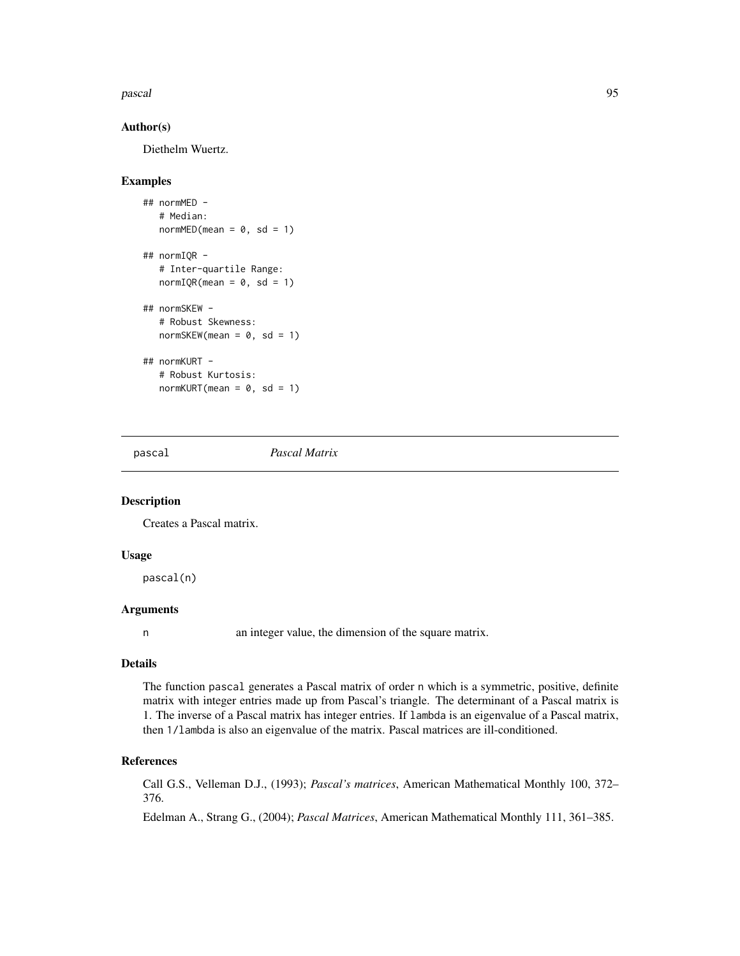#### pascal and the contract of the contract of the contract of the contract of the contract of the contract of the contract of the contract of the contract of the contract of the contract of the contract of the contract of the

## Author(s)

Diethelm Wuertz.

## Examples

```
## normMED -
  # Median:
  normMED(mean = 0, sd = 1)## normIQR -
  # Inter-quartile Range:
  normIQR(mean = 0, sd = 1)## normSKEW -
  # Robust Skewness:
  normSKEW(mean = 0, sd = 1)## normKURT -
  # Robust Kurtosis:
  normKURT(mean = 0, sd = 1)
```
pascal *Pascal Matrix*

#### Description

Creates a Pascal matrix.

#### Usage

pascal(n)

# Arguments

n an integer value, the dimension of the square matrix.

## Details

The function pascal generates a Pascal matrix of order n which is a symmetric, positive, definite matrix with integer entries made up from Pascal's triangle. The determinant of a Pascal matrix is 1. The inverse of a Pascal matrix has integer entries. If lambda is an eigenvalue of a Pascal matrix, then 1/lambda is also an eigenvalue of the matrix. Pascal matrices are ill-conditioned.

#### References

Call G.S., Velleman D.J., (1993); *Pascal's matrices*, American Mathematical Monthly 100, 372– 376.

Edelman A., Strang G., (2004); *Pascal Matrices*, American Mathematical Monthly 111, 361–385.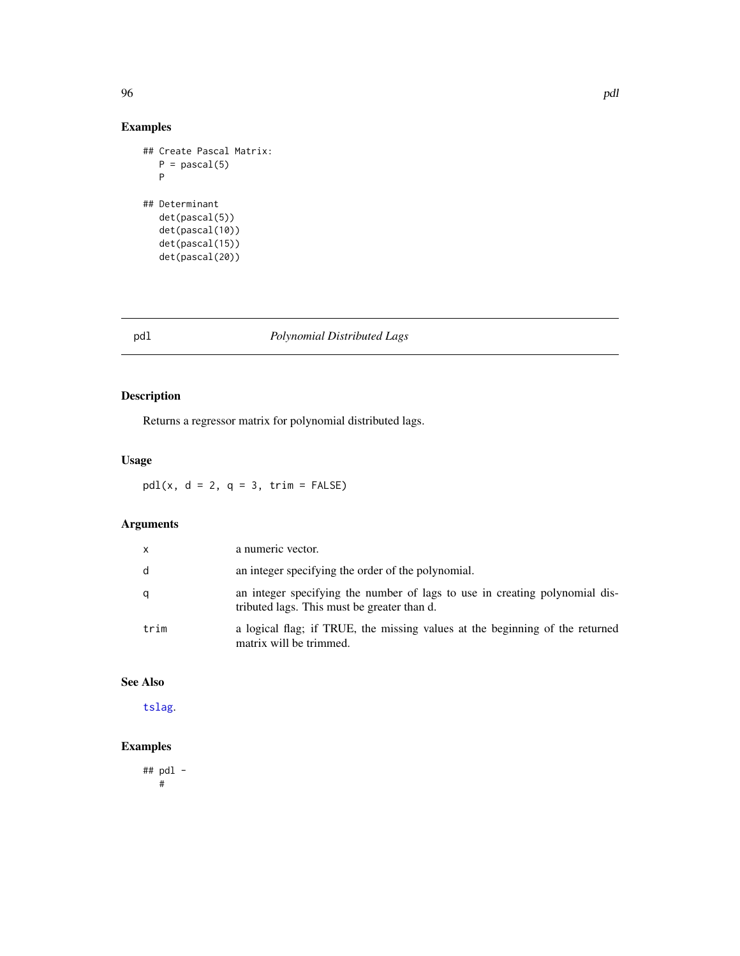# Examples

```
## Create Pascal Matrix:
  P = pascal(5)P
## Determinant
  det(pascal(5))
  det(pascal(10))
  det(pascal(15))
  det(pascal(20))
```
# pdl *Polynomial Distributed Lags*

# Description

Returns a regressor matrix for polynomial distributed lags.

# Usage

 $pdl(x, d = 2, q = 3, trim = FALSE)$ 

# Arguments

| X    | a numeric vector.                                                                                                          |
|------|----------------------------------------------------------------------------------------------------------------------------|
| d    | an integer specifying the order of the polynomial.                                                                         |
| q    | an integer specifying the number of lags to use in creating polynomial dis-<br>tributed lags. This must be greater than d. |
| trim | a logical flag; if TRUE, the missing values at the beginning of the returned<br>matrix will be trimmed.                    |

# See Also

[tslag](#page-121-0).

# Examples

## pdl - #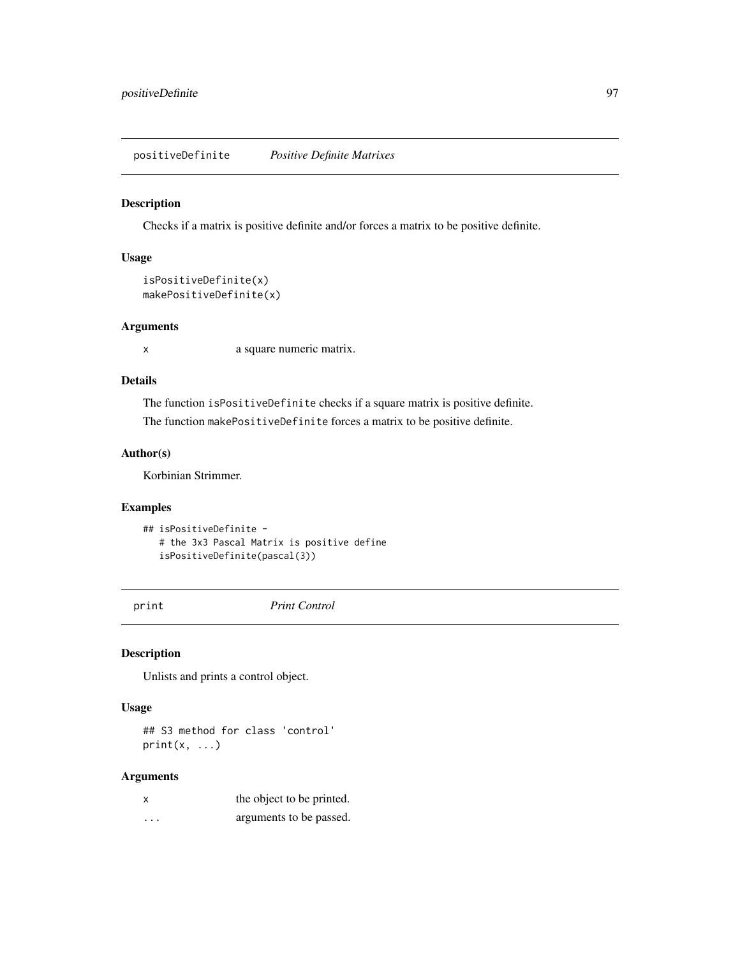#### Description

Checks if a matrix is positive definite and/or forces a matrix to be positive definite.

# Usage

```
isPositiveDefinite(x)
makePositiveDefinite(x)
```
## Arguments

x a square numeric matrix.

## Details

The function isPositiveDefinite checks if a square matrix is positive definite. The function makePositiveDefinite forces a matrix to be positive definite.

# Author(s)

Korbinian Strimmer.

# Examples

```
## isPositiveDefinite -
  # the 3x3 Pascal Matrix is positive define
  isPositiveDefinite(pascal(3))
```
print *Print Control*

#### Description

Unlists and prints a control object.

## Usage

## S3 method for class 'control'  $print(x, \ldots)$ 

## Arguments

|          | the object to be printed. |
|----------|---------------------------|
| $\cdots$ | arguments to be passed.   |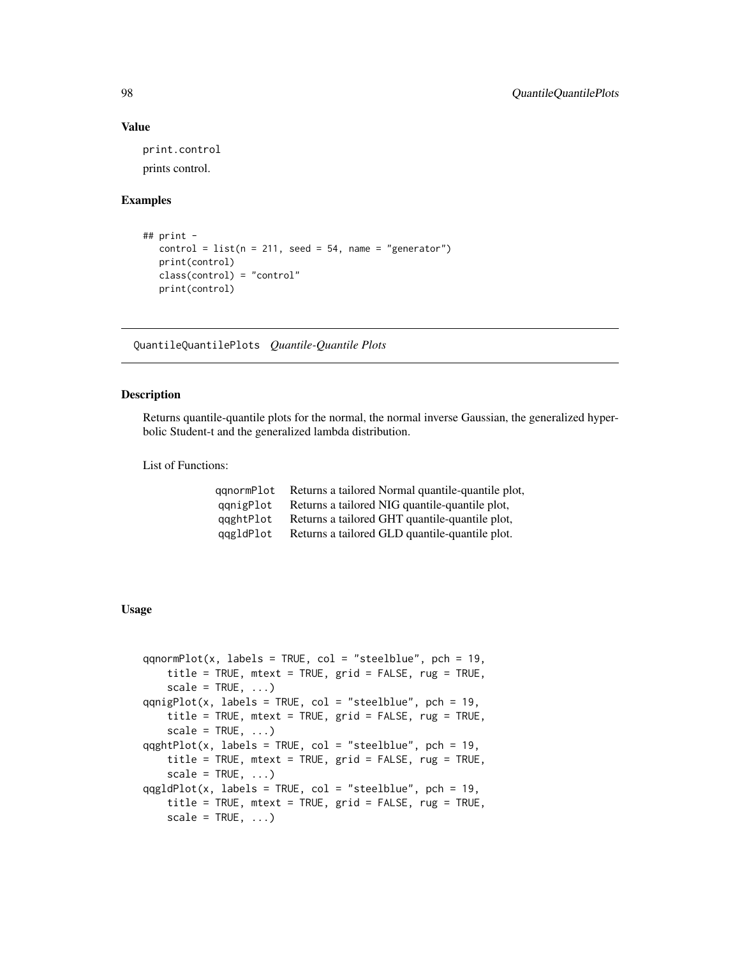## Value

print.control prints control.

#### Examples

```
## print -
  control = list(n = 211, seed = 54, name = "generator")print(control)
  class(control) = "control"
  print(control)
```
QuantileQuantilePlots *Quantile-Quantile Plots*

## Description

Returns quantile-quantile plots for the normal, the normal inverse Gaussian, the generalized hyperbolic Student-t and the generalized lambda distribution.

List of Functions:

| aanormPlot | Returns a tailored Normal quantile-quantile plot, |
|------------|---------------------------------------------------|
| qqnigPlot  | Returns a tailored NIG quantile-quantile plot,    |
| qqghtPlot  | Returns a tailored GHT quantile-quantile plot,    |
| qqgldPlot  | Returns a tailored GLD quantile-quantile plot.    |

# Usage

```
qqnormPlot(x, labels = TRUE, col = "steelblue", pch = 19,
   title = TRUE, mtext = TRUE, grid = FALSE, rug = TRUE,
   scale = TRUE, ...)qqnigPlot(x, labels = TRUE, col = "steelblue", pch = 19,
   title = TRUE, mtext = TRUE, grid = FALSE, rug = TRUE,
   scale = TRUE, ...)qqghtPlot(x, labels = TRUE, col = "steelblue", pch = 19,title = TRUE, mtext = TRUE, grid = FALSE, rug = TRUE,
   scale = TRUE, ...qqgldPlot(x, labels = TRUE, col = "steelblue", pch = 19,
   title = TRUE, mtext = TRUE, grid = FALSE, rug = TRUE,
   scale = TRUE, ...)
```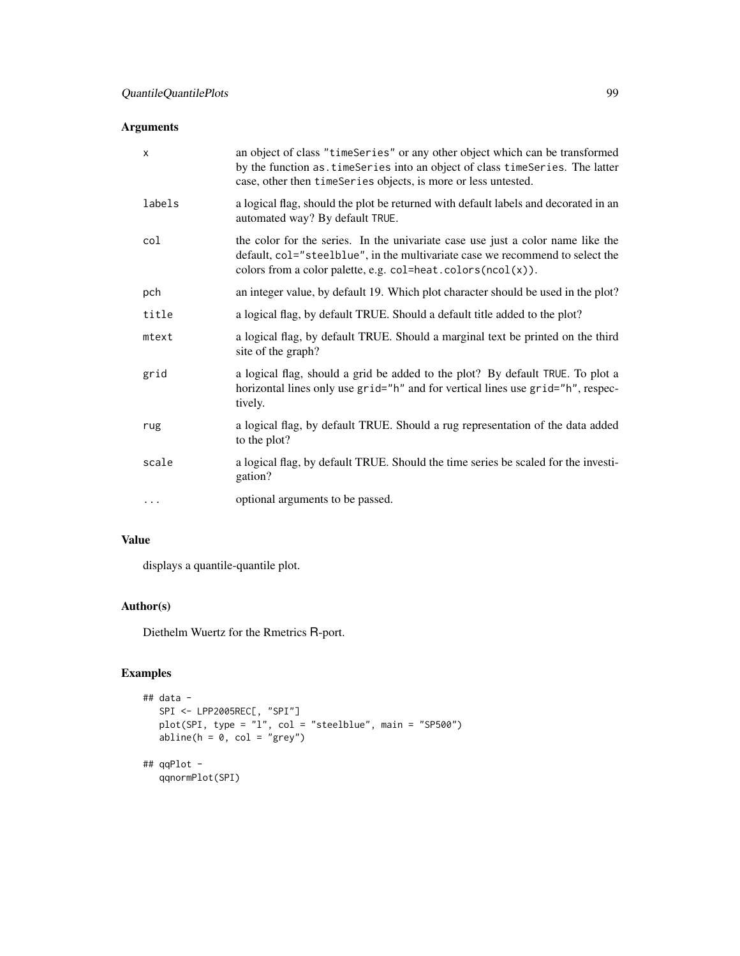# Arguments

| $\times$ | an object of class "timeSeries" or any other object which can be transformed<br>by the function as. timeSeries into an object of class timeSeries. The latter<br>case, other then timeSeries objects, is more or less untested.    |
|----------|------------------------------------------------------------------------------------------------------------------------------------------------------------------------------------------------------------------------------------|
| labels   | a logical flag, should the plot be returned with default labels and decorated in an<br>automated way? By default TRUE.                                                                                                             |
| col      | the color for the series. In the univariate case use just a color name like the<br>default, col="steelblue", in the multivariate case we recommend to select the<br>colors from a color palette, e.g. $col=heat.colors(ncol(x))$ . |
| pch      | an integer value, by default 19. Which plot character should be used in the plot?                                                                                                                                                  |
| title    | a logical flag, by default TRUE. Should a default title added to the plot?                                                                                                                                                         |
| mtext    | a logical flag, by default TRUE. Should a marginal text be printed on the third<br>site of the graph?                                                                                                                              |
| grid     | a logical flag, should a grid be added to the plot? By default TRUE. To plot a<br>horizontal lines only use grid="h" and for vertical lines use grid="h", respec-<br>tively.                                                       |
| rug      | a logical flag, by default TRUE. Should a rug representation of the data added<br>to the plot?                                                                                                                                     |
| scale    | a logical flag, by default TRUE. Should the time series be scaled for the investi-<br>gation?                                                                                                                                      |
| $\cdots$ | optional arguments to be passed.                                                                                                                                                                                                   |

# Value

displays a quantile-quantile plot.

# Author(s)

Diethelm Wuertz for the Rmetrics R-port.

# Examples

```
## data -
  SPI <- LPP2005REC[, "SPI"]
  plot(SPI, type = "l", col = "steelblue", main = "SP500")
  abline(h = 0, col = "grey")
## qqPlot -
  qqnormPlot(SPI)
```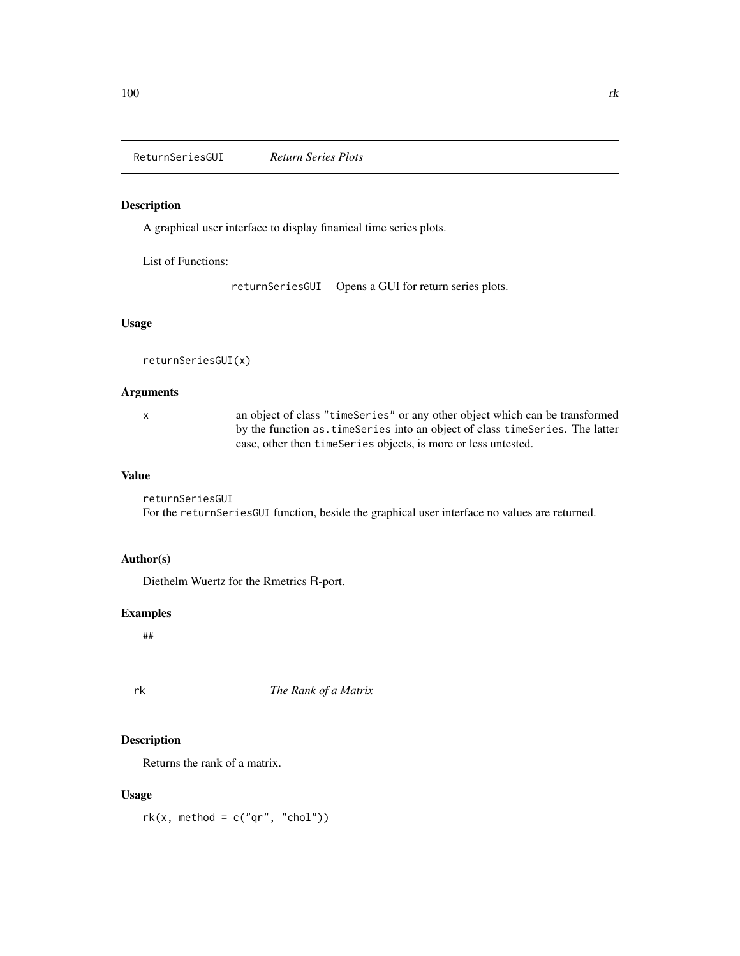# Description

A graphical user interface to display finanical time series plots.

List of Functions:

returnSeriesGUI Opens a GUI for return series plots.

# Usage

```
returnSeriesGUI(x)
```
## Arguments

x an object of class "timeSeries" or any other object which can be transformed by the function as.timeSeries into an object of class timeSeries. The latter case, other then timeSeries objects, is more or less untested.

## Value

returnSeriesGUI For the returnSeriesGUI function, beside the graphical user interface no values are returned.

# Author(s)

Diethelm Wuertz for the Rmetrics R-port.

## Examples

##

rk *The Rank of a Matrix*

# Description

Returns the rank of a matrix.

## Usage

 $rk(x, method = c("qr", "chol"))$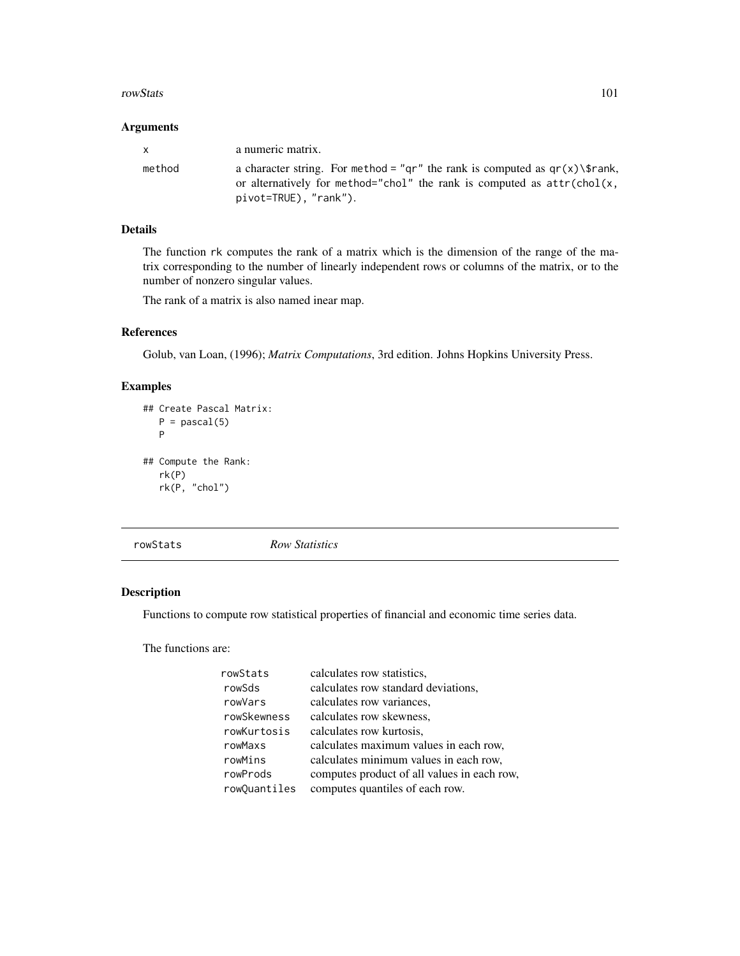#### rowStats 101

## Arguments

| $\mathsf{x}$ | a numeric matrix.                                                                                                                                                                   |
|--------------|-------------------------------------------------------------------------------------------------------------------------------------------------------------------------------------|
| method       | a character string. For method = "gr" the rank is computed as $gr(x)\$ frank,<br>or alternatively for method="chol" the rank is computed as $attr(chol(x,$<br>pivot=TRUE), "rank"). |

# Details

The function rk computes the rank of a matrix which is the dimension of the range of the matrix corresponding to the number of linearly independent rows or columns of the matrix, or to the number of nonzero singular values.

The rank of a matrix is also named inear map.

## References

Golub, van Loan, (1996); *Matrix Computations*, 3rd edition. Johns Hopkins University Press.

# Examples

```
## Create Pascal Matrix:
  P = pascal(5)P
## Compute the Rank:
  rk(P)
  rk(P, "chol")
```
rowStats *Row Statistics*

# Description

Functions to compute row statistical properties of financial and economic time series data.

The functions are:

| rowStats     | calculates row statistics.                  |
|--------------|---------------------------------------------|
| rowSds       | calculates row standard deviations,         |
| rowVars      | calculates row variances.                   |
| rowSkewness  | calculates row skewness,                    |
| rowKurtosis  | calculates row kurtosis,                    |
| rowMaxs      | calculates maximum values in each row,      |
| rowMins      | calculates minimum values in each row,      |
| rowProds     | computes product of all values in each row, |
| rowQuantiles | computes quantiles of each row.             |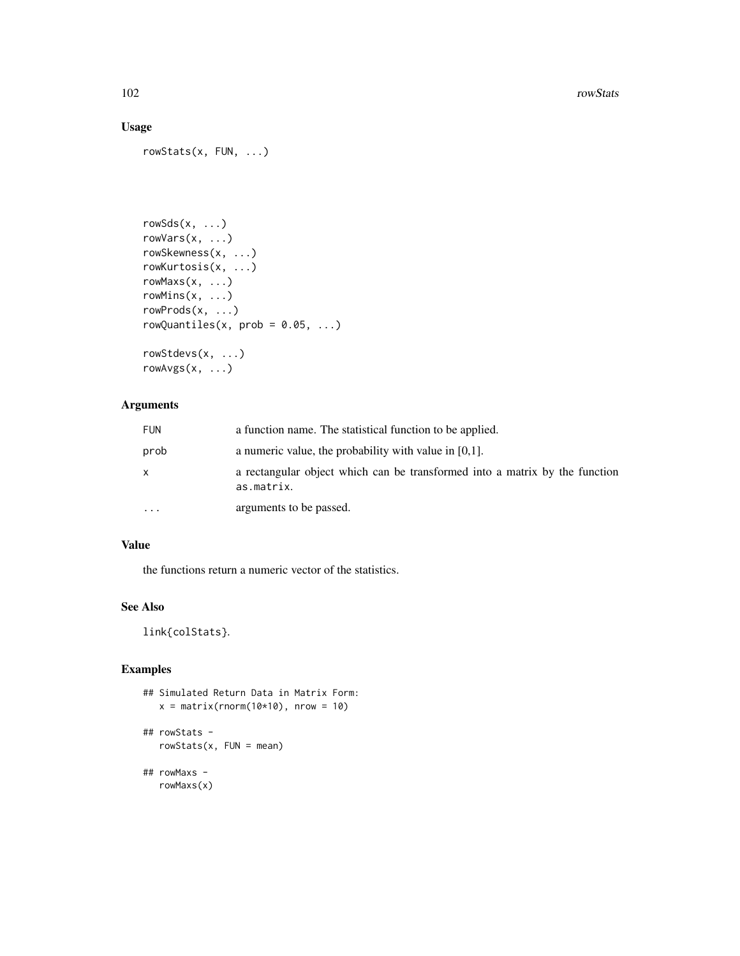# Usage

```
rowStats(x, FUN, ...)
```

```
rowSds(x, ...)
rowVars(x, ...)
rowSkewness(x, ...)
rowKurtosis(x, ...)
rowMaxs(x, ...)
rowMins(x, \ldots)rowProds(x, ...)
rowQuantiles(x, prob = 0.05, ...)rowStdevs(x, ...)
```

```
rowAvgs(x, ...)
```
# Arguments

| <b>FUN</b> | a function name. The statistical function to be applied.                                  |
|------------|-------------------------------------------------------------------------------------------|
| prob       | a numeric value, the probability with value in $[0,1]$ .                                  |
| X          | a rectangular object which can be transformed into a matrix by the function<br>as.matrix. |
| $\cdots$   | arguments to be passed.                                                                   |

# Value

the functions return a numeric vector of the statistics.

# See Also

link{colStats}.

# Examples

```
## Simulated Return Data in Matrix Form:
  x = matrix(rnorm(10*10), nrow = 10)## rowStats -
   rowstats(x, FUN = mean)## rowMaxs -
```
rowMaxs(x)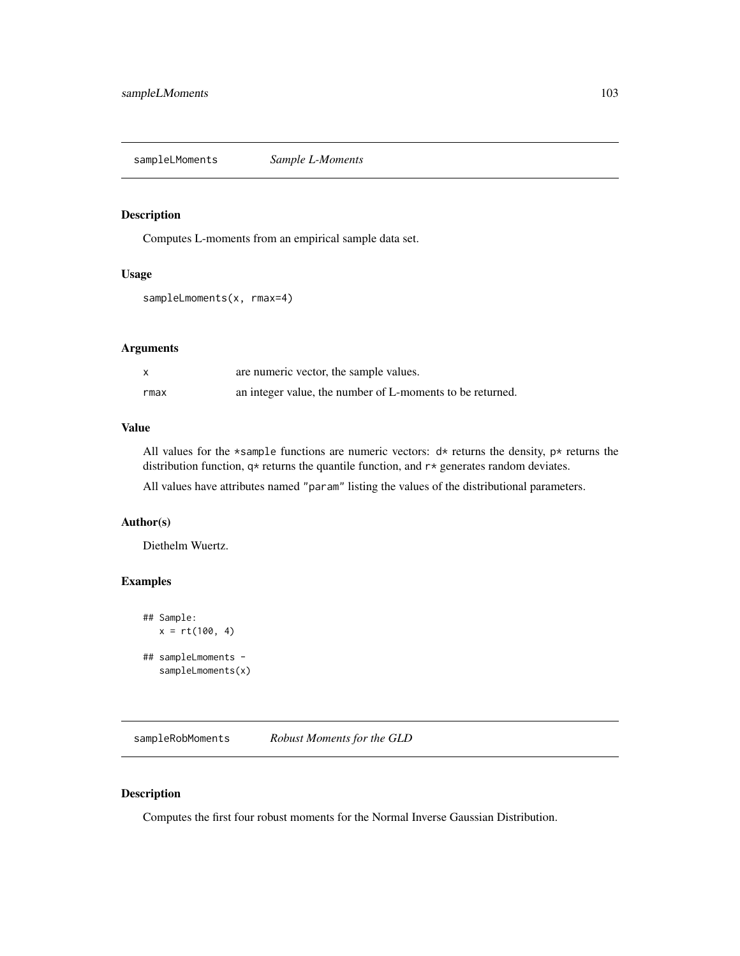sampleLMoments *Sample L-Moments*

## Description

Computes L-moments from an empirical sample data set.

#### Usage

```
sampleLmoments(x, rmax=4)
```
# Arguments

|      | are numeric vector, the sample values.                    |
|------|-----------------------------------------------------------|
| rmax | an integer value, the number of L-moments to be returned. |

# Value

All values for the \*sample functions are numeric vectors:  $d*$  returns the density,  $p*$  returns the distribution function, q\* returns the quantile function, and r\* generates random deviates.

All values have attributes named "param" listing the values of the distributional parameters.

#### Author(s)

Diethelm Wuertz.

# Examples

```
## Sample:
  x = rt(100, 4)## sampleLmoments -
   sampleLmoments(x)
```
sampleRobMoments *Robust Moments for the GLD*

# Description

Computes the first four robust moments for the Normal Inverse Gaussian Distribution.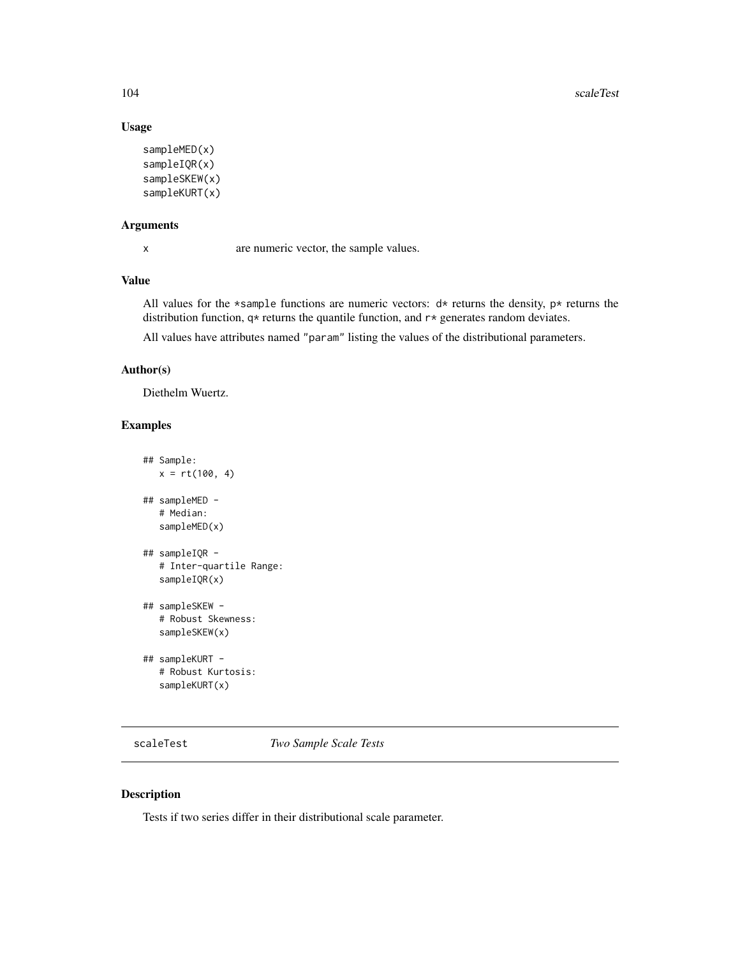# Usage

```
sampleMED(x)
sampleIQR(x)
sampleSKEW(x)
sampleKURT(x)
```
# Arguments

x are numeric vector, the sample values.

# Value

All values for the \*sample functions are numeric vectors:  $d*$  returns the density,  $p*$  returns the distribution function,  $q*$  returns the quantile function, and  $r*$  generates random deviates.

All values have attributes named "param" listing the values of the distributional parameters.

## Author(s)

Diethelm Wuertz.

# Examples

```
## Sample:
  x = rt(100, 4)## sampleMED -
  # Median:
  sampleMED(x)
## sampleIQR -
  # Inter-quartile Range:
  sampleIQR(x)
## sampleSKEW -
   # Robust Skewness:
  sampleSKEW(x)
## sampleKURT -
   # Robust Kurtosis:
  sampleKURT(x)
```
scaleTest *Two Sample Scale Tests*

# Description

Tests if two series differ in their distributional scale parameter.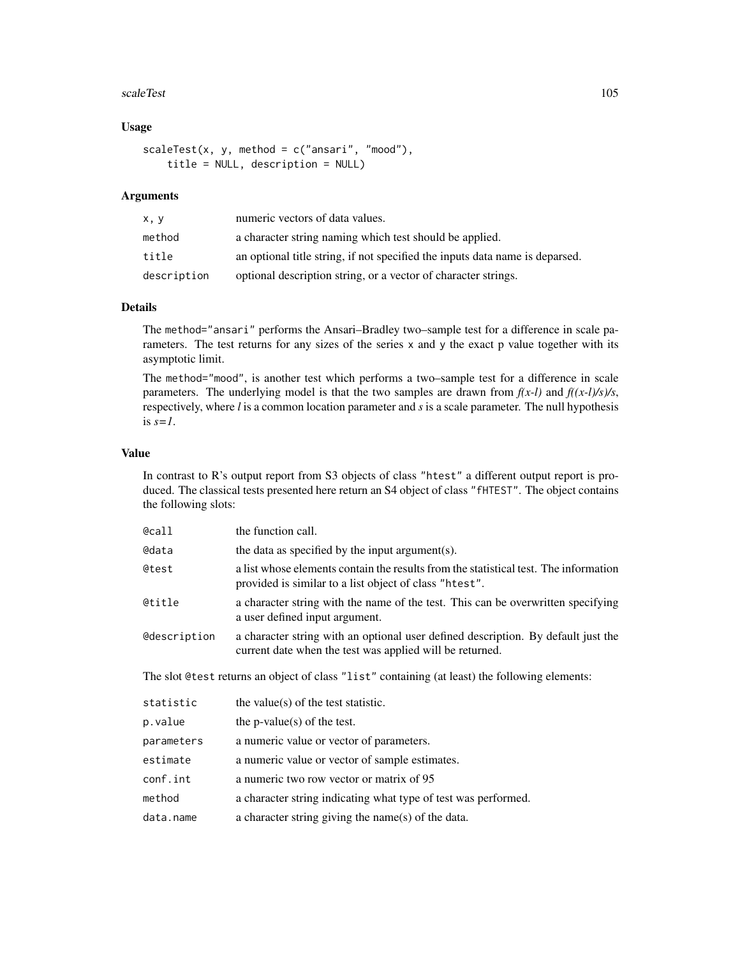#### scaleTest 105

# Usage

```
scaleTest(x, y, method = c("ansari", "mod"),title = NULL, description = NULL)
```
## Arguments

| x, y        | numeric vectors of data values.                                              |
|-------------|------------------------------------------------------------------------------|
| method      | a character string naming which test should be applied.                      |
| title       | an optional title string, if not specified the inputs data name is deparsed. |
| description | optional description string, or a vector of character strings.               |

# Details

The method="ansari" performs the Ansari–Bradley two–sample test for a difference in scale parameters. The test returns for any sizes of the series x and y the exact p value together with its asymptotic limit.

The method="mood", is another test which performs a two–sample test for a difference in scale parameters. The underlying model is that the two samples are drawn from  $f(x-l)$  and  $f((x-l)/s)/s$ , respectively, where *l* is a common location parameter and *s* is a scale parameter. The null hypothesis is  $s=1$ .

## Value

In contrast to R's output report from S3 objects of class "htest" a different output report is produced. The classical tests presented here return an S4 object of class "fHTEST". The object contains the following slots:

| @call               | the function call.                                                                                                                             |
|---------------------|------------------------------------------------------------------------------------------------------------------------------------------------|
| @data               | the data as specified by the input argument(s).                                                                                                |
| @test               | a list whose elements contain the results from the statistical test. The information<br>provided is similar to a list object of class "htest". |
| @title              | a character string with the name of the test. This can be overwritten specifying<br>a user defined input argument.                             |
| <b>@description</b> | a character string with an optional user defined description. By default just the<br>current date when the test was applied will be returned.  |
|                     | The slot @test returns an object of class "list" containing (at least) the following elements:                                                 |
| statistic           | the value(s) of the test statistic.                                                                                                            |
| p.value             | the p-value(s) of the test.                                                                                                                    |
| parameters          | a numeric value or vector of parameters.                                                                                                       |
| estimate            | a numeric value or vector of sample estimates.                                                                                                 |
| conf.int            | a numeric two row vector or matrix of 95                                                                                                       |
| method              | a character string indicating what type of test was performed.                                                                                 |
| data.name           | a character string giving the name(s) of the data.                                                                                             |
|                     |                                                                                                                                                |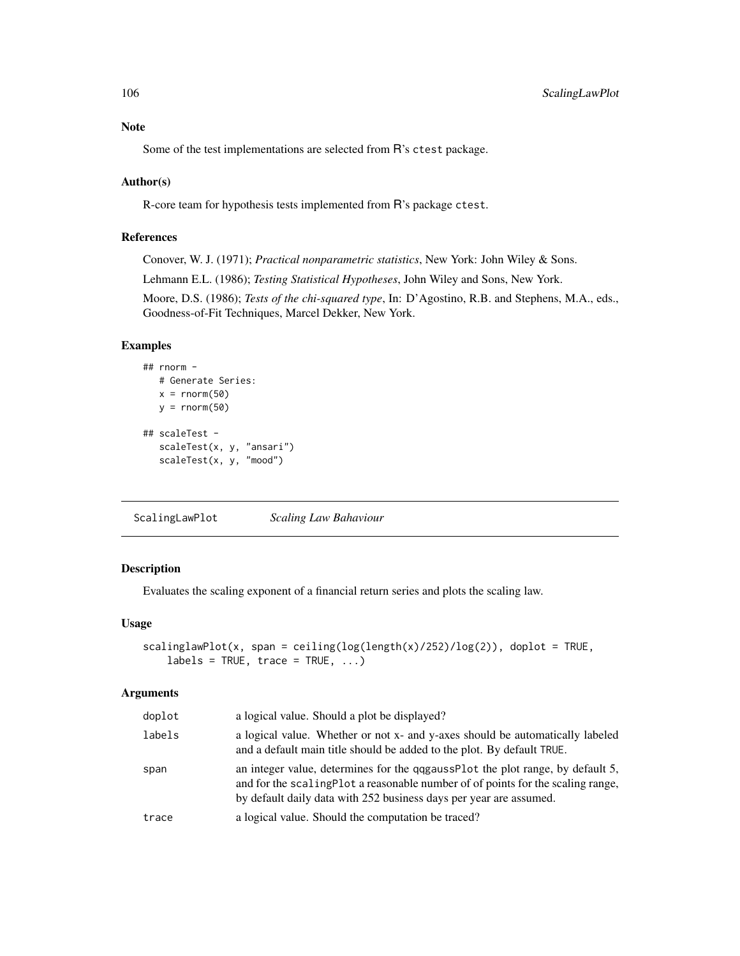# Note

Some of the test implementations are selected from R's ctest package.

## Author(s)

R-core team for hypothesis tests implemented from R's package ctest.

# References

Conover, W. J. (1971); *Practical nonparametric statistics*, New York: John Wiley & Sons.

Lehmann E.L. (1986); *Testing Statistical Hypotheses*, John Wiley and Sons, New York.

Moore, D.S. (1986); *Tests of the chi-squared type*, In: D'Agostino, R.B. and Stephens, M.A., eds., Goodness-of-Fit Techniques, Marcel Dekker, New York.

# Examples

```
## rnorm -
  # Generate Series:
  x = rnorm(50)y = rnorm(50)## scaleTest -
  scaleTest(x, y, "ansari")
  scaleTest(x, y, "mood")
```
ScalingLawPlot *Scaling Law Bahaviour*

# Description

Evaluates the scaling exponent of a financial return series and plots the scaling law.

## Usage

```
scalinglawPlot(x, span = ceiling(log(length(x)/252)/log(2)), doplot = TRUE,
   labels = TRUE, trace = TRUE, ...)
```
#### Arguments

| doplot | a logical value. Should a plot be displayed?                                                                                                                                                                                             |
|--------|------------------------------------------------------------------------------------------------------------------------------------------------------------------------------------------------------------------------------------------|
| labels | a logical value. Whether or not x- and y-axes should be automatically labeled<br>and a default main title should be added to the plot. By default TRUE.                                                                                  |
| span   | an integer value, determines for the qqgaussPlot the plot range, by default 5,<br>and for the scaling Plot a reasonable number of of points for the scaling range,<br>by default daily data with 252 business days per year are assumed. |
| trace  | a logical value. Should the computation be traced?                                                                                                                                                                                       |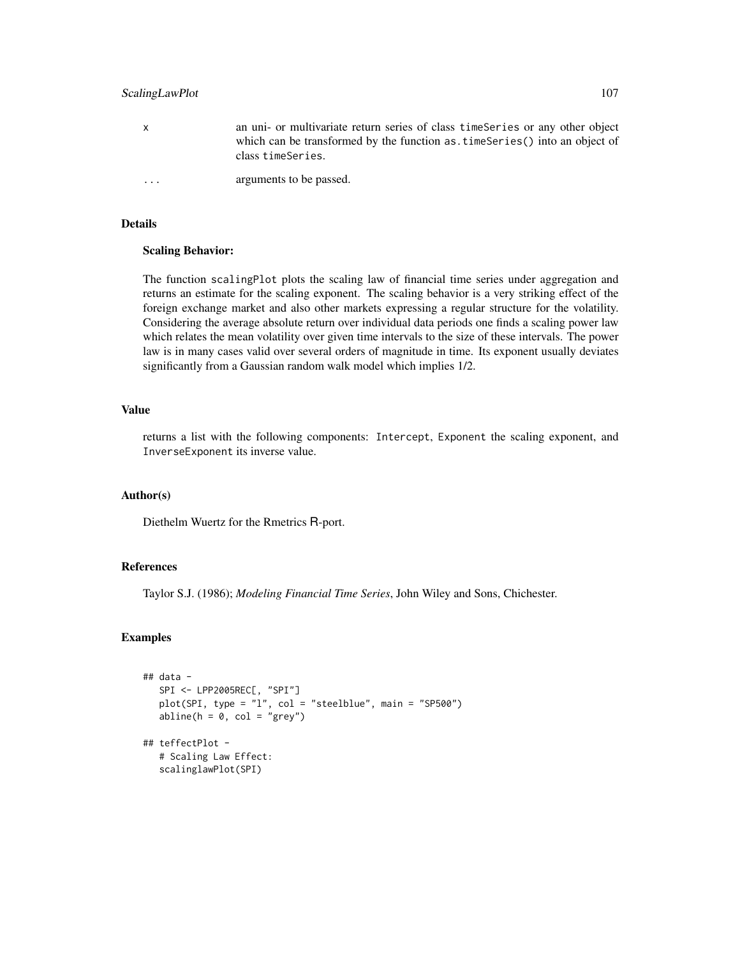# ScalingLawPlot 107

| X                       | an uni- or multivariate return series of class time Series or any other object<br>which can be transformed by the function as time Series () into an object of<br>class timeSeries. |
|-------------------------|-------------------------------------------------------------------------------------------------------------------------------------------------------------------------------------|
| $\cdot$ $\cdot$ $\cdot$ | arguments to be passed.                                                                                                                                                             |

## Details

#### Scaling Behavior:

The function scalingPlot plots the scaling law of financial time series under aggregation and returns an estimate for the scaling exponent. The scaling behavior is a very striking effect of the foreign exchange market and also other markets expressing a regular structure for the volatility. Considering the average absolute return over individual data periods one finds a scaling power law which relates the mean volatility over given time intervals to the size of these intervals. The power law is in many cases valid over several orders of magnitude in time. Its exponent usually deviates significantly from a Gaussian random walk model which implies 1/2.

## Value

returns a list with the following components: Intercept, Exponent the scaling exponent, and InverseExponent its inverse value.

## Author(s)

Diethelm Wuertz for the Rmetrics R-port.

#### References

Taylor S.J. (1986); *Modeling Financial Time Series*, John Wiley and Sons, Chichester.

# Examples

```
## data -
  SPI <- LPP2005REC[, "SPI"]
  plot(SPI, type = "l", col = "steelblue", main = "SP500")
  abline(h = 0, col = "grey")
## teffectPlot -
   # Scaling Law Effect:
  scalinglawPlot(SPI)
```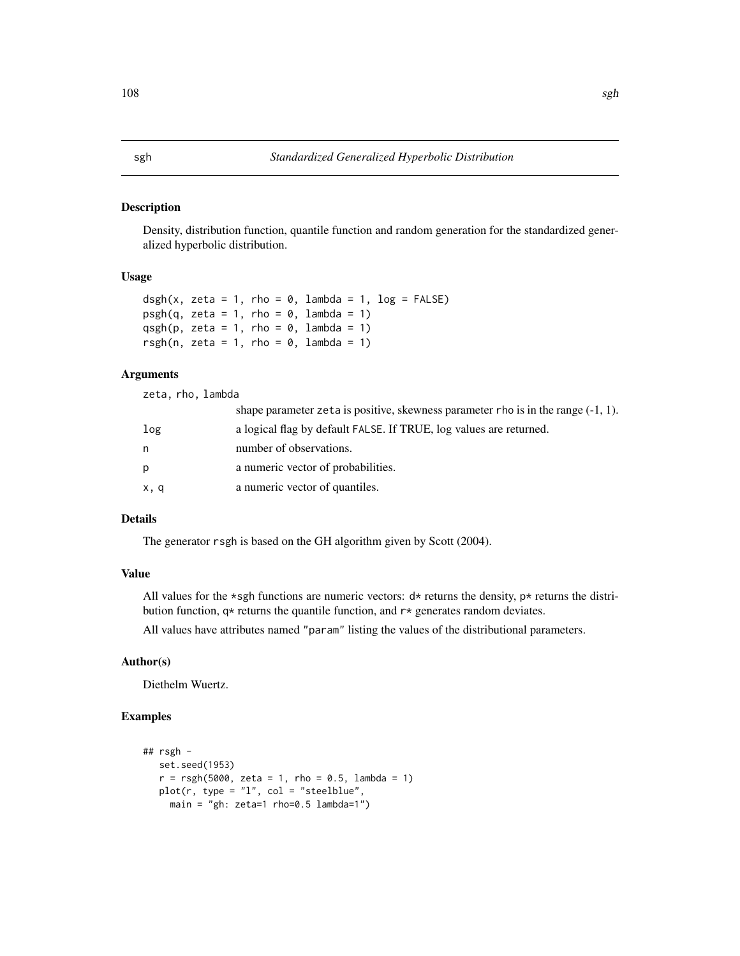#### Description

Density, distribution function, quantile function and random generation for the standardized generalized hyperbolic distribution.

#### Usage

```
dsgh(x, zeta = 1, rho = 0, lambda = 1, log = FALSE)psgh(q, zeta = 1, rho = 0, lambda = 1)qsgh(p, zeta = 1, rho = 0, lambda = 1)
rsgh(n, zeta = 1, rho = 0, lambda = 1)
```
### Arguments

zeta, rho, lambda

|      | shape parameter zeta is positive, skewness parameter rho is in the range $(-1, 1)$ . |
|------|--------------------------------------------------------------------------------------|
| log  | a logical flag by default FALSE. If TRUE, log values are returned.                   |
| n    | number of observations.                                                              |
| D    | a numeric vector of probabilities.                                                   |
| x, q | a numeric vector of quantiles.                                                       |

# Details

The generator rsgh is based on the GH algorithm given by Scott (2004).

#### Value

All values for the \*sgh functions are numeric vectors:  $d*$  returns the density, p\* returns the distribution function, q\* returns the quantile function, and r\* generates random deviates.

All values have attributes named "param" listing the values of the distributional parameters.

## Author(s)

Diethelm Wuertz.

# Examples

```
## rsgh -
  set.seed(1953)
  r = rsgh(5000, zeta = 1, rho = 0.5, lambda = 1)plot(r, type = "1", col = "steelblue",
    main = "gh: zeta=1 rho=0.5 lambda=1")
```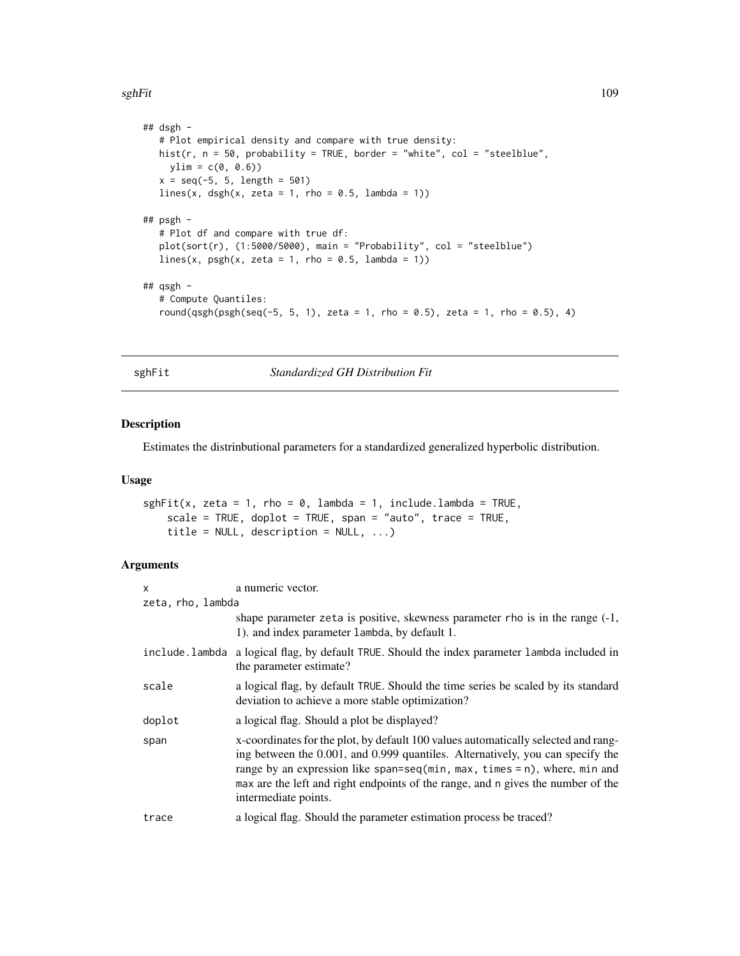<span id="page-108-0"></span>sghFit the contract of the contract of the contract of the contract of the contract of the contract of the contract of the contract of the contract of the contract of the contract of the contract of the contract of the con

```
## dsgh -
  # Plot empirical density and compare with true density:
  hist(r, n = 50, probability = TRUE, border = "white", col = "steelblue",
    ylim = c(0, 0.6)x = seq(-5, 5, length = 501)lines(x, dsgh(x, zeta = 1, rho = 0.5, lambda = 1))
## psgh -
  # Plot df and compare with true df:
  plot(sort(r), (1:5000/5000), \text{ main} = "Probability", col = "steelblue")lines(x, psgh(x, zeta = 1, rho = 0.5, lambda = 1))## qsgh -
  # Compute Quantiles:
  round(qsgh(psgh(seq(-5, 5, 1), zeta = 1, rho = 0.5), zeta = 1, rho = 0.5), 4)
```
sghFit *Standardized GH Distribution Fit*

# Description

Estimates the distrinbutional parameters for a standardized generalized hyperbolic distribution.

#### Usage

```
sghFit(x, zeta = 1, rho = 0, lambda = 1, include.lambda = TRUE,scale = TRUE, doplot = TRUE, span = "auto", trace = TRUE,
   title = NULL, description = NULL, ...)
```
# Arguments

| X              | a numeric vector.                                                                                                                                                                                                                                                                                                                                             |  |  |
|----------------|---------------------------------------------------------------------------------------------------------------------------------------------------------------------------------------------------------------------------------------------------------------------------------------------------------------------------------------------------------------|--|--|
|                | zeta, rho, lambda                                                                                                                                                                                                                                                                                                                                             |  |  |
|                | shape parameter zeta is positive, skewness parameter rho is in the range $(-1)$ ,<br>1). and index parameter lambda, by default 1.                                                                                                                                                                                                                            |  |  |
| include.lambda | a logical flag, by default TRUE. Should the index parameter lambda included in<br>the parameter estimate?                                                                                                                                                                                                                                                     |  |  |
| scale          | a logical flag, by default TRUE. Should the time series be scaled by its standard<br>deviation to achieve a more stable optimization?                                                                                                                                                                                                                         |  |  |
| doplot         | a logical flag. Should a plot be displayed?                                                                                                                                                                                                                                                                                                                   |  |  |
| span           | x-coordinates for the plot, by default 100 values automatically selected and rang-<br>ing between the 0.001, and 0.999 quantiles. Alternatively, you can specify the<br>range by an expression like span=seq(min, max, times = n), where, min and<br>max are the left and right endpoints of the range, and n gives the number of the<br>intermediate points. |  |  |
| trace          | a logical flag. Should the parameter estimation process be traced?                                                                                                                                                                                                                                                                                            |  |  |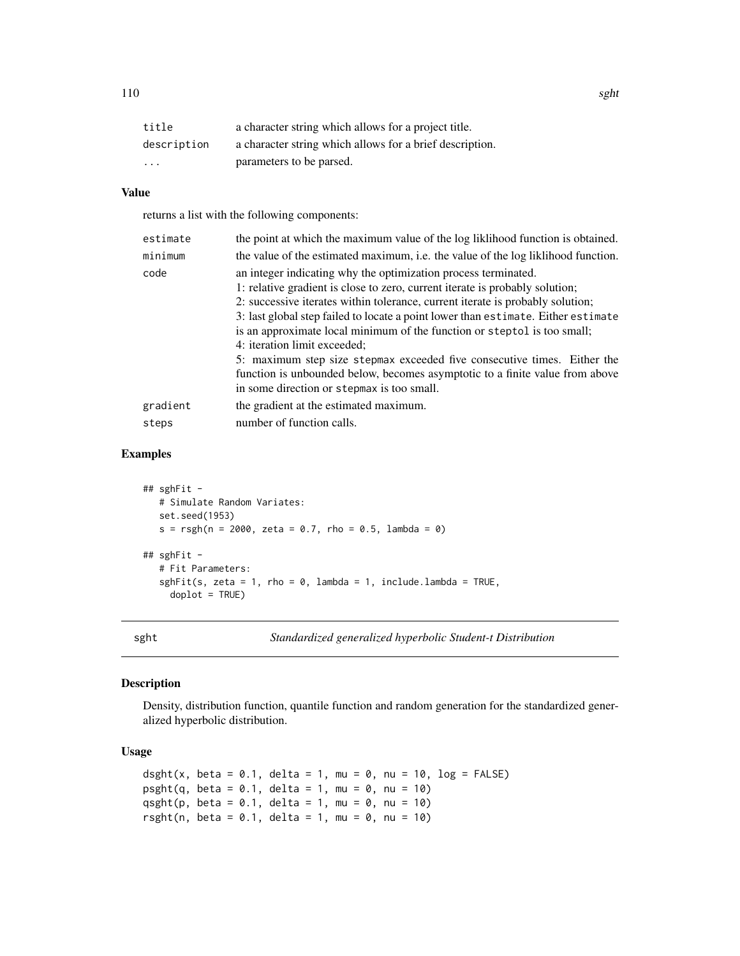<span id="page-109-0"></span>

| title                   | a character string which allows for a project title.     |
|-------------------------|----------------------------------------------------------|
| description             | a character string which allows for a brief description. |
| $\cdot$ $\cdot$ $\cdot$ | parameters to be parsed.                                 |

# Value

returns a list with the following components:

| estimate | the point at which the maximum value of the log likelihood function is obtained.                                                                                                                                                                                                                                                                                                                                                                                                                                                                                                                                                            |
|----------|---------------------------------------------------------------------------------------------------------------------------------------------------------------------------------------------------------------------------------------------------------------------------------------------------------------------------------------------------------------------------------------------------------------------------------------------------------------------------------------------------------------------------------------------------------------------------------------------------------------------------------------------|
| minimum  | the value of the estimated maximum, i.e. the value of the log liklihood function.                                                                                                                                                                                                                                                                                                                                                                                                                                                                                                                                                           |
| code     | an integer indicating why the optimization process terminated.<br>1: relative gradient is close to zero, current iterate is probably solution;<br>2: successive iterates within tolerance, current iterate is probably solution;<br>3: last global step failed to locate a point lower than estimate. Either estimate<br>is an approximate local minimum of the function or steptol is too small;<br>4: iteration limit exceeded;<br>5: maximum step size stepmax exceeded five consecutive times. Either the<br>function is unbounded below, becomes asymptotic to a finite value from above<br>in some direction or stepmax is too small. |
| gradient | the gradient at the estimated maximum.                                                                                                                                                                                                                                                                                                                                                                                                                                                                                                                                                                                                      |
| steps    | number of function calls.                                                                                                                                                                                                                                                                                                                                                                                                                                                                                                                                                                                                                   |

#### Examples

```
## sghFit -
   # Simulate Random Variates:
   set.seed(1953)
   s = r \text{sgh}(n = 2000, \text{ zeta} = 0.7, \text{rho} = 0.5, \text{lambda} = 0)## sghFit -
   # Fit Parameters:
   sghFit(s, zeta = 1, rho = 0, lambda = 1, include.lambda = TRUE,
     doplot = TRUE)
```
sght *Standardized generalized hyperbolic Student-t Distribution*

# Description

Density, distribution function, quantile function and random generation for the standardized generalized hyperbolic distribution.

## Usage

```
dsght(x, beta = 0.1, delta = 1, mu = 0, nu = 10, log = FALSE)
psight(q, beta = 0.1, delta = 1, mu = 0, nu = 10)qsght(p, beta = 0.1, delta = 1, mu = 0, nu = 10)
rsght(n, beta = 0.1, delta = 1, mu = 0, nu = 10)
```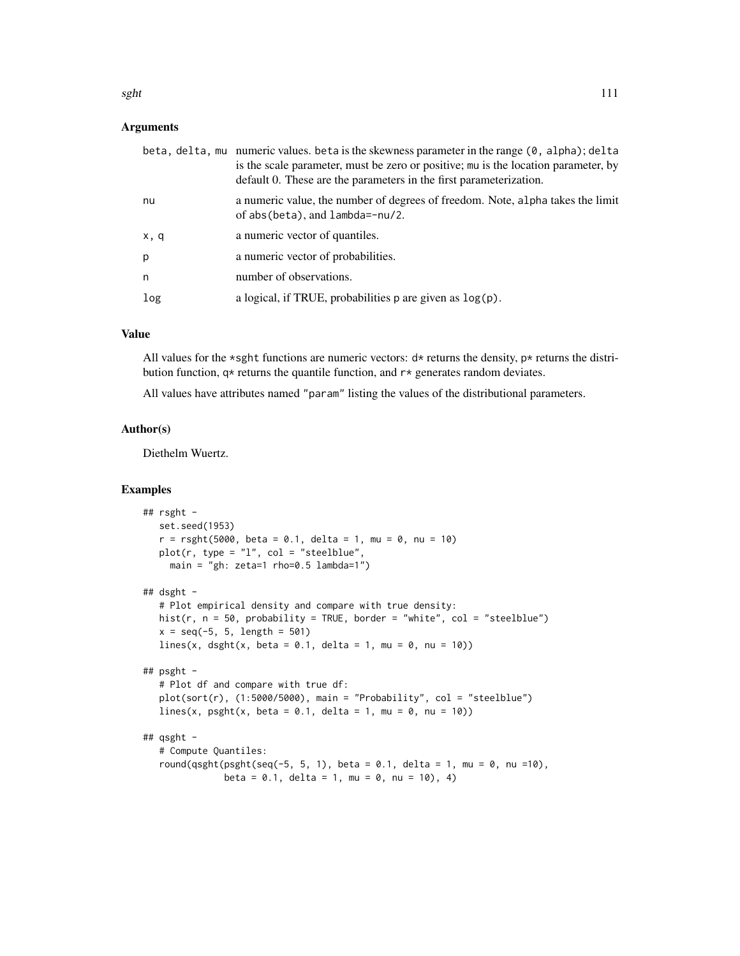#### Arguments

|     | beta, delta, mu numeric values. beta is the skewness parameter in the range (0, alpha); delta<br>is the scale parameter, must be zero or positive; mu is the location parameter, by<br>default 0. These are the parameters in the first parameterization. |
|-----|-----------------------------------------------------------------------------------------------------------------------------------------------------------------------------------------------------------------------------------------------------------|
| nu  | a numeric value, the number of degrees of freedom. Note, alpha takes the limit<br>of $abs(beta)$ , and $lambda=-nu/2$ .                                                                                                                                   |
| x,q | a numeric vector of quantiles.                                                                                                                                                                                                                            |
| p   | a numeric vector of probabilities.                                                                                                                                                                                                                        |
| n   | number of observations.                                                                                                                                                                                                                                   |
| log | a logical, if TRUE, probabilities $p$ are given as $log(p)$ .                                                                                                                                                                                             |

#### Value

All values for the \*sght functions are numeric vectors:  $d*$  returns the density, p\* returns the distribution function,  $q*$  returns the quantile function, and  $r*$  generates random deviates.

All values have attributes named "param" listing the values of the distributional parameters.

#### Author(s)

Diethelm Wuertz.

```
## rsght -
  set.seed(1953)
  r = rsght(5000, beta = 0.1, delta = 1, mu = 0, nu = 10)plot(r, type = "1", col = "steelblue",
    main = "gh: zeta=1 rho=0.5 lambda=1")
## dsght -
  # Plot empirical density and compare with true density:
  hist(r, n = 50, probability = TRUE, border = "white", col = "steelblue")
  x = seq(-5, 5, length = 501)lines(x, dsght(x, beta = 0.1, delta = 1, mu = 0, nu = 10))
## psght -
  # Plot df and compare with true df:
  plot(sort(r), (1:5000/5000), main = "Probability", col = "steelblue")
  lines(x, psght(x, beta = 0.1, delta = 1, mu = 0, nu = 10))
## qsght -
  # Compute Quantiles:
  round(qsght(psght(seq(-5, 5, 1), beta = 0.1, delta = 1, mu = 0, nu =10),
              beta = 0.1, delta = 1, mu = 0, nu = 10), 4)
```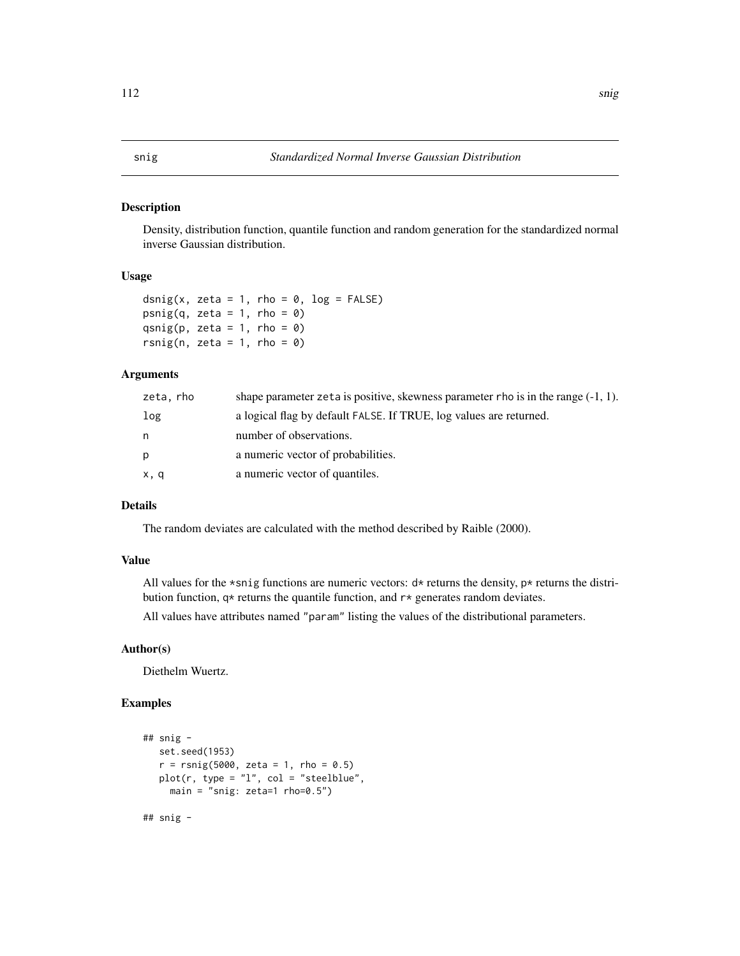#### <span id="page-111-0"></span>Description

Density, distribution function, quantile function and random generation for the standardized normal inverse Gaussian distribution.

#### Usage

```
dsnig(x, zeta = 1, rho = \theta, log = FALSE)
psnig(q, zeta = 1, rho = \theta)
qsnig(p, zeta = 1, rho = \theta)
rsnig(n, zeta = 1, rho = \theta)
```
#### Arguments

| zeta, rho | shape parameter zeta is positive, skewness parameter rho is in the range $(-1, 1)$ . |
|-----------|--------------------------------------------------------------------------------------|
| log       | a logical flag by default FALSE. If TRUE, log values are returned.                   |
| n         | number of observations.                                                              |
| р         | a numeric vector of probabilities.                                                   |
| x, q      | a numeric vector of quantiles.                                                       |

# Details

The random deviates are calculated with the method described by Raible (2000).

#### Value

All values for the \*snig functions are numeric vectors:  $d*$  returns the density,  $p*$  returns the distribution function,  $q*$  returns the quantile function, and  $r*$  generates random deviates.

All values have attributes named "param" listing the values of the distributional parameters.

#### Author(s)

Diethelm Wuertz.

```
## snig -
   set.seed(1953)
   r = r \text{snig}(5000, \text{ zeta} = 1, \text{rho} = 0.5)plot(r, type = "l", col = "steelblue",main = "snig: zeta=1 rho=0.5")
## snig -
```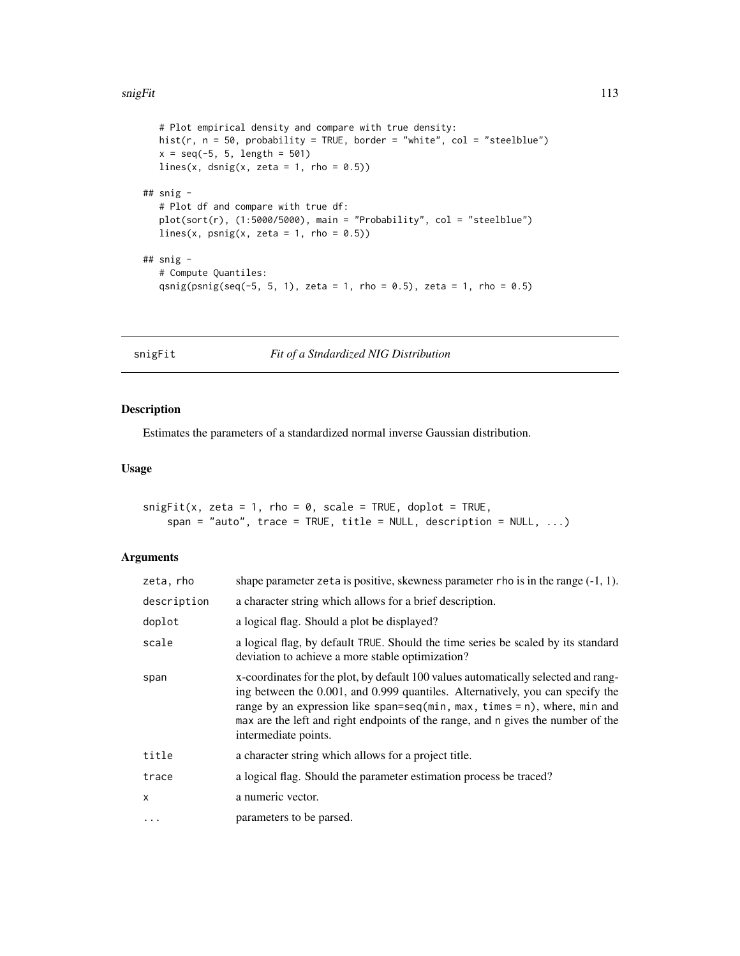#### <span id="page-112-0"></span>snigFit the contract of the contract of the contract of the contract of the contract of the contract of the contract of the contract of the contract of the contract of the contract of the contract of the contract of the co

```
# Plot empirical density and compare with true density:
  hist(r, n = 50, probability = TRUE, border = "white", col = "steelblue")
  x = seq(-5, 5, length = 501)lines(x, dsnig(x, zeta = 1, rho = 0.5))
## snig -
  # Plot df and compare with true df:
  plot(sort(r), (1:5000/5000), main = "Probability", col = "steelblue")
  lines(x, psnig(x, zeta = 1, rho = (0.5))
## snig -
  # Compute Quantiles:
  qsnig(psnig(seq(-5, 5, 1), zeta = 1, rho = 0.5), zeta = 1, rho = 0.5)
```
snigFit *Fit of a Stndardized NIG Distribution*

#### Description

Estimates the parameters of a standardized normal inverse Gaussian distribution.

#### Usage

```
snigFit(x, zeta = 1, rho = 0, scale = TRUE, doplot = TRUE,span = "auto", trace = TRUE, title = NULL, description = NULL, ...)
```
# Arguments

| zeta, rho   | shape parameter zeta is positive, skewness parameter rho is in the range $(-1, 1)$ .                                                                                                                                                                                                                                                                          |
|-------------|---------------------------------------------------------------------------------------------------------------------------------------------------------------------------------------------------------------------------------------------------------------------------------------------------------------------------------------------------------------|
| description | a character string which allows for a brief description.                                                                                                                                                                                                                                                                                                      |
| doplot      | a logical flag. Should a plot be displayed?                                                                                                                                                                                                                                                                                                                   |
| scale       | a logical flag, by default TRUE. Should the time series be scaled by its standard<br>deviation to achieve a more stable optimization?                                                                                                                                                                                                                         |
| span        | x-coordinates for the plot, by default 100 values automatically selected and rang-<br>ing between the 0.001, and 0.999 quantiles. Alternatively, you can specify the<br>range by an expression like span=seq(min, max, times = n), where, min and<br>max are the left and right endpoints of the range, and n gives the number of the<br>intermediate points. |
| title       | a character string which allows for a project title.                                                                                                                                                                                                                                                                                                          |
| trace       | a logical flag. Should the parameter estimation process be traced?                                                                                                                                                                                                                                                                                            |
| x           | a numeric vector.                                                                                                                                                                                                                                                                                                                                             |
| $\cdots$    | parameters to be parsed.                                                                                                                                                                                                                                                                                                                                      |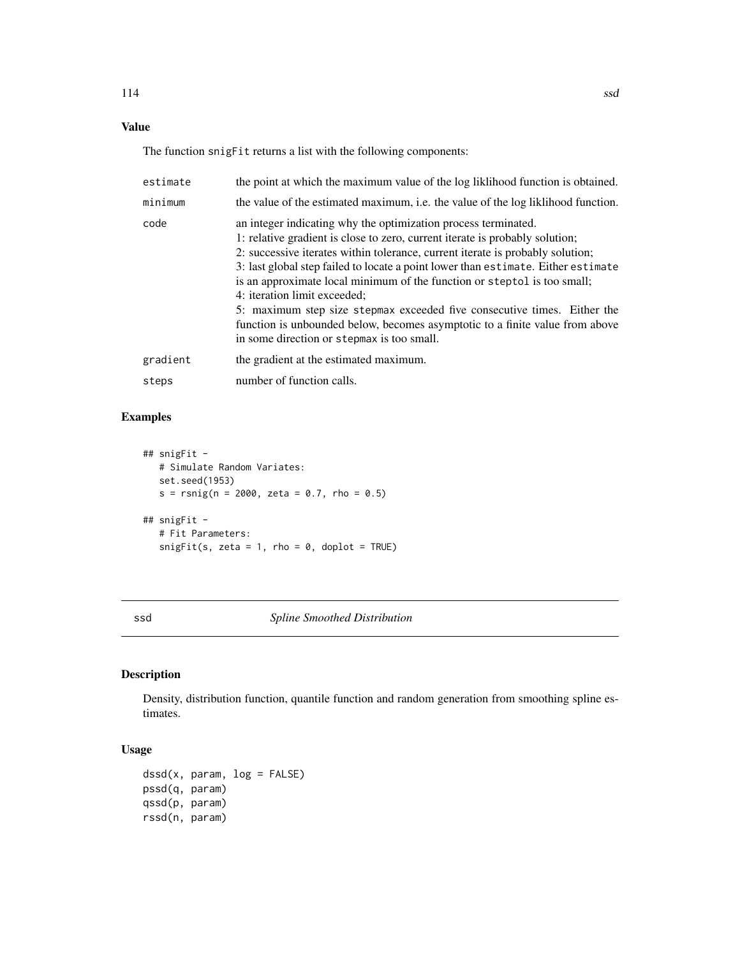# <span id="page-113-0"></span>Value

The function snigFit returns a list with the following components:

| estimate | the point at which the maximum value of the log likelihood function is obtained.                                                                                                                                                                                                                                                                                                                                                                                                                                                                                                                                                            |
|----------|---------------------------------------------------------------------------------------------------------------------------------------------------------------------------------------------------------------------------------------------------------------------------------------------------------------------------------------------------------------------------------------------------------------------------------------------------------------------------------------------------------------------------------------------------------------------------------------------------------------------------------------------|
| minimum  | the value of the estimated maximum, i.e. the value of the log liklihood function.                                                                                                                                                                                                                                                                                                                                                                                                                                                                                                                                                           |
| code     | an integer indicating why the optimization process terminated.<br>1: relative gradient is close to zero, current iterate is probably solution;<br>2: successive iterates within tolerance, current iterate is probably solution;<br>3: last global step failed to locate a point lower than estimate. Either estimate<br>is an approximate local minimum of the function or steptol is too small;<br>4: iteration limit exceeded;<br>5: maximum step size stepmax exceeded five consecutive times. Either the<br>function is unbounded below, becomes asymptotic to a finite value from above<br>in some direction or stepmax is too small. |
| gradient | the gradient at the estimated maximum.                                                                                                                                                                                                                                                                                                                                                                                                                                                                                                                                                                                                      |
| steps    | number of function calls.                                                                                                                                                                                                                                                                                                                                                                                                                                                                                                                                                                                                                   |

# Examples

```
## snigFit -
  # Simulate Random Variates:
  set.seed(1953)
  s = r \sin(g(n = 2000, zeta = 0.7, rho = 0.5))## snigFit -
  # Fit Parameters:
  snigFit(s, zeta = 1, rho = 0, doplot = TRUE)
```
ssd *Spline Smoothed Distribution*

# Description

Density, distribution function, quantile function and random generation from smoothing spline estimates.

# Usage

```
dssd(x, param, log = FALSE)pssd(q, param)
qssd(p, param)
rssd(n, param)
```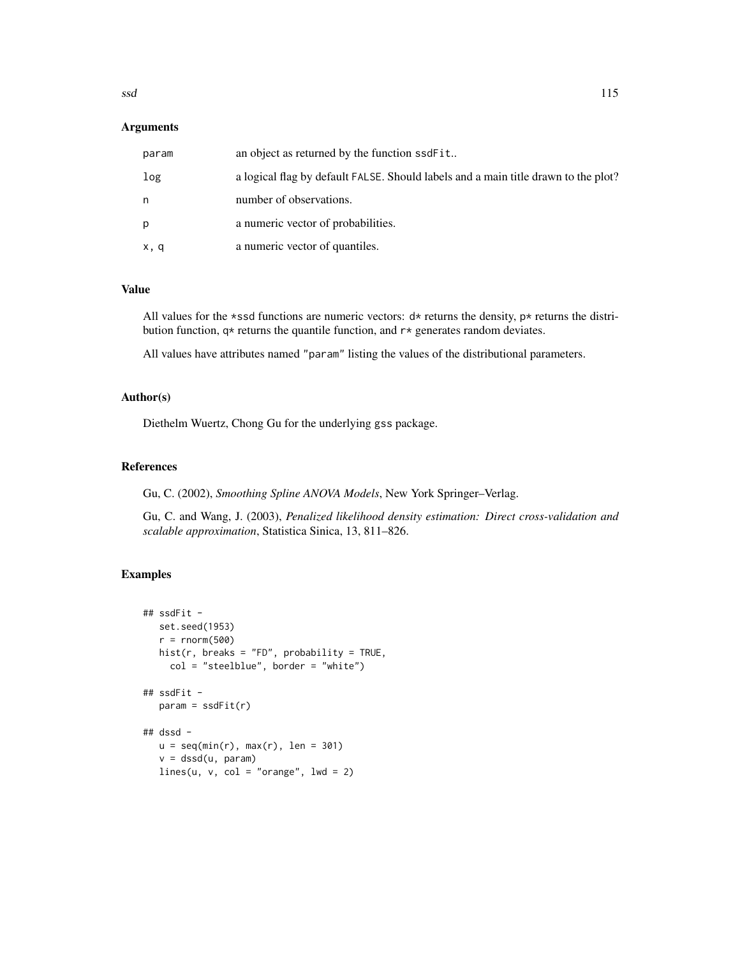#### **Arguments**

| param | an object as returned by the function ssdFit                                       |
|-------|------------------------------------------------------------------------------------|
| log   | a logical flag by default FALSE. Should labels and a main title drawn to the plot? |
| n     | number of observations.                                                            |
| p     | a numeric vector of probabilities.                                                 |
| x, q  | a numeric vector of quantiles.                                                     |

#### Value

All values for the \*ssd functions are numeric vectors:  $d*$  returns the density,  $p*$  returns the distribution function,  $q*$  returns the quantile function, and  $r*$  generates random deviates.

All values have attributes named "param" listing the values of the distributional parameters.

# Author(s)

Diethelm Wuertz, Chong Gu for the underlying gss package.

# References

Gu, C. (2002), *Smoothing Spline ANOVA Models*, New York Springer–Verlag.

Gu, C. and Wang, J. (2003), *Penalized likelihood density estimation: Direct cross-validation and scalable approximation*, Statistica Sinica, 13, 811–826.

```
## ssdFit -
   set.seed(1953)
   r = rnorm(500)hist(r, breaks = "FD", probability = TRUE,
     col = "steelblue", border = "white")## ssdFit -
   param = ssdFit(r)## dssd -
   u = \text{seq}(\text{min}(r), \text{max}(r), \text{len} = 301)v = dssd(u, param)lines(u, v, col = "orange", lwd = 2)
```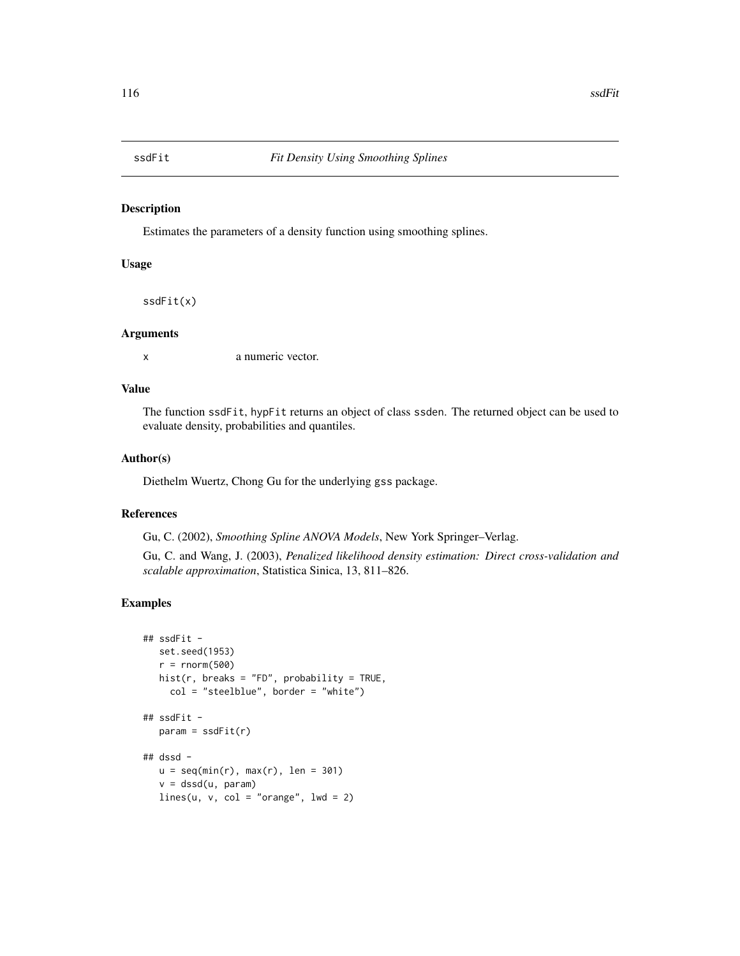<span id="page-115-0"></span>

#### Description

Estimates the parameters of a density function using smoothing splines.

### Usage

ssdFit(x)

#### Arguments

x a numeric vector.

# Value

The function ssdFit, hypFit returns an object of class ssden. The returned object can be used to evaluate density, probabilities and quantiles.

#### Author(s)

Diethelm Wuertz, Chong Gu for the underlying gss package.

# References

Gu, C. (2002), *Smoothing Spline ANOVA Models*, New York Springer–Verlag.

Gu, C. and Wang, J. (2003), *Penalized likelihood density estimation: Direct cross-validation and scalable approximation*, Statistica Sinica, 13, 811–826.

```
## ssdFit -
  set.seed(1953)
   r = \text{rnorm}(500)hist(r, breaks = "FD", probability = TRUE,
     col = "steelblue", border = "white")## ssdFit -
  param = ssdFit(r)## dssd -
  u = \text{seq}(\min(r), \max(r), \text{ len} = 301)v = dssd(u, param)
  lines(u, v, col = "orange", lwd = 2)
```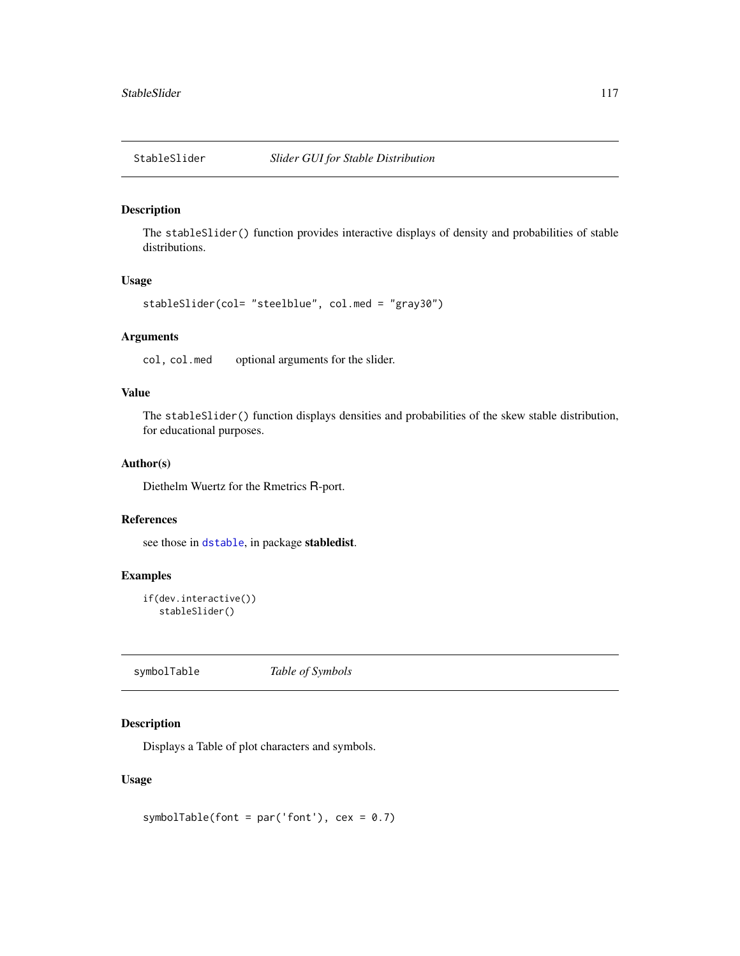<span id="page-116-0"></span>

#### Description

The stableSlider() function provides interactive displays of density and probabilities of stable distributions.

## Usage

```
stableSlider(col= "steelblue", col.med = "gray30")
```
#### Arguments

col, col.med optional arguments for the slider.

# Value

The stableSlider() function displays densities and probabilities of the skew stable distribution, for educational purposes.

#### Author(s)

Diethelm Wuertz for the Rmetrics R-port.

#### References

see those in [dstable](#page-0-0), in package stabledist.

# Examples

```
if(dev.interactive())
  stableSlider()
```
symbolTable *Table of Symbols*

# Description

Displays a Table of plot characters and symbols.

## Usage

symbolTable(font = par('font'),  $cex = 0.7$ )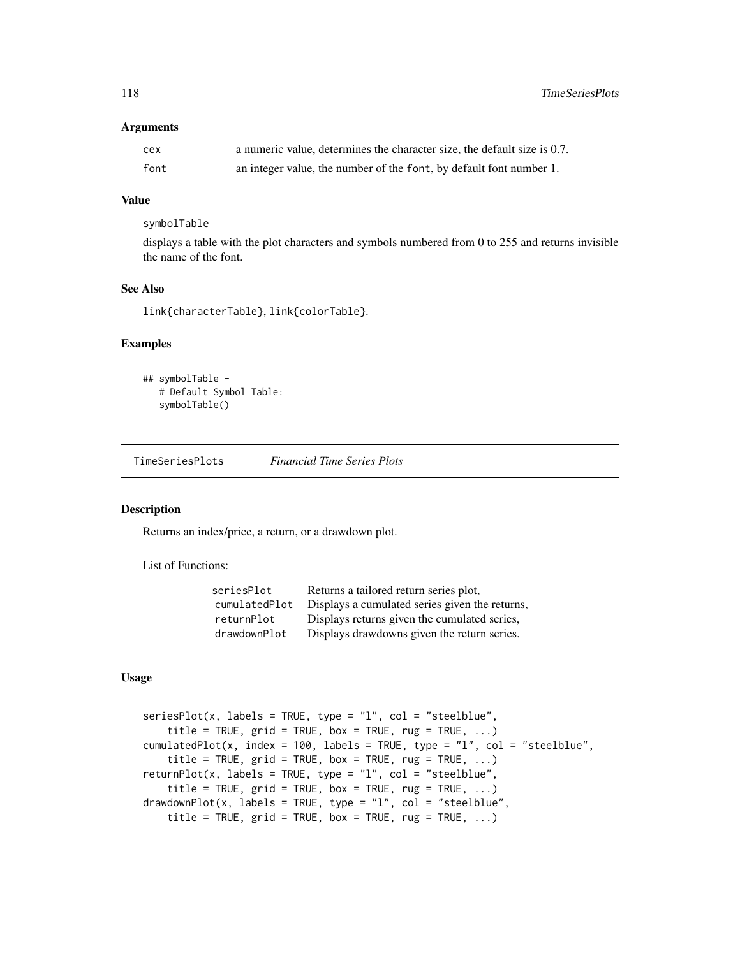#### <span id="page-117-0"></span>**Arguments**

| cex  | a numeric value, determines the character size, the default size is 0.7. |
|------|--------------------------------------------------------------------------|
| font | an integer value, the number of the font, by default font number 1.      |

#### Value

symbolTable

displays a table with the plot characters and symbols numbered from 0 to 255 and returns invisible the name of the font.

# See Also

link{characterTable}, link{colorTable}.

#### Examples

```
## symbolTable -
  # Default Symbol Table:
  symbolTable()
```
TimeSeriesPlots *Financial Time Series Plots*

### Description

Returns an index/price, a return, or a drawdown plot.

List of Functions:

| seriesPlot    | Returns a tailored return series plot,         |
|---------------|------------------------------------------------|
| cumulatedPlot | Displays a cumulated series given the returns, |
| returnPlot    | Displays returns given the cumulated series,   |
| drawdownPlot  | Displays drawdowns given the return series.    |

## Usage

```
seriesPlot(x, labels = TRUE, type = "l", col = "steelblue",
   title = TRUE, grid = TRUE, box = TRUE, rug = TRUE, ...)
cumulatedPlot(x, index = 100, labels = TRUE, type = "l", col = "steelblue",
    title = TRUE, grid = TRUE, box = TRUE, rug = TRUE, ...)
returnPlot(x, labels = TRUE, type = "l", col = "steelblue",title = TRUE, grid = TRUE, box = TRUE, rug = TRUE, ...)drawdownPlot(x, labels = TRUE, type = "l", col = "steelblue",title = TRUE, grid = TRUE, box = TRUE, rug = TRUE, ...)
```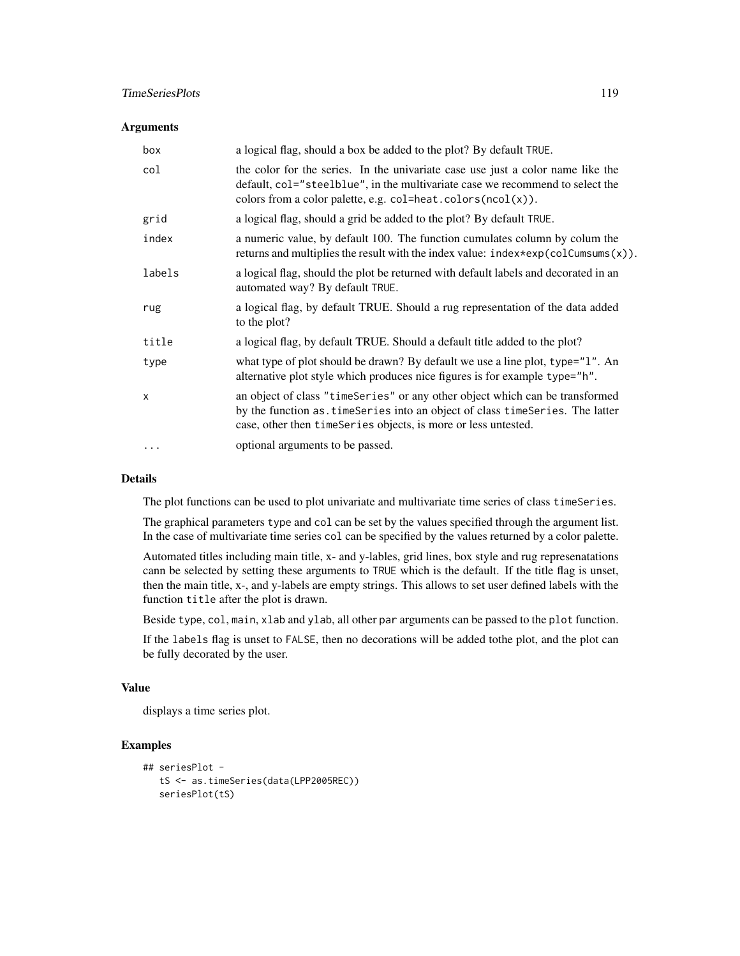## TimeSeriesPlots 119

#### **Arguments**

| box          | a logical flag, should a box be added to the plot? By default TRUE.                                                                                                                                                                |
|--------------|------------------------------------------------------------------------------------------------------------------------------------------------------------------------------------------------------------------------------------|
| col          | the color for the series. In the univariate case use just a color name like the<br>default, col="steelblue", in the multivariate case we recommend to select the<br>colors from a color palette, e.g. $col=heat.colors(ncol(x))$ . |
| grid         | a logical flag, should a grid be added to the plot? By default TRUE.                                                                                                                                                               |
| index        | a numeric value, by default 100. The function cumulates column by colum the<br>returns and multiplies the result with the index value: $index*exp(colCumsums(x))$ .                                                                |
| labels       | a logical flag, should the plot be returned with default labels and decorated in an<br>automated way? By default TRUE.                                                                                                             |
| rug          | a logical flag, by default TRUE. Should a rug representation of the data added<br>to the plot?                                                                                                                                     |
| title        | a logical flag, by default TRUE. Should a default title added to the plot?                                                                                                                                                         |
| type         | what type of plot should be drawn? By default we use a line plot, type="1". An<br>alternative plot style which produces nice figures is for example type="h".                                                                      |
| $\mathsf{x}$ | an object of class "timeSeries" or any other object which can be transformed<br>by the function as. timeSeries into an object of class timeSeries. The latter<br>case, other then timeSeries objects, is more or less untested.    |
| $\cdots$     | optional arguments to be passed.                                                                                                                                                                                                   |

#### Details

The plot functions can be used to plot univariate and multivariate time series of class timeSeries.

The graphical parameters type and col can be set by the values specified through the argument list. In the case of multivariate time series col can be specified by the values returned by a color palette.

Automated titles including main title, x- and y-lables, grid lines, box style and rug represenatations cann be selected by setting these arguments to TRUE which is the default. If the title flag is unset, then the main title, x-, and y-labels are empty strings. This allows to set user defined labels with the function title after the plot is drawn.

Beside type, col, main, xlab and ylab, all other par arguments can be passed to the plot function.

If the labels flag is unset to FALSE, then no decorations will be added tothe plot, and the plot can be fully decorated by the user.

#### Value

displays a time series plot.

```
## seriesPlot -
  tS <- as.timeSeries(data(LPP2005REC))
  seriesPlot(tS)
```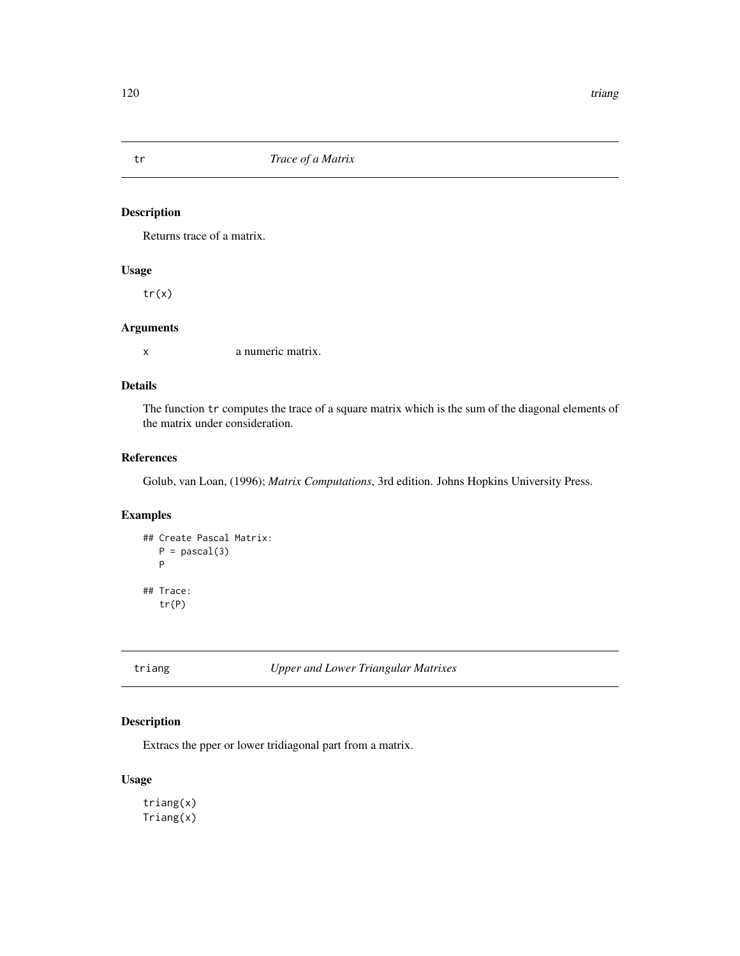# Description

Returns trace of a matrix.

#### Usage

tr(x)

# Arguments

x a numeric matrix.

# Details

The function tr computes the trace of a square matrix which is the sum of the diagonal elements of the matrix under consideration.

# References

Golub, van Loan, (1996); *Matrix Computations*, 3rd edition. Johns Hopkins University Press.

# Examples

```
## Create Pascal Matrix:
  P = pascal(3)P
## Trace:
  tr(P)
```
triang *Upper and Lower Triangular Matrixes*

# Description

Extracs the pper or lower tridiagonal part from a matrix.

### Usage

triang(x) Triang(x)

<span id="page-119-0"></span>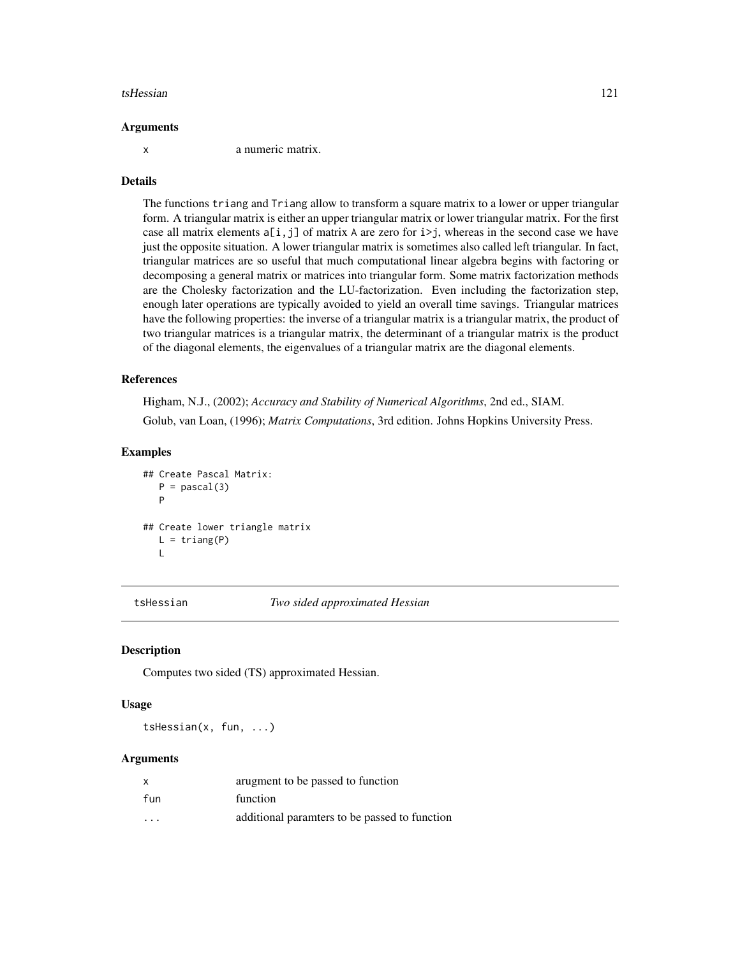#### <span id="page-120-0"></span>tsHessian 121

#### Arguments

x a numeric matrix.

#### Details

The functions triang and Triang allow to transform a square matrix to a lower or upper triangular form. A triangular matrix is either an upper triangular matrix or lower triangular matrix. For the first case all matrix elements  $a[i, j]$  of matrix A are zero for  $i>j$ , whereas in the second case we have just the opposite situation. A lower triangular matrix is sometimes also called left triangular. In fact, triangular matrices are so useful that much computational linear algebra begins with factoring or decomposing a general matrix or matrices into triangular form. Some matrix factorization methods are the Cholesky factorization and the LU-factorization. Even including the factorization step, enough later operations are typically avoided to yield an overall time savings. Triangular matrices have the following properties: the inverse of a triangular matrix is a triangular matrix, the product of two triangular matrices is a triangular matrix, the determinant of a triangular matrix is the product of the diagonal elements, the eigenvalues of a triangular matrix are the diagonal elements.

## References

Higham, N.J., (2002); *Accuracy and Stability of Numerical Algorithms*, 2nd ed., SIAM. Golub, van Loan, (1996); *Matrix Computations*, 3rd edition. Johns Hopkins University Press.

#### Examples

```
## Create Pascal Matrix:
   P = pascal(3)P
## Create lower triangle matrix
   L = \text{triangle}(P)\mathbf{L}
```
tsHessian *Two sided approximated Hessian*

# Description

Computes two sided (TS) approximated Hessian.

#### Usage

tsHessian(x, fun, ...)

#### **Arguments**

| x       | arugment to be passed to function             |
|---------|-----------------------------------------------|
| fun     | function                                      |
| $\cdot$ | additional paramters to be passed to function |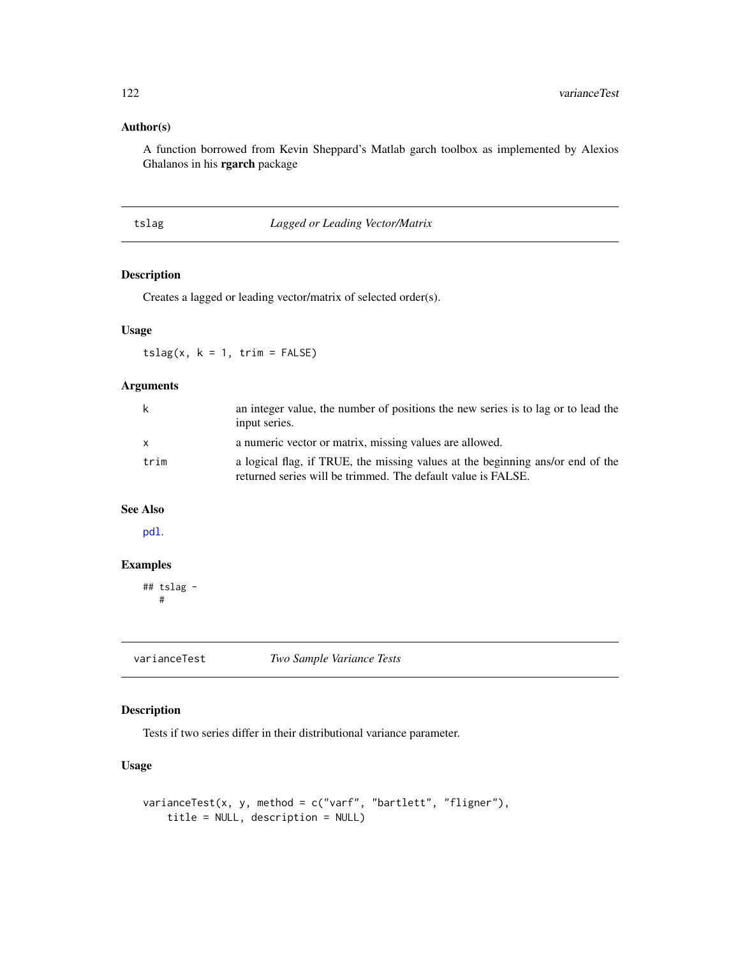# <span id="page-121-0"></span>Author(s)

A function borrowed from Kevin Sheppard's Matlab garch toolbox as implemented by Alexios Ghalanos in his rgarch package

#### tslag *Lagged or Leading Vector/Matrix*

#### Description

Creates a lagged or leading vector/matrix of selected order(s).

#### Usage

 $tslag(x, k = 1, trim = FALSE)$ 

# Arguments

| k            | an integer value, the number of positions the new series is to lag or to lead the<br>input series.                                             |
|--------------|------------------------------------------------------------------------------------------------------------------------------------------------|
| $\mathsf{x}$ | a numeric vector or matrix, missing values are allowed.                                                                                        |
| trim         | a logical flag, if TRUE, the missing values at the beginning ans/or end of the<br>returned series will be trimmed. The default value is FALSE. |

# See Also

[pdl](#page-95-0).

# Examples

## tslag - #

varianceTest *Two Sample Variance Tests*

# Description

Tests if two series differ in their distributional variance parameter.

# Usage

```
varianceTest(x, y, method = c("varf", "bartlett", "fligner"),
    title = NULL, description = NULL)
```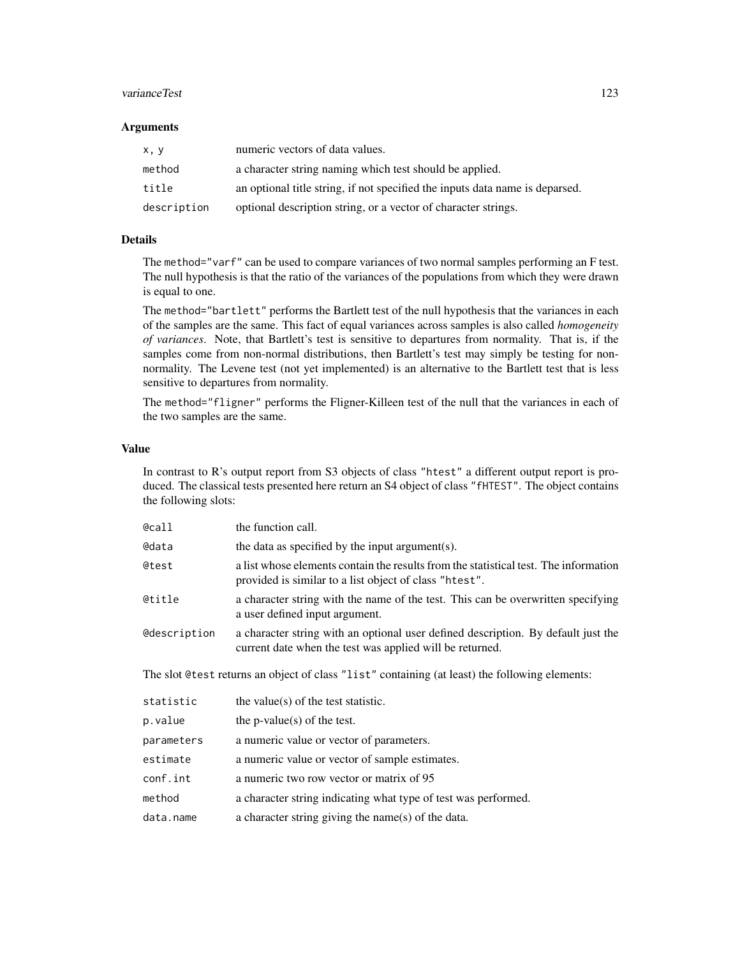#### varianceTest 123

#### **Arguments**

| x, y        | numeric vectors of data values.                                              |
|-------------|------------------------------------------------------------------------------|
| method      | a character string naming which test should be applied.                      |
| title       | an optional title string, if not specified the inputs data name is deparsed. |
| description | optional description string, or a vector of character strings.               |

# Details

The method="varf" can be used to compare variances of two normal samples performing an F test. The null hypothesis is that the ratio of the variances of the populations from which they were drawn is equal to one.

The method="bartlett" performs the Bartlett test of the null hypothesis that the variances in each of the samples are the same. This fact of equal variances across samples is also called *homogeneity of variances*. Note, that Bartlett's test is sensitive to departures from normality. That is, if the samples come from non-normal distributions, then Bartlett's test may simply be testing for nonnormality. The Levene test (not yet implemented) is an alternative to the Bartlett test that is less sensitive to departures from normality.

The method="fligner" performs the Fligner-Killeen test of the null that the variances in each of the two samples are the same.

#### Value

In contrast to R's output report from S3 objects of class "htest" a different output report is produced. The classical tests presented here return an S4 object of class "fHTEST". The object contains the following slots:

| @call               | the function call.                                                                                                                             |
|---------------------|------------------------------------------------------------------------------------------------------------------------------------------------|
| @data               | the data as specified by the input argument(s).                                                                                                |
| @test               | a list whose elements contain the results from the statistical test. The information<br>provided is similar to a list object of class "htest". |
| @title              | a character string with the name of the test. This can be overwritten specifying<br>a user defined input argument.                             |
| <b>@description</b> | a character string with an optional user defined description. By default just the<br>current date when the test was applied will be returned.  |
|                     | The slot @test returns an object of class "list" containing (at least) the following elements:                                                 |
| statistic           | the value(s) of the test statistic.                                                                                                            |
| p.value             | the p-value(s) of the test.                                                                                                                    |
| parameters          | a numeric value or vector of parameters.                                                                                                       |
| estimate            | a numeric value or vector of sample estimates.                                                                                                 |
| conf.int            | a numeric two row vector or matrix of 95                                                                                                       |
| method              | a character string indicating what type of test was performed.                                                                                 |
| data.name           | a character string giving the name(s) of the data.                                                                                             |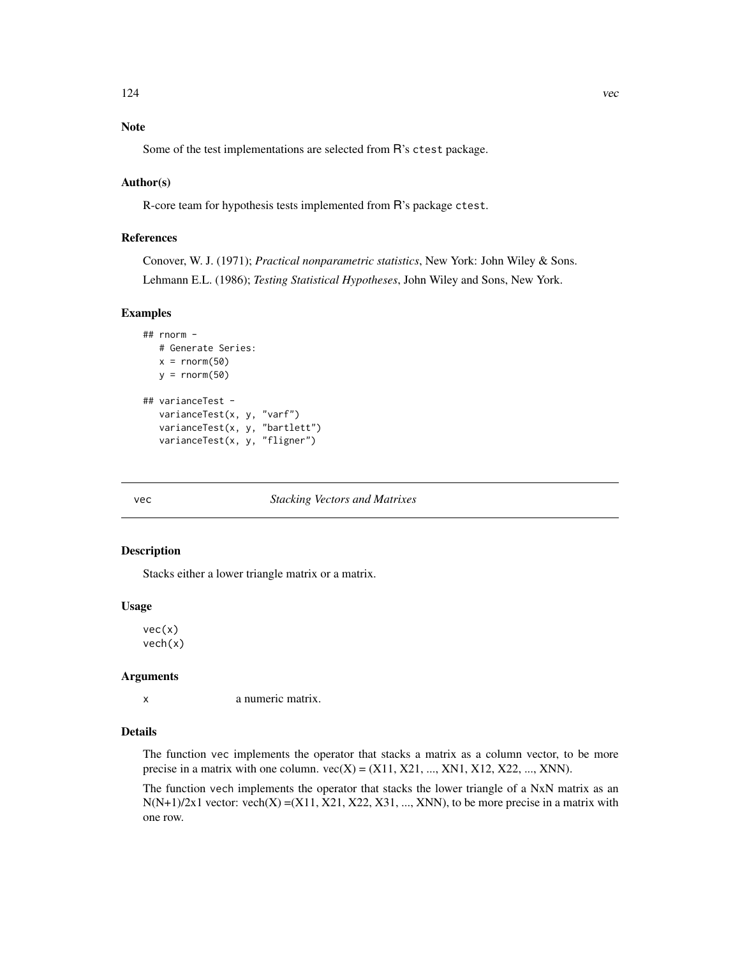# <span id="page-123-0"></span>Note

Some of the test implementations are selected from R's ctest package.

#### Author(s)

R-core team for hypothesis tests implemented from R's package ctest.

# References

Conover, W. J. (1971); *Practical nonparametric statistics*, New York: John Wiley & Sons. Lehmann E.L. (1986); *Testing Statistical Hypotheses*, John Wiley and Sons, New York.

# Examples

```
## rnorm -
  # Generate Series:
  x = \text{norm}(50)y = rnorm(50)## varianceTest -
  varianceTest(x, y, "varf")
  varianceTest(x, y, "bartlett")
  varianceTest(x, y, "fligner")
```
#### vec *Stacking Vectors and Matrixes*

#### Description

Stacks either a lower triangle matrix or a matrix.

#### Usage

vec(x) vech(x)

### **Arguments**

x a numeric matrix.

#### Details

The function vec implements the operator that stacks a matrix as a column vector, to be more precise in a matrix with one column.  $vec(X) = (X11, X21, ..., XN1, X12, X22, ..., XNN)$ .

The function vech implements the operator that stacks the lower triangle of a NxN matrix as an  $N(N+1)/2x1$  vector: vech $(X) = (X11, X21, X22, X31, ..., XNN)$ , to be more precise in a matrix with one row.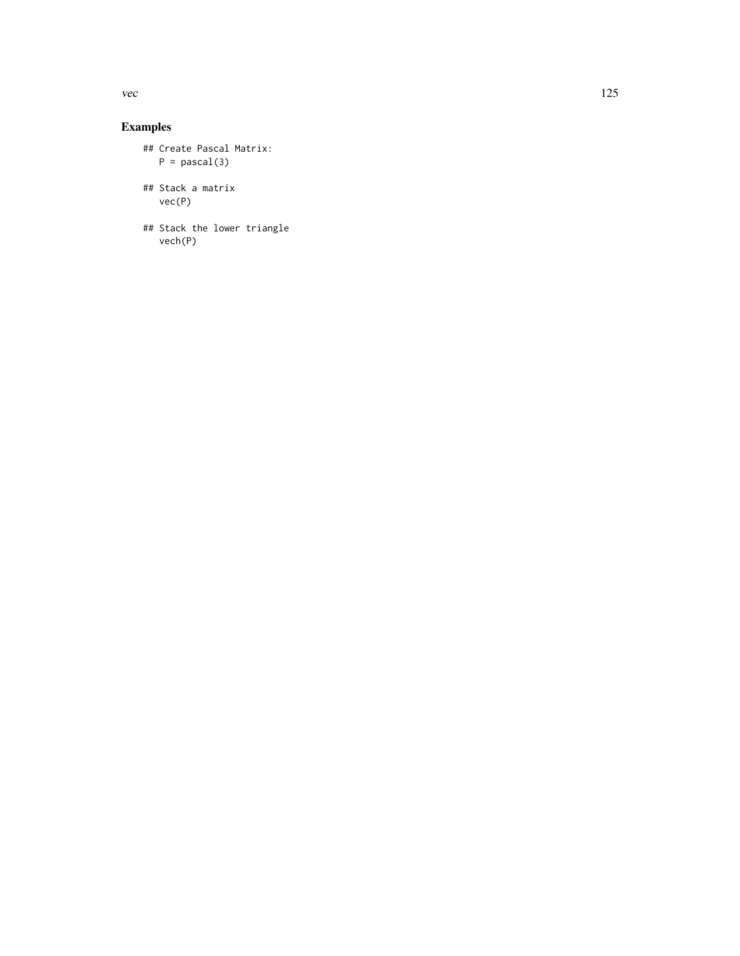# Examples

```
## Create Pascal Matrix:
  P = pascal(3)## Stack a matrix
  vec(P)
## Stack the lower triangle
```
vech(P)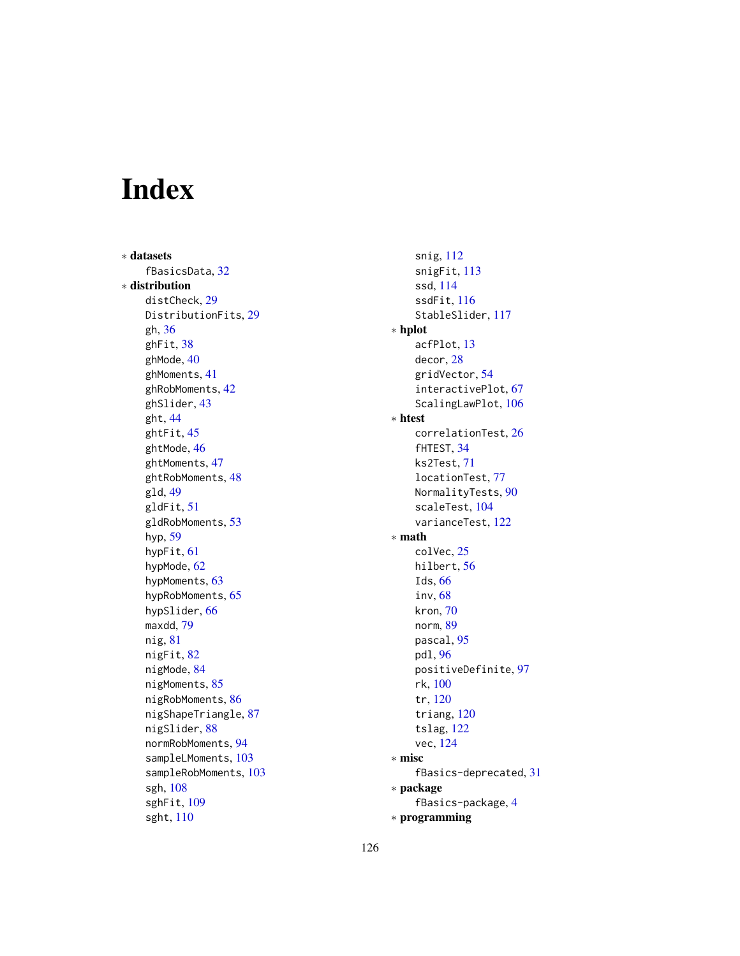# Index

∗ datasets fBasicsData, [32](#page-31-0) ∗ distribution distCheck, [29](#page-28-0) DistributionFits, [29](#page-28-0) gh, [36](#page-35-0) ghFit, [38](#page-37-0) ghMode, [40](#page-39-0) ghMoments, [41](#page-40-0) ghRobMoments, [42](#page-41-0) ghSlider, [43](#page-42-0) ght, [44](#page-43-0) ghtFit, [45](#page-44-0) ghtMode, [46](#page-45-0) ghtMoments, [47](#page-46-0) ghtRobMoments, [48](#page-47-0) gld, [49](#page-48-0) gldFit, [51](#page-50-0) gldRobMoments, [53](#page-52-0) hyp, [59](#page-58-0) hypFit, [61](#page-60-0) hypMode, [62](#page-61-0) hypMoments, [63](#page-62-0) hypRobMoments, [65](#page-64-0) hypSlider, [66](#page-65-0) maxdd, [79](#page-78-0) nig, [81](#page-80-0) nigFit, [82](#page-81-0) nigMode, [84](#page-83-0) nigMoments, [85](#page-84-0) nigRobMoments, [86](#page-85-0) nigShapeTriangle, [87](#page-86-0) nigSlider, [88](#page-87-0) normRobMoments, [94](#page-93-0) sampleLMoments, [103](#page-102-0) sampleRobMoments, [103](#page-102-0) sgh, [108](#page-107-0) sghFit, [109](#page-108-0) sght, [110](#page-109-0)

snig, [112](#page-111-0) snigFit, [113](#page-112-0) ssd, [114](#page-113-0) ssdFit, [116](#page-115-0) StableSlider, [117](#page-116-0) ∗ hplot acfPlot, [13](#page-12-0) decor, [28](#page-27-0) gridVector, [54](#page-53-0) interactivePlot, [67](#page-66-0) ScalingLawPlot, [106](#page-105-0) ∗ htest correlationTest, [26](#page-25-0) fHTEST, [34](#page-33-0) ks2Test, [71](#page-70-0) locationTest, [77](#page-76-0) NormalityTests, [90](#page-89-0) scaleTest, [104](#page-103-0) varianceTest, [122](#page-121-0) ∗ math colVec, [25](#page-24-0) hilbert, [56](#page-55-0) Ids, [66](#page-65-0) inv, [68](#page-67-0) kron, [70](#page-69-0) norm, [89](#page-88-0) pascal, [95](#page-94-0) pdl, [96](#page-95-1) positiveDefinite, [97](#page-96-0) rk, [100](#page-99-0) tr, [120](#page-119-0) triang, [120](#page-119-0) tslag, [122](#page-121-0) vec, [124](#page-123-0) ∗ misc fBasics-deprecated, [31](#page-30-0) ∗ package fBasics-package, [4](#page-3-0) ∗ programming

126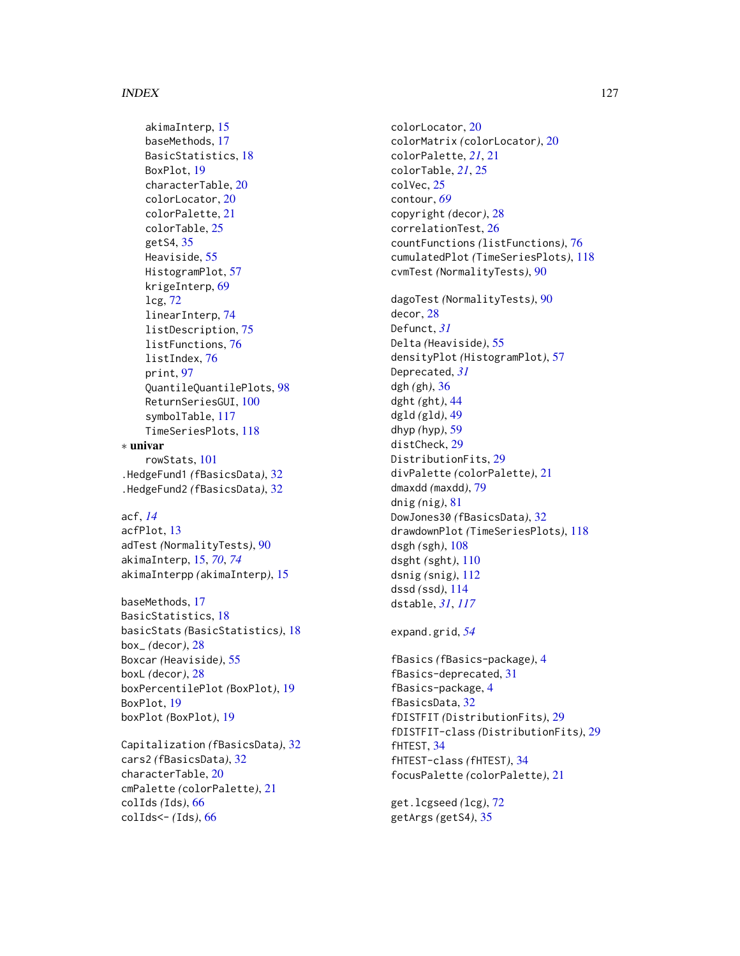akimaInterp, [15](#page-14-0) baseMethods, [17](#page-16-0) BasicStatistics, [18](#page-17-0) BoxPlot, [19](#page-18-0) characterTable, [20](#page-19-0) colorLocator, [20](#page-19-0) colorPalette, [21](#page-20-0) colorTable, [25](#page-24-0) getS4, [35](#page-34-0) Heaviside, [55](#page-54-0) HistogramPlot, [57](#page-56-0) krigeInterp, [69](#page-68-0) lcg, [72](#page-71-0) linearInterp, [74](#page-73-0) listDescription, [75](#page-74-0) listFunctions, [76](#page-75-0) listIndex, [76](#page-75-0) print, [97](#page-96-0) QuantileQuantilePlots, [98](#page-97-0) ReturnSeriesGUI, [100](#page-99-0) symbolTable, [117](#page-116-0) TimeSeriesPlots, [118](#page-117-0) ∗ univar rowStats, [101](#page-100-0) .HedgeFund1 *(*fBasicsData*)*, [32](#page-31-0)

.HedgeFund2 *(*fBasicsData*)*, [32](#page-31-0)

```
acf, 14
acfPlot, 13
adTest (NormalityTests), 90
akimaInterp, 15, 70, 74
akimaInterpp (akimaInterp), 15
```

```
baseMethods, 17
BasicStatistics, 18
basicStats (BasicStatistics), 18
box_ (decor), 28
Boxcar (Heaviside), 55
boxL (decor), 28
boxPercentilePlot (BoxPlot), 19
BoxPlot, 19
boxPlot (BoxPlot), 19
```
Capitalization *(*fBasicsData*)*, [32](#page-31-0) cars2 *(*fBasicsData*)*, [32](#page-31-0) characterTable, [20](#page-19-0) cmPalette *(*colorPalette*)*, [21](#page-20-0) colIds *(*Ids*)*, [66](#page-65-0) colIds<- *(*Ids*)*, [66](#page-65-0)

colorLocator, [20](#page-19-0) colorMatrix *(*colorLocator*)*, [20](#page-19-0) colorPalette, *[21](#page-20-0)*, [21](#page-20-0) colorTable, *[21](#page-20-0)*, [25](#page-24-0) colVec, [25](#page-24-0) contour, *[69](#page-68-0)* copyright *(*decor*)*, [28](#page-27-0) correlationTest, [26](#page-25-0) countFunctions *(*listFunctions*)*, [76](#page-75-0) cumulatedPlot *(*TimeSeriesPlots*)*, [118](#page-117-0) cvmTest *(*NormalityTests*)*, [90](#page-89-0) dagoTest *(*NormalityTests*)*, [90](#page-89-0) decor, [28](#page-27-0) Defunct, *[31](#page-30-0)* Delta *(*Heaviside*)*, [55](#page-54-0) densityPlot *(*HistogramPlot*)*, [57](#page-56-0) Deprecated, *[31](#page-30-0)* dgh *(*gh*)*, [36](#page-35-0) dght *(*ght*)*, [44](#page-43-0) dgld *(*gld*)*, [49](#page-48-0) dhyp *(*hyp*)*, [59](#page-58-0) distCheck, [29](#page-28-0) DistributionFits, [29](#page-28-0) divPalette *(*colorPalette*)*, [21](#page-20-0) dmaxdd *(*maxdd*)*, [79](#page-78-0) dnig *(*nig*)*, [81](#page-80-0) DowJones30 *(*fBasicsData*)*, [32](#page-31-0) drawdownPlot *(*TimeSeriesPlots*)*, [118](#page-117-0) dsgh *(*sgh*)*, [108](#page-107-0) dsght *(*sght*)*, [110](#page-109-0) dsnig *(*snig*)*, [112](#page-111-0) dssd *(*ssd*)*, [114](#page-113-0) dstable, *[31](#page-30-0)*, *[117](#page-116-0)* expand.grid, *[54](#page-53-0)*

```
fBasics (fBasics-package), 4
fBasics-deprecated, 31
fBasics-package, 4
fBasicsData, 32
fDISTFIT (DistributionFits), 29
fDISTFIT-class (DistributionFits), 29
fHTEST, 34
fHTEST-class (fHTEST), 34
focusPalette (colorPalette), 21
```
get.lcgseed *(*lcg*)*, [72](#page-71-0) getArgs *(*getS4*)*, [35](#page-34-0)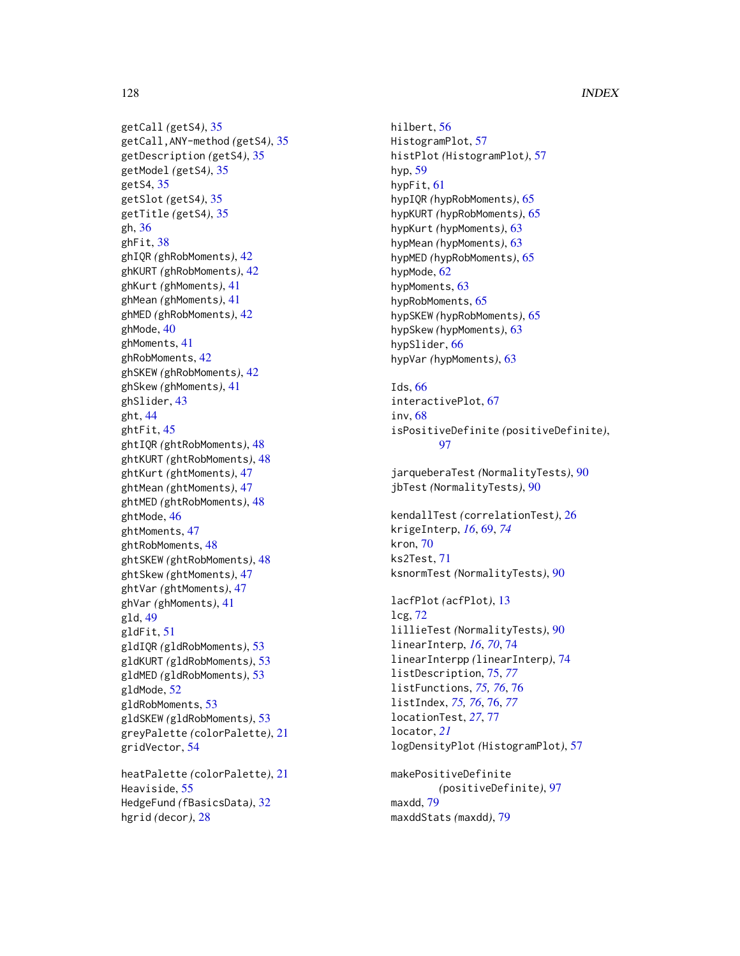getCall *(*getS4*)*, [35](#page-34-0) getCall,ANY-method *(*getS4*)*, [35](#page-34-0) getDescription *(*getS4*)*, [35](#page-34-0) getModel *(*getS4*)*, [35](#page-34-0) getS4, [35](#page-34-0) getSlot *(*getS4*)*, [35](#page-34-0) getTitle *(*getS4*)*, [35](#page-34-0) gh, [36](#page-35-0) ghFit, [38](#page-37-0) ghIQR *(*ghRobMoments*)*, [42](#page-41-0) ghKURT *(*ghRobMoments*)*, [42](#page-41-0) ghKurt *(*ghMoments*)*, [41](#page-40-0) ghMean *(*ghMoments*)*, [41](#page-40-0) ghMED *(*ghRobMoments*)*, [42](#page-41-0) ghMode, [40](#page-39-0) ghMoments, [41](#page-40-0) ghRobMoments, [42](#page-41-0) ghSKEW *(*ghRobMoments*)*, [42](#page-41-0) ghSkew *(*ghMoments*)*, [41](#page-40-0) ghSlider, [43](#page-42-0) ght, [44](#page-43-0) ghtFit, [45](#page-44-0) ghtIQR *(*ghtRobMoments*)*, [48](#page-47-0) ghtKURT *(*ghtRobMoments*)*, [48](#page-47-0) ghtKurt *(*ghtMoments*)*, [47](#page-46-0) ghtMean *(*ghtMoments*)*, [47](#page-46-0) ghtMED *(*ghtRobMoments*)*, [48](#page-47-0) ghtMode, [46](#page-45-0) ghtMoments, [47](#page-46-0) ghtRobMoments, [48](#page-47-0) ghtSKEW *(*ghtRobMoments*)*, [48](#page-47-0) ghtSkew *(*ghtMoments*)*, [47](#page-46-0) ghtVar *(*ghtMoments*)*, [47](#page-46-0) ghVar *(*ghMoments*)*, [41](#page-40-0) gld, [49](#page-48-0) gldFit, [51](#page-50-0) gldIQR *(*gldRobMoments*)*, [53](#page-52-0) gldKURT *(*gldRobMoments*)*, [53](#page-52-0) gldMED *(*gldRobMoments*)*, [53](#page-52-0) gldMode, [52](#page-51-0) gldRobMoments, [53](#page-52-0) gldSKEW *(*gldRobMoments*)*, [53](#page-52-0) greyPalette *(*colorPalette*)*, [21](#page-20-0)

heatPalette *(*colorPalette*)*, [21](#page-20-0) Heaviside, [55](#page-54-0) HedgeFund *(*fBasicsData*)*, [32](#page-31-0) hgrid *(*decor*)*, [28](#page-27-0)

gridVector, [54](#page-53-0)

hilbert, [56](#page-55-0) HistogramPlot, [57](#page-56-0) histPlot *(*HistogramPlot*)*, [57](#page-56-0) hyp, [59](#page-58-0) hypFit, [61](#page-60-0) hypIQR *(*hypRobMoments*)*, [65](#page-64-0) hypKURT *(*hypRobMoments*)*, [65](#page-64-0) hypKurt *(*hypMoments*)*, [63](#page-62-0) hypMean *(*hypMoments*)*, [63](#page-62-0) hypMED *(*hypRobMoments*)*, [65](#page-64-0) hypMode, [62](#page-61-0) hypMoments, [63](#page-62-0) hypRobMoments, [65](#page-64-0) hypSKEW *(*hypRobMoments*)*, [65](#page-64-0) hypSkew *(*hypMoments*)*, [63](#page-62-0) hypSlider, [66](#page-65-0) hypVar *(*hypMoments*)*, [63](#page-62-0)

Ids, [66](#page-65-0) interactivePlot, [67](#page-66-0) inv, [68](#page-67-0) isPositiveDefinite *(*positiveDefinite*)*, [97](#page-96-0)

jarqueberaTest *(*NormalityTests*)*, [90](#page-89-0) jbTest *(*NormalityTests*)*, [90](#page-89-0)

kendallTest *(*correlationTest*)*, [26](#page-25-0) krigeInterp, *[16](#page-15-0)*, [69,](#page-68-0) *[74](#page-73-0)* kron, [70](#page-69-0) ks2Test, [71](#page-70-0) ksnormTest *(*NormalityTests*)*, [90](#page-89-0)

lacfPlot *(*acfPlot*)*, [13](#page-12-0) lcg, [72](#page-71-0) lillieTest *(*NormalityTests*)*, [90](#page-89-0) linearInterp, *[16](#page-15-0)*, *[70](#page-69-0)*, [74](#page-73-0) linearInterpp *(*linearInterp*)*, [74](#page-73-0) listDescription, [75,](#page-74-0) *[77](#page-76-0)* listFunctions, *[75,](#page-74-0) [76](#page-75-0)*, [76](#page-75-0) listIndex, *[75,](#page-74-0) [76](#page-75-0)*, [76,](#page-75-0) *[77](#page-76-0)* locationTest, *[27](#page-26-0)*, [77](#page-76-0) locator, *[21](#page-20-0)* logDensityPlot *(*HistogramPlot*)*, [57](#page-56-0)

makePositiveDefinite *(*positiveDefinite*)*, [97](#page-96-0) maxdd, [79](#page-78-0) maxddStats *(*maxdd*)*, [79](#page-78-0)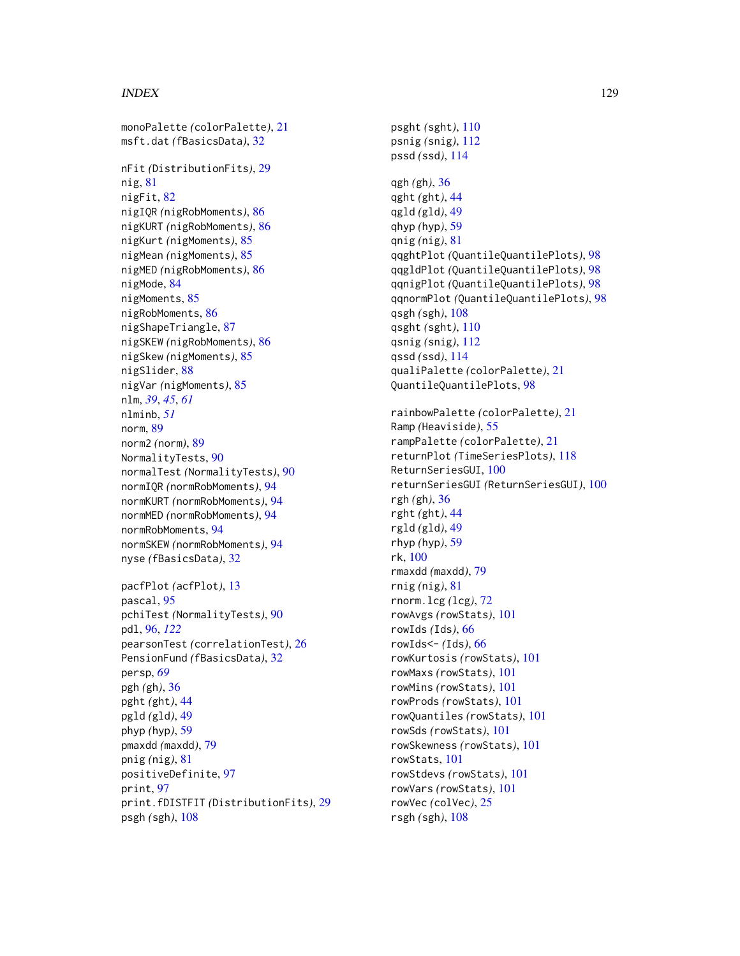monoPalette *(*colorPalette*)*, [21](#page-20-0) msft.dat *(*fBasicsData*)*, [32](#page-31-0) nFit *(*DistributionFits*)*, [29](#page-28-0) nig, [81](#page-80-0) nigFit, [82](#page-81-0) nigIQR *(*nigRobMoments*)*, [86](#page-85-0) nigKURT *(*nigRobMoments*)*, [86](#page-85-0) nigKurt *(*nigMoments*)*, [85](#page-84-0) nigMean *(*nigMoments*)*, [85](#page-84-0) nigMED *(*nigRobMoments*)*, [86](#page-85-0) nigMode, [84](#page-83-0) nigMoments, [85](#page-84-0) nigRobMoments, [86](#page-85-0) nigShapeTriangle, [87](#page-86-0) nigSKEW *(*nigRobMoments*)*, [86](#page-85-0) nigSkew *(*nigMoments*)*, [85](#page-84-0) nigSlider, [88](#page-87-0) nigVar *(*nigMoments*)*, [85](#page-84-0) nlm, *[39](#page-38-0)*, *[45](#page-44-0)*, *[61](#page-60-0)* nlminb, *[51](#page-50-0)* norm, [89](#page-88-0) norm2 *(*norm*)*, [89](#page-88-0) NormalityTests, [90](#page-89-0) normalTest *(*NormalityTests*)*, [90](#page-89-0) normIQR *(*normRobMoments*)*, [94](#page-93-0) normKURT *(*normRobMoments*)*, [94](#page-93-0) normMED *(*normRobMoments*)*, [94](#page-93-0) normRobMoments, [94](#page-93-0) normSKEW *(*normRobMoments*)*, [94](#page-93-0) nyse *(*fBasicsData*)*, [32](#page-31-0) pacfPlot *(*acfPlot*)*, [13](#page-12-0) pascal, [95](#page-94-0) pchiTest *(*NormalityTests*)*, [90](#page-89-0) pdl, [96,](#page-95-1) *[122](#page-121-0)* pearsonTest *(*correlationTest*)*, [26](#page-25-0) PensionFund *(*fBasicsData*)*, [32](#page-31-0) persp, *[69](#page-68-0)* pgh *(*gh*)*, [36](#page-35-0) pght *(*ght*)*, [44](#page-43-0) pgld *(*gld*)*, [49](#page-48-0) phyp *(*hyp*)*, [59](#page-58-0) pmaxdd *(*maxdd*)*, [79](#page-78-0) pnig *(*nig*)*, [81](#page-80-0) positiveDefinite, [97](#page-96-0) print, [97](#page-96-0) print.fDISTFIT *(*DistributionFits*)*, [29](#page-28-0) psgh *(*sgh*)*, [108](#page-107-0)

psght *(*sght*)*, [110](#page-109-0) psnig *(*snig*)*, [112](#page-111-0) pssd *(*ssd*)*, [114](#page-113-0) qgh *(*gh*)*, [36](#page-35-0) qght *(*ght*)*, [44](#page-43-0) qgld *(*gld*)*, [49](#page-48-0) qhyp *(*hyp*)*, [59](#page-58-0) qnig *(*nig*)*, [81](#page-80-0) qqghtPlot *(*QuantileQuantilePlots*)*, [98](#page-97-0) qqgldPlot *(*QuantileQuantilePlots*)*, [98](#page-97-0) qqnigPlot *(*QuantileQuantilePlots*)*, [98](#page-97-0) qqnormPlot *(*QuantileQuantilePlots*)*, [98](#page-97-0) qsgh *(*sgh*)*, [108](#page-107-0) qsght *(*sght*)*, [110](#page-109-0) qsnig *(*snig*)*, [112](#page-111-0) qssd *(*ssd*)*, [114](#page-113-0) qualiPalette *(*colorPalette*)*, [21](#page-20-0) QuantileQuantilePlots, [98](#page-97-0) rainbowPalette *(*colorPalette*)*, [21](#page-20-0) Ramp *(*Heaviside*)*, [55](#page-54-0) rampPalette *(*colorPalette*)*, [21](#page-20-0) returnPlot *(*TimeSeriesPlots*)*, [118](#page-117-0) ReturnSeriesGUI, [100](#page-99-0) returnSeriesGUI *(*ReturnSeriesGUI*)*, [100](#page-99-0) rgh *(*gh*)*, [36](#page-35-0) rght *(*ght*)*, [44](#page-43-0) rgld *(*gld*)*, [49](#page-48-0) rhyp *(*hyp*)*, [59](#page-58-0) rk, [100](#page-99-0) rmaxdd *(*maxdd*)*, [79](#page-78-0) rnig *(*nig*)*, [81](#page-80-0) rnorm.lcg *(*lcg*)*, [72](#page-71-0) rowAvgs *(*rowStats*)*, [101](#page-100-0) rowIds *(*Ids*)*, [66](#page-65-0) rowIds<- *(*Ids*)*, [66](#page-65-0) rowKurtosis *(*rowStats*)*, [101](#page-100-0) rowMaxs *(*rowStats*)*, [101](#page-100-0) rowMins *(*rowStats*)*, [101](#page-100-0) rowProds *(*rowStats*)*, [101](#page-100-0) rowQuantiles *(*rowStats*)*, [101](#page-100-0) rowSds *(*rowStats*)*, [101](#page-100-0) rowSkewness *(*rowStats*)*, [101](#page-100-0) rowStats, [101](#page-100-0) rowStdevs *(*rowStats*)*, [101](#page-100-0) rowVars *(*rowStats*)*, [101](#page-100-0) rowVec *(*colVec*)*, [25](#page-24-0)

rsgh *(*sgh*)*, [108](#page-107-0)